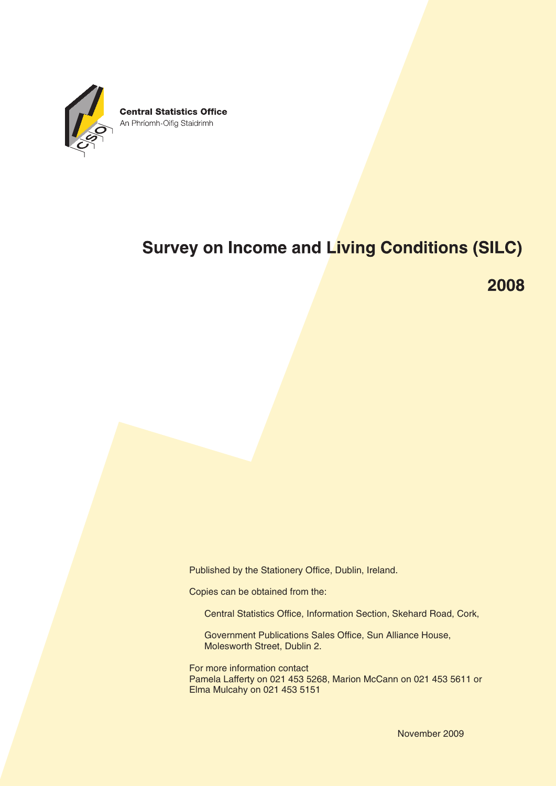

# **Survey on Income and Living Conditions (SILC)**

2008

Published by the Stationery Office, Dublin, Ireland.

Copies can be obtained from the:

Central Statistics Office, Information Section, Skehard Road, Cork,

Government Publications Sales Office, Sun Alliance House, Molesworth Street, Dublin 2.

For more information contact Pamela Lafferty on 021 453 5268, Marion McCann on 021 453 5611 or Elma Mulcahy on 021 453 5151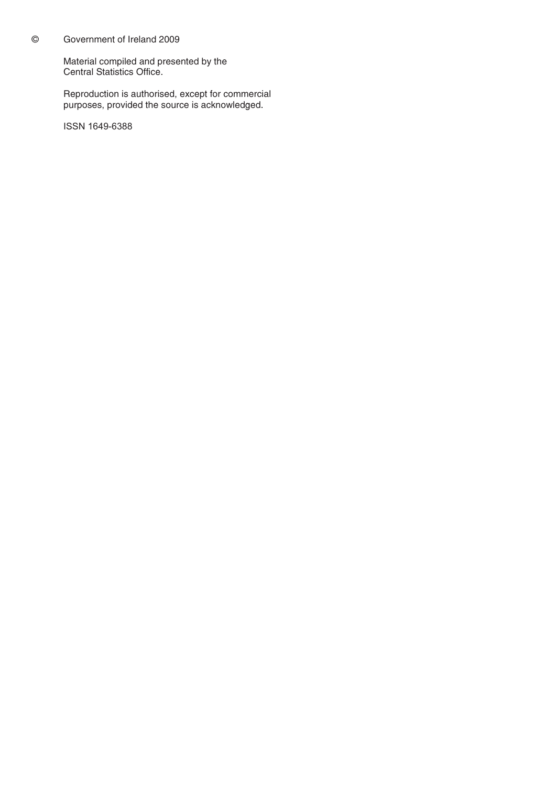## © Government of Ireland 2009

Material compiled and presented by the Central Statistics Office.

Reproduction is authorised, except for commercial purposes, provided the source is acknowledged.

ISSN 1649-6388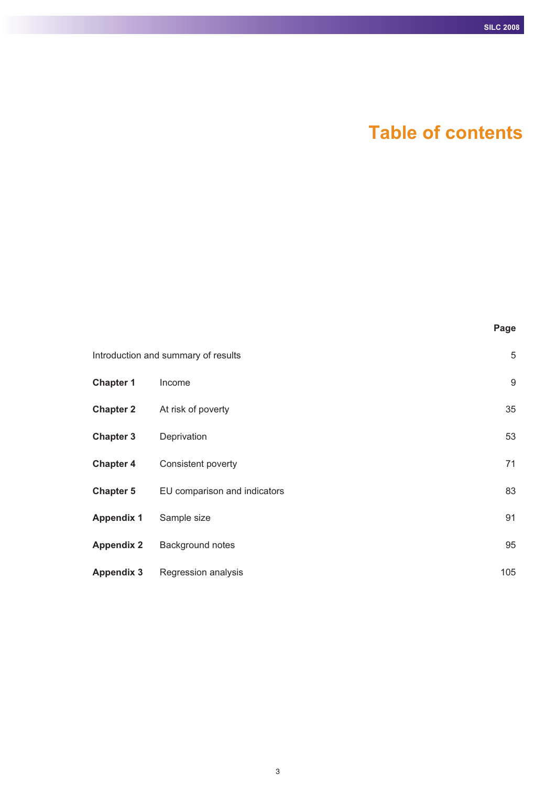# **Table of contents**

|                   |                                     | Page |
|-------------------|-------------------------------------|------|
|                   | Introduction and summary of results | 5    |
| <b>Chapter 1</b>  | Income                              | 9    |
| <b>Chapter 2</b>  | At risk of poverty                  | 35   |
| <b>Chapter 3</b>  | Deprivation                         | 53   |
| <b>Chapter 4</b>  | Consistent poverty                  | 71   |
| <b>Chapter 5</b>  | EU comparison and indicators        | 83   |
| <b>Appendix 1</b> | Sample size                         | 91   |
| <b>Appendix 2</b> | Background notes                    | 95   |
| <b>Appendix 3</b> | Regression analysis                 | 105  |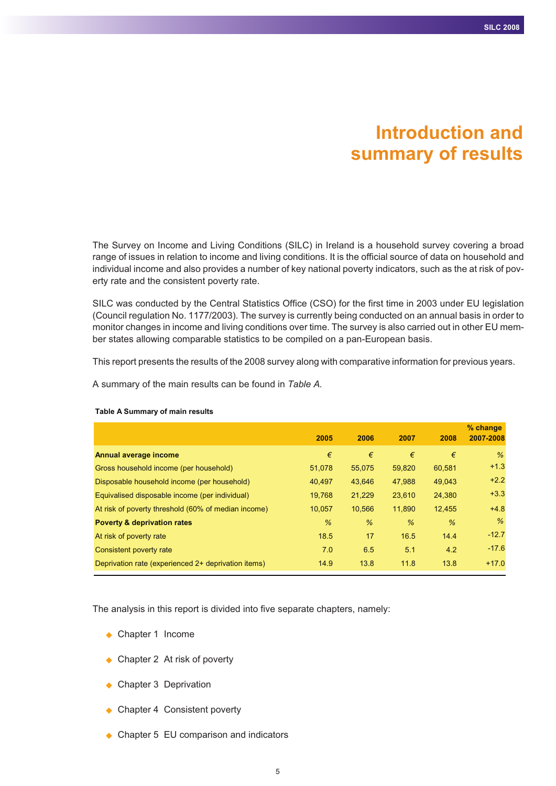# **Introduction and summary of results**

The Survey on Income and Living Conditions (SILC) in Ireland is a household survey covering a broad range of issues in relation to income and living conditions. It is the official source of data on household and individual income and also provides a number of key national poverty indicators, such as the at risk of poverty rate and the consistent poverty rate.

SILC was conducted by the Central Statistics Office (CSO) for the first time in 2003 under EU legislation (Council regulation No. 1177/2003). The survey is currently being conducted on an annual basis in order to monitor changes in income and living conditions over time. The survey is also carried out in other EU member states allowing comparable statistics to be compiled on a pan-European basis.

This report presents the results of the 2008 survey along with comparative information for previous years.

A summary of the main results can be found in *Table A.*

|                                                     | 2005   | 2006   | 2007   | 2008   | $%$ change<br>2007-2008 |
|-----------------------------------------------------|--------|--------|--------|--------|-------------------------|
| Annual average income                               | €      | €      | €      | €      | %                       |
| Gross household income (per household)              | 51,078 | 55,075 | 59,820 | 60,581 | $+1.3$                  |
| Disposable household income (per household)         | 40.497 | 43,646 | 47,988 | 49,043 | $+2.2$                  |
| Equivalised disposable income (per individual)      | 19,768 | 21,229 | 23,610 | 24,380 | $+3.3$                  |
| At risk of poverty threshold (60% of median income) | 10,057 | 10,566 | 11,890 | 12,455 | $+4.8$                  |
| <b>Poverty &amp; deprivation rates</b>              | $\%$   | $\%$   | $\%$   | $\%$   | $\%$                    |
| At risk of poverty rate                             | 18.5   | 17     | 16.5   | 14.4   | $-12.7$                 |
| Consistent poverty rate                             | 7.0    | 6.5    | 5.1    | 4.2    | $-17.6$                 |
| Deprivation rate (experienced 2+ deprivation items) | 14.9   | 13.8   | 11.8   | 13.8   | $+17.0$                 |

#### **Table A Summary of main results**

The analysis in this report is divided into five separate chapters, namely:

- ◆ Chapter 1 Income
- ◆ Chapter 2 At risk of poverty
- ◆ Chapter 3 Deprivation
- ◆ Chapter 4 Consistent poverty
- ◆ Chapter 5 EU comparison and indicators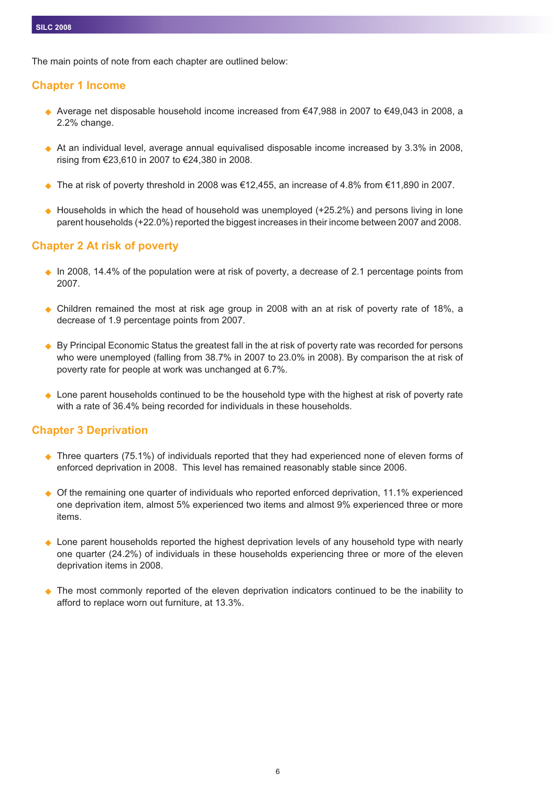The main points of note from each chapter are outlined below:

# **Chapter 1 Income**

- Average net disposable household income increased from €47,988 in 2007 to €49,043 in 2008, a 2.2% change.
- ◆ At an individual level, average annual equivalised disposable income increased by 3.3% in 2008, rising from €23,610 in 2007 to €24,380 in 2008.
- $\blacklozenge$  The at risk of poverty threshold in 2008 was €12,455, an increase of 4.8% from €11,890 in 2007.
- ◆ Households in which the head of household was unemployed (+25.2%) and persons living in lone parent households (+22.0%) reported the biggest increases in their income between 2007 and 2008.

# **Chapter 2 At risk of poverty**

- ◆ In 2008, 14.4% of the population were at risk of poverty, a decrease of 2.1 percentage points from 2007.
- Children remained the most at risk age group in 2008 with an at risk of poverty rate of 18%, a decrease of 1.9 percentage points from 2007.
- $\blacklozenge$  By Principal Economic Status the greatest fall in the at risk of poverty rate was recorded for persons who were unemployed (falling from 38.7% in 2007 to 23.0% in 2008). By comparison the at risk of poverty rate for people at work was unchanged at 6.7%.
- ◆ Lone parent households continued to be the household type with the highest at risk of poverty rate with a rate of 36.4% being recorded for individuals in these households.

#### **Chapter 3 Deprivation**

- ◆ Three quarters (75.1%) of individuals reported that they had experienced none of eleven forms of enforced deprivation in 2008. This level has remained reasonably stable since 2006.
- $\ddot{\bullet}$  Of the remaining one quarter of individuals who reported enforced deprivation, 11.1% experienced one deprivation item, almost 5% experienced two items and almost 9% experienced three or more items.
- $\ddot{\bullet}$  Lone parent households reported the highest deprivation levels of any household type with nearly one quarter (24.2%) of individuals in these households experiencing three or more of the eleven deprivation items in 2008.
- The most commonly reported of the eleven deprivation indicators continued to be the inability to afford to replace worn out furniture, at 13.3%.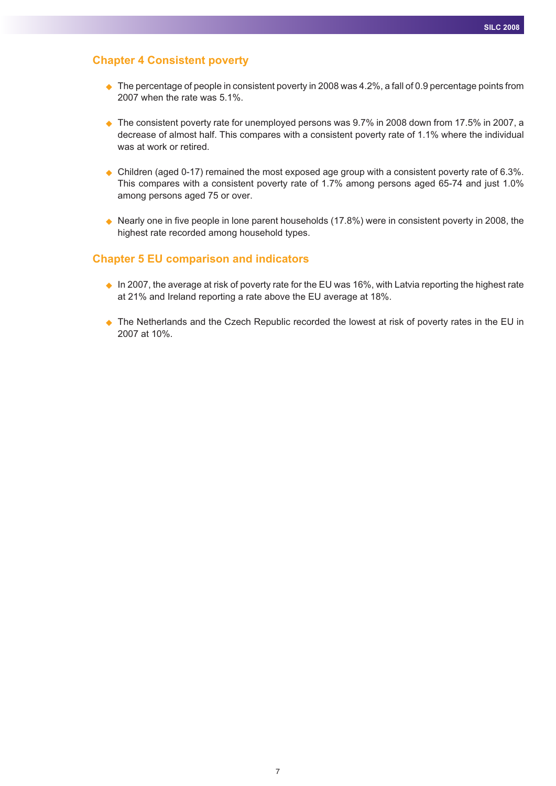## **Chapter 4 Consistent poverty**

- $\blacklozenge$  The percentage of people in consistent poverty in 2008 was 4.2%, a fall of 0.9 percentage points from 2007 when the rate was 5.1%.
- ◆ The consistent poverty rate for unemployed persons was 9.7% in 2008 down from 17.5% in 2007, a decrease of almost half. This compares with a consistent poverty rate of 1.1% where the individual was at work or retired.
- $\blacklozenge$  Children (aged 0-17) remained the most exposed age group with a consistent poverty rate of 6.3%. This compares with a consistent poverty rate of 1.7% among persons aged 65-74 and just 1.0% among persons aged 75 or over.
- ◆ Nearly one in five people in lone parent households (17.8%) were in consistent poverty in 2008, the highest rate recorded among household types.

#### **Chapter 5 EU comparison and indicators**

- $\bullet$  In 2007, the average at risk of poverty rate for the EU was 16%, with Latvia reporting the highest rate at 21% and Ireland reporting a rate above the EU average at 18%.
- ♦ The Netherlands and the Czech Republic recorded the lowest at risk of poverty rates in the EU in 2007 at 10%.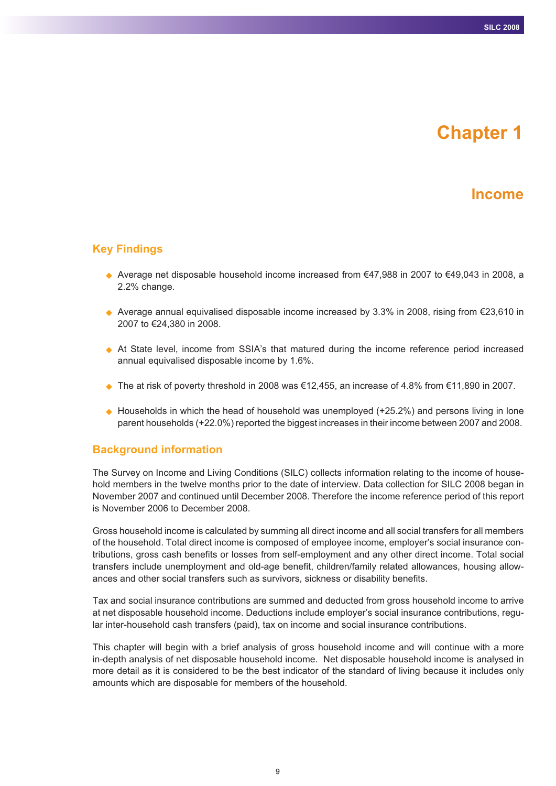# **Chapter 1**

# **Income**

## **Key Findings**

- Average net disposable household income increased from €47,988 in 2007 to €49,043 in 2008, a 2.2% change.
- ◆ Average annual equivalised disposable income increased by 3.3% in 2008, rising from €23,610 in 2007 to €24,380 in 2008.
- At State level, income from SSIA's that matured during the income reference period increased annual equivalised disposable income by 1.6%.
- $\blacklozenge$  The at risk of poverty threshold in 2008 was €12,455, an increase of 4.8% from €11,890 in 2007.
- ◆ Households in which the head of household was unemployed (+25.2%) and persons living in lone parent households (+22.0%) reported the biggest increases in their income between 2007 and 2008.

#### **Background information**

The Survey on Income and Living Conditions (SILC) collects information relating to the income of household members in the twelve months prior to the date of interview. Data collection for SILC 2008 began in November 2007 and continued until December 2008. Therefore the income reference period of this report is November 2006 to December 2008.

Gross household income is calculated by summing all direct income and all social transfers for all members of the household. Total direct income is composed of employee income, employer's social insurance contributions, gross cash benefits or losses from self-employment and any other direct income. Total social transfers include unemployment and old-age benefit, children/family related allowances, housing allowances and other social transfers such as survivors, sickness or disability benefits.

Tax and social insurance contributions are summed and deducted from gross household income to arrive at net disposable household income. Deductions include employer's social insurance contributions, regular inter-household cash transfers (paid), tax on income and social insurance contributions.

This chapter will begin with a brief analysis of gross household income and will continue with a more in-depth analysis of net disposable household income. Net disposable household income is analysed in more detail as it is considered to be the best indicator of the standard of living because it includes only amounts which are disposable for members of the household.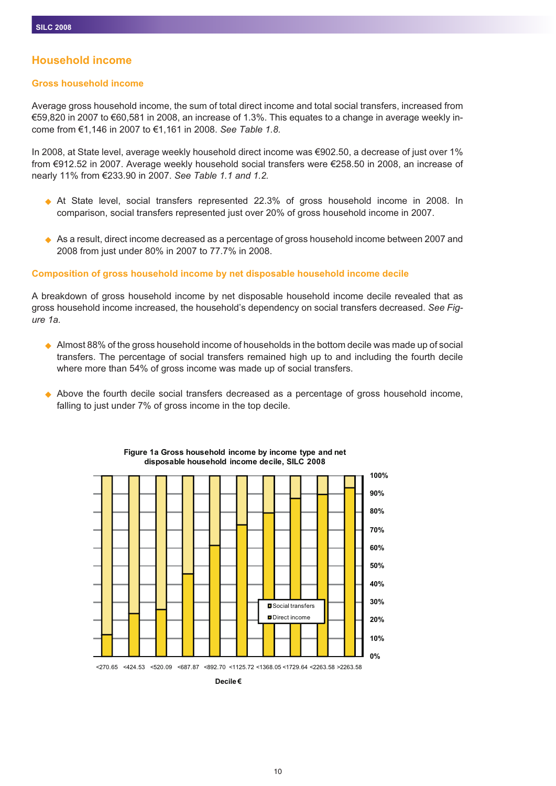# **Household income**

#### **Gross household income**

Average gross household income, the sum of total direct income and total social transfers, increased from €59,820 in 2007 to €60,581 in 2008, an increase of 1.3%. This equates to a change in average weekly income from €1,146 in 2007 to €1,161 in 2008. *See Table 1.8.*

In 2008, at State level, average weekly household direct income was €902.50, a decrease of just over 1% from €912.52 in 2007. Average weekly household social transfers were €258.50 in 2008, an increase of nearly 11% from €233.90 in 2007. *See Table 1.1 and 1.2.*

- At State level, social transfers represented 22.3% of gross household income in 2008. In comparison, social transfers represented just over 20% of gross household income in 2007.
- ◆ As a result, direct income decreased as a percentage of gross household income between 2007 and 2008 from just under 80% in 2007 to 77.7% in 2008.

#### **Composition of gross household income by net disposable household income decile**

A breakdown of gross household income by net disposable household income decile revealed that as gross household income increased, the household's dependency on social transfers decreased. *See Figure 1a.*

- $\blacklozenge$  Almost 88% of the gross household income of households in the bottom decile was made up of social transfers. The percentage of social transfers remained high up to and including the fourth decile where more than 54% of gross income was made up of social transfers.
- Above the fourth decile social transfers decreased as a percentage of gross household income, falling to just under 7% of gross income in the top decile.



#### **Figure 1a Gross household income by income type and net disposable household income decile, SILC 2008**

**Decile €**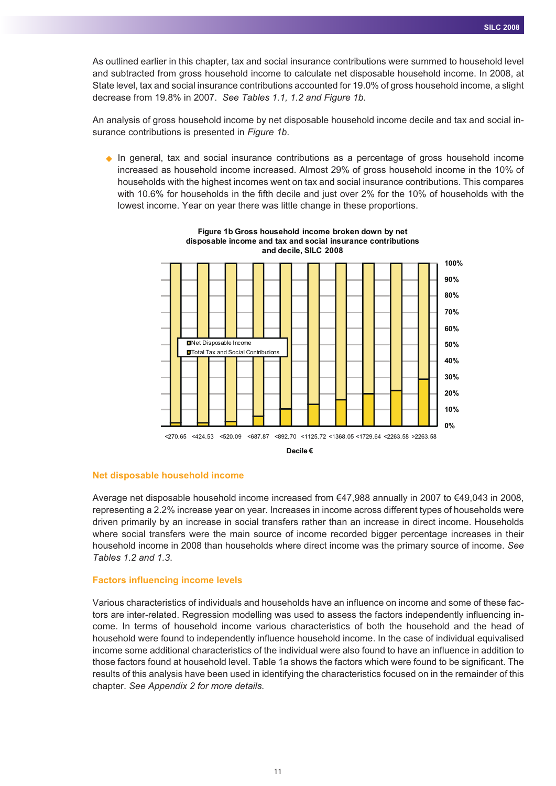As outlined earlier in this chapter, tax and social insurance contributions were summed to household level and subtracted from gross household income to calculate net disposable household income. In 2008, at State level, tax and social insurance contributions accounted for 19.0% of gross household income, a slight decrease from 19.8% in 2007. *See Tables 1.1, 1.2 and Figure 1b.*

An analysis of gross household income by net disposable household income decile and tax and social insurance contributions is presented in *Figure 1b*.

- In general, tax and social insurance contributions as a percentage of gross household income increased as household income increased. Almost 29% of gross household income in the 10% of households with the highest incomes went on tax and social insurance contributions. This compares with 10.6% for households in the fifth decile and just over 2% for the 10% of households with the lowest income. Year on year there was little change in these proportions.



**Figure 1b Gross household income broken down by net disposable income and tax and social insurance contributions and decile, SILC 2008**

#### **Net disposable household income**

Average net disposable household income increased from €47,988 annually in 2007 to €49,043 in 2008, representing a 2.2% increase year on year. Increases in income across different types of households were driven primarily by an increase in social transfers rather than an increase in direct income. Households where social transfers were the main source of income recorded bigger percentage increases in their household income in 2008 than households where direct income was the primary source of income. *See Tables 1.2 and 1.3*.

#### **Factors influencing income levels**

Various characteristics of individuals and households have an influence on income and some of these factors are inter-related. Regression modelling was used to assess the factors independently influencing income. In terms of household income various characteristics of both the household and the head of household were found to independently influence household income. In the case of individual equivalised income some additional characteristics of the individual were also found to have an influence in addition to those factors found at household level. Table 1a shows the factors which were found to be significant. The results of this analysis have been used in identifying the characteristics focused on in the remainder of this chapter. *See Appendix 2 for more details.*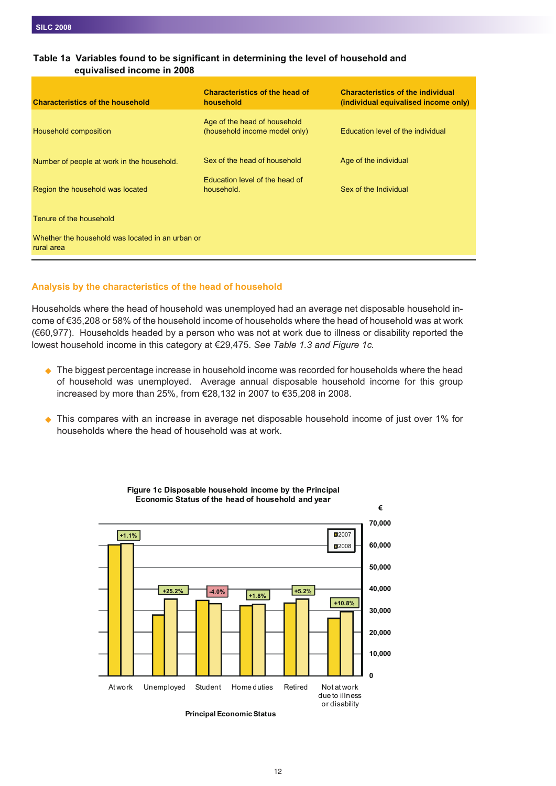| <b>Characteristics of the household</b>                        | <b>Characteristics of the head of</b><br>household            | <b>Characteristics of the individual</b><br>(individual equivalised income only) |
|----------------------------------------------------------------|---------------------------------------------------------------|----------------------------------------------------------------------------------|
| Household composition                                          | Age of the head of household<br>(household income model only) | Education level of the individual                                                |
| Number of people at work in the household.                     | Sex of the head of household                                  | Age of the individual                                                            |
| Region the household was located                               | Education level of the head of<br>household.                  | Sex of the Individual                                                            |
| Tenure of the household                                        |                                                               |                                                                                  |
| Whether the household was located in an urban or<br>rural area |                                                               |                                                                                  |

#### **Table 1a Variables found to be significant in determining the level of household and equivalised income in 2008**

#### **Analysis by the characteristics of the head of household**

Households where the head of household was unemployed had an average net disposable household income of €35,208 or 58% of the household income of households where the head of household was at work (€60,977). Households headed by a person who was not at work due to illness or disability reported the lowest household income in this category at €29,475. *See Table 1.3 and Figure 1c.*

- ◆ The biggest percentage increase in household income was recorded for households where the head of household was unemployed. Average annual disposable household income for this group increased by more than 25%, from €28,132 in 2007 to €35,208 in 2008.
- $\ddot{\bullet}$  This compares with an increase in average net disposable household income of just over 1% for households where the head of household was at work.



**Figure 1c Disposable household income by the Principal Economic Status of the head of household and year**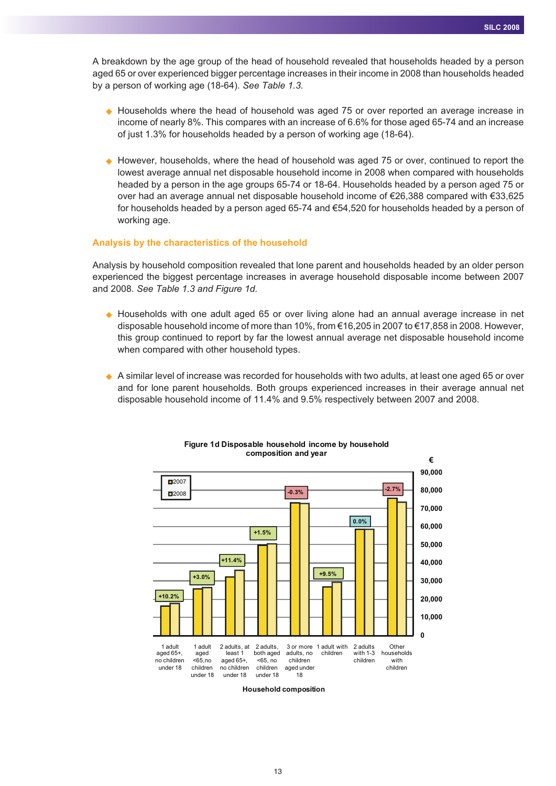A breakdown by the age group of the head of household revealed that households headed by a person aged 65 or over experienced bigger percentage increases in their income in 2008 than households headed by a person of working age (18-64). *See Table 1.3.*

- ◆ Households where the head of household was aged 75 or over reported an average increase in income of nearly 8%. This compares with an increase of 6.6% for those aged 65-74 and an increase of just 1.3% for households headed by a person of working age (18-64).
- ◆ However, households, where the head of household was aged 75 or over, continued to report the lowest average annual net disposable household income in 2008 when compared with households headed by a person in the age groups 65-74 or 18-64. Households headed by a person aged 75 or over had an average annual net disposable household income of €26,388 compared with €33,625 for households headed by a person aged 65-74 and €54,520 for households headed by a person of working age.

#### **Analysis by the characteristics of the household**

Analysis by household composition revealed that lone parent and households headed by an older person experienced the biggest percentage increases in average household disposable income between 2007 and 2008. *See Table 1.3 and Figure 1d.*

- Households with one adult aged 65 or over living alone had an annual average increase in net disposable household income of more than 10%, from €16,205 in 2007 to €17,858 in 2008. However, this group continued to report by far the lowest annual average net disposable household income when compared with other household types.
- ◆ A similar level of increase was recorded for households with two adults, at least one aged 65 or over and for lone parent households. Both groups experienced increases in their average annual net disposable household income of 11.4% and 9.5% respectively between 2007 and 2008.



#### **Figure 1d Disposable household income by household composition and year**

**Household composition**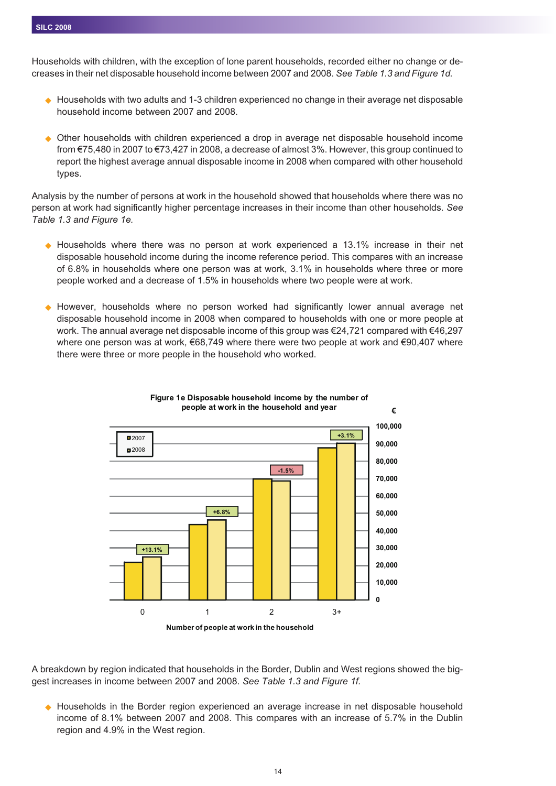Households with children, with the exception of lone parent households, recorded either no change or decreases in their net disposable household income between 2007 and 2008. *See Table 1.3 and Figure 1d.*

- ◆ Households with two adults and 1-3 children experienced no change in their average net disposable household income between 2007 and 2008.
- Other households with children experienced a drop in average net disposable household income from €75,480 in 2007 to €73,427 in 2008, a decrease of almost 3%. However, this group continued to report the highest average annual disposable income in 2008 when compared with other household types.

Analysis by the number of persons at work in the household showed that households where there was no person at work had significantly higher percentage increases in their income than other households. *See Table 1.3 and Figure 1e.*

- Households where there was no person at work experienced a 13.1% increase in their net disposable household income during the income reference period. This compares with an increase of 6.8% in households where one person was at work, 3.1% in households where three or more people worked and a decrease of 1.5% in households where two people were at work.
- However, households where no person worked had significantly lower annual average net disposable household income in 2008 when compared to households with one or more people at work. The annual average net disposable income of this group was €24,721 compared with €46,297 where one person was at work, €68,749 where there were two people at work and €90,407 where there were three or more people in the household who worked.





A breakdown by region indicated that households in the Border, Dublin and West regions showed the biggest increases in income between 2007 and 2008. *See Table 1.3 and Figure 1f.*

- Households in the Border region experienced an average increase in net disposable household income of 8.1% between 2007 and 2008. This compares with an increase of 5.7% in the Dublin region and 4.9% in the West region.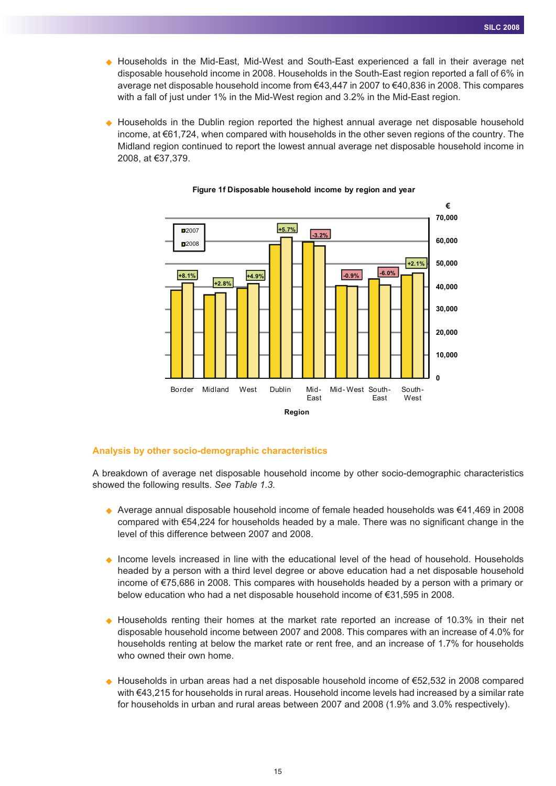- Households in the Mid-East, Mid-West and South-East experienced a fall in their average net disposable household income in 2008. Households in the South-East region reported a fall of 6% in average net disposable household income from €43,447 in 2007 to €40,836 in 2008. This compares with a fall of just under 1% in the Mid-West region and 3.2% in the Mid-East region.
- $\blacklozenge$  Households in the Dublin region reported the highest annual average net disposable household income, at €61,724, when compared with households in the other seven regions of the country. The Midland region continued to report the lowest annual average net disposable household income in 2008, at €37,379.



#### **Figure 1f Disposable household income by region and year**

#### **Analysis by other socio-demographic characteristics**

A breakdown of average net disposable household income by other socio-demographic characteristics showed the following results. *See Table 1.3.*

- Average annual disposable household income of female headed households was €41,469 in 2008 compared with €54,224 for households headed by a male. There was no significant change in the level of this difference between 2007 and 2008.
- ♦ Income levels increased in line with the educational level of the head of household. Households headed by a person with a third level degree or above education had a net disposable household income of €75,686 in 2008. This compares with households headed by a person with a primary or below education who had a net disposable household income of €31,595 in 2008.
- Households renting their homes at the market rate reported an increase of 10.3% in their net disposable household income between 2007 and 2008. This compares with an increase of 4.0% for households renting at below the market rate or rent free, and an increase of 1.7% for households who owned their own home.
- Households in urban areas had a net disposable household income of €52,532 in 2008 compared with €43,215 for households in rural areas. Household income levels had increased by a similar rate for households in urban and rural areas between 2007 and 2008 (1.9% and 3.0% respectively).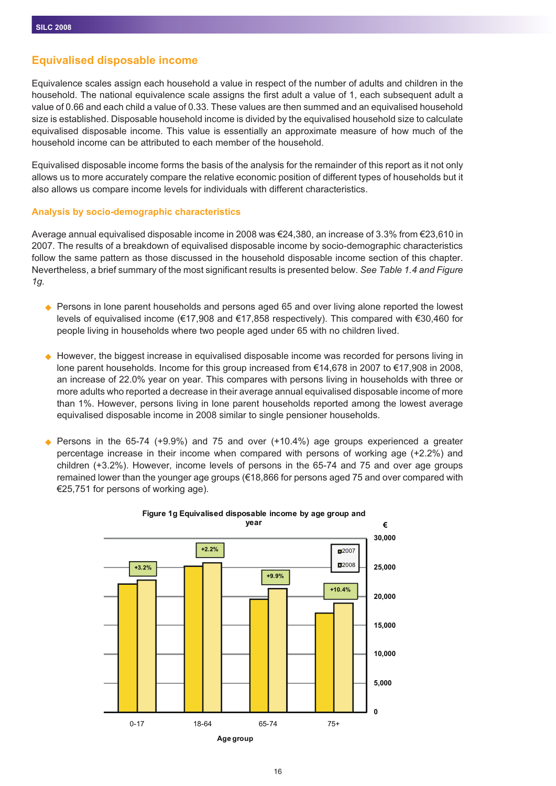# **Equivalised disposable income**

Equivalence scales assign each household a value in respect of the number of adults and children in the household. The national equivalence scale assigns the first adult a value of 1, each subsequent adult a value of 0.66 and each child a value of 0.33. These values are then summed and an equivalised household size is established. Disposable household income is divided by the equivalised household size to calculate equivalised disposable income. This value is essentially an approximate measure of how much of the household income can be attributed to each member of the household.

Equivalised disposable income forms the basis of the analysis for the remainder of this report as it not only allows us to more accurately compare the relative economic position of different types of households but it also allows us compare income levels for individuals with different characteristics.

#### **Analysis by socio-demographic characteristics**

Average annual equivalised disposable income in 2008 was €24,380, an increase of 3.3% from €23,610 in 2007. The results of a breakdown of equivalised disposable income by socio-demographic characteristics follow the same pattern as those discussed in the household disposable income section of this chapter. Nevertheless, a brief summary of the most significant results is presented below. *See Table 1.4 and Figure 1g.*

- ◆ Persons in lone parent households and persons aged 65 and over living alone reported the lowest levels of equivalised income (€17,908 and €17,858 respectively). This compared with €30,460 for people living in households where two people aged under 65 with no children lived.
- $\blacklozenge$  However, the biggest increase in equivalised disposable income was recorded for persons living in lone parent households. Income for this group increased from €14,678 in 2007 to €17,908 in 2008, an increase of 22.0% year on year. This compares with persons living in households with three or more adults who reported a decrease in their average annual equivalised disposable income of more than 1%. However, persons living in lone parent households reported among the lowest average equivalised disposable income in 2008 similar to single pensioner households.
- $\blacklozenge$  Persons in the 65-74 (+9.9%) and 75 and over (+10.4%) age groups experienced a greater percentage increase in their income when compared with persons of working age (+2.2%) and children (+3.2%). However, income levels of persons in the 65-74 and 75 and over age groups remained lower than the younger age groups (€18,866 for persons aged 75 and over compared with €25,751 for persons of working age).



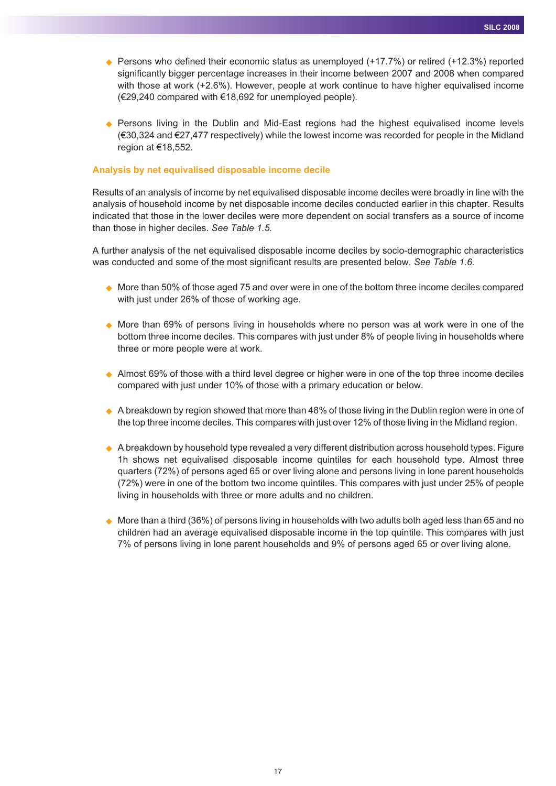- ◆ Persons who defined their economic status as unemployed (+17.7%) or retired (+12.3%) reported significantly bigger percentage increases in their income between 2007 and 2008 when compared with those at work (+2.6%). However, people at work continue to have higher equivalised income (€29,240 compared with €18,692 for unemployed people).
- Persons living in the Dublin and Mid-East regions had the highest equivalised income levels (€30,324 and €27,477 respectively) while the lowest income was recorded for people in the Midland region at €18,552.

#### **Analysis by net equivalised disposable income decile**

Results of an analysis of income by net equivalised disposable income deciles were broadly in line with the analysis of household income by net disposable income deciles conducted earlier in this chapter. Results indicated that those in the lower deciles were more dependent on social transfers as a source of income than those in higher deciles. *See Table 1.5.*

A further analysis of the net equivalised disposable income deciles by socio-demographic characteristics was conducted and some of the most significant results are presented below. *See Table 1.6.*

- $\blacklozenge$  More than 50% of those aged 75 and over were in one of the bottom three income deciles compared with just under 26% of those of working age.
- More than 69% of persons living in households where no person was at work were in one of the bottom three income deciles. This compares with just under 8% of people living in households where three or more people were at work.
- ◆ Almost 69% of those with a third level degree or higher were in one of the top three income deciles compared with just under 10% of those with a primary education or below.
- ◆ A breakdown by region showed that more than 48% of those living in the Dublin region were in one of the top three income deciles. This compares with just over 12% of those living in the Midland region.
- A breakdown by household type revealed a very different distribution across household types. Figure 1h shows net equivalised disposable income quintiles for each household type. Almost three quarters (72%) of persons aged 65 or over living alone and persons living in lone parent households (72%) were in one of the bottom two income quintiles. This compares with just under 25% of people living in households with three or more adults and no children.
- $\blacklozenge$  More than a third (36%) of persons living in households with two adults both aged less than 65 and no children had an average equivalised disposable income in the top quintile. This compares with just 7% of persons living in lone parent households and 9% of persons aged 65 or over living alone.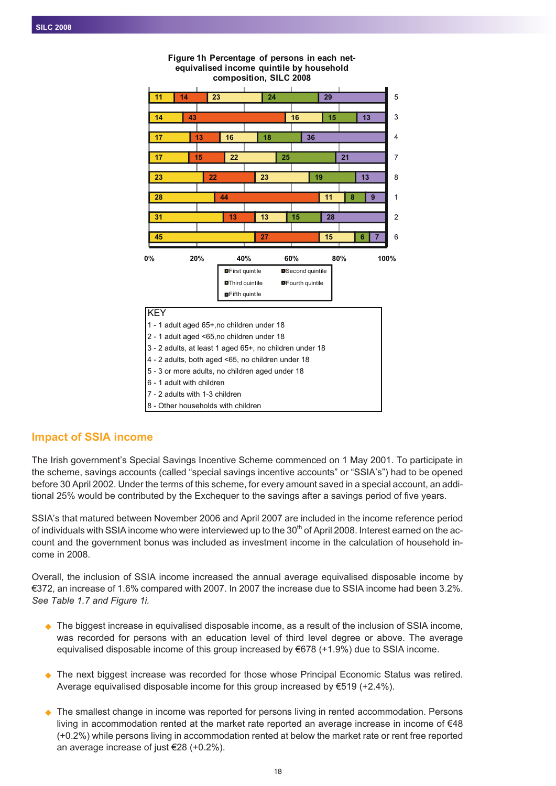

#### **Figure 1h Percentage of persons in each netequivalised income quintile by household composition, SILC 2008**

# **Impact of SSIA income**

The Irish government's Special Savings Incentive Scheme commenced on 1 May 2001. To participate in the scheme, savings accounts (called "special savings incentive accounts" or "SSIA's") had to be opened before 30 April 2002. Under the terms of this scheme, for every amount saved in a special account, an additional 25% would be contributed by the Exchequer to the savings after a savings period of five years.

SSIA's that matured between November 2006 and April 2007 are included in the income reference period of individuals with SSIA income who were interviewed up to the  $30<sup>th</sup>$  of April 2008. Interest earned on the account and the government bonus was included as investment income in the calculation of household income in 2008.

Overall, the inclusion of SSIA income increased the annual average equivalised disposable income by €372, an increase of 1.6% compared with 2007. In 2007 the increase due to SSIA income had been 3.2%. *See Table 1.7 and Figure 1i.*

- ◆ The biggest increase in equivalised disposable income, as a result of the inclusion of SSIA income, was recorded for persons with an education level of third level degree or above. The average equivalised disposable income of this group increased by €678 (+1.9%) due to SSIA income.
- The next biggest increase was recorded for those whose Principal Economic Status was retired. Average equivalised disposable income for this group increased by €519 (+2.4%).
- $\blacklozenge$  The smallest change in income was reported for persons living in rented accommodation. Persons living in accommodation rented at the market rate reported an average increase in income of €48 (+0.2%) while persons living in accommodation rented at below the market rate or rent free reported an average increase of just €28 (+0.2%).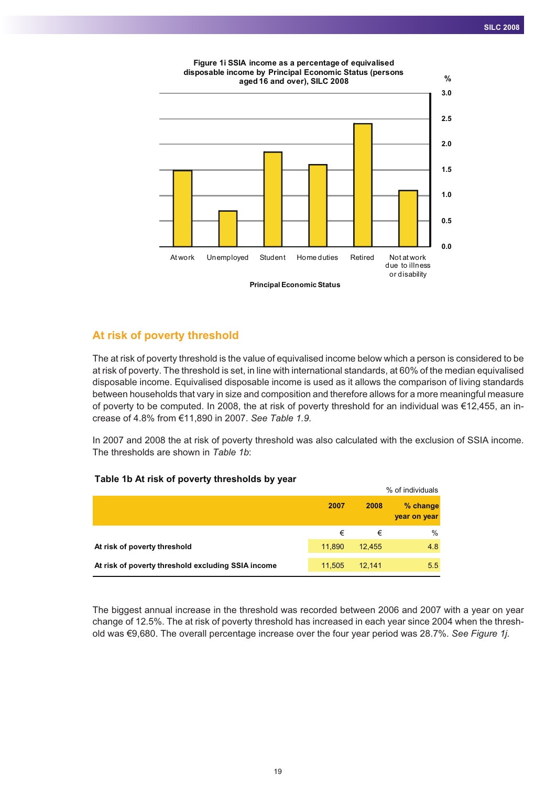

### **At risk of poverty threshold**

The at risk of poverty threshold is the value of equivalised income below which a person is considered to be at risk of poverty. The threshold is set, in line with international standards, at 60% of the median equivalised disposable income. Equivalised disposable income is used as it allows the comparison of living standards between households that vary in size and composition and therefore allows for a more meaningful measure of poverty to be computed. In 2008, the at risk of poverty threshold for an individual was €12,455, an increase of 4.8% from €11,890 in 2007. *See Table 1.9.*

In 2007 and 2008 the at risk of poverty threshold was also calculated with the exclusion of SSIA income. The thresholds are shown in *Table 1b*:

#### **Table 1b At risk of poverty thresholds by year**

| . .                                                |        |        | % of individuals         |
|----------------------------------------------------|--------|--------|--------------------------|
|                                                    | 2007   | 2008   | % change<br>year on year |
|                                                    | €      | €      | $\%$                     |
| At risk of poverty threshold                       | 11,890 | 12,455 | 4.8                      |
| At risk of poverty threshold excluding SSIA income | 11.505 | 12.141 | 5.5                      |

The biggest annual increase in the threshold was recorded between 2006 and 2007 with a year on year change of 12.5%. The at risk of poverty threshold has increased in each year since 2004 when the threshold was €9,680. The overall percentage increase over the four year period was 28.7%. *See Figure 1j.*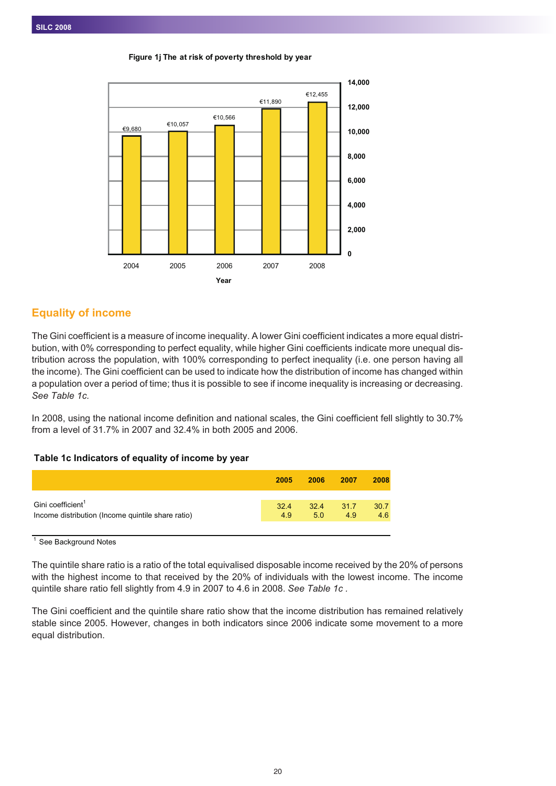€9,680 €10,057 €10,566 €11,890 €12,455 **0 2,000 4,000 6,000 8,000 10,000 12,000 14,000** 2004 2005 2006 2007 2008 **Year**



# **Equality of income**

The Gini coefficient is a measure of income inequality. A lower Gini coefficient indicates a more equal distribution, with 0% corresponding to perfect equality, while higher Gini coefficients indicate more unequal distribution across the population, with 100% corresponding to perfect inequality (i.e. one person having all the income). The Gini coefficient can be used to indicate how the distribution of income has changed within a population over a period of time; thus it is possible to see if income inequality is increasing or decreasing. *See Table 1c.*

In 2008, using the national income definition and national scales, the Gini coefficient fell slightly to 30.7% from a level of 31.7% in 2007 and 32.4% in both 2005 and 2006.

#### **Table 1c Indicators of equality of income by year**

|                                                   | 2005 | 2006 | 2007      | 2008 |
|---------------------------------------------------|------|------|-----------|------|
| Gini coefficient <sup>1</sup>                     | 32.4 | 5.0  | 32.4 31.7 | 30.7 |
| Income distribution (Income quintile share ratio) | 4.9  |      | 4.9       | 4.6  |

 $\overline{1}$  See Background Notes

The quintile share ratio is a ratio of the total equivalised disposable income received by the 20% of persons with the highest income to that received by the 20% of individuals with the lowest income. The income quintile share ratio fell slightly from 4.9 in 2007 to 4.6 in 2008. *See Table 1c .*

The Gini coefficient and the quintile share ratio show that the income distribution has remained relatively stable since 2005. However, changes in both indicators since 2006 indicate some movement to a more equal distribution.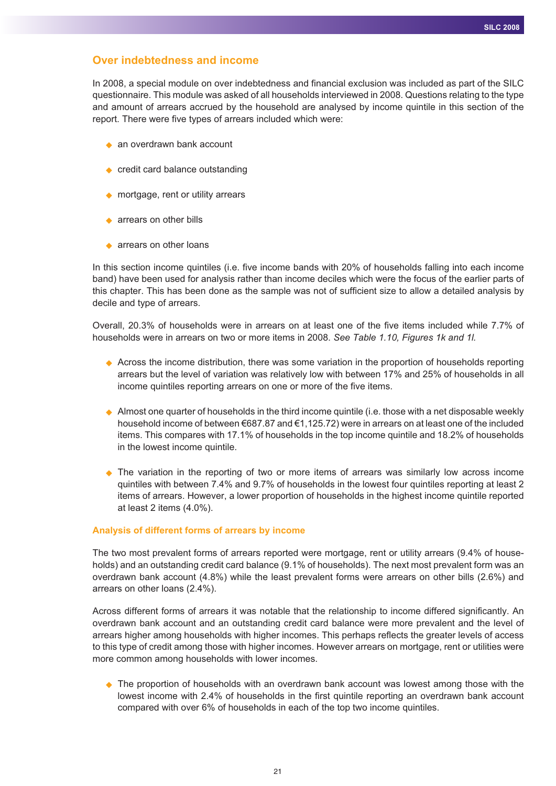## **Over indebtedness and income**

In 2008, a special module on over indebtedness and financial exclusion was included as part of the SILC questionnaire. This module was asked of all households interviewed in 2008. Questions relating to the type and amount of arrears accrued by the household are analysed by income quintile in this section of the report. There were five types of arrears included which were:

- ◆ an overdrawn bank account
- ◆ credit card balance outstanding
- ◆ mortgage, rent or utility arrears
- ◆ arrears on other bills
- ◆ arrears on other loans

In this section income quintiles (i.e. five income bands with 20% of households falling into each income band) have been used for analysis rather than income deciles which were the focus of the earlier parts of this chapter. This has been done as the sample was not of sufficient size to allow a detailed analysis by decile and type of arrears.

Overall, 20.3% of households were in arrears on at least one of the five items included while 7.7% of households were in arrears on two or more items in 2008. *See Table 1.10, Figures 1k and 1l.*

- ◆ Across the income distribution, there was some variation in the proportion of households reporting arrears but the level of variation was relatively low with between 17% and 25% of households in all income quintiles reporting arrears on one or more of the five items.
- Almost one quarter of households in the third income quintile (i.e. those with a net disposable weekly household income of between €687.87 and €1,125.72) were in arrears on at least one of the included items. This compares with 17.1% of households in the top income quintile and 18.2% of households in the lowest income quintile.
- The variation in the reporting of two or more items of arrears was similarly low across income quintiles with between 7.4% and 9.7% of households in the lowest four quintiles reporting at least 2 items of arrears. However, a lower proportion of households in the highest income quintile reported at least 2 items (4.0%).

#### **Analysis of different forms of arrears by income**

The two most prevalent forms of arrears reported were mortgage, rent or utility arrears (9.4% of households) and an outstanding credit card balance (9.1% of households). The next most prevalent form was an overdrawn bank account (4.8%) while the least prevalent forms were arrears on other bills (2.6%) and arrears on other loans (2.4%).

Across different forms of arrears it was notable that the relationship to income differed significantly. An overdrawn bank account and an outstanding credit card balance were more prevalent and the level of arrears higher among households with higher incomes. This perhaps reflects the greater levels of access to this type of credit among those with higher incomes. However arrears on mortgage, rent or utilities were more common among households with lower incomes.

◆ The proportion of households with an overdrawn bank account was lowest among those with the lowest income with 2.4% of households in the first quintile reporting an overdrawn bank account compared with over 6% of households in each of the top two income quintiles.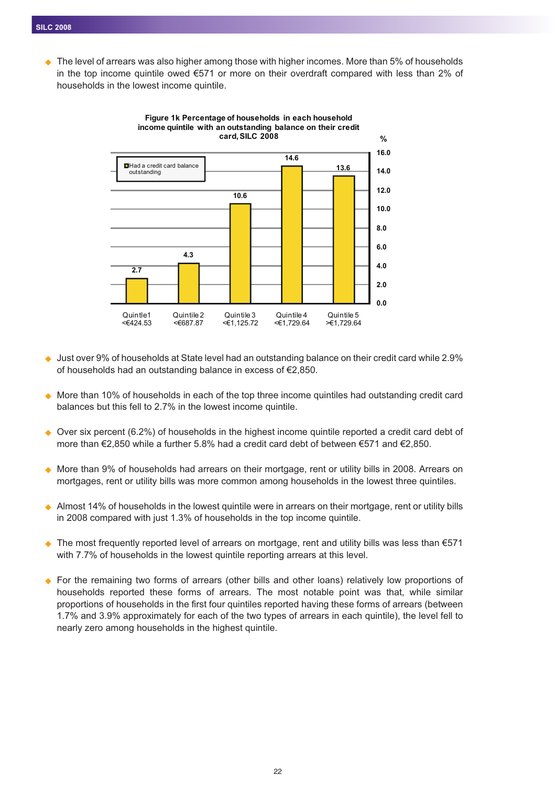$\bullet$  The level of arrears was also higher among those with higher incomes. More than 5% of households in the top income quintile owed €571 or more on their overdraft compared with less than 2% of households in the lowest income quintile.



**Figure 1k Percentage of households in each household income quintile with an outstanding balance on their credit**

- $\blacklozenge$  Just over 9% of households at State level had an outstanding balance on their credit card while 2.9% of households had an outstanding balance in excess of €2,850.
- ◆ More than 10% of households in each of the top three income quintiles had outstanding credit card balances but this fell to 2.7% in the lowest income quintile.
- $\blacklozenge$  Over six percent (6.2%) of households in the highest income quintile reported a credit card debt of more than €2,850 while a further 5.8% had a credit card debt of between €571 and €2,850.
- $\blacklozenge$  More than 9% of households had arrears on their mortgage, rent or utility bills in 2008. Arrears on mortgages, rent or utility bills was more common among households in the lowest three quintiles.
- ◆ Almost 14% of households in the lowest quintile were in arrears on their mortgage, rent or utility bills in 2008 compared with just 1.3% of households in the top income quintile.
- The most frequently reported level of arrears on mortgage, rent and utility bills was less than €571 with 7.7% of households in the lowest quintile reporting arrears at this level.
- ◆ For the remaining two forms of arrears (other bills and other loans) relatively low proportions of households reported these forms of arrears. The most notable point was that, while similar proportions of households in the first four quintiles reported having these forms of arrears (between 1.7% and 3.9% approximately for each of the two types of arrears in each quintile), the level fell to nearly zero among households in the highest quintile.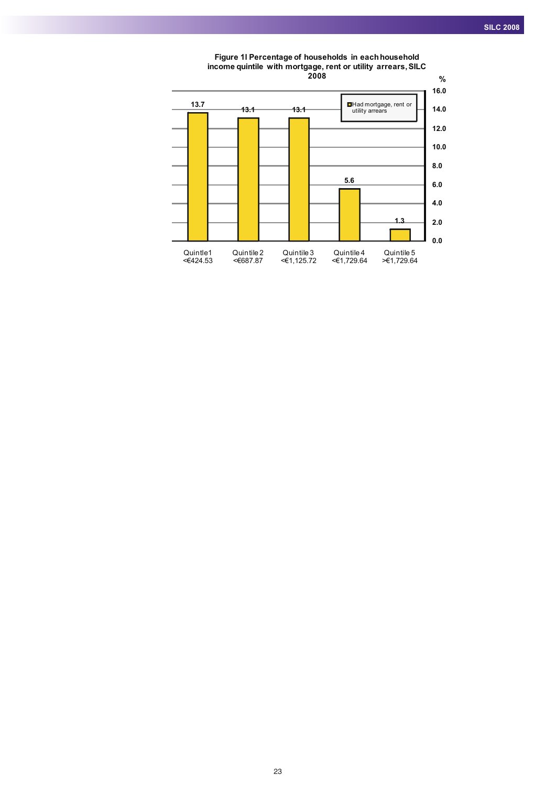

**Figure 1l Percentage of households in each household income quintile with mortgage, rent or utility arrears,SILC 2008**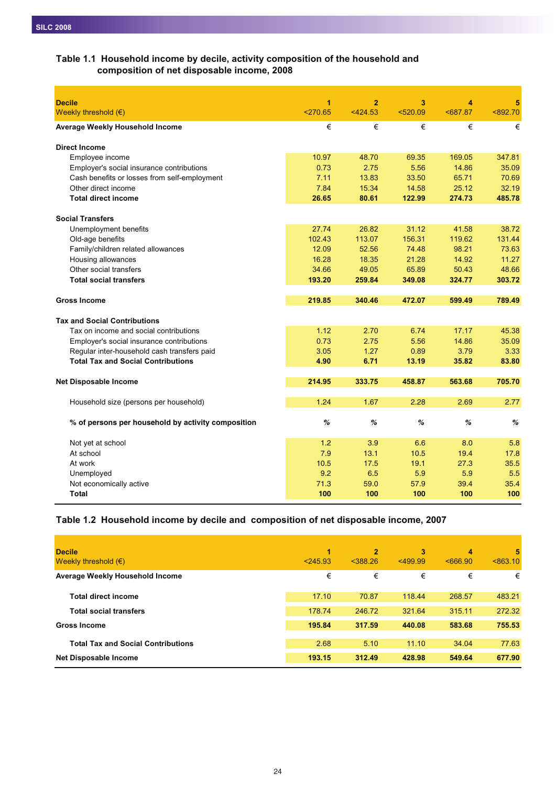## **Table 1.1 Household income by decile, activity composition of the household and composition of net disposable income, 2008**

| <b>Decile</b>                                      | 1          | $\overline{2}$ | 3        | 4      | 5        |
|----------------------------------------------------|------------|----------------|----------|--------|----------|
| Weekly threshold $(\epsilon)$                      | $<$ 270.65 | < 424.53       | < 520.09 | 587.87 | < 892.70 |
| Average Weekly Household Income                    | €          | €              | €        | €      | €        |
| <b>Direct Income</b>                               |            |                |          |        |          |
| Employee income                                    | 10.97      | 48.70          | 69.35    | 169.05 | 347.81   |
| Employer's social insurance contributions          | 0.73       | 2.75           | 5.56     | 14.86  | 35.09    |
| Cash benefits or losses from self-employment       | 7.11       | 13.83          | 33.50    | 65.71  | 70.69    |
| Other direct income                                | 7.84       | 15.34          | 14.58    | 25.12  | 32.19    |
| <b>Total direct income</b>                         | 26.65      | 80.61          | 122.99   | 274.73 | 485.78   |
| <b>Social Transfers</b>                            |            |                |          |        |          |
| Unemployment benefits                              | 27.74      | 26.82          | 31.12    | 41.58  | 38.72    |
| Old-age benefits                                   | 102.43     | 113.07         | 156.31   | 119.62 | 131.44   |
| Family/children related allowances                 | 12.09      | 52.56          | 74.48    | 98.21  | 73.63    |
| Housing allowances                                 | 16.28      | 18.35          | 21.28    | 14.92  | 11.27    |
| Other social transfers                             | 34.66      | 49.05          | 65.89    | 50.43  | 48.66    |
| <b>Total social transfers</b>                      | 193.20     | 259.84         | 349.08   | 324.77 | 303.72   |
|                                                    |            |                |          |        |          |
| <b>Gross Income</b>                                | 219.85     | 340.46         | 472.07   | 599.49 | 789.49   |
| <b>Tax and Social Contributions</b>                |            |                |          |        |          |
| Tax on income and social contributions             | 1.12       | 2.70           | 6.74     | 17.17  | 45.38    |
| Employer's social insurance contributions          | 0.73       | 2.75           | 5.56     | 14.86  | 35.09    |
| Regular inter-household cash transfers paid        | 3.05       | 1.27           | 0.89     | 3.79   | 3.33     |
| <b>Total Tax and Social Contributions</b>          | 4.90       | 6.71           | 13.19    | 35.82  | 83.80    |
|                                                    |            |                |          |        |          |
| <b>Net Disposable Income</b>                       | 214.95     | 333.75         | 458.87   | 563.68 | 705.70   |
| Household size (persons per household)             | 1.24       | 1.67           | 2.28     | 2.69   | 2.77     |
|                                                    |            |                |          |        |          |
| % of persons per household by activity composition | %          | %              | %        | %      | %        |
| Not yet at school                                  | 1.2        | 3.9            | 6.6      | 8.0    | 5.8      |
| At school                                          | 7.9        | 13.1           | 10.5     | 19.4   | 17.8     |
| At work                                            | 10.5       | 17.5           | 19.1     | 27.3   | 35.5     |
| Unemployed                                         | 9.2        | 6.5            | 5.9      | 5.9    | 5.5      |
| Not economically active                            | 71.3       | 59.0           | 57.9     | 39.4   | 35.4     |
| Total                                              | 100        | 100            | 100      | 100    | 100      |

### **Table 1.2 Household income by decile and composition of net disposable income, 2007**

| <b>Decile</b><br>Weekly threshold $(\epsilon)$ | 1<br>< 245.93 | $\overline{2}$<br>$<$ 388.26 | 3<br>$<$ 499.99 | 4<br>5666.90 | 5<br>< 863.10 |
|------------------------------------------------|---------------|------------------------------|-----------------|--------------|---------------|
| Average Weekly Household Income                | €             | €                            | €               | €            | €             |
| <b>Total direct income</b>                     | 17.10         | 70.87                        | 118.44          | 268.57       | 483.21        |
| <b>Total social transfers</b>                  | 178.74        | 246.72                       | 321.64          | 315.11       | 272.32        |
| <b>Gross Income</b>                            | 195.84        | 317.59                       | 440.08          | 583.68       | 755.53        |
| <b>Total Tax and Social Contributions</b>      | 2.68          | 5.10                         | 11.10           | 34.04        | 77.63         |
| <b>Net Disposable Income</b>                   | 193.15        | 312.49                       | 428.98          | 549.64       | 677.90        |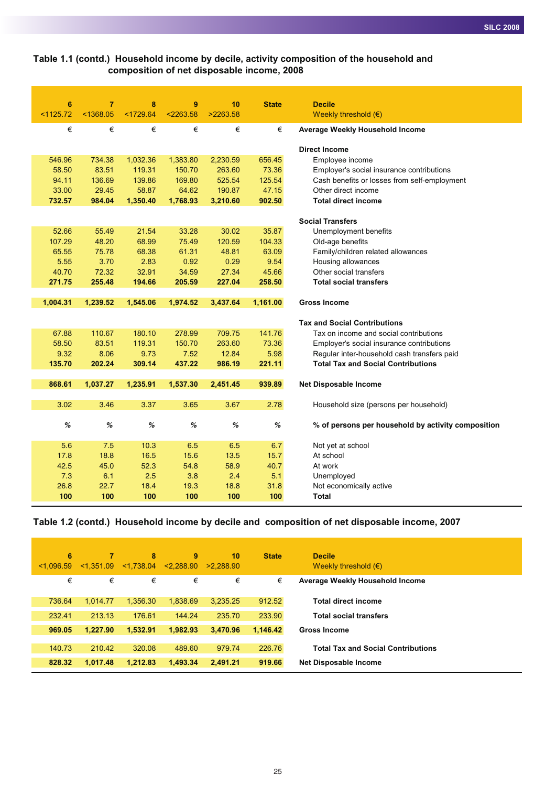### **Table 1.1 (contd.) Household income by decile, activity composition of the household and composition of net disposable income, 2008**

| $6\phantom{1}6$ | $\overline{7}$ | 8         | 9         | 10       | <b>State</b> | <b>Decile</b>                                      |
|-----------------|----------------|-----------|-----------|----------|--------------|----------------------------------------------------|
| < 1125.72       | < 1368.05      | < 1729.64 | < 2263.58 | >2263.58 |              | Weekly threshold $(\epsilon)$                      |
| €               | €              | €         | €         | €        | €            | Average Weekly Household Income                    |
|                 |                |           |           |          |              | <b>Direct Income</b>                               |
| 546.96          | 734.38         | 1,032.36  | 1,383.80  | 2,230.59 | 656.45       | Employee income                                    |
| 58.50           | 83.51          | 119.31    | 150.70    | 263.60   | 73.36        | Employer's social insurance contributions          |
| 94.11           | 136.69         | 139.86    | 169.80    | 525.54   | 125.54       | Cash benefits or losses from self-employment       |
| 33.00           | 29.45          | 58.87     | 64.62     | 190.87   | 47.15        | Other direct income                                |
| 732.57          | 984.04         | 1,350.40  | 1,768.93  | 3,210.60 | 902.50       | <b>Total direct income</b>                         |
|                 |                |           |           |          |              |                                                    |
|                 |                |           |           |          |              | <b>Social Transfers</b>                            |
| 52.66           | 55.49          | 21.54     | 33.28     | 30.02    | 35.87        | Unemployment benefits                              |
| 107.29          | 48.20          | 68.99     | 75.49     | 120.59   | 104.33       | Old-age benefits                                   |
| 65.55           | 75.78          | 68.38     | 61.31     | 48.81    | 63.09        | Family/children related allowances                 |
| 5.55            | 3.70           | 2.83      | 0.92      | 0.29     | 9.54         | Housing allowances                                 |
| 40.70           | 72.32          | 32.91     | 34.59     | 27.34    | 45.66        | Other social transfers                             |
| 271.75          | 255.48         | 194.66    | 205.59    | 227.04   | 258.50       | <b>Total social transfers</b>                      |
| 1,004.31        | 1,239.52       | 1,545.06  | 1,974.52  | 3,437.64 | 1,161.00     | <b>Gross Income</b>                                |
|                 |                |           |           |          |              |                                                    |
|                 |                |           |           |          |              | <b>Tax and Social Contributions</b>                |
| 67.88           | 110.67         | 180.10    | 278.99    | 709.75   | 141.76       | Tax on income and social contributions             |
| 58.50           | 83.51          | 119.31    | 150.70    | 263.60   | 73.36        | Employer's social insurance contributions          |
| 9.32            | 8.06           | 9.73      | 7.52      | 12.84    | 5.98         | Regular inter-household cash transfers paid        |
| 135.70          | 202.24         | 309.14    | 437.22    | 986.19   | 221.11       | <b>Total Tax and Social Contributions</b>          |
|                 |                |           |           |          |              |                                                    |
| 868.61          | 1,037.27       | 1,235.91  | 1,537.30  | 2,451.45 | 939.89       | <b>Net Disposable Income</b>                       |
| 3.02            | 3.46           | 3.37      | 3.65      | 3.67     | 2.78         | Household size (persons per household)             |
|                 |                |           |           |          |              |                                                    |
| $\%$            | %              | $\%$      | $\%$      | $\%$     | $\%$         | % of persons per household by activity composition |
| 5.6             | 7.5            | 10.3      | 6.5       | 6.5      | 6.7          | Not yet at school                                  |
| 17.8            | 18.8           | 16.5      | 15.6      | 13.5     | 15.7         | At school                                          |
| 42.5            | 45.0           | 52.3      | 54.8      | 58.9     | 40.7         | At work                                            |
| 7.3             | 6.1            | 2.5       | 3.8       | 2.4      | 5.1          | Unemployed                                         |
| 26.8            | 22.7           | 18.4      | 19.3      | 18.8     | 31.8         | Not economically active                            |
| 100             | 100            | 100       |           |          |              |                                                    |
|                 |                |           | 100       | 100      | 100          | Total                                              |

## **Table 1.2 (contd.) Household income by decile and composition of net disposable income, 2007**

| 6<br>< 1.096.59 | 7<br>< 1.351.09 | 8<br>< 1,738.04 | 9<br>< 2.288.90 | 10<br>>2.288.90 | <b>State</b> | <b>Decile</b><br>Weekly threshold $(\epsilon)$ |
|-----------------|-----------------|-----------------|-----------------|-----------------|--------------|------------------------------------------------|
| €               | €               | €               | €               | €               | €            | Average Weekly Household Income                |
| 736.64          | 1.014.77        | 1.356.30        | 1.838.69        | 3.235.25        | 912.52       | <b>Total direct income</b>                     |
| 232.41          | 213.13          | 176.61          | 144.24          | 235.70          | 233.90       | <b>Total social transfers</b>                  |
| 969.05          | 1.227.90        | 1.532.91        | 1.982.93        | 3.470.96        | 1,146.42     | <b>Gross Income</b>                            |
| 140.73          | 210.42          | 320.08          | 489.60          | 979.74          | 226.76       | <b>Total Tax and Social Contributions</b>      |
| 828.32          | 1.017.48        | 1.212.83        | 1.493.34        | 2.491.21        | 919.66       | <b>Net Disposable Income</b>                   |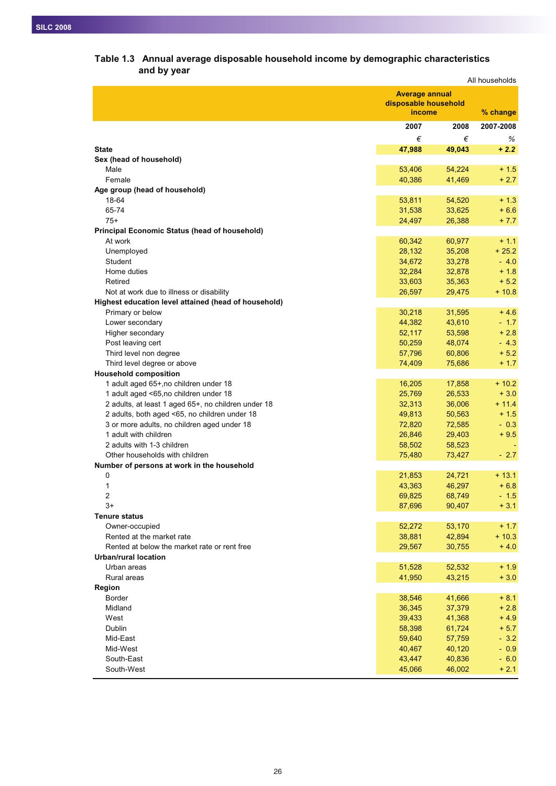|                                                      | All households                                          |          |           |
|------------------------------------------------------|---------------------------------------------------------|----------|-----------|
|                                                      | <b>Average annual</b><br>disposable household<br>income | % change |           |
|                                                      | 2007                                                    | 2008     | 2007-2008 |
|                                                      | €                                                       | €        | %         |
| <b>State</b>                                         | 47,988                                                  | 49,043   | $+2.2$    |
| Sex (head of household)                              |                                                         |          |           |
| Male                                                 | 53,406                                                  | 54,224   | $+1.5$    |
| Female                                               | 40,386                                                  | 41,469   | $+2.7$    |
| Age group (head of household)                        |                                                         |          |           |
| 18-64                                                | 53,811                                                  | 54,520   | $+1.3$    |
| 65-74                                                | 31,538                                                  | 33,625   | $+6.6$    |
| $75+$                                                | 24,497                                                  | 26,388   | $+7.7$    |
| Principal Economic Status (head of household)        |                                                         |          |           |
| At work                                              | 60,342                                                  | 60,977   | $+1.1$    |
| Unemployed                                           | 28,132                                                  | 35,208   | $+25.2$   |
| Student                                              | 34,672                                                  | 33,278   | $-4.0$    |
| Home duties                                          | 32,284                                                  | 32,878   | $+1.8$    |
| Retired                                              | 33,603                                                  | 35,363   | $+ 5.2$   |
| Not at work due to illness or disability             | 26,597                                                  | 29,475   | $+10.8$   |
| Highest education level attained (head of household) |                                                         |          |           |
| Primary or below                                     | 30,218                                                  | 31,595   | $+4.6$    |
| Lower secondary                                      | 44,382                                                  | 43,610   | $-1.7$    |
| Higher secondary                                     | 52,117                                                  | 53,598   | $+2.8$    |
| Post leaving cert                                    | 50,259                                                  | 48,074   | $-4.3$    |
| Third level non degree                               | 57,796                                                  | 60,806   | $+5.2$    |
| Third level degree or above                          | 74,409                                                  | 75,686   | $+1.7$    |
| <b>Household composition</b>                         |                                                         |          |           |
| 1 adult aged 65+, no children under 18               | 16,205                                                  | 17,858   | $+10.2$   |
| 1 adult aged <65, no children under 18               | 25,769                                                  | 26,533   | $+3.0$    |
| 2 adults, at least 1 aged 65+, no children under 18  | 32,313                                                  | 36,006   | $+ 11.4$  |
| 2 adults, both aged <65, no children under 18        | 49,813                                                  | 50,563   | $+1.5$    |
| 3 or more adults, no children aged under 18          | 72,820                                                  | 72,585   | $-0.3$    |
| 1 adult with children                                | 26,846                                                  | 29,403   | $+9.5$    |
| 2 adults with 1-3 children                           | 58,502                                                  | 58,523   |           |
| Other households with children                       | 75,480                                                  | 73,427   | $-2.7$    |
| Number of persons at work in the household           |                                                         |          |           |
| 0                                                    | 21,853                                                  | 24,721   | $+13.1$   |
| 1                                                    | 43,363                                                  | 46,297   | $+6.8$    |
| 2                                                    | 69,825                                                  | 68,749   | - 1.5     |
| $3+$                                                 | 87,696                                                  | 90,407   | $+3.1$    |
| <b>Tenure status</b>                                 |                                                         |          |           |
| Owner-occupied                                       | 52,272                                                  | 53,170   | $+1.7$    |
| Rented at the market rate                            | 38,881                                                  | 42,894   | $+10.3$   |
| Rented at below the market rate or rent free         | 29,567                                                  | 30,755   | $+4.0$    |
| <b>Urban/rural location</b>                          |                                                         |          |           |
| Urban areas                                          | 51,528                                                  | 52,532   | $+1.9$    |
| Rural areas                                          | 41,950                                                  | 43,215   | $+3.0$    |
| Region                                               |                                                         |          |           |
| Border                                               | 38,546                                                  | 41,666   | $+8.1$    |
| Midland                                              | 36,345                                                  | 37,379   | $+2.8$    |
| West                                                 | 39,433                                                  | 41,368   | $+4.9$    |
| Dublin                                               | 58,398                                                  | 61,724   | $+ 5.7$   |
| Mid-East                                             | 59,640                                                  | 57,759   | $-3.2$    |
| Mid-West                                             | 40,467                                                  | 40,120   | $-0.9$    |
| South-East                                           | 43,447                                                  | 40,836   | $-6.0$    |
| South-West                                           | 45,066                                                  | 46,002   | $+2.1$    |

# **Table 1.3 Annual average disposable household income by demographic characteristics and by year**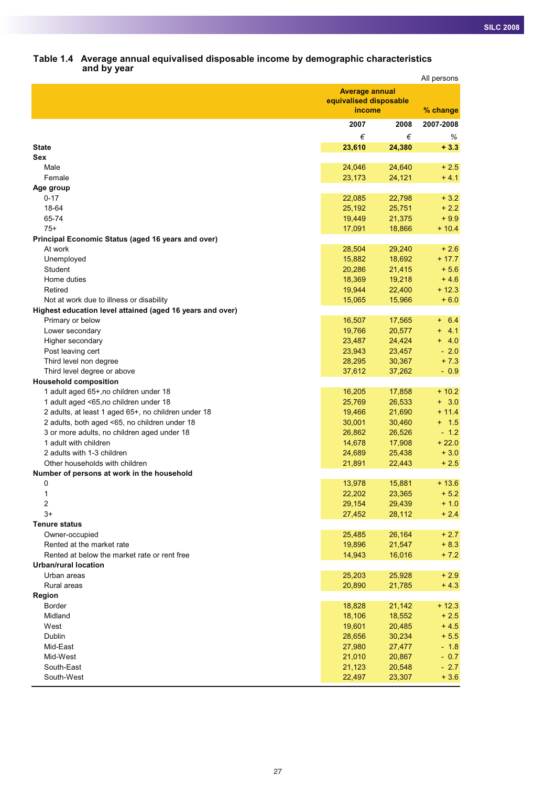#### **Table 1.4 Average annual equivalised disposable income by demographic characteristics and by year**

|                                                              |                        |                  | All persons      |
|--------------------------------------------------------------|------------------------|------------------|------------------|
|                                                              | <b>Average annual</b>  |                  |                  |
|                                                              | equivalised disposable |                  |                  |
|                                                              | income                 |                  | % change         |
|                                                              | 2007                   | 2008             | 2007-2008        |
|                                                              | €                      | €                | %                |
| <b>State</b>                                                 | 23,610                 | 24,380           | $+3.3$           |
| Sex                                                          |                        |                  |                  |
| Male                                                         | 24,046                 | 24,640           | $+2.5$           |
| Female                                                       | 23,173                 | 24,121           | $+4.1$           |
| Age group                                                    |                        |                  |                  |
| $0 - 17$                                                     | 22,085                 | 22,798           | $+3.2$           |
| 18-64                                                        | 25,192                 | 25,751           | $+2.2$           |
| 65-74                                                        | 19,449                 | 21,375           | $+9.9$           |
| $75+$                                                        | 17,091                 | 18,866           | $+10.4$          |
| Principal Economic Status (aged 16 years and over)           |                        |                  |                  |
| At work                                                      | 28,504                 | 29,240           | $+2.6$           |
| Unemployed                                                   | 15,882                 | 18,692           | $+17.7$          |
| Student                                                      | 20,286                 | 21,415           | $+ 5.6$          |
| Home duties                                                  | 18,369                 | 19,218           | $+4.6$           |
| Retired                                                      | 19,944                 | 22,400           | $+12.3$          |
| Not at work due to illness or disability                     | 15,065                 | 15,966           | $+6.0$           |
| Highest education level attained (aged 16 years and over)    |                        |                  |                  |
| Primary or below                                             | 16,507                 | 17,565           | 6.4<br>$+$       |
| Lower secondary                                              | 19,766                 | 20,577           | 4.1<br>$+$       |
| Higher secondary                                             | 23,487                 | 24,424           | $+ 4.0$          |
| Post leaving cert                                            | 23,943                 | 23,457           | $-2.0$           |
| Third level non degree                                       | 28,295                 | 30,367           | $+7.3$           |
| Third level degree or above                                  | 37,612                 | 37,262           | $-0.9$           |
| <b>Household composition</b>                                 |                        |                  |                  |
| 1 adult aged 65+, no children under 18                       | 16,205                 | 17,858           | $+10.2$          |
| 1 adult aged <65, no children under 18                       | 25,769                 | 26,533           | $+3.0$           |
| 2 adults, at least 1 aged 65+, no children under 18          | 19,466                 | 21,690           | $+11.4$          |
| 2 adults, both aged <65, no children under 18                | 30,001                 | 30,460           | $+ 1.5$          |
| 3 or more adults, no children aged under 18                  | 26,862                 | 26,526           | $-1.2$           |
| 1 adult with children                                        | 14,678                 | 17,908           | $+22.0$          |
| 2 adults with 1-3 children<br>Other households with children | 24,689<br>21,891       | 25,438<br>22,443 | $+3.0$<br>$+2.5$ |
| Number of persons at work in the household                   |                        |                  |                  |
| 0                                                            | 13,978                 | 15,881           | $+13.6$          |
| 1                                                            | 22,202                 | 23,365           | $+ 5.2$          |
| 2                                                            | 29,154                 | 29,439           | $+1.0$           |
| $3+$                                                         | 27,452                 | 28,112           | $+2.4$           |
| <b>Tenure status</b>                                         |                        |                  |                  |
| Owner-occupied                                               | 25,485                 | 26,164           | $+2.7$           |
| Rented at the market rate                                    | 19,896                 | 21,547           | $+8.3$           |
| Rented at below the market rate or rent free                 | 14,943                 | 16,016           | $+7.2$           |
| <b>Urban/rural location</b>                                  |                        |                  |                  |
| Urban areas                                                  | 25,203                 | 25,928           | $+2.9$           |
| Rural areas                                                  | 20,890                 | 21,785           | $+4.3$           |
| Region                                                       |                        |                  |                  |
| Border                                                       | 18,828                 | 21,142           | $+12.3$          |
| Midland                                                      | 18,106                 | 18,552           | $+2.5$           |
| West                                                         | 19,601                 | 20,485           | $+4.5$           |
| Dublin                                                       | 28,656                 | 30,234           | $+5.5$           |
| Mid-East                                                     | 27,980                 | 27,477           | $-1.8$           |
| Mid-West                                                     | 21,010                 | 20,867           | $-0.7$           |
| South-East                                                   | 21,123                 | 20,548           | $-2.7$           |
| South-West                                                   | 22,497                 | 23,307           | $+3.6$           |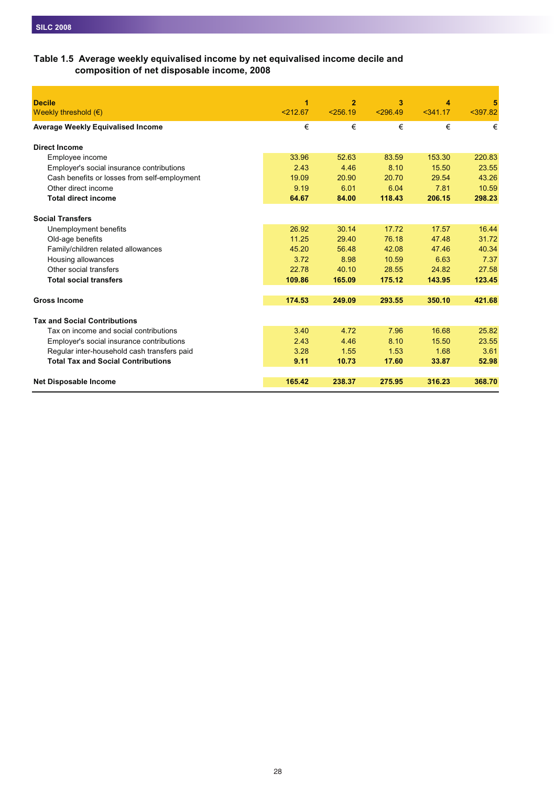#### **Table 1.5 Average weekly equivalised income by net equivalised income decile and composition of net disposable income, 2008**

| <b>Decile</b>                                | 1        | $\overline{2}$ | 3        | 4      | 5          |
|----------------------------------------------|----------|----------------|----------|--------|------------|
| Weekly threshold $(\epsilon)$                | < 212.67 | < 256.19       | < 296.49 | 341.17 | $<$ 397.82 |
| <b>Average Weekly Equivalised Income</b>     | €        | €              | €        | €      | €          |
| <b>Direct Income</b>                         |          |                |          |        |            |
| Employee income                              | 33.96    | 52.63          | 83.59    | 153.30 | 220.83     |
| Employer's social insurance contributions    | 2.43     | 4.46           | 8.10     | 15.50  | 23.55      |
| Cash benefits or losses from self-employment | 19.09    | 20.90          | 20.70    | 29.54  | 43.26      |
| Other direct income                          | 9.19     | 6.01           | 6.04     | 7.81   | 10.59      |
| <b>Total direct income</b>                   | 64.67    | 84.00          | 118.43   | 206.15 | 298.23     |
|                                              |          |                |          |        |            |
| <b>Social Transfers</b>                      |          |                |          |        |            |
| Unemployment benefits                        | 26.92    | 30.14          | 17.72    | 17.57  | 16.44      |
| Old-age benefits                             | 11.25    | 29.40          | 76.18    | 47.48  | 31.72      |
| Family/children related allowances           | 45.20    | 56.48          | 42.08    | 47.46  | 40.34      |
| Housing allowances                           | 3.72     | 8.98           | 10.59    | 6.63   | 7.37       |
| Other social transfers                       | 22.78    | 40.10          | 28.55    | 24.82  | 27.58      |
| <b>Total social transfers</b>                | 109.86   | 165.09         | 175.12   | 143.95 | 123.45     |
| <b>Gross Income</b>                          | 174.53   | 249.09         | 293.55   | 350.10 | 421.68     |
| <b>Tax and Social Contributions</b>          |          |                |          |        |            |
| Tax on income and social contributions       | 3.40     | 4.72           | 7.96     | 16.68  | 25.82      |
| Employer's social insurance contributions    | 2.43     | 4.46           | 8.10     | 15.50  | 23.55      |
| Regular inter-household cash transfers paid  | 3.28     | 1.55           | 1.53     | 1.68   | 3.61       |
| <b>Total Tax and Social Contributions</b>    | 9.11     | 10.73          | 17.60    | 33.87  | 52.98      |
|                                              |          |                |          |        |            |
| <b>Net Disposable Income</b>                 | 165.42   | 238.37         | 275.95   | 316.23 | 368.70     |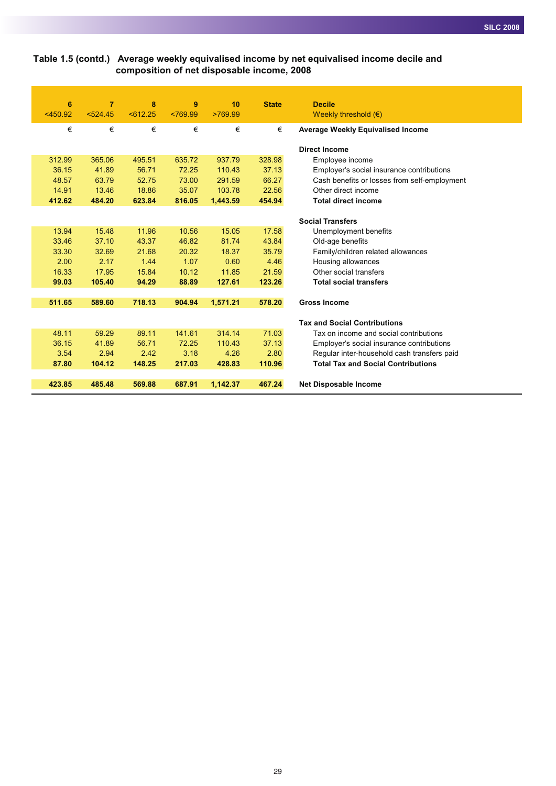#### **Table 1.5 (contd.) Average weekly equivalised income by net equivalised income decile and composition of net disposable income, 2008**

| 6          | $\overline{7}$ | 8       | 9        | 10       | <b>State</b> | <b>Decile</b>                                |
|------------|----------------|---------|----------|----------|--------------|----------------------------------------------|
| $<$ 450.92 | 524.45         | 5612.25 | < 769.99 | >769.99  |              | Weekly threshold $(\epsilon)$                |
| €          | €              | €       | €        | €        | €            | <b>Average Weekly Equivalised Income</b>     |
|            |                |         |          |          |              | <b>Direct Income</b>                         |
| 312.99     | 365.06         | 495.51  | 635.72   | 937.79   | 328.98       | Employee income                              |
| 36.15      | 41.89          | 56.71   | 72.25    | 110.43   | 37.13        | Employer's social insurance contributions    |
| 48.57      | 63.79          | 52.75   | 73.00    | 291.59   | 66.27        | Cash benefits or losses from self-employment |
| 14.91      | 13.46          | 18.86   | 35.07    | 103.78   | 22.56        | Other direct income                          |
| 412.62     | 484.20         | 623.84  | 816.05   | 1,443.59 | 454.94       | <b>Total direct income</b>                   |
|            |                |         |          |          |              |                                              |
|            |                |         |          |          |              | <b>Social Transfers</b>                      |
| 13.94      | 15.48          | 11.96   | 10.56    | 15.05    | 17.58        | Unemployment benefits                        |
| 33.46      | 37.10          | 43.37   | 46.82    | 81.74    | 43.84        | Old-age benefits                             |
| 33.30      | 32.69          | 21.68   | 20.32    | 18.37    | 35.79        | Family/children related allowances           |
| 2.00       | 2.17           | 1.44    | 1.07     | 0.60     | 4.46         | Housing allowances                           |
| 16.33      | 17.95          | 15.84   | 10.12    | 11.85    | 21.59        | Other social transfers                       |
| 99.03      | 105.40         | 94.29   | 88.89    | 127.61   | 123.26       | <b>Total social transfers</b>                |
| 511.65     | 589.60         | 718.13  | 904.94   | 1,571.21 | 578.20       | <b>Gross Income</b>                          |
|            |                |         |          |          |              |                                              |
|            |                |         |          |          |              | <b>Tax and Social Contributions</b>          |
| 48.11      | 59.29          | 89.11   | 141.61   | 314.14   | 71.03        | Tax on income and social contributions       |
| 36.15      | 41.89          | 56.71   | 72.25    | 110.43   | 37.13        | Employer's social insurance contributions    |
| 3.54       | 2.94           | 2.42    | 3.18     | 4.26     | 2.80         | Regular inter-household cash transfers paid  |
| 87.80      | 104.12         | 148.25  | 217.03   | 428.83   | 110.96       | <b>Total Tax and Social Contributions</b>    |
|            |                |         |          |          |              |                                              |
| 423.85     | 485.48         | 569.88  | 687.91   | 1,142.37 | 467.24       | <b>Net Disposable Income</b>                 |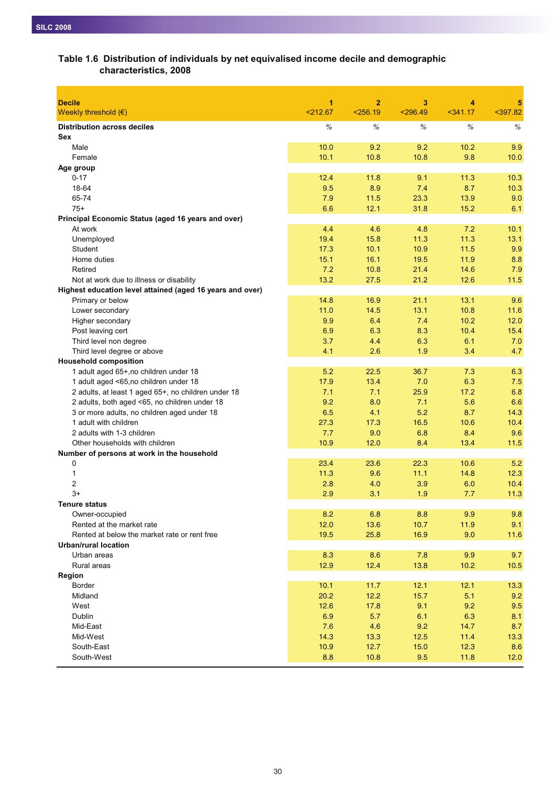| <b>Decile</b>                                             | 1           | $\mathbf{2}$ | 3           | 4           | 5            |
|-----------------------------------------------------------|-------------|--------------|-------------|-------------|--------------|
| Weekly threshold $(\epsilon)$                             | < 212.67    | < 256.19     | $<$ 296.49  | $341.17$    | $397.82$     |
| <b>Distribution across deciles</b>                        | %           | %            | %           | %           | %            |
| <b>Sex</b>                                                |             |              |             |             |              |
| Male                                                      | 10.0        | 9.2          | 9.2         | 10.2        | 9.9          |
| Female                                                    | 10.1        | 10.8         | 10.8        | 9.8         | 10.0         |
| Age group                                                 |             |              |             |             |              |
| $0 - 17$                                                  | 12.4        | 11.8         | 9.1         | 11.3        | 10.3         |
| 18-64                                                     | 9.5         | 8.9          | 7.4         | 8.7         | 10.3         |
| 65-74                                                     | 7.9         | 11.5         | 23.3        | 13.9        | 9.0          |
| $75+$                                                     | 6.6         | 12.1         | 31.8        | 15.2        | 6.1          |
| Principal Economic Status (aged 16 years and over)        |             |              |             |             |              |
| At work                                                   | 4.4         | 4.6          | 4.8         | 7.2         | 10.1         |
| Unemployed                                                | 19.4        | 15.8         | 11.3        | 11.3        | 13.1         |
| <b>Student</b>                                            | 17.3        | 10.1         | 10.9        | 11.5        | 9.9          |
| Home duties                                               | 15.1        | 16.1         | 19.5        | 11.9        | 8.8          |
| Retired                                                   | 7.2         | 10.8         | 21.4        | 14.6        | 7.9          |
| Not at work due to illness or disability                  | 13.2        | 27.5         | 21.2        | 12.6        | 11.5         |
| Highest education level attained (aged 16 years and over) |             |              |             |             |              |
| Primary or below                                          | 14.8        | 16.9         | 21.1        | 13.1        | 9.6          |
| Lower secondary                                           | 11.0        | 14.5         | 13.1        | 10.8        | 11.6         |
| Higher secondary                                          | 9.9         | 6.4          | 7.4         | 10.2        | 12.0         |
| Post leaving cert                                         | 6.9         | 6.3          | 8.3         | 10.4        | 15.4         |
| Third level non degree                                    | 3.7         | 4.4          | 6.3         | 6.1         | 7.0          |
| Third level degree or above                               | 4.1         | 2.6          | 1.9         | 3.4         | 4.7          |
| <b>Household composition</b>                              |             |              |             |             |              |
| 1 adult aged 65+, no children under 18                    | 5.2         | 22.5         | 36.7        | 7.3         | 6.3          |
| 1 adult aged <65,no children under 18                     | 17.9        | 13.4         | 7.0         | 6.3         | 7.5          |
| 2 adults, at least 1 aged 65+, no children under 18       | 7.1         | 7.1          | 25.9        | 17.2        | 6.8          |
| 2 adults, both aged <65, no children under 18             | 9.2         | 8.0          | 7.1         | 5.6         | 6.6          |
| 3 or more adults, no children aged under 18               | 6.5         | 4.1          | 5.2         | 8.7         | 14.3         |
| 1 adult with children                                     | 27.3        | 17.3         | 16.5        | 10.6        | 10.4         |
| 2 adults with 1-3 children                                | 7.7         | 9.0          | 6.8         | 8.4         | 9.6          |
| Other households with children                            | 10.9        | 12.0         | 8.4         | 13.4        | 11.5         |
| Number of persons at work in the household                |             |              |             |             |              |
| 0                                                         | 23.4        | 23.6         | 22.3        | 10.6        | 5.2          |
| 1<br>2                                                    | 11.3<br>2.8 | 9.6<br>4.0   | 11.1<br>3.9 | 14.8<br>6.0 | 12.3<br>10.4 |
| $3+$                                                      | 2.9         | 3.1          | 1.9         | 7.7         | 11.3         |
| Tenure status                                             |             |              |             |             |              |
| Owner-occupied                                            | 8.2         | 6.8          | 8.8         | 9.9         | 9.8          |
| Rented at the market rate                                 | 12.0        | 13.6         | 10.7        | 11.9        | 9.1          |
| Rented at below the market rate or rent free              | 19.5        | 25.8         | 16.9        | 9.0         | 11.6         |
| <b>Urban/rural location</b>                               |             |              |             |             |              |
| Urban areas                                               | 8.3         | 8.6          | 7.8         | 9.9         | 9.7          |
| Rural areas                                               | 12.9        | 12.4         | 13.8        | 10.2        | 10.5         |
| Region                                                    |             |              |             |             |              |
| <b>Border</b>                                             | 10.1        | 11.7         | 12.1        | 12.1        | 13.3         |
| Midland                                                   | 20.2        | 12.2         | 15.7        | 5.1         | 9.2          |
| West                                                      | 12.6        | 17.8         | 9.1         | 9.2         | 9.5          |
| Dublin                                                    | 6.9         | 5.7          | 6.1         | 6.3         | 8.1          |
| Mid-East                                                  | 7.6         | 4.6          | 9.2         | 14.7        | 8.7          |
| Mid-West                                                  | 14.3        | 13.3         | 12.5        | 11.4        | 13.3         |
| South-East                                                | 10.9        | 12.7         | 15.0        | 12.3        | 8.6          |
| South-West                                                | 8.8         | 10.8         | 9.5         | 11.8        | 12.0         |
|                                                           |             |              |             |             |              |

# **Table 1.6 Distribution of individuals by net equivalised income decile and demographic characteristics, 2008**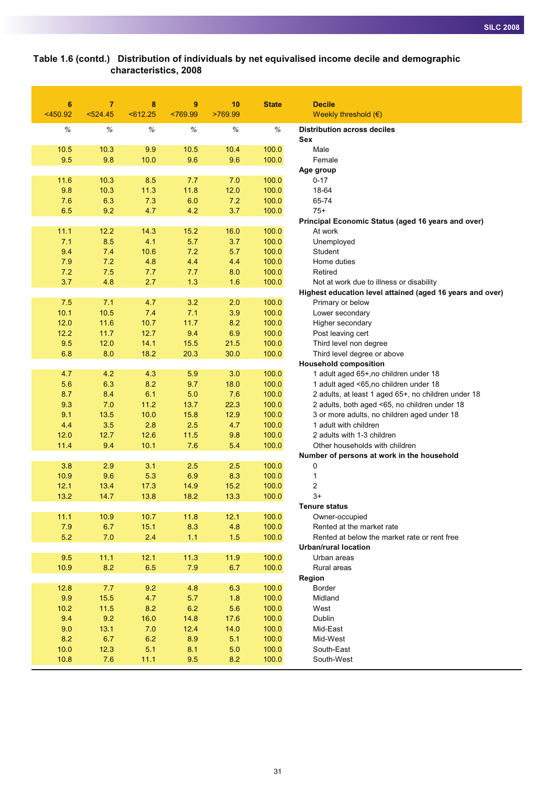#### **Table 1.6 (contd.) Distribution of individuals by net equivalised income decile and demographic characteristics, 2008**

| $6\phantom{1}6$ | $\overline{7}$ | 8          | 9          | 10         | <b>State</b>   | <b>Decile</b>                                                             |
|-----------------|----------------|------------|------------|------------|----------------|---------------------------------------------------------------------------|
| $<$ 450.92      | 524.45         | 5612.25    | < 769.99   | >769.99    |                | Weekly threshold $(\epsilon)$                                             |
| %               | $\%$           | $\%$       | $\%$       | $\%$       | %              | <b>Distribution across deciles</b><br>Sex                                 |
| 10.5            | 10.3           | 9.9        | 10.5       | 10.4       | 100.0          | Male                                                                      |
| 9.5             | 9.8            | 10.0       | 9.6        | 9.6        | 100.0          | Female                                                                    |
|                 |                |            |            |            |                | Age group                                                                 |
| 11.6            | 10.3           | 8.5        | 7.7        | 7.0        | 100.0          | $0 - 17$                                                                  |
| 9.8             | 10.3           | 11.3       | 11.8       | 12.0       | 100.0          | 18-64                                                                     |
| 7.6             | 6.3            | 7.3        | 6.0        | 7.2        | 100.0          | 65-74                                                                     |
| 6.5             | 9.2            | 4.7        | 4.2        | 3.7        | 100.0          | $75+$                                                                     |
|                 |                |            |            |            |                | Principal Economic Status (aged 16 years and over)                        |
| 11.1            | 12.2           | 14.3       | 15.2       | 16.0       | 100.0          | At work                                                                   |
| 7.1             | 8.5            | 4.1        | 5.7        | 3.7        | 100.0          | Unemployed                                                                |
| 9.4             | 7.4            | 10.6       | 7.2        | 5.7        | 100.0          | Student                                                                   |
| 7.9             | 7.2            | 4.8        | 4.4        | 4.4        | 100.0          | Home duties                                                               |
| 7.2<br>3.7      | 7.5<br>4.8     | 7.7<br>2.7 | 7.7<br>1.3 | 8.0<br>1.6 | 100.0<br>100.0 | Retired<br>Not at work due to illness or disability                       |
|                 |                |            |            |            |                | Highest education level attained (aged 16 years and over)                 |
| 7.5             | 7.1            | 4.7        | 3.2        | 2.0        | 100.0          | Primary or below                                                          |
| 10.1            | 10.5           | 7.4        | 7.1        | 3.9        | 100.0          | Lower secondary                                                           |
| 12.0            | 11.6           | 10.7       | 11.7       | 8.2        | 100.0          | Higher secondary                                                          |
| 12.2            | 11.7           | 12.7       | 9.4        | 6.9        | 100.0          | Post leaving cert                                                         |
| 9.5             | 12.0           | 14.1       | 15.5       | 21.5       | 100.0          | Third level non degree                                                    |
| 6.8             | 8.0            | 18.2       | 20.3       | 30.0       | 100.0          | Third level degree or above                                               |
|                 |                |            |            |            |                | <b>Household composition</b>                                              |
| 4.7             | 4.2            | 4.3        | 5.9        | 3.0        | 100.0          | 1 adult aged 65+, no children under 18                                    |
| 5.6             | 6.3            | 8.2        | 9.7        | 18.0       | 100.0          | 1 adult aged <65,no children under 18                                     |
| 8.7             | 8.4            | 6.1        | 5.0        | 7.6        | 100.0          | 2 adults, at least 1 aged 65+, no children under 18                       |
| 9.3             | 7.0            | 11.2       | 13.7       | 22.3       | 100.0          | 2 adults, both aged <65, no children under 18                             |
| 9.1             | 13.5           | 10.0       | 15.8       | 12.9       | 100.0          | 3 or more adults, no children aged under 18                               |
| 4.4             | 3.5            | 2.8        | 2.5        | 4.7        | 100.0          | 1 adult with children                                                     |
| 12.0            | 12.7           | 12.6       | 11.5       | 9.8        | 100.0          | 2 adults with 1-3 children                                                |
| 11.4            | 9.4            | 10.1       | 7.6        | 5.4        | 100.0          | Other households with children                                            |
|                 |                |            |            |            |                | Number of persons at work in the household                                |
| 3.8             | 2.9            | 3.1        | 2.5        | 2.5        | 100.0          | 0                                                                         |
| 10.9            | 9.6            | 5.3        | 6.9        | 8.3        | 100.0          | 1                                                                         |
| 12.1            | 13.4           | 17.3       | 14.9       | 15.2       | 100.0          | 2                                                                         |
| 13.2            | 14.7           | 13.8       | 18.2       | 13.3       | 100.0          | $3+$                                                                      |
|                 |                |            |            |            |                | <b>Tenure status</b>                                                      |
| 11.1<br>7.9     | 10.9           | 10.7       | 11.8       | 12.1       | 100.0          | Owner-occupied                                                            |
|                 | 6.7            | 15.1       | 8.3        | 4.8        | 100.0          | Rented at the market rate<br>Rented at below the market rate or rent free |
| 5.2             | 7.0            | 2.4        | 1.1        | 1.5        | 100.0          | <b>Urban/rural location</b>                                               |
| 9.5             | 11.1           | 12.1       | 11.3       | 11.9       | 100.0          | Urban areas                                                               |
| 10.9            | 8.2            | 6.5        | 7.9        | 6.7        | 100.0          | Rural areas                                                               |
|                 |                |            |            |            |                | Region                                                                    |
| 12.8            | 7.7            | 9.2        | 4.8        | 6.3        | 100.0          | Border                                                                    |
| 9.9             | 15.5           | 4.7        | 5.7        | 1.8        | 100.0          | Midland                                                                   |
| 10.2            | $11.5$         | 8.2        | 6.2        | 5.6        | 100.0          | West                                                                      |
| 9.4             | 9.2            | 16.0       | 14.8       | 17.6       | 100.0          | Dublin                                                                    |
| 9.0             | 13.1           | 7.0        | 12.4       | 14.0       | 100.0          | Mid-East                                                                  |
| 8.2             | 6.7            | 6.2        | 8.9        | 5.1        | 100.0          | Mid-West                                                                  |
| 10.0            | 12.3           | 5.1        | 8.1        | 5.0        | 100.0          | South-East                                                                |
| 10.8            | 7.6            | 11.1       | 9.5        | 8.2        | 100.0          | South-West                                                                |
|                 |                |            |            |            |                |                                                                           |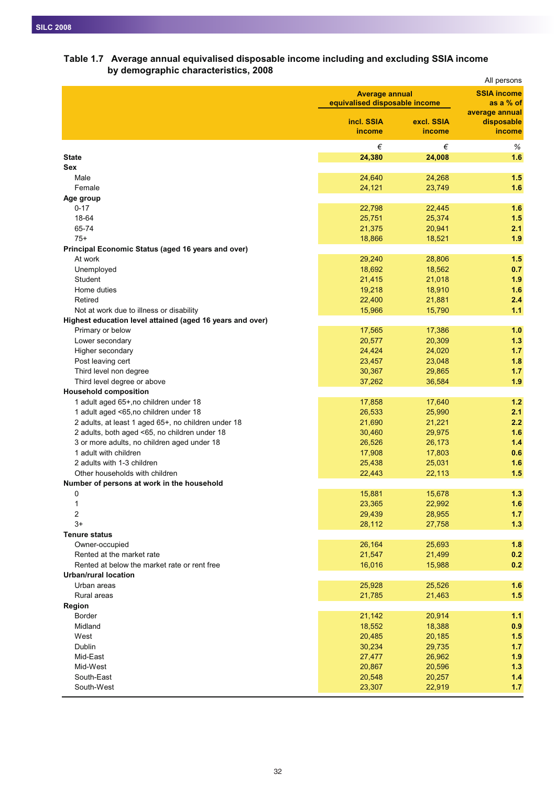# **Table 1.7 Average annual equivalised disposable income including and excluding SSIA income by demographic characteristics, 2008**

|                                                                             |                               |                       | All persons          |  |
|-----------------------------------------------------------------------------|-------------------------------|-----------------------|----------------------|--|
|                                                                             |                               | <b>Average annual</b> |                      |  |
|                                                                             | equivalised disposable income |                       | as a % of            |  |
|                                                                             |                               |                       | average annual       |  |
|                                                                             | incl. SSIA<br>income          | excl. SSIA<br>income  | disposable<br>income |  |
|                                                                             |                               |                       |                      |  |
|                                                                             | €                             | €                     | $\%$                 |  |
| <b>State</b>                                                                | 24,380                        | 24,008                | 1.6                  |  |
| Sex                                                                         |                               |                       | 1.5                  |  |
| Male<br>Female                                                              | 24,640<br>24,121              | 24,268<br>23,749      | 1.6                  |  |
| Age group                                                                   |                               |                       |                      |  |
| $0 - 17$                                                                    | 22,798                        | 22,445                | 1.6                  |  |
| 18-64                                                                       | 25,751                        | 25,374                | 1.5                  |  |
| 65-74                                                                       | 21,375                        | 20,941                | 2.1                  |  |
| $75+$                                                                       | 18,866                        | 18,521                | 1.9                  |  |
| Principal Economic Status (aged 16 years and over)                          |                               |                       |                      |  |
| At work                                                                     | 29,240                        | 28,806                | 1.5                  |  |
| Unemployed                                                                  | 18,692                        | 18,562                | 0.7                  |  |
| Student                                                                     | 21,415                        | 21,018                | 1.9                  |  |
| Home duties                                                                 | 19,218                        | 18,910                | 1.6                  |  |
| Retired                                                                     | 22,400                        | 21,881                | 2.4                  |  |
| Not at work due to illness or disability                                    | 15,966                        | 15,790                | 1.1                  |  |
| Highest education level attained (aged 16 years and over)                   |                               |                       |                      |  |
| Primary or below                                                            | 17,565                        | 17,386                | 1.0                  |  |
| Lower secondary                                                             | 20,577                        | 20,309                | 1.3                  |  |
| Higher secondary                                                            | 24,424                        | 24,020                | 1.7                  |  |
| Post leaving cert                                                           | 23,457                        | 23,048                | 1.8                  |  |
| Third level non degree                                                      | 30,367                        | 29,865                | 1.7                  |  |
| Third level degree or above                                                 | 37,262                        | 36,584                | 1.9                  |  |
| <b>Household composition</b>                                                |                               |                       |                      |  |
| 1 adult aged 65+, no children under 18                                      | 17,858                        | 17,640                | 1.2                  |  |
| 1 adult aged <65,no children under 18                                       | 26,533                        | 25,990                | 2.1                  |  |
| 2 adults, at least 1 aged 65+, no children under 18                         | 21,690                        | 21,221                | 2.2                  |  |
| 2 adults, both aged <65, no children under 18                               | 30,460                        | 29,975                | 1.6                  |  |
| 3 or more adults, no children aged under 18                                 | 26,526                        | 26,173                | 1.4                  |  |
| 1 adult with children                                                       | 17,908                        | 17,803                | 0.6                  |  |
| 2 adults with 1-3 children                                                  | 25,438                        | 25,031                | 1.6                  |  |
| Other households with children                                              | 22,443                        | 22,113                | 1.5                  |  |
| Number of persons at work in the household                                  |                               |                       |                      |  |
| 0                                                                           | 15,881                        | 15,678                | 1.3                  |  |
| 1                                                                           | 23,365                        | 22,992                | 1.6                  |  |
| 2                                                                           | 29,439                        | 28,955                | 1.7                  |  |
| $3+$                                                                        | 28,112                        | 27,758                | 1.3                  |  |
| <b>Tenure status</b>                                                        |                               |                       |                      |  |
| Owner-occupied                                                              | 26,164                        | 25,693                | 1.8                  |  |
| Rented at the market rate                                                   | 21,547                        | 21,499                | 0.2                  |  |
| Rented at below the market rate or rent free<br><b>Urban/rural location</b> | 16,016                        | 15,988                | 0.2                  |  |
| Urban areas                                                                 |                               |                       | 1.6                  |  |
|                                                                             | 25,928                        | 25,526                |                      |  |
| Rural areas                                                                 | 21,785                        | 21,463                | 1.5                  |  |
| Region<br><b>Border</b>                                                     | 21,142                        | 20,914                | 1.1                  |  |
| Midland                                                                     | 18,552                        | 18,388                | 0.9                  |  |
| West                                                                        | 20,485                        | 20,185                | 1.5                  |  |
| Dublin                                                                      | 30,234                        | 29,735                | 1.7                  |  |
| Mid-East                                                                    | 27,477                        | 26,962                | 1.9                  |  |
| Mid-West                                                                    | 20,867                        | 20,596                | 1.3                  |  |
| South-East                                                                  | 20,548                        | 20,257                | 1.4                  |  |
| South-West                                                                  | 23,307                        | 22,919                | 1.7                  |  |
|                                                                             |                               |                       |                      |  |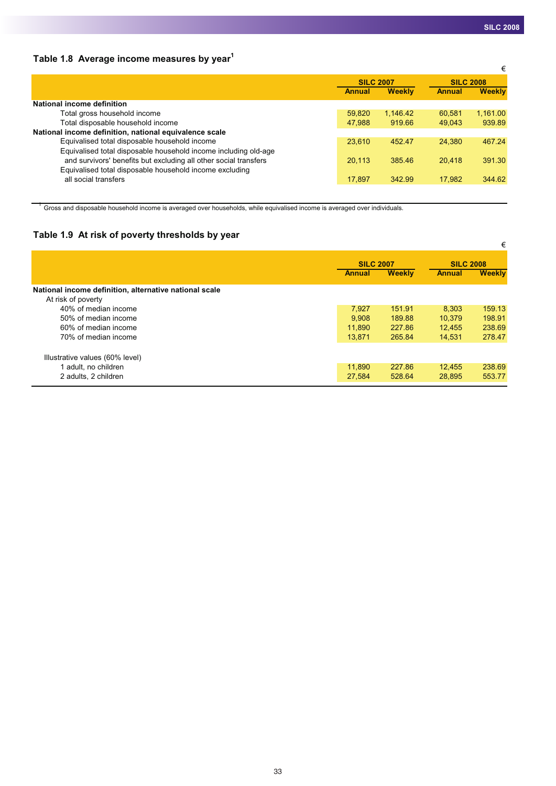# **Table 1.8 Average income measures by year1**

|                  |               |                  | €             |
|------------------|---------------|------------------|---------------|
| <b>SILC 2007</b> |               | <b>SILC 2008</b> |               |
| Annual           | <b>Weekly</b> | <b>Annual</b>    | <b>Weekly</b> |
|                  |               |                  |               |
| 59.820           | 1.146.42      | 60.581           | 1,161.00      |
| 47.988           | 919.66        | 49.043           | 939.89        |
|                  |               |                  |               |
| 23,610           | 452.47        | 24.380           | 467.24        |
|                  |               |                  |               |
| 20.113           | 385.46        | 20.418           | 391.30        |
|                  |               |                  |               |
| 17.897           | 342.99        | 17.982           | 344.62        |
|                  |               |                  |               |

 $1$  Gross and disposable household income is averaged over households, while equivalised income is averaged over individuals.

# **Table 1.9 At risk of poverty thresholds by year**

| . .                                                    |               |                  |        | €                |  |
|--------------------------------------------------------|---------------|------------------|--------|------------------|--|
|                                                        |               | <b>SILC 2007</b> |        | <b>SILC 2008</b> |  |
|                                                        | <b>Annual</b> | <b>Weekly</b>    |        | <b>Weekly</b>    |  |
| National income definition, alternative national scale |               |                  |        |                  |  |
| At risk of poverty                                     |               |                  |        |                  |  |
| 40% of median income                                   | 7,927         | 151.91           | 8.303  | 159.13           |  |
| 50% of median income                                   | 9.908         | 189.88           | 10.379 | 198.91           |  |
| 60% of median income                                   | 11.890        | 227.86           | 12.455 | 238.69           |  |
| 70% of median income                                   | 13,871        | 265.84           | 14,531 | 278.47           |  |
|                                                        |               |                  |        |                  |  |
| Illustrative values (60% level)                        |               |                  |        |                  |  |
| 1 adult, no children                                   | 11,890        | 227.86           | 12,455 | 238.69           |  |
| 2 adults, 2 children                                   | 27,584        | 528.64           | 28,895 | 553.77           |  |
|                                                        |               |                  |        |                  |  |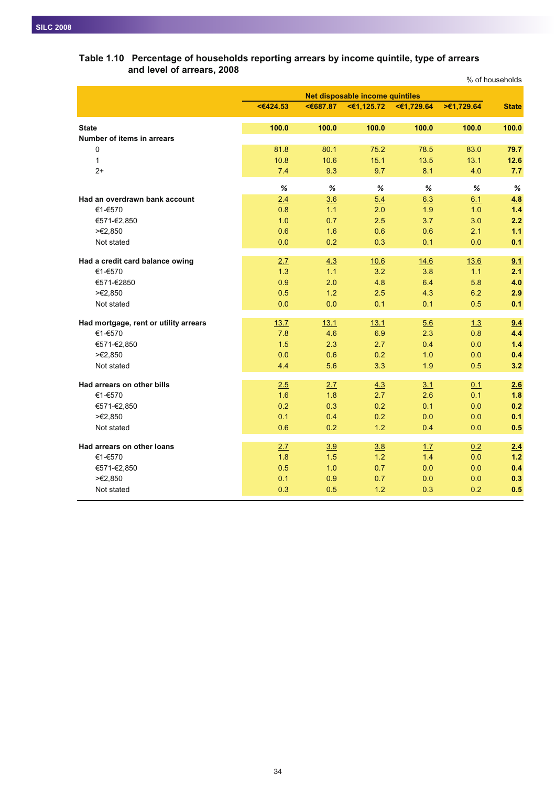# % of households **<€424.53 <€687.87 <€1,125.72 <€1,729.64 >€1,729.64 State State 100.0 100.0 100.0 100.0 100.0 100.0 Number of items in arrears** 0 81.8 80.1 75.2 78.5 83.0 **79.7** 1 10.8 10.6 15.1 13.5 13.1 **12.6** 2+ 7.4 9.3 9.7 8.1 4.0 **7.7** *% % % % %%* **Had an overdrawn bank account** 2.4 3.6 5.4 6.3 6.1 4.8 €1-€570 0.8 1.1 2.0 1.9 1.0 **1.4** €571-€2,850 1.0 0.7 2.5 3.7 3.0 **2.2** >€2,850 0.6 1.6 0.6 0.6 2.1 **1.1** Not stated 0.0 0.2 0.3 0.1 0.0 **0.1 Had a credit card balance owing** 2.7 4.3 10.6 14.6 13.6 9.1 €1-€570 1.3 1.1 3.2 3.8 1.1 **2.1** €571-€2850 0.9 2.0 4.8 6.4 5.8 **4.0** >€2,850 0.5 1.2 2.5 4.3 6.2 **2.9** Not stated 0.0 0.0 0.1 0.1 0.5 **0.1 Had mortgage, rent or utility arrears** 13.7 13.1 13.1 13.1 13.1 5.6 1.3 1.3 1.4 €1-€570 7.8 4.6 6.9 2.3 0.8 **4.4** €571-€2,850 1.5 2.3 2.7 0.4 0.0 **1.4** >€2,850 0.0 0.6 0.2 1.0 0.0 **0.4** Not stated 4.4 5.6 3.3 1.9 0.5 **3.2 Had arrears on other bills** 2.5 2.7 4.3 3.1 0.1 2.6 €1-€570 1.6 1.8 2.7 2.6 0.1 **1.8** €571-€2,850 0.2 0.3 0.2 0.1 0.0 **0.2** >€2,850 0.1 0.4 0.2 0.0 0.0 **0.1** Not stated 0.6 0.2 1.2 0.4 0.0 **0.5 Had arrears on other loans** 2.7 3.9 3.8 1.7 0.2 2.4 €1-€570 1.8 1.5 1.2 1.4 0.0 **1.2** €571-€2,850 0.5 1.0 0.7 0.0 0.0 **0.4** >€2,850 0.1 0.9 0.7 0.0 0.0 **0.3** Not stated 0.3 0.5 1.2 0.3 0.2 **0.5 Net disposable income quintiles**

#### **Table 1.10 Percentage of households reporting arrears by income quintile, type of arrears and level of arrears, 2008**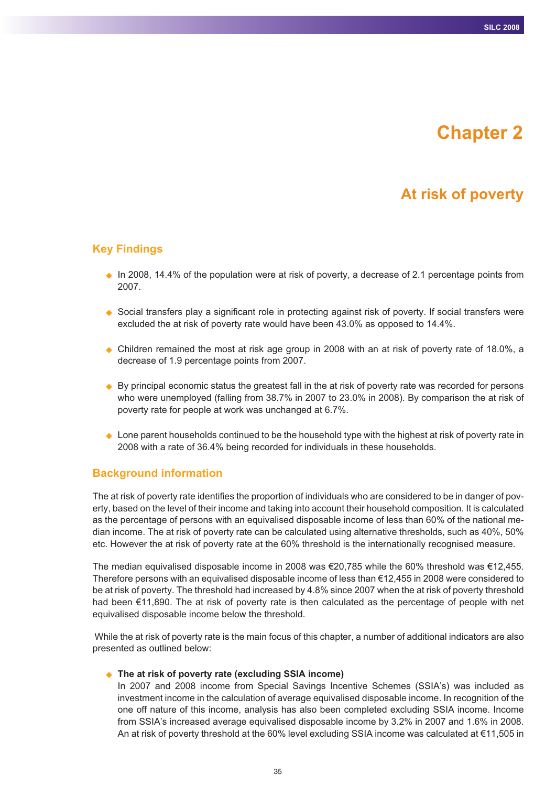# **Chapter 2**

# **At risk of poverty**

## **Key Findings**

- In 2008, 14.4% of the population were at risk of poverty, a decrease of 2.1 percentage points from 2007.
- ◆ Social transfers play a significant role in protecting against risk of poverty. If social transfers were excluded the at risk of poverty rate would have been 43.0% as opposed to 14.4%.
- Children remained the most at risk age group in 2008 with an at risk of poverty rate of 18.0%, a decrease of 1.9 percentage points from 2007.
- ♦ By principal economic status the greatest fall in the at risk of poverty rate was recorded for persons who were unemployed (falling from 38.7% in 2007 to 23.0% in 2008). By comparison the at risk of poverty rate for people at work was unchanged at 6.7%.
- ♦ Lone parent households continued to be the household type with the highest at risk of poverty rate in 2008 with a rate of 36.4% being recorded for individuals in these households.

#### **Background information**

The at risk of poverty rate identifies the proportion of individuals who are considered to be in danger of poverty, based on the level of their income and taking into account their household composition. It is calculated as the percentage of persons with an equivalised disposable income of less than 60% of the national median income. The at risk of poverty rate can be calculated using alternative thresholds, such as 40%, 50% etc. However the at risk of poverty rate at the 60% threshold is the internationally recognised measure.

The median equivalised disposable income in 2008 was €20,785 while the 60% threshold was €12,455. Therefore persons with an equivalised disposable income of less than €12,455 in 2008 were considered to be at risk of poverty. The threshold had increased by 4.8% since 2007 when the at risk of poverty threshold had been €11,890. The at risk of poverty rate is then calculated as the percentage of people with net equivalised disposable income below the threshold.

While the at risk of poverty rate is the main focus of this chapter, a number of additional indicators are also presented as outlined below:

#### ◆ The at risk of poverty rate (excluding SSIA income)

In 2007 and 2008 income from Special Savings Incentive Schemes (SSIA's) was included as investment income in the calculation of average equivalised disposable income. In recognition of the one off nature of this income, analysis has also been completed excluding SSIA income. Income from SSIA's increased average equivalised disposable income by 3.2% in 2007 and 1.6% in 2008. An at risk of poverty threshold at the 60% level excluding SSIA income was calculated at €11,505 in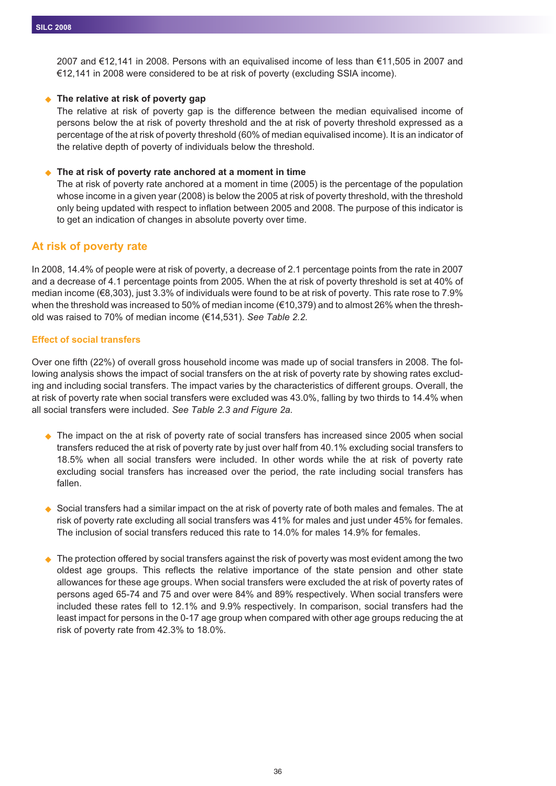2007 and €12,141 in 2008. Persons with an equivalised income of less than €11,505 in 2007 and €12,141 in 2008 were considered to be at risk of poverty (excluding SSIA income).

#### ◆ The relative at risk of poverty gap

The relative at risk of poverty gap is the difference between the median equivalised income of persons below the at risk of poverty threshold and the at risk of poverty threshold expressed as a percentage of the at risk of poverty threshold (60% of median equivalised income). It is an indicator of the relative depth of poverty of individuals below the threshold.

#### $\blacklozenge$ **The at risk of poverty rate anchored at a moment in time**

The at risk of poverty rate anchored at a moment in time (2005) is the percentage of the population whose income in a given year (2008) is below the 2005 at risk of poverty threshold, with the threshold only being updated with respect to inflation between 2005 and 2008. The purpose of this indicator is to get an indication of changes in absolute poverty over time.

## **At risk of poverty rate**

In 2008, 14.4% of people were at risk of poverty, a decrease of 2.1 percentage points from the rate in 2007 and a decrease of 4.1 percentage points from 2005. When the at risk of poverty threshold is set at 40% of median income (€8,303), just 3.3% of individuals were found to be at risk of poverty. This rate rose to 7.9% when the threshold was increased to 50% of median income (€10,379) and to almost 26% when the threshold was raised to 70% of median income (€14,531). *See Table 2.2.*

#### **Effect of social transfers**

Over one fifth (22%) of overall gross household income was made up of social transfers in 2008. The following analysis shows the impact of social transfers on the at risk of poverty rate by showing rates excluding and including social transfers. The impact varies by the characteristics of different groups. Overall, the at risk of poverty rate when social transfers were excluded was 43.0%, falling by two thirds to 14.4% when all social transfers were included. *See Table 2.3 and Figure 2a.*

- ◆ The impact on the at risk of poverty rate of social transfers has increased since 2005 when social transfers reduced the at risk of poverty rate by just over half from 40.1% excluding social transfers to 18.5% when all social transfers were included. In other words while the at risk of poverty rate excluding social transfers has increased over the period, the rate including social transfers has fallen.
- $\bullet$  Social transfers had a similar impact on the at risk of poverty rate of both males and females. The at risk of poverty rate excluding all social transfers was 41% for males and just under 45% for females. The inclusion of social transfers reduced this rate to 14.0% for males 14.9% for females.
- $\bullet$  The protection offered by social transfers against the risk of poverty was most evident among the two oldest age groups. This reflects the relative importance of the state pension and other state allowances for these age groups. When social transfers were excluded the at risk of poverty rates of persons aged 65-74 and 75 and over were 84% and 89% respectively. When social transfers were included these rates fell to 12.1% and 9.9% respectively. In comparison, social transfers had the least impact for persons in the 0-17 age group when compared with other age groups reducing the at risk of poverty rate from 42.3% to 18.0%.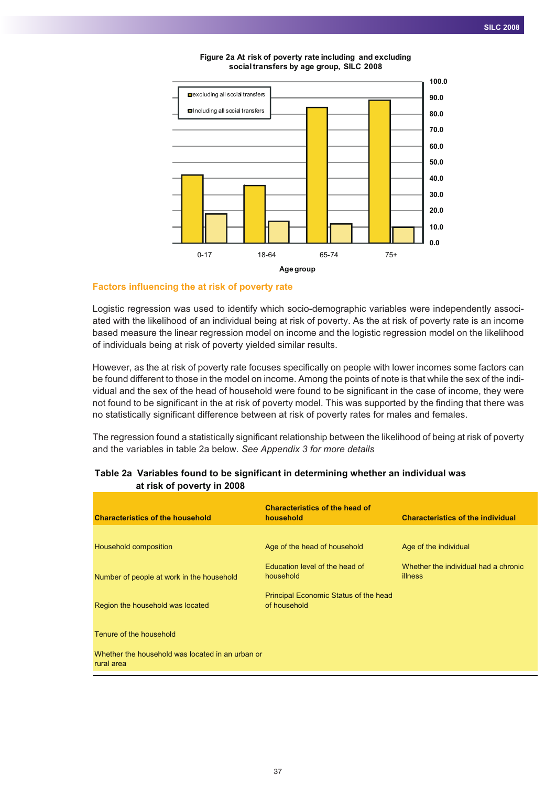

**Figure 2a At risk of poverty rate including and excluding socialtransfers by age group, SILC 2008**

#### **Factors influencing the at risk of poverty rate**

Logistic regression was used to identify which socio-demographic variables were independently associated with the likelihood of an individual being at risk of poverty. As the at risk of poverty rate is an income based measure the linear regression model on income and the logistic regression model on the likelihood of individuals being at risk of poverty yielded similar results.

However, as the at risk of poverty rate focuses specifically on people with lower incomes some factors can be found different to those in the model on income. Among the points of note is that while the sex of the individual and the sex of the head of household were found to be significant in the case of income, they were not found to be significant in the at risk of poverty model. This was supported by the finding that there was no statistically significant difference between at risk of poverty rates for males and females.

The regression found a statistically significant relationship between the likelihood of being at risk of poverty and the variables in table 2a below. *See Appendix 3 for more details*

| <b>Characteristics of the household</b>                        | <b>Characteristics of the head of</b><br>household    | <b>Characteristics of the individual</b>               |
|----------------------------------------------------------------|-------------------------------------------------------|--------------------------------------------------------|
|                                                                |                                                       |                                                        |
| Household composition                                          | Age of the head of household                          | Age of the individual                                  |
| Number of people at work in the household                      | Education level of the head of<br>household           | Whether the individual had a chronic<br><b>illness</b> |
| Region the household was located                               | Principal Economic Status of the head<br>of household |                                                        |
| Tenure of the household                                        |                                                       |                                                        |
| Whether the household was located in an urban or<br>rural area |                                                       |                                                        |
|                                                                |                                                       |                                                        |

#### **Table 2a Variables found to be significant in determining whether an individual was at risk of poverty in 2008**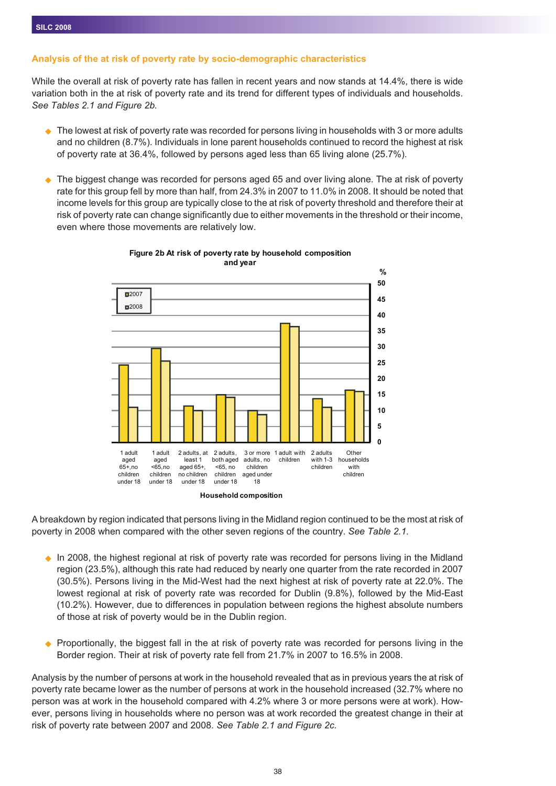## **Analysis of the at risk of poverty rate by socio-demographic characteristics**

While the overall at risk of poverty rate has fallen in recent years and now stands at 14.4%, there is wide variation both in the at risk of poverty rate and its trend for different types of individuals and households. *See Tables 2.1 and Figure 2b.*

- $\blacklozenge$  The lowest at risk of poverty rate was recorded for persons living in households with 3 or more adults and no children (8.7%). Individuals in lone parent households continued to record the highest at risk of poverty rate at 36.4%, followed by persons aged less than 65 living alone (25.7%).
- $\blacklozenge$  The biggest change was recorded for persons aged 65 and over living alone. The at risk of poverty rate for this group fell by more than half, from 24.3% in 2007 to 11.0% in 2008. It should be noted that income levels for this group are typically close to the at risk of poverty threshold and therefore their at risk of poverty rate can change significantly due to either movements in the threshold or their income, even where those movements are relatively low.



#### **Figure 2b At risk of poverty rate by household composition and year**

**Household composition**

A breakdown by region indicated that persons living in the Midland region continued to be the most at risk of poverty in 2008 when compared with the other seven regions of the country. *See Table 2.1.*

- ◆ In 2008, the highest regional at risk of poverty rate was recorded for persons living in the Midland region (23.5%), although this rate had reduced by nearly one quarter from the rate recorded in 2007 (30.5%). Persons living in the Mid-West had the next highest at risk of poverty rate at 22.0%. The lowest regional at risk of poverty rate was recorded for Dublin (9.8%), followed by the Mid-East (10.2%). However, due to differences in population between regions the highest absolute numbers of those at risk of poverty would be in the Dublin region.
- ♦ Proportionally, the biggest fall in the at risk of poverty rate was recorded for persons living in the Border region. Their at risk of poverty rate fell from 21.7% in 2007 to 16.5% in 2008.

Analysis by the number of persons at work in the household revealed that as in previous years the at risk of poverty rate became lower as the number of persons at work in the household increased (32.7% where no person was at work in the household compared with 4.2% where 3 or more persons were at work). However, persons living in households where no person was at work recorded the greatest change in their at risk of poverty rate between 2007 and 2008. *See Table 2.1 and Figure 2c.*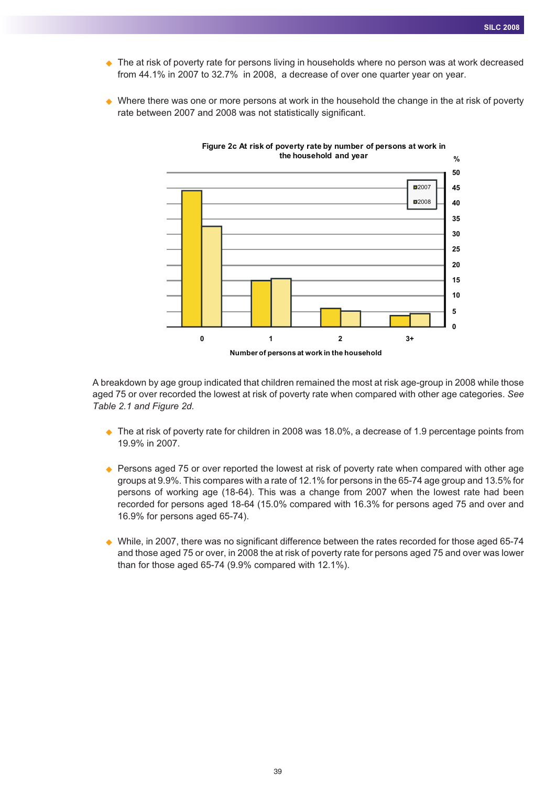- ◆ The at risk of poverty rate for persons living in households where no person was at work decreased from 44.1% in 2007 to 32.7% in 2008, a decrease of over one quarter year on year.
- $\blacklozenge$  Where there was one or more persons at work in the household the change in the at risk of poverty rate between 2007 and 2008 was not statistically significant.



A breakdown by age group indicated that children remained the most at risk age-group in 2008 while those aged 75 or over recorded the lowest at risk of poverty rate when compared with other age categories. *See Table 2.1 and Figure 2d.*

- ◆ The at risk of poverty rate for children in 2008 was 18.0%, a decrease of 1.9 percentage points from 19.9% in 2007.
- ◆ Persons aged 75 or over reported the lowest at risk of poverty rate when compared with other age groups at 9.9%. This compares with a rate of 12.1% for persons in the 65-74 age group and 13.5% for persons of working age (18-64). This was a change from 2007 when the lowest rate had been recorded for persons aged 18-64 (15.0% compared with 16.3% for persons aged 75 and over and 16.9% for persons aged 65-74).
- ◆ While, in 2007, there was no significant difference between the rates recorded for those aged 65-74 and those aged 75 or over, in 2008 the at risk of poverty rate for persons aged 75 and over was lower than for those aged 65-74 (9.9% compared with 12.1%).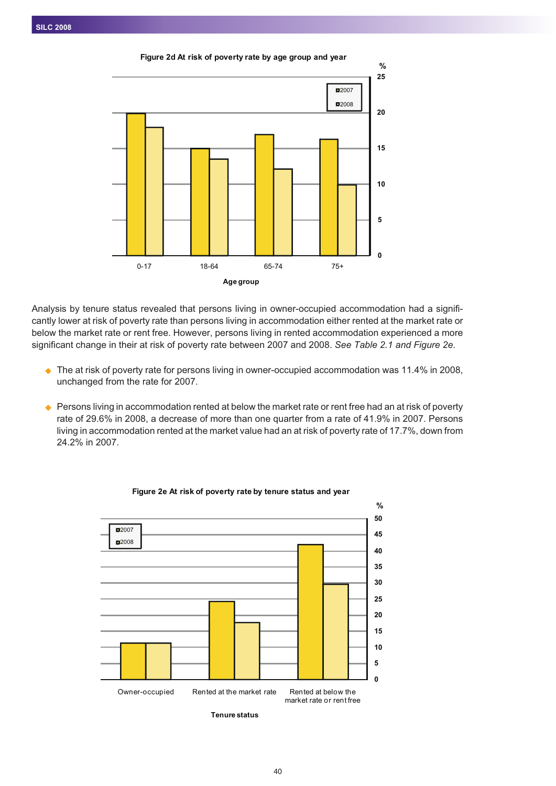

Analysis by tenure status revealed that persons living in owner-occupied accommodation had a significantly lower at risk of poverty rate than persons living in accommodation either rented at the market rate or below the market rate or rent free. However, persons living in rented accommodation experienced a more significant change in their at risk of poverty rate between 2007 and 2008. *See Table 2.1 and Figure 2e.*

- ◆ The at risk of poverty rate for persons living in owner-occupied accommodation was 11.4% in 2008, unchanged from the rate for 2007.
- $\blacklozenge$  Persons living in accommodation rented at below the market rate or rent free had an at risk of poverty rate of 29.6% in 2008, a decrease of more than one quarter from a rate of 41.9% in 2007. Persons living in accommodation rented at the market value had an at risk of poverty rate of 17.7%, down from 24.2% in 2007.



#### **Figure 2e At risk of poverty rate by tenure status and year**

 $40$ 

**Tenure status**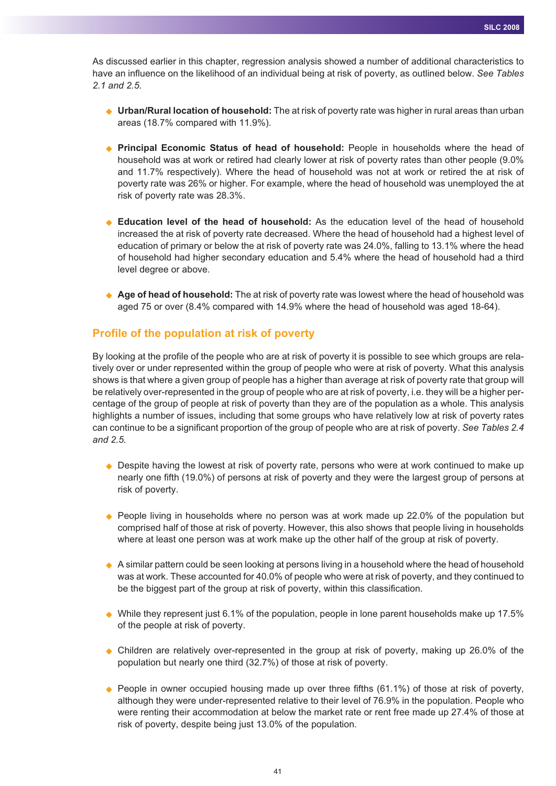As discussed earlier in this chapter, regression analysis showed a number of additional characteristics to have an influence on the likelihood of an individual being at risk of poverty, as outlined below. *See Tables 2.1 and 2.5.*

- ◆ **Urban/Rural location of household:** The at risk of poverty rate was higher in rural areas than urban areas (18.7% compared with 11.9%).
- **Principal Economic Status of head of household:** People in households where the head of household was at work or retired had clearly lower at risk of poverty rates than other people (9.0% and 11.7% respectively). Where the head of household was not at work or retired the at risk of poverty rate was 26% or higher. For example, where the head of household was unemployed the at risk of poverty rate was 28.3%.
- ◆ **Education level of the head of household:** As the education level of the head of household increased the at risk of poverty rate decreased. Where the head of household had a highest level of education of primary or below the at risk of poverty rate was 24.0%, falling to 13.1% where the head of household had higher secondary education and 5.4% where the head of household had a third level degree or above.
- ◆ **Age of head of household:** The at risk of poverty rate was lowest where the head of household was aged 75 or over (8.4% compared with 14.9% where the head of household was aged 18-64).

## **Profile of the population at risk of poverty**

By looking at the profile of the people who are at risk of poverty it is possible to see which groups are relatively over or under represented within the group of people who were at risk of poverty. What this analysis shows is that where a given group of people has a higher than average at risk of poverty rate that group will be relatively over-represented in the group of people who are at risk of poverty, i.e. they will be a higher percentage of the group of people at risk of poverty than they are of the population as a whole. This analysis highlights a number of issues, including that some groups who have relatively low at risk of poverty rates can continue to be a significant proportion of the group of people who are at risk of poverty. *See Tables 2.4 and 2.5.*

- ◆ Despite having the lowest at risk of poverty rate, persons who were at work continued to make up nearly one fifth (19.0%) of persons at risk of poverty and they were the largest group of persons at risk of poverty.
- ◆ People living in households where no person was at work made up 22.0% of the population but comprised half of those at risk of poverty. However, this also shows that people living in households where at least one person was at work make up the other half of the group at risk of poverty.
- ◆ A similar pattern could be seen looking at persons living in a household where the head of household was at work. These accounted for 40.0% of people who were at risk of poverty, and they continued to be the biggest part of the group at risk of poverty, within this classification.
- $\blacklozenge$  While they represent just 6.1% of the population, people in lone parent households make up 17.5% of the people at risk of poverty.
- ◆ Children are relatively over-represented in the group at risk of poverty, making up 26.0% of the population but nearly one third (32.7%) of those at risk of poverty.
- $\blacklozenge$  People in owner occupied housing made up over three fifths (61.1%) of those at risk of poverty, although they were under-represented relative to their level of 76.9% in the population. People who were renting their accommodation at below the market rate or rent free made up 27.4% of those at risk of poverty, despite being just 13.0% of the population.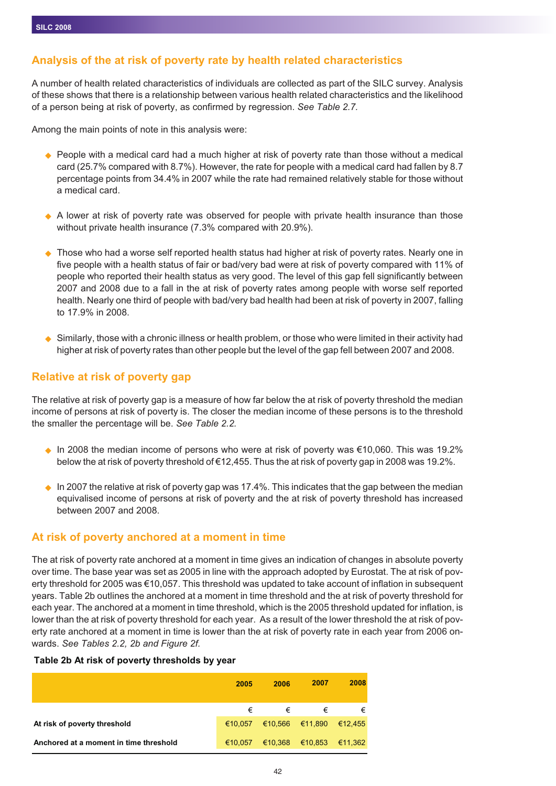## **Analysis of the at risk of poverty rate by health related characteristics**

A number of health related characteristics of individuals are collected as part of the SILC survey. Analysis of these shows that there is a relationship between various health related characteristics and the likelihood of a person being at risk of poverty, as confirmed by regression. *See Table 2.7.*

Among the main points of note in this analysis were:

- ◆ People with a medical card had a much higher at risk of poverty rate than those without a medical card (25.7% compared with 8.7%). However, the rate for people with a medical card had fallen by 8.7 percentage points from 34.4% in 2007 while the rate had remained relatively stable for those without a medical card.
- ◆ A lower at risk of poverty rate was observed for people with private health insurance than those without private health insurance (7.3% compared with 20.9%).
- $\blacklozenge$  Those who had a worse self reported health status had higher at risk of poverty rates. Nearly one in five people with a health status of fair or bad/very bad were at risk of poverty compared with 11% of people who reported their health status as very good. The level of this gap fell significantly between 2007 and 2008 due to a fall in the at risk of poverty rates among people with worse self reported health. Nearly one third of people with bad/very bad health had been at risk of poverty in 2007, falling to 17.9% in 2008.
- $\blacklozenge$  Similarly, those with a chronic illness or health problem, or those who were limited in their activity had higher at risk of poverty rates than other people but the level of the gap fell between 2007 and 2008.

## **Relative at risk of poverty gap**

The relative at risk of poverty gap is a measure of how far below the at risk of poverty threshold the median income of persons at risk of poverty is. The closer the median income of these persons is to the threshold the smaller the percentage will be. *See Table 2.2.*

- $\bullet$  In 2008 the median income of persons who were at risk of poverty was €10,060. This was 19.2% below the at risk of poverty threshold of €12,455. Thus the at risk of poverty gap in 2008 was 19.2%.
- $\bullet$  In 2007 the relative at risk of poverty gap was 17.4%. This indicates that the gap between the median equivalised income of persons at risk of poverty and the at risk of poverty threshold has increased between 2007 and 2008.

## **At risk of poverty anchored at a moment in time**

The at risk of poverty rate anchored at a moment in time gives an indication of changes in absolute poverty over time. The base year was set as 2005 in line with the approach adopted by Eurostat. The at risk of poverty threshold for 2005 was €10,057. This threshold was updated to take account of inflation in subsequent years. Table 2b outlines the anchored at a moment in time threshold and the at risk of poverty threshold for each year. The anchored at a moment in time threshold, which is the 2005 threshold updated for inflation, is lower than the at risk of poverty threshold for each year. As a result of the lower threshold the at risk of poverty rate anchored at a moment in time is lower than the at risk of poverty rate in each year from 2006 onwards. *See Tables 2.2, 2b and Figure 2f.*

#### **Table 2b At risk of poverty thresholds by year**

|                                        | 2005    | 2006            | 2007            | 2008    |
|----------------------------------------|---------|-----------------|-----------------|---------|
|                                        | €       | €               | €               | €       |
| At risk of poverty threshold           | €10.057 | €10,566 €11,890 |                 | €12.455 |
| Anchored at a moment in time threshold | €10.057 |                 | €10,368 €10,853 | €11,362 |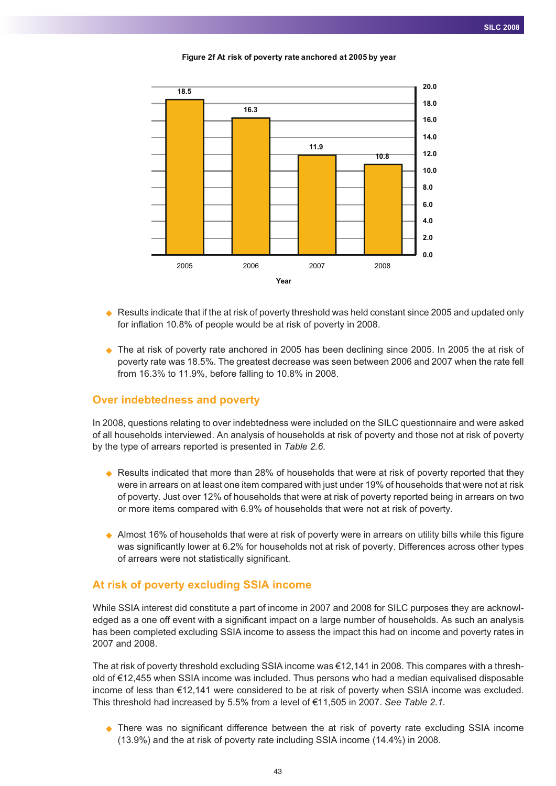

**Figure 2f At risk of poverty rate anchored at 2005 by year**

- $\blacklozenge$  Results indicate that if the at risk of poverty threshold was held constant since 2005 and updated only for inflation 10.8% of people would be at risk of poverty in 2008.
- ◆ The at risk of poverty rate anchored in 2005 has been declining since 2005. In 2005 the at risk of poverty rate was 18.5%. The greatest decrease was seen between 2006 and 2007 when the rate fell from 16.3% to 11.9%, before falling to 10.8% in 2008.

#### **Over indebtedness and poverty**

In 2008, questions relating to over indebtedness were included on the SILC questionnaire and were asked of all households interviewed. An analysis of households at risk of poverty and those not at risk of poverty by the type of arrears reported is presented in *Table 2.6.*

- ◆ Results indicated that more than 28% of households that were at risk of poverty reported that they were in arrears on at least one item compared with just under 19% of households that were not at risk of poverty. Just over 12% of households that were at risk of poverty reported being in arrears on two or more items compared with 6.9% of households that were not at risk of poverty.
- ◆ Almost 16% of households that were at risk of poverty were in arrears on utility bills while this figure was significantly lower at 6.2% for households not at risk of poverty. Differences across other types of arrears were not statistically significant.

## **At risk of poverty excluding SSIA income**

While SSIA interest did constitute a part of income in 2007 and 2008 for SILC purposes they are acknowledged as a one off event with a significant impact on a large number of households. As such an analysis has been completed excluding SSIA income to assess the impact this had on income and poverty rates in 2007 and 2008.

The at risk of poverty threshold excluding SSIA income was €12,141 in 2008. This compares with a threshold of €12,455 when SSIA income was included. Thus persons who had a median equivalised disposable income of less than €12,141 were considered to be at risk of poverty when SSIA income was excluded. This threshold had increased by 5.5% from a level of €11,505 in 2007. *See Table 2.1.*

- There was no significant difference between the at risk of poverty rate excluding SSIA income (13.9%) and the at risk of poverty rate including SSIA income (14.4%) in 2008.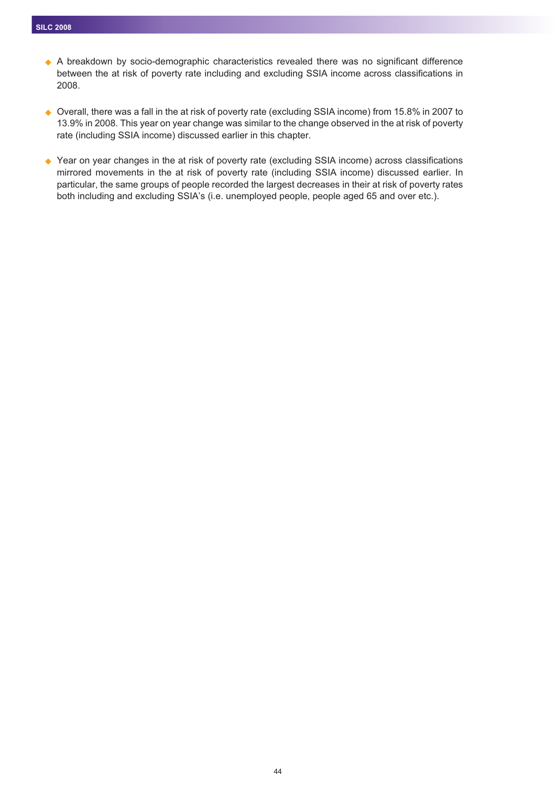- A breakdown by socio-demographic characteristics revealed there was no significant difference between the at risk of poverty rate including and excluding SSIA income across classifications in 2008.

◆ Overall, there was a fall in the at risk of poverty rate (excluding SSIA income) from 15.8% in 2007 to 13.9% in 2008. This year on year change was similar to the change observed in the at risk of poverty rate (including SSIA income) discussed earlier in this chapter.

◆ Year on year changes in the at risk of poverty rate (excluding SSIA income) across classifications mirrored movements in the at risk of poverty rate (including SSIA income) discussed earlier. In particular, the same groups of people recorded the largest decreases in their at risk of poverty rates both including and excluding SSIA's (i.e. unemployed people, people aged 65 and over etc.).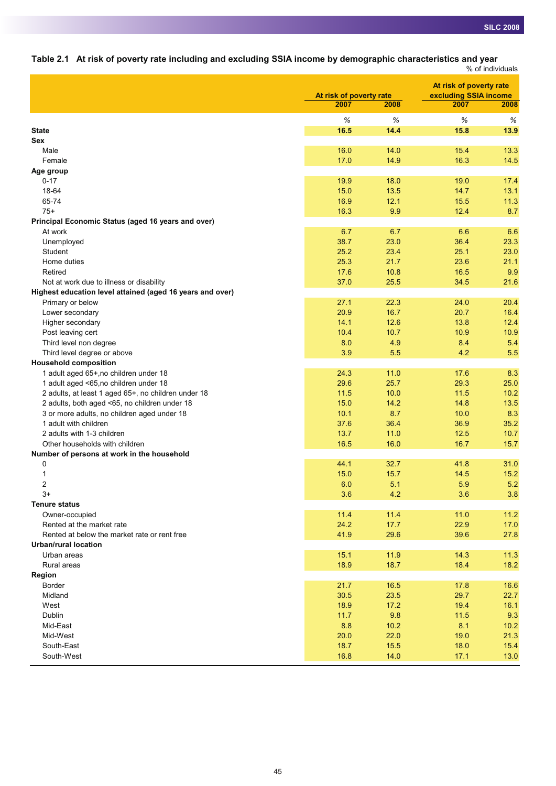**Table 2.1 At risk of poverty rate including and excluding SSIA income by demographic characteristics and year**

|                                                           |                         |      |                         | % of individuals |
|-----------------------------------------------------------|-------------------------|------|-------------------------|------------------|
|                                                           |                         |      | At risk of poverty rate |                  |
|                                                           | At risk of poverty rate |      | excluding SSIA income   |                  |
|                                                           | 2007                    | 2008 | 2007                    | 2008             |
|                                                           | $\%$                    | $\%$ | $\%$                    | $\%$             |
| <b>State</b>                                              | 16.5                    | 14.4 | 15.8                    | 13.9             |
| Sex                                                       |                         |      |                         |                  |
| Male                                                      | 16.0                    | 14.0 | 15.4                    | 13.3             |
| Female                                                    | 17.0                    | 14.9 | 16.3                    | 14.5             |
| Age group                                                 |                         |      |                         |                  |
| $0 - 17$                                                  | 19.9                    | 18.0 | 19.0                    | 17.4             |
| 18-64                                                     | 15.0                    | 13.5 | 14.7                    | 13.1             |
| 65-74                                                     | 16.9                    | 12.1 | 15.5                    | 11.3             |
| $75+$                                                     | 16.3                    | 9.9  | 12.4                    | 8.7              |
| Principal Economic Status (aged 16 years and over)        |                         |      |                         |                  |
| At work                                                   | 6.7                     | 6.7  | 6.6                     | 6.6              |
| Unemployed                                                | 38.7                    | 23.0 | 36.4                    | 23.3             |
| Student                                                   | 25.2                    | 23.4 | 25.1                    | 23.0             |
| Home duties                                               | 25.3                    | 21.7 | 23.6                    | 21.1             |
| Retired                                                   | 17.6                    | 10.8 | 16.5                    | 9.9              |
| Not at work due to illness or disability                  | 37.0                    | 25.5 | 34.5                    | 21.6             |
| Highest education level attained (aged 16 years and over) |                         |      |                         |                  |
| Primary or below                                          | 27.1                    | 22.3 | 24.0                    | 20.4             |
| Lower secondary                                           | 20.9                    | 16.7 | 20.7                    | 16.4             |
| Higher secondary                                          | 14.1                    | 12.6 | 13.8                    | 12.4             |
| Post leaving cert                                         | 10.4                    | 10.7 | 10.9                    | 10.9             |
| Third level non degree                                    | 8.0                     | 4.9  | 8.4                     | 5.4              |
| Third level degree or above                               | 3.9                     | 5.5  | 4.2                     | 5.5              |
| <b>Household composition</b>                              |                         |      |                         |                  |
| 1 adult aged 65+, no children under 18                    | 24.3                    | 11.0 | 17.6                    | 8.3              |
| 1 adult aged <65, no children under 18                    | 29.6                    | 25.7 | 29.3                    | 25.0             |
| 2 adults, at least 1 aged 65+, no children under 18       | 11.5                    | 10.0 | 11.5                    | 10.2             |
| 2 adults, both aged <65, no children under 18             | 15.0                    | 14.2 | 14.8                    | 13.5             |
| 3 or more adults, no children aged under 18               | 10.1                    | 8.7  | 10.0                    | 8.3              |
| 1 adult with children                                     | 37.6                    | 36.4 | 36.9                    | 35.2             |
| 2 adults with 1-3 children                                | 13.7                    | 11.0 | 12.5                    | 10.7             |
|                                                           | 16.5                    |      | 16.7                    |                  |
| Other households with children                            |                         | 16.0 |                         | 15.7             |
| Number of persons at work in the household                |                         |      |                         |                  |
| 0                                                         | 44.1                    | 32.7 | 41.8                    | 31.0             |
| 1<br>2                                                    | 15.0                    | 15.7 | 14.5                    | 15.2             |
|                                                           | 6.0                     | 5.1  | 5.9                     | 5.2              |
| $3+$                                                      | 3.6                     | 4.2  | 3.6                     | 3.8              |
| <b>Tenure status</b>                                      |                         |      |                         |                  |
| Owner-occupied                                            | 11.4                    | 11.4 | 11.0                    | 11.2             |
| Rented at the market rate                                 | 24.2                    | 17.7 | 22.9                    | 17.0             |
| Rented at below the market rate or rent free              | 41.9                    | 29.6 | 39.6                    | 27.8             |
| <b>Urban/rural location</b>                               |                         |      |                         |                  |
| Urban areas                                               | 15.1                    | 11.9 | 14.3                    | 11.3             |
| Rural areas                                               | 18.9                    | 18.7 | 18.4                    | 18.2             |
| Region                                                    |                         |      |                         |                  |
| Border                                                    | 21.7                    | 16.5 | 17.8                    | 16.6             |
| Midland                                                   | 30.5                    | 23.5 | 29.7                    | 22.7             |
| West                                                      | 18.9                    | 17.2 | 19.4                    | 16.1             |
| Dublin                                                    | 11.7                    | 9.8  | $11.5$                  | 9.3              |
| Mid-East                                                  | 8.8                     | 10.2 | 8.1                     | 10.2             |
| Mid-West                                                  | 20.0                    | 22.0 | 19.0                    | 21.3             |
| South-East                                                | 18.7                    | 15.5 | 18.0                    | 15.4             |
| South-West                                                | 16.8                    | 14.0 | 17.1                    | 13.0             |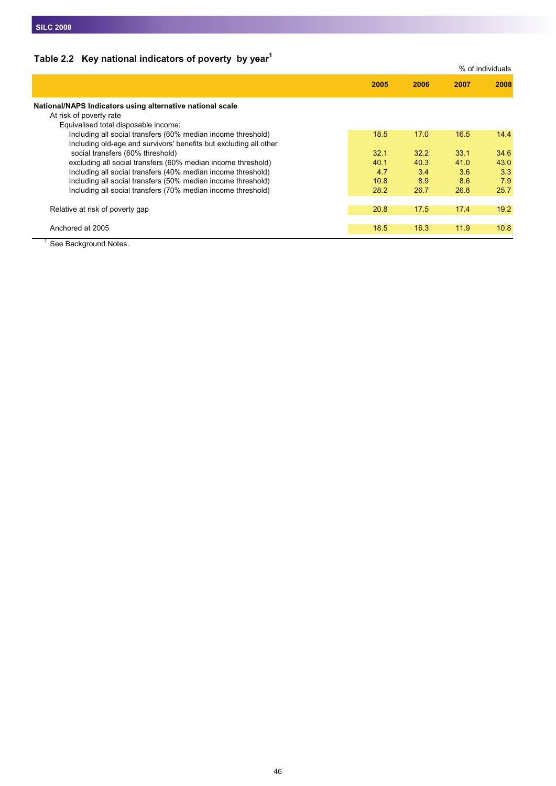## **Table 2.2 Key national indicators of poverty by year1**

|                                                                   |      |      |      | % of individuals |
|-------------------------------------------------------------------|------|------|------|------------------|
|                                                                   | 2005 | 2006 | 2007 | 2008             |
| National/NAPS Indicators using alternative national scale         |      |      |      |                  |
| At risk of poverty rate                                           |      |      |      |                  |
| Equivalised total disposable income:                              |      |      |      |                  |
| Including all social transfers (60% median income threshold)      | 18.5 | 17.0 | 16.5 | 14.4             |
| Including old-age and survivors' benefits but excluding all other |      |      |      |                  |
| social transfers (60% threshold)                                  | 32.1 | 32.2 | 33.1 | 34.6             |
| excluding all social transfers (60% median income threshold)      | 40.1 | 40.3 | 41.0 | 43.0             |
| Including all social transfers (40% median income threshold)      | 4.7  | 3.4  | 3.6  | 3.3              |
| Including all social transfers (50% median income threshold)      | 10.8 | 8.9  | 8.6  | 7.9              |
| Including all social transfers (70% median income threshold)      | 28.2 | 26.7 | 26.8 | 25.7             |
|                                                                   |      |      |      |                  |
| Relative at risk of poverty gap                                   | 20.8 | 17.5 | 17.4 | 19.2             |
|                                                                   |      |      |      |                  |
| Anchored at 2005                                                  | 18.5 | 16.3 | 11.9 | 10.8             |
|                                                                   |      |      |      |                  |

<sup>1</sup> See Background Notes.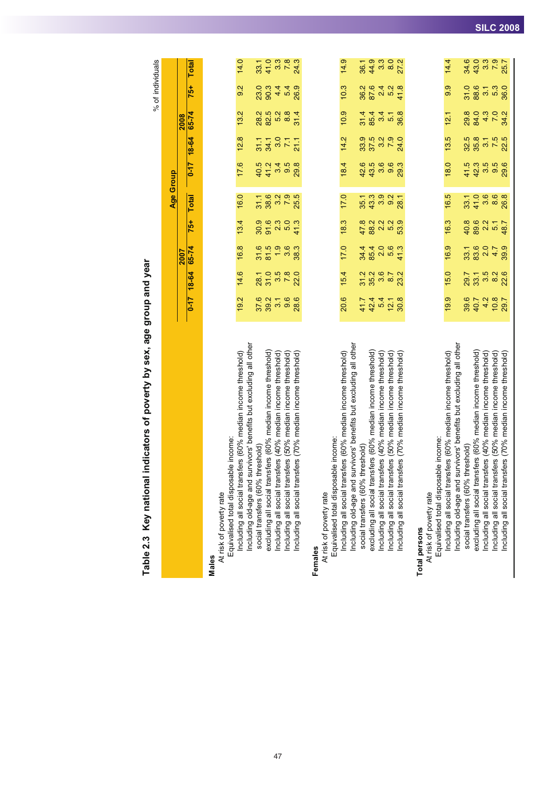Table 2.3 Key national indicators of poverty by sex, age group and year Table 2.3 Key national indicators of poverty by sex, age group and year

% of individuals % of individuals

**Age Group**

Ϊä

Age Group

R

|                                                                                                             |                                |                                  | 2007             |                              |                                                                                |                  |                         | 2008                    |                           |                                           |
|-------------------------------------------------------------------------------------------------------------|--------------------------------|----------------------------------|------------------|------------------------------|--------------------------------------------------------------------------------|------------------|-------------------------|-------------------------|---------------------------|-------------------------------------------|
|                                                                                                             | $-17$                          | <b>18-64</b>                     | 65-74            | 75+                          | <b>Total</b>                                                                   | $\frac{11-0}{2}$ | <b>79-81</b>            | $65 - 74$               | 75+                       | <b>Total</b>                              |
| Males                                                                                                       |                                |                                  |                  |                              |                                                                                |                  |                         |                         |                           |                                           |
| Equivalised total disposable income:<br>At risk of poverty rate                                             |                                |                                  |                  |                              |                                                                                |                  |                         |                         |                           |                                           |
| Including all social transfers (60% median income threshold)                                                | 19.2                           | 14.6                             | 16.8             | 13.4                         | 16.0                                                                           | 17.6             | 12.8                    | 13.2                    | 9.2                       | 14.0                                      |
| survivors' benefits but excluding all other<br>threshold)<br>social transfers (60%<br>Including old-age and | 37.6                           | 28.1                             |                  |                              | 31.1                                                                           |                  | 31.1                    | 28.2                    | 23.0                      |                                           |
| excluding all social transfers (60% median income threshold)                                                | 39.2                           | 31.0                             | $31.5$<br>$81.5$ | $30.9$<br>$91.6$             | 38.6                                                                           | 40.5<br>41.2     | 34.1                    |                         |                           | 33.1<br>41.0                              |
| Including all social transfers (40% median income threshold)                                                |                                |                                  | 1.9              | 2.3                          |                                                                                | 34               | 3.7                     | စ္သံ ကို အဲ<br>ပိုက် အဲ |                           |                                           |
| Including all social transfers (50% median income threshold)                                                | $\frac{1}{3}$<br>$\frac{6}{3}$ | 3.5<br>7.8<br>22.0               | 3.6              |                              | 2<br>25<br>25<br>25                                                            | 9.5              |                         |                         |                           | 3<br>323<br>34<br>34                      |
| nsfers (70% median income threshold)<br>Including all social tran                                           |                                |                                  | 38.3             | 41.3                         |                                                                                | 29.8             | 21.1                    | 31.4                    |                           |                                           |
| Females                                                                                                     |                                |                                  |                  |                              |                                                                                |                  |                         |                         |                           |                                           |
| At risk of poverty rate                                                                                     |                                |                                  |                  |                              |                                                                                |                  |                         |                         |                           |                                           |
| Equivalised total disposable income:                                                                        |                                |                                  |                  |                              |                                                                                |                  |                         |                         |                           |                                           |
| Including all social transfers (60% median income threshold)                                                | 20.6                           | 15.4                             | 17.0             | 18.3                         | 17.0                                                                           | 18.4             | 14.2                    | 10.9                    | 10.3                      | 14.9                                      |
| survivors' benefits but excluding all other<br>Including old-age and                                        |                                |                                  |                  |                              |                                                                                |                  |                         |                         |                           |                                           |
| social transfers (60% threshold)                                                                            |                                | 31.2<br>35.2                     | $34.4$<br>85.4   |                              |                                                                                | 42.6             | 33.9                    |                         |                           | $36.1$<br>44.9                            |
| excluding all social transfers (60% median income threshold)                                                |                                |                                  |                  |                              |                                                                                | 43.5             | 37.5                    |                         |                           |                                           |
| Including all social transfers (40% median income threshold)                                                |                                | $3.6$<br>8.7                     | 0.6              |                              | $\begin{array}{c} 7 & 0 & 0 & 0 \\ 5 & 0 & 0 & 0 \\ 7 & 0 & 0 & 0 \end{array}$ | 3.6              | $3.2$<br>7.9            | $7447$<br>$75000$       |                           | $\begin{array}{c} 3.0 \\ 8.0 \end{array}$ |
| (50% median income threshold)<br>Including all social transfers (                                           | 44<br>44 0 0 0<br>44 0 0 0     |                                  |                  | 8<br>28 2 3 3 3<br>8 3 4 5 6 |                                                                                | 9.6              |                         |                         |                           |                                           |
| ncluding all social transfers (70% median income threshold)                                                 |                                | 23.2                             | 41.3             |                              | 28.1                                                                           | 29.3             | 24.0                    | 36.8                    |                           | 27.2                                      |
| <b>Total persons</b>                                                                                        |                                |                                  |                  |                              |                                                                                |                  |                         |                         |                           |                                           |
| At risk of poverty rate                                                                                     |                                |                                  |                  |                              |                                                                                |                  |                         |                         |                           |                                           |
| Equivalised total disposable income:                                                                        |                                |                                  |                  |                              |                                                                                |                  |                         |                         |                           |                                           |
| Including all social transfers (60% median income threshold)                                                | 19.9                           | 15.0                             | 16.9             | 16.3                         | 16.5                                                                           | 18.0             | 13.5                    | 12.1                    | 9.9                       | 14.4                                      |
| survivors' benefits but excluding all other<br>Including old-age and                                        |                                |                                  |                  |                              |                                                                                |                  |                         |                         |                           |                                           |
| social transfers (60% threshold)                                                                            | 39.6                           | 29.7                             | 33.1             | 40.8                         | 33.1                                                                           | 41.5             | 32.5                    | 29.8                    | 31.0                      | 34.6                                      |
| excluding all social transfers (60% median income threshold)                                                |                                |                                  | 83.6             |                              | 41.0                                                                           | 42.3             | 35.8                    |                         |                           | 43.0                                      |
| Including all social transfers (40% median income threshold)                                                |                                |                                  | $2.0$<br>4.7     |                              | $\begin{array}{c} 0 \\ 3.6 \end{array}$                                        | 3.5<br>9.5       |                         |                         |                           |                                           |
| isfers (50% median income threshold)<br>Induding all social tran                                            | $4400$<br>$9400$<br>$780$      | ನ್ಸ್ ಸ್ಟ್ರೆ<br>ನಂತೆ ನಂತೆ<br>ನಂತೆ |                  | $802 - 7$<br>$8209 - 8$      |                                                                                |                  | $37.5$<br>$7.5$<br>$23$ | 8478<br>8478            | 8<br>8 0 1 1 8<br>8 0 1 8 | 3.3<br>3.5<br>25.7                        |
| Including all social transfers (70% median income threshold)                                                |                                |                                  | 39.9             |                              | 26.8                                                                           | 29.6             |                         |                         |                           |                                           |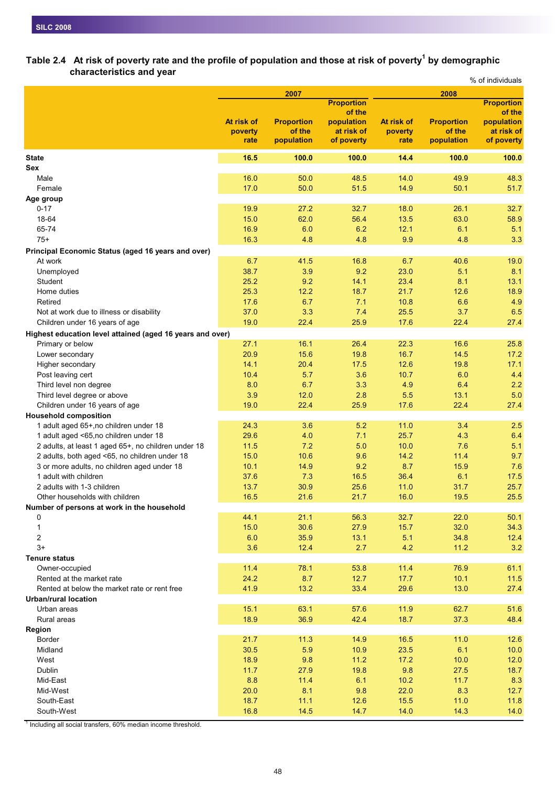#### Table 2.4 At risk of poverty rate and the profile of population and those at risk of poverty<sup>1</sup> by demographic **characteristics and year** % of individuals

|                                                           |            |                   |                      |            |                   | 70 UI IIIUIVIUUAIS          |
|-----------------------------------------------------------|------------|-------------------|----------------------|------------|-------------------|-----------------------------|
|                                                           |            | 2007              |                      |            | 2008              |                             |
|                                                           |            |                   | <b>Proportion</b>    |            |                   | <b>Proportion</b><br>of the |
|                                                           | At risk of | <b>Proportion</b> | of the<br>population | At risk of | <b>Proportion</b> | population                  |
|                                                           | poverty    | of the            | at risk of           | poverty    | of the            | at risk of                  |
|                                                           | rate       | population        | of poverty           | rate       | population        | of poverty                  |
| <b>State</b>                                              | 16.5       | 100.0             | 100.0                | 14.4       | 100.0             | 100.0                       |
| Sex                                                       |            |                   |                      |            |                   |                             |
| Male                                                      | 16.0       | 50.0              | 48.5                 | 14.0       | 49.9              | 48.3                        |
| Female                                                    | 17.0       | 50.0              | 51.5                 | 14.9       | 50.1              | 51.7                        |
| Age group                                                 |            |                   |                      |            |                   |                             |
| $0 - 17$                                                  | 19.9       | 27.2              | 32.7                 | 18.0       | 26.1              | 32.7                        |
| 18-64                                                     | 15.0       | 62.0              | 56.4                 | 13.5       | 63.0              | 58.9                        |
| 65-74                                                     | 16.9       | 6.0               | 6.2                  | 12.1       | 6.1               | 5.1                         |
| $75+$                                                     | 16.3       | 4.8               | 4.8                  | 9.9        | 4.8               | 3.3                         |
| Principal Economic Status (aged 16 years and over)        |            |                   |                      |            |                   |                             |
| At work                                                   | 6.7        | 41.5              | 16.8                 | 6.7        | 40.6              | 19.0                        |
| Unemployed                                                | 38.7       | 3.9               | 9.2                  | 23.0       | 5.1               | 8.1                         |
| Student                                                   | 25.2       | 9.2               | 14.1                 | 23.4       | 8.1               | 13.1                        |
| Home duties                                               | 25.3       | 12.2              | 18.7                 | 21.7       | 12.6              | 18.9                        |
| Retired                                                   | 17.6       | 6.7               | 7.1                  | 10.8       | 6.6               | 4.9                         |
| Not at work due to illness or disability                  | 37.0       | 3.3               | 7.4                  | 25.5       | 3.7               | 6.5                         |
| Children under 16 years of age                            | 19.0       | 22.4              | 25.9                 | 17.6       | 22.4              | 27.4                        |
| Highest education level attained (aged 16 years and over) |            |                   |                      |            |                   |                             |
| Primary or below                                          | 27.1       | 16.1              | 26.4                 | 22.3       | 16.6              | 25.8                        |
| Lower secondary                                           | 20.9       | 15.6              | 19.8                 | 16.7       | 14.5              | 17.2                        |
| Higher secondary                                          | 14.1       | 20.4              | 17.5                 | 12.6       | 19.8              | 17.1                        |
| Post leaving cert                                         | 10.4       | 5.7               | 3.6                  | 10.7       | 6.0               | 4.4                         |
| Third level non degree                                    | 8.0        | 6.7               | 3.3                  | 4.9        | 6.4               | 2.2                         |
| Third level degree or above                               | 3.9        | 12.0              | 2.8                  | 5.5        | 13.1              | 5.0                         |
| Children under 16 years of age                            | 19.0       | 22.4              | 25.9                 | 17.6       | 22.4              | 27.4                        |
| <b>Household composition</b>                              |            |                   |                      |            |                   |                             |
| 1 adult aged 65+, no children under 18                    | 24.3       | 3.6               | 5.2                  | 11.0       | 3.4               | 2.5                         |
| 1 adult aged <65,no children under 18                     | 29.6       | 4.0               | 7.1                  | 25.7       | 4.3               | 6.4                         |
| 2 adults, at least 1 aged 65+, no children under 18       | 11.5       | 7.2               | 5.0                  | 10.0       | 7.6               | 5.1                         |
| 2 adults, both aged <65, no children under 18             | 15.0       | 10.6              | 9.6                  | 14.2       | 11.4              | 9.7                         |
| 3 or more adults, no children aged under 18               | 10.1       | 14.9              | 9.2                  | 8.7        | 15.9              | 7.6                         |
| 1 adult with children                                     | 37.6       | 7.3               | 16.5                 | 36.4       | 6.1               | 17.5                        |
| 2 adults with 1-3 children                                | 13.7       | 30.9              | 25.6                 | 11.0       | 31.7              | 25.7                        |
| Other households with children                            | 16.5       | 21.6              | 21.7                 | 16.0       | 19.5              | 25.5                        |
| Number of persons at work in the household                |            |                   |                      |            |                   |                             |
| 0                                                         | 44.1       | 21.1              | 56.3                 | 32.7       | 22.0              | 50.1                        |
| $\mathbf{1}$                                              | 15.0       | 30.6              | 27.9                 | 15.7       | 32.0              | 34.3                        |
| $\overline{c}$                                            | 6.0        | 35.9              | 13.1                 | 5.1        | 34.8              | 12.4                        |
| $3+$                                                      | 3.6        | 12.4              | 2.7                  | 4.2        | 11.2              | 3.2                         |
| <b>Tenure status</b>                                      |            |                   |                      |            |                   |                             |
| Owner-occupied                                            | 11.4       | 78.1              | 53.8                 | 11.4       | 76.9              | 61.1                        |
| Rented at the market rate                                 | 24.2       | 8.7               | 12.7                 | 17.7       | 10.1              | 11.5                        |
| Rented at below the market rate or rent free              | 41.9       | 13.2              | 33.4                 | 29.6       | 13.0              | 27.4                        |
| <b>Urban/rural location</b>                               |            |                   |                      |            |                   |                             |
| Urban areas                                               | 15.1       | 63.1              | 57.6                 | 11.9       | 62.7              | 51.6                        |
| Rural areas                                               | 18.9       | 36.9              | 42.4                 | 18.7       | 37.3              | 48.4                        |
| Region                                                    |            |                   |                      |            |                   |                             |
| Border                                                    | 21.7       | 11.3              | 14.9                 | 16.5       | 11.0              | 12.6                        |
| Midland                                                   | 30.5       | 5.9               | 10.9                 | 23.5       | 6.1               | 10.0                        |
| West                                                      | 18.9       | 9.8               | 11.2                 | 17.2       | 10.0              | 12.0                        |
| Dublin                                                    | 11.7       | 27.9              | 19.8                 | 9.8        | 27.5              | 18.7                        |
| Mid-East                                                  | 8.8        | 11.4              | 6.1                  | 10.2       | 11.7              | 8.3                         |
| Mid-West                                                  | 20.0       | 8.1               | 9.8                  | 22.0       | 8.3               | 12.7                        |
| South-East                                                | 18.7       | 11.1              | 12.6                 | 15.5       | 11.0              | 11.8                        |
| South-West                                                | 16.8       | 14.5              | 14.7                 | 14.0       | 14.3              | 14.0                        |

 $1$  Including all social transfers, 60% median income threshold.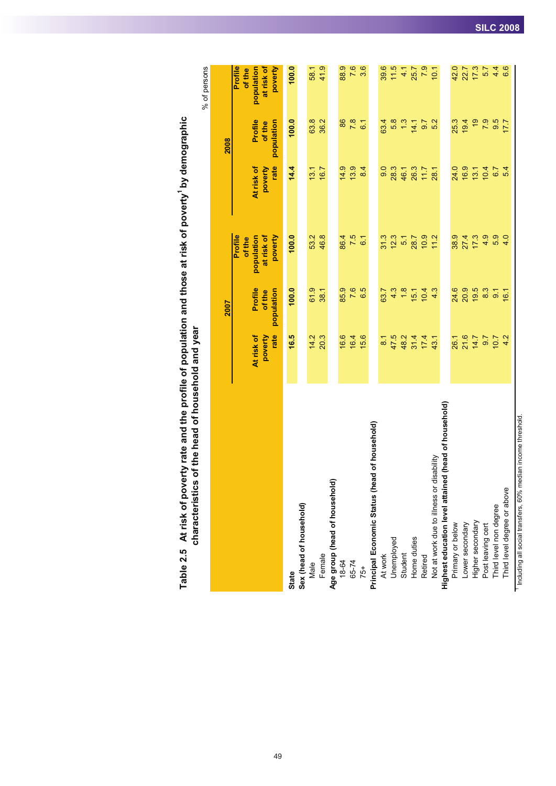|                                                                           |                               |                                 |                                                          |                               |                                 | % of persons                                             |
|---------------------------------------------------------------------------|-------------------------------|---------------------------------|----------------------------------------------------------|-------------------------------|---------------------------------|----------------------------------------------------------|
|                                                                           |                               | 2007                            |                                                          |                               | 2008                            |                                                          |
|                                                                           | rate<br>At risk of<br>poverty | Profile<br>population<br>of the | Profile<br>population<br>at risk of<br>poverty<br>of the | At risk of<br>rate<br>poverty | Profile<br>population<br>of the | Profile<br>population<br>at risk of<br>poverty<br>of the |
| State                                                                     | 16.5                          | 100.0                           | 100.0                                                    | 14.4                          | 100.0                           | 100.0                                                    |
| Sex (head of household)                                                   |                               |                                 |                                                          |                               |                                 |                                                          |
| Male                                                                      | 14.2                          | 61.9                            | 53.2                                                     | 13.1                          | 63.8                            | 58.1                                                     |
| Female                                                                    | 20.3                          | 38.1                            | 46.8                                                     | 16.7                          | 36.2                            | 41.9                                                     |
| Age group (head of household)                                             |                               |                                 |                                                          |                               |                                 |                                                          |
| 18-64                                                                     | 16.6                          | 85.9                            | 86.4                                                     | 14.9                          | 86                              | 88.9                                                     |
| 65-74                                                                     | 16.4                          | 7.6                             | 7.5                                                      | 13.9                          | 7.8                             | 7.6                                                      |
| $75+$                                                                     | 15.6                          | 6.5                             | 6 <sub>1</sub>                                           | 8.4                           | $\overline{6}$                  | 3.6                                                      |
| Principal Economic Status (head of household)                             |                               |                                 |                                                          |                               |                                 |                                                          |
| At work                                                                   | $\overline{8.1}$              | 63.7                            | 31.3                                                     | 9.0                           | 63.4                            | 39.6                                                     |
| Unemployed<br>Student                                                     | 47.5                          | 4.3                             | 12.3                                                     | 28.3                          | 5.8                             | 11.5                                                     |
|                                                                           | 48.2                          | 1.8                             | 51                                                       | 46.1                          | $1.3$                           | 4.1                                                      |
| Home duties                                                               | 31.4                          | 15.1                            | 28.7                                                     | 26.3                          | 14.1                            | 25.7                                                     |
| Retired                                                                   | 17.4                          | 10.4                            | 10.9                                                     | 1.17                          | 9.7                             | 7.9                                                      |
| disability<br>Not at work due to illness or                               | 43.1                          | 4.3                             | 11.2                                                     | 28.1                          | 5.2                             | 10.1                                                     |
| Highest education level attained (head of household)                      |                               |                                 |                                                          |                               |                                 |                                                          |
| Primary or below                                                          | 26.1                          | 24.6                            | 38.9                                                     | 24.0                          | 25.3                            | 42.0                                                     |
| Lower secondary                                                           | 21.6                          | 20.9                            | 27.4                                                     | 16.9                          | 19.4                            | 22.7                                                     |
| Higher secondary                                                          | 14.7                          | 19.5                            | 17.3                                                     | 13.1                          | $\frac{6}{2}$                   | 17.3                                                     |
| Post leaving cert                                                         | 9.7                           | 8.3                             | 4.9                                                      | 10.4                          | 7.9                             | 5.7                                                      |
| Third level non degree                                                    | 7.01                          | 9.1                             | 5.9                                                      | 6.7                           | 9.5                             | 4.4                                                      |
| Third level degree or above                                               | 4.2                           | 16.1                            | 4.0                                                      | 5.4                           | 177                             | 6.6                                                      |
| <sup>1</sup> Including all social transfers, 60% median income threshold. |                               |                                 |                                                          |                               |                                 |                                                          |

Table 2.5 At risk of poverty rate and the profile of population and those at risk of poverty<sup>1</sup> by demographic<br>characteristics of the head of household and year Table 2.5 At risk of poverty rate and the profile of population and those at risk of poverty<sup>1</sup> by demographic **characteristics of the head of household and year**

49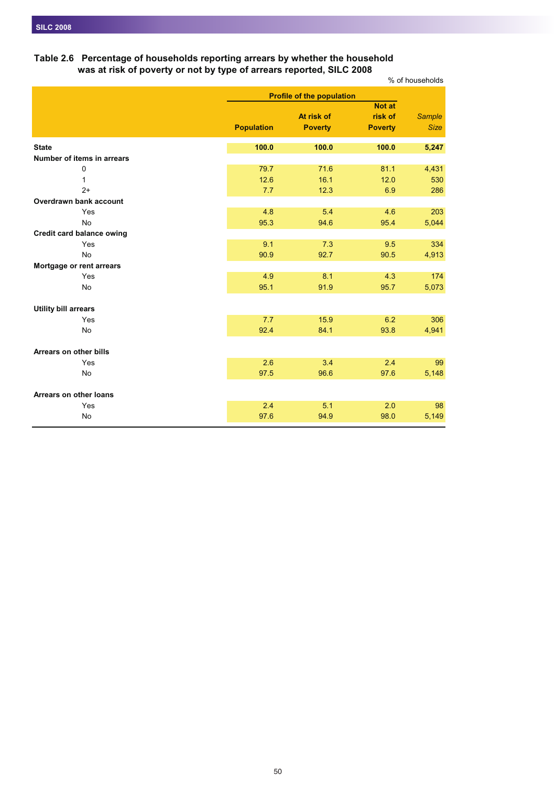## **Table 2.6 Percentage of households reporting arrears by whether the household was at risk of poverty or not by type of arrears reported, SILC 2008**

|                                  |                   |                                  |                          | % of households |
|----------------------------------|-------------------|----------------------------------|--------------------------|-----------------|
|                                  |                   | <b>Profile of the population</b> |                          |                 |
|                                  |                   | At risk of                       | <b>Not at</b><br>risk of | <b>Sample</b>   |
|                                  | <b>Population</b> | <b>Poverty</b>                   | <b>Poverty</b>           | <b>Size</b>     |
| <b>State</b>                     | 100.0             | 100.0                            | 100.0                    | 5,247           |
| Number of items in arrears       |                   |                                  |                          |                 |
| 0                                | 79.7              | 71.6                             | 81.1                     | 4,431           |
| 1                                | 12.6              | 16.1                             | 12.0                     | 530             |
| $2+$                             | 7.7               | 12.3                             | 6.9                      | 286             |
| Overdrawn bank account           |                   |                                  |                          |                 |
| Yes                              | 4.8               | 5.4                              | 4.6                      | 203             |
| <b>No</b>                        | 95.3              | 94.6                             | 95.4                     | 5,044           |
| <b>Credit card balance owing</b> |                   |                                  |                          |                 |
| Yes                              | 9.1               | 7.3                              | 9.5                      | 334             |
| <b>No</b>                        | 90.9              | 92.7                             | 90.5                     | 4,913           |
| Mortgage or rent arrears         |                   |                                  |                          |                 |
| Yes                              | 4.9               | 8.1                              | 4.3                      | 174             |
| <b>No</b>                        | 95.1              | 91.9                             | 95.7                     | 5,073           |
| <b>Utility bill arrears</b>      |                   |                                  |                          |                 |
| Yes                              | 7.7               | 15.9                             | 6.2                      | 306             |
| No                               | 92.4              | 84.1                             | 93.8                     | 4,941           |
| Arrears on other bills           |                   |                                  |                          |                 |
| Yes                              | 2.6               | 3.4                              | 2.4                      | 99              |
| No                               | 97.5              | 96.6                             | 97.6                     | 5,148           |
|                                  |                   |                                  |                          |                 |
| Arrears on other loans           |                   |                                  |                          |                 |
| Yes                              | 2.4               | 5.1                              | 2.0                      | 98              |
| No                               | 97.6              | 94.9                             | 98.0                     | 5,149           |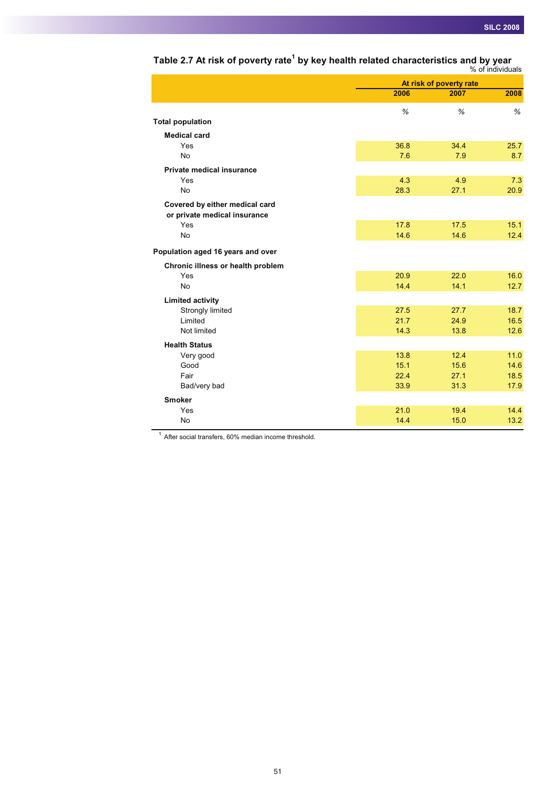| 2006<br>2008<br>2007<br>%<br>%<br>%<br><b>Total population</b><br><b>Medical card</b><br>36.8<br>34.4<br>25.7<br>Yes<br><b>No</b><br>7.6<br>7.9<br>8.7<br><b>Private medical insurance</b><br>4.3<br>7.3<br>Yes<br>4.9<br><b>No</b><br>28.3<br>27.1<br>20.9<br>Covered by either medical card<br>or private medical insurance<br>Yes<br>17.8<br>17.5<br>15.1<br><b>No</b><br>14.6<br>14.6<br>12.4<br>Population aged 16 years and over<br>Chronic illness or health problem<br>20.9<br>Yes<br>22.0<br>16.0<br><b>No</b><br>14.1<br>14.4<br>12.7<br><b>Limited activity</b><br>Strongly limited<br>27.5<br>27.7<br>18.7<br>Limited<br>21.7<br>24.9<br>16.5<br>14.3<br>Not limited<br>13.8<br>12.6<br><b>Health Status</b><br>12.4<br>11.0<br>13.8<br>Very good<br>Good<br>15.1<br>15.6<br>14.6<br>Fair<br>22.4<br>27.1<br>18.5<br>31.3<br>Bad/very bad<br>33.9<br>17.9<br><b>Smoker</b><br>21.0<br>19.4<br>14.4<br>Yes |           |      | At risk of poverty rate |      |
|-----------------------------------------------------------------------------------------------------------------------------------------------------------------------------------------------------------------------------------------------------------------------------------------------------------------------------------------------------------------------------------------------------------------------------------------------------------------------------------------------------------------------------------------------------------------------------------------------------------------------------------------------------------------------------------------------------------------------------------------------------------------------------------------------------------------------------------------------------------------------------------------------------------------------|-----------|------|-------------------------|------|
|                                                                                                                                                                                                                                                                                                                                                                                                                                                                                                                                                                                                                                                                                                                                                                                                                                                                                                                       |           |      |                         |      |
|                                                                                                                                                                                                                                                                                                                                                                                                                                                                                                                                                                                                                                                                                                                                                                                                                                                                                                                       |           |      |                         |      |
|                                                                                                                                                                                                                                                                                                                                                                                                                                                                                                                                                                                                                                                                                                                                                                                                                                                                                                                       |           |      |                         |      |
|                                                                                                                                                                                                                                                                                                                                                                                                                                                                                                                                                                                                                                                                                                                                                                                                                                                                                                                       |           |      |                         |      |
|                                                                                                                                                                                                                                                                                                                                                                                                                                                                                                                                                                                                                                                                                                                                                                                                                                                                                                                       |           |      |                         |      |
|                                                                                                                                                                                                                                                                                                                                                                                                                                                                                                                                                                                                                                                                                                                                                                                                                                                                                                                       |           |      |                         |      |
|                                                                                                                                                                                                                                                                                                                                                                                                                                                                                                                                                                                                                                                                                                                                                                                                                                                                                                                       |           |      |                         |      |
|                                                                                                                                                                                                                                                                                                                                                                                                                                                                                                                                                                                                                                                                                                                                                                                                                                                                                                                       |           |      |                         |      |
|                                                                                                                                                                                                                                                                                                                                                                                                                                                                                                                                                                                                                                                                                                                                                                                                                                                                                                                       |           |      |                         |      |
|                                                                                                                                                                                                                                                                                                                                                                                                                                                                                                                                                                                                                                                                                                                                                                                                                                                                                                                       |           |      |                         |      |
|                                                                                                                                                                                                                                                                                                                                                                                                                                                                                                                                                                                                                                                                                                                                                                                                                                                                                                                       |           |      |                         |      |
|                                                                                                                                                                                                                                                                                                                                                                                                                                                                                                                                                                                                                                                                                                                                                                                                                                                                                                                       |           |      |                         |      |
|                                                                                                                                                                                                                                                                                                                                                                                                                                                                                                                                                                                                                                                                                                                                                                                                                                                                                                                       |           |      |                         |      |
|                                                                                                                                                                                                                                                                                                                                                                                                                                                                                                                                                                                                                                                                                                                                                                                                                                                                                                                       |           |      |                         |      |
|                                                                                                                                                                                                                                                                                                                                                                                                                                                                                                                                                                                                                                                                                                                                                                                                                                                                                                                       |           |      |                         |      |
|                                                                                                                                                                                                                                                                                                                                                                                                                                                                                                                                                                                                                                                                                                                                                                                                                                                                                                                       |           |      |                         |      |
|                                                                                                                                                                                                                                                                                                                                                                                                                                                                                                                                                                                                                                                                                                                                                                                                                                                                                                                       |           |      |                         |      |
|                                                                                                                                                                                                                                                                                                                                                                                                                                                                                                                                                                                                                                                                                                                                                                                                                                                                                                                       |           |      |                         |      |
|                                                                                                                                                                                                                                                                                                                                                                                                                                                                                                                                                                                                                                                                                                                                                                                                                                                                                                                       |           |      |                         |      |
|                                                                                                                                                                                                                                                                                                                                                                                                                                                                                                                                                                                                                                                                                                                                                                                                                                                                                                                       |           |      |                         |      |
|                                                                                                                                                                                                                                                                                                                                                                                                                                                                                                                                                                                                                                                                                                                                                                                                                                                                                                                       |           |      |                         |      |
|                                                                                                                                                                                                                                                                                                                                                                                                                                                                                                                                                                                                                                                                                                                                                                                                                                                                                                                       |           |      |                         |      |
|                                                                                                                                                                                                                                                                                                                                                                                                                                                                                                                                                                                                                                                                                                                                                                                                                                                                                                                       |           |      |                         |      |
|                                                                                                                                                                                                                                                                                                                                                                                                                                                                                                                                                                                                                                                                                                                                                                                                                                                                                                                       |           |      |                         |      |
|                                                                                                                                                                                                                                                                                                                                                                                                                                                                                                                                                                                                                                                                                                                                                                                                                                                                                                                       |           |      |                         |      |
|                                                                                                                                                                                                                                                                                                                                                                                                                                                                                                                                                                                                                                                                                                                                                                                                                                                                                                                       |           |      |                         |      |
|                                                                                                                                                                                                                                                                                                                                                                                                                                                                                                                                                                                                                                                                                                                                                                                                                                                                                                                       |           |      |                         |      |
|                                                                                                                                                                                                                                                                                                                                                                                                                                                                                                                                                                                                                                                                                                                                                                                                                                                                                                                       |           |      |                         |      |
|                                                                                                                                                                                                                                                                                                                                                                                                                                                                                                                                                                                                                                                                                                                                                                                                                                                                                                                       | <b>No</b> | 14.4 | 15.0                    | 13.2 |

## **Table 2.7 At risk of poverty rate1 by key health related characteristics and by year**

% of individuals

<sup>1</sup> After social transfers, 60% median income threshold.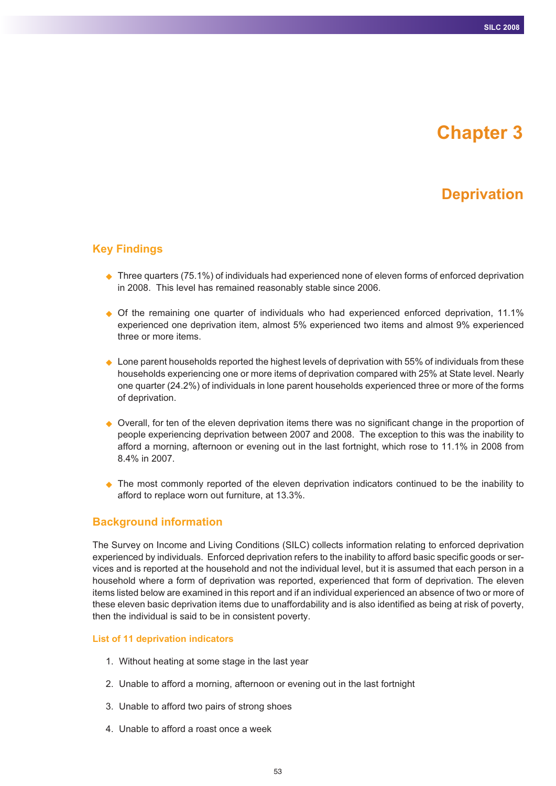# **Chapter 3**

## **Deprivation**

## **Key Findings**

- ◆ Three quarters (75.1%) of individuals had experienced none of eleven forms of enforced deprivation in 2008. This level has remained reasonably stable since 2006.
- Of the remaining one quarter of individuals who had experienced enforced deprivation, 11.1% experienced one deprivation item, almost 5% experienced two items and almost 9% experienced three or more items.
- $\blacklozenge$  Lone parent households reported the highest levels of deprivation with 55% of individuals from these households experiencing one or more items of deprivation compared with 25% at State level. Nearly one quarter (24.2%) of individuals in lone parent households experienced three or more of the forms of deprivation.
- ◆ Overall, for ten of the eleven deprivation items there was no significant change in the proportion of people experiencing deprivation between 2007 and 2008. The exception to this was the inability to afford a morning, afternoon or evening out in the last fortnight, which rose to 11.1% in 2008 from 8.4% in 2007.
- The most commonly reported of the eleven deprivation indicators continued to be the inability to afford to replace worn out furniture, at 13.3%.

#### **Background information**

The Survey on Income and Living Conditions (SILC) collects information relating to enforced deprivation experienced by individuals. Enforced deprivation refers to the inability to afford basic specific goods or services and is reported at the household and not the individual level, but it is assumed that each person in a household where a form of deprivation was reported, experienced that form of deprivation. The eleven items listed below are examined in this report and if an individual experienced an absence of two or more of these eleven basic deprivation items due to unaffordability and is also identified as being at risk of poverty, then the individual is said to be in consistent poverty.

#### **List of 11 deprivation indicators**

- 1. Without heating at some stage in the last year
- 2. Unable to afford a morning, afternoon or evening out in the last fortnight
- 3. Unable to afford two pairs of strong shoes
- 4. Unable to afford a roast once a week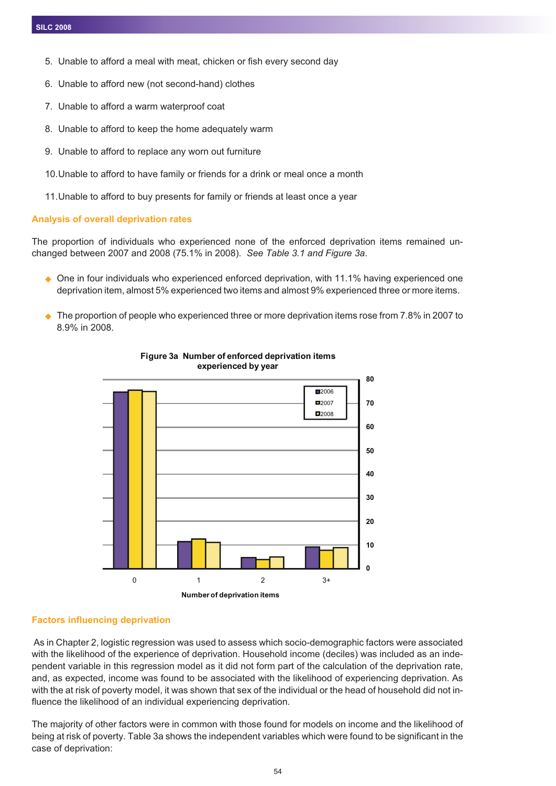- 5. Unable to afford a meal with meat, chicken or fish every second day
- 6. Unable to afford new (not second-hand) clothes
- 7. Unable to afford a warm waterproof coat
- 8. Unable to afford to keep the home adequately warm
- 9. Unable to afford to replace any worn out furniture
- 10.Unable to afford to have family or friends for a drink or meal once a month
- 11.Unable to afford to buy presents for family or friends at least once a year

### **Analysis of overall deprivation rates**

The proportion of individuals who experienced none of the enforced deprivation items remained unchanged between 2007 and 2008 (75.1% in 2008). *See Table 3.1 and Figure 3a*.

- ◆ One in four individuals who experienced enforced deprivation, with 11.1% having experienced one deprivation item, almost 5% experienced two items and almost 9% experienced three or more items.
- ◆ The proportion of people who experienced three or more deprivation items rose from 7.8% in 2007 to 8.9% in 2008.



#### **Figure 3a Number of enforced deprivation items experienced by year**

## **Factors influencing deprivation**

As in Chapter 2, logistic regression was used to assess which socio-demographic factors were associated with the likelihood of the experience of deprivation. Household income (deciles) was included as an independent variable in this regression model as it did not form part of the calculation of the deprivation rate, and, as expected, income was found to be associated with the likelihood of experiencing deprivation. As with the at risk of poverty model, it was shown that sex of the individual or the head of household did not influence the likelihood of an individual experiencing deprivation.

The majority of other factors were in common with those found for models on income and the likelihood of being at risk of poverty. Table 3a shows the independent variables which were found to be significant in the case of deprivation: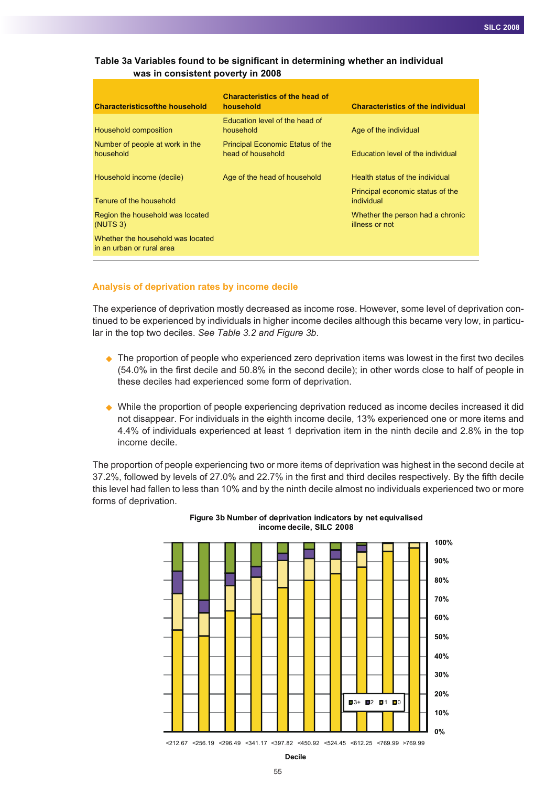### **was in consistent poverty in 2008 Table 3a Variables found to be significant in determining whether an individual**

| <b>Characteristicsofthe household</b>                          | <b>Characteristics of the head of</b><br>household           | <b>Characteristics of the individual</b>           |
|----------------------------------------------------------------|--------------------------------------------------------------|----------------------------------------------------|
| Household composition                                          | Education level of the head of<br>household                  | Age of the individual                              |
| Number of people at work in the<br>household                   | <b>Principal Economic Etatus of the</b><br>head of household | Education level of the individual                  |
| Household income (decile)                                      | Age of the head of household                                 | Health status of the individual                    |
| Tenure of the household                                        |                                                              | Principal economic status of the<br>individual     |
| Region the household was located<br>(NUTS <sub>3</sub> )       |                                                              | Whether the person had a chronic<br>illness or not |
| Whether the household was located<br>in an urban or rural area |                                                              |                                                    |

#### **Analysis of deprivation rates by income decile**

The experience of deprivation mostly decreased as income rose. However, some level of deprivation continued to be experienced by individuals in higher income deciles although this became very low, in particular in the top two deciles. *See Table 3.2 and Figure 3b*.

- ◆ The proportion of people who experienced zero deprivation items was lowest in the first two deciles (54.0% in the first decile and 50.8% in the second decile); in other words close to half of people in these deciles had experienced some form of deprivation.
- While the proportion of people experiencing deprivation reduced as income deciles increased it did not disappear. For individuals in the eighth income decile, 13% experienced one or more items and 4.4% of individuals experienced at least 1 deprivation item in the ninth decile and 2.8% in the top income decile.

The proportion of people experiencing two or more items of deprivation was highest in the second decile at 37.2%, followed by levels of 27.0% and 22.7% in the first and third deciles respectively. By the fifth decile this level had fallen to less than 10% and by the ninth decile almost no individuals experienced two or more forms of deprivation.





**Decile**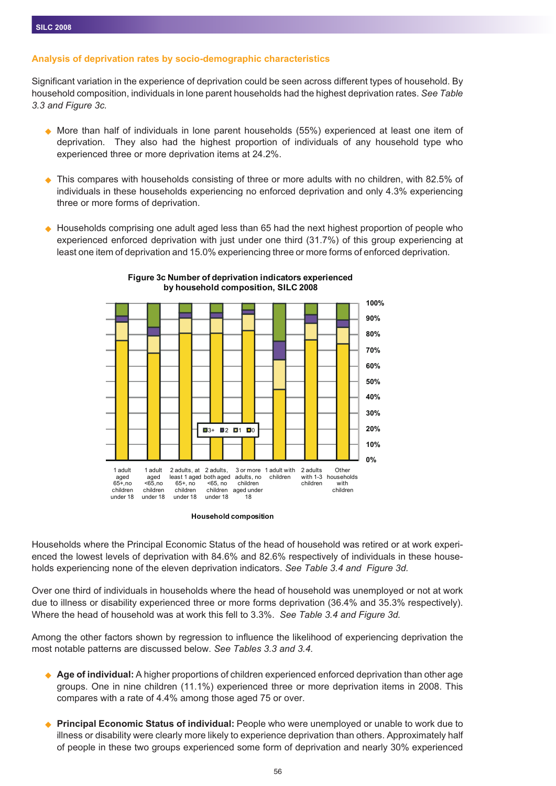#### **Analysis of deprivation rates by socio-demographic characteristics**

Significant variation in the experience of deprivation could be seen across different types of household. By household composition, individuals in lone parent households had the highest deprivation rates. *See Table 3.3 and Figure 3c.*

- ◆ More than half of individuals in lone parent households (55%) experienced at least one item of deprivation. They also had the highest proportion of individuals of any household type who experienced three or more deprivation items at 24.2%.
- ◆ This compares with households consisting of three or more adults with no children, with 82.5% of individuals in these households experiencing no enforced deprivation and only 4.3% experiencing three or more forms of deprivation.
- $\blacklozenge$  Households comprising one adult aged less than 65 had the next highest proportion of people who experienced enforced deprivation with just under one third (31.7%) of this group experiencing at least one item of deprivation and 15.0% experiencing three or more forms of enforced deprivation*.*



**Figure 3c Number of deprivation indicators experienced by household composition, SILC 2008**

**Household composition**

Households where the Principal Economic Status of the head of household was retired or at work experienced the lowest levels of deprivation with 84.6% and 82.6% respectively of individuals in these households experiencing none of the eleven deprivation indicators. *See Table 3.4 and Figure 3d.*

Over one third of individuals in households where the head of household was unemployed or not at work due to illness or disability experienced three or more forms deprivation (36.4% and 35.3% respectively). Where the head of household was at work this fell to 3.3%. *See Table 3.4 and Figure 3d.*

Among the other factors shown by regression to influence the likelihood of experiencing deprivation the most notable patterns are discussed below. *See Tables 3.3 and 3.4.*

- ◆ **Age of individual:** A higher proportions of children experienced enforced deprivation than other age groups. One in nine children (11.1%) experienced three or more deprivation items in 2008. This compares with a rate of 4.4% among those aged 75 or over.
- $\blacktriangle$  **Principal Economic Status of individual:** People who were unemployed or unable to work due to illness or disability were clearly more likely to experience deprivation than others. Approximately half of people in these two groups experienced some form of deprivation and nearly 30% experienced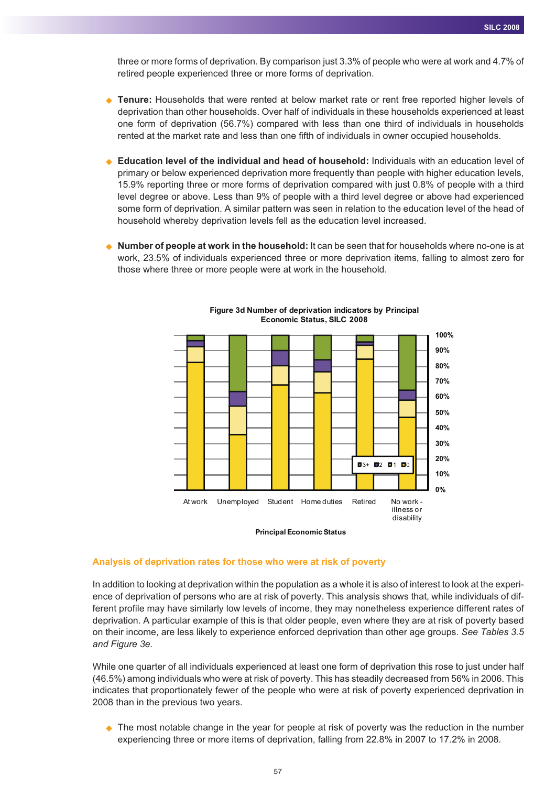three or more forms of deprivation. By comparison just 3.3% of people who were at work and 4.7% of retired people experienced three or more forms of deprivation.

- ◆ **Tenure:** Households that were rented at below market rate or rent free reported higher levels of deprivation than other households. Over half of individuals in these households experienced at least one form of deprivation (56.7%) compared with less than one third of individuals in households rented at the market rate and less than one fifth of individuals in owner occupied households.
- ◆ **Education level of the individual and head of household:** Individuals with an education level of primary or below experienced deprivation more frequently than people with higher education levels, 15.9% reporting three or more forms of deprivation compared with just 0.8% of people with a third level degree or above. Less than 9% of people with a third level degree or above had experienced some form of deprivation. A similar pattern was seen in relation to the education level of the head of household whereby deprivation levels fell as the education level increased.
- ◆ **Number of people at work in the household:** It can be seen that for households where no-one is at work, 23.5% of individuals experienced three or more deprivation items, falling to almost zero for those where three or more people were at work in the household.



**Figure 3d Number of deprivation indicators by Principal Economic Status, SILC 2008**

#### **Principal Economic Status**

#### **Analysis of deprivation rates for those who were at risk of poverty**

In addition to looking at deprivation within the population as a whole it is also of interest to look at the experience of deprivation of persons who are at risk of poverty. This analysis shows that, while individuals of different profile may have similarly low levels of income, they may nonetheless experience different rates of deprivation. A particular example of this is that older people, even where they are at risk of poverty based on their income, are less likely to experience enforced deprivation than other age groups. *See Tables 3.5 and Figure 3e.*

While one quarter of all individuals experienced at least one form of deprivation this rose to just under half (46.5%) among individuals who were at risk of poverty. This has steadily decreased from 56% in 2006. This indicates that proportionately fewer of the people who were at risk of poverty experienced deprivation in 2008 than in the previous two years.

◆ The most notable change in the year for people at risk of poverty was the reduction in the number experiencing three or more items of deprivation, falling from 22.8% in 2007 to 17.2% in 2008.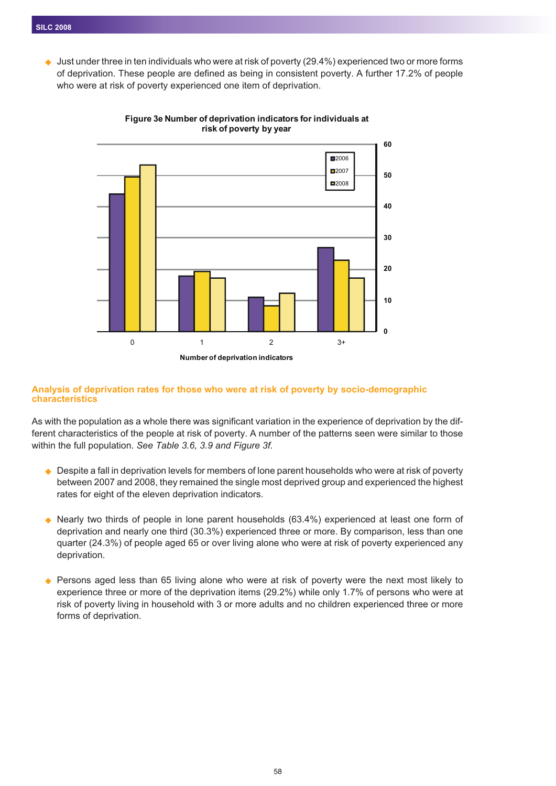$\bullet$  Just under three in ten individuals who were at risk of poverty (29.4%) experienced two or more forms of deprivation. These people are defined as being in consistent poverty. A further 17.2% of people who were at risk of poverty experienced one item of deprivation.



**Figure 3e Number of deprivation indicators for individuals at risk of poverty by year**

#### **Analysis of deprivation rates for those who were at risk of poverty by socio-demographic characteristics**

As with the population as a whole there was significant variation in the experience of deprivation by the different characteristics of the people at risk of poverty. A number of the patterns seen were similar to those within the full population. *See Table 3.6, 3.9 and Figure 3f.*

- $\bullet$  Despite a fall in deprivation levels for members of lone parent households who were at risk of poverty between 2007 and 2008, they remained the single most deprived group and experienced the highest rates for eight of the eleven deprivation indicators.
- $\bullet$  Nearly two thirds of people in lone parent households (63.4%) experienced at least one form of deprivation and nearly one third (30.3%) experienced three or more. By comparison, less than one quarter (24.3%) of people aged 65 or over living alone who were at risk of poverty experienced any deprivation.
- ◆ Persons aged less than 65 living alone who were at risk of poverty were the next most likely to experience three or more of the deprivation items (29.2%) while only 1.7% of persons who were at risk of poverty living in household with 3 or more adults and no children experienced three or more forms of deprivation.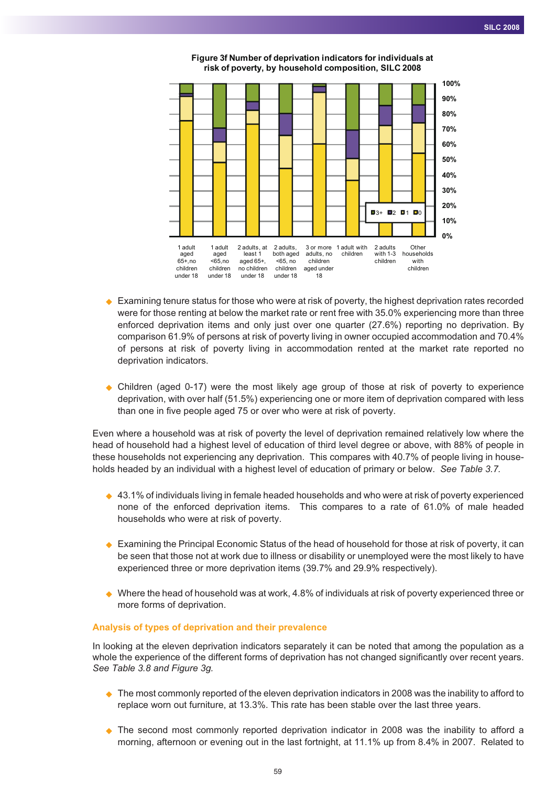

**Figure 3f Number of deprivation indicators for individuals at risk of poverty, by household composition, SILC 2008**

- ◆ Examining tenure status for those who were at risk of poverty, the highest deprivation rates recorded were for those renting at below the market rate or rent free with 35.0% experiencing more than three enforced deprivation items and only just over one quarter (27.6%) reporting no deprivation. By comparison 61.9% of persons at risk of poverty living in owner occupied accommodation and 70.4% of persons at risk of poverty living in accommodation rented at the market rate reported no deprivation indicators.
- Children (aged 0-17) were the most likely age group of those at risk of poverty to experience deprivation, with over half (51.5%) experiencing one or more item of deprivation compared with less than one in five people aged 75 or over who were at risk of poverty.

Even where a household was at risk of poverty the level of deprivation remained relatively low where the head of household had a highest level of education of third level degree or above, with 88% of people in these households not experiencing any deprivation. This compares with 40.7% of people living in households headed by an individual with a highest level of education of primary or below. *See Table 3.7.*

- $\leftrightarrow$  43.1% of individuals living in female headed households and who were at risk of poverty experienced none of the enforced deprivation items. This compares to a rate of 61.0% of male headed households who were at risk of poverty.
- ♦ Examining the Principal Economic Status of the head of household for those at risk of poverty, it can be seen that those not at work due to illness or disability or unemployed were the most likely to have experienced three or more deprivation items (39.7% and 29.9% respectively).
- ◆ Where the head of household was at work, 4.8% of individuals at risk of poverty experienced three or more forms of deprivation.

#### **Analysis of types of deprivation and their prevalence**

In looking at the eleven deprivation indicators separately it can be noted that among the population as a whole the experience of the different forms of deprivation has not changed significantly over recent years. *See Table 3.8 and Figure 3g.*

- ♦ The most commonly reported of the eleven deprivation indicators in 2008 was the inability to afford to replace worn out furniture, at 13.3%. This rate has been stable over the last three years.
- The second most commonly reported deprivation indicator in 2008 was the inability to afford a morning, afternoon or evening out in the last fortnight, at 11.1% up from 8.4% in 2007. Related to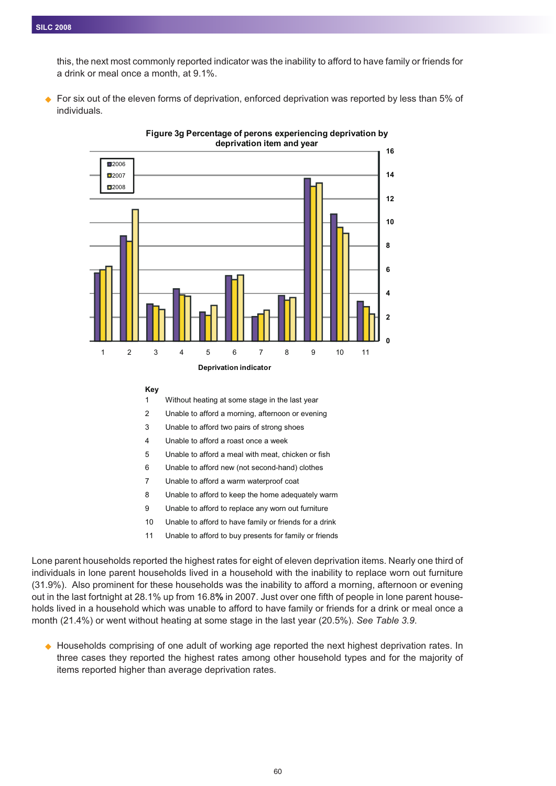this, the next most commonly reported indicator was the inability to afford to have family or friends for a drink or meal once a month, at 9.1%.

◆ For six out of the eleven forms of deprivation, enforced deprivation was reported by less than 5% of individuals*.*



**Figure 3g Percentage of perons experiencing deprivation by deprivation item and year**

#### **Key**

1 Without heating at some stage in the last year

2 Unable to afford a morning, afternoon or evening

- 3 Unable to afford two pairs of strong shoes
- 4 Unable to afford a roast once a week
- 5 Unable to afford a meal with meat, chicken or fish
- 6 Unable to afford new (not second-hand) clothes
- 7 Unable to afford a warm waterproof coat
- 8 Unable to afford to keep the home adequately warm
- 9 Unable to afford to replace any worn out furniture
- 10 Unable to afford to have family or friends for a drink
- 11 Unable to afford to buy presents for family or friends

Lone parent households reported the highest rates for eight of eleven deprivation items. Nearly one third of individuals in lone parent households lived in a household with the inability to replace worn out furniture (31.9%). Also prominent for these households was the inability to afford a morning, afternoon or evening out in the last fortnight at 28.1% up from 16.8**%** in 2007. Just over one fifth of people in lone parent households lived in a household which was unable to afford to have family or friends for a drink or meal once a month (21.4%) or went without heating at some stage in the last year (20.5%). *See Table 3.9*.

- Households comprising of one adult of working age reported the next highest deprivation rates. In three cases they reported the highest rates among other household types and for the majority of items reported higher than average deprivation rates.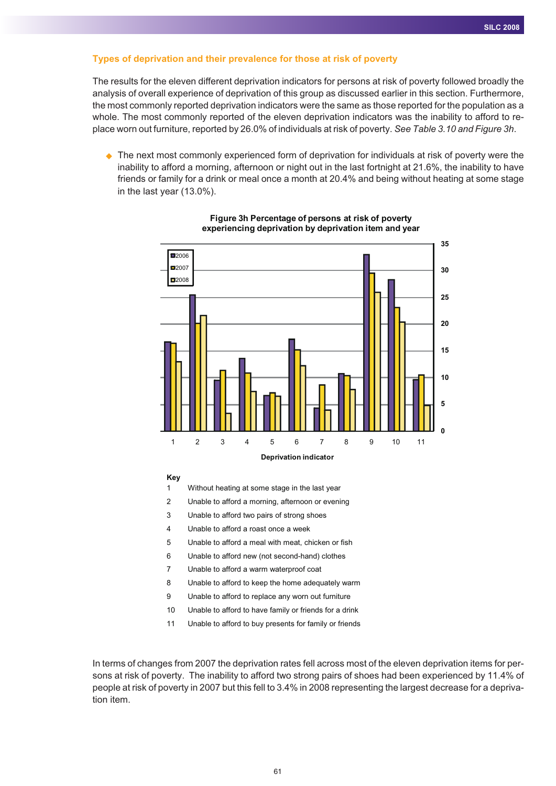#### **Types of deprivation and their prevalence for those at risk of poverty**

The results for the eleven different deprivation indicators for persons at risk of poverty followed broadly the analysis of overall experience of deprivation of this group as discussed earlier in this section. Furthermore, the most commonly reported deprivation indicators were the same as those reported for the population as a whole. The most commonly reported of the eleven deprivation indicators was the inability to afford to replace worn out furniture, reported by 26.0% of individuals at risk of poverty. *See Table 3.10 and Figure 3h*.

◆ The next most commonly experienced form of deprivation for individuals at risk of poverty were the inability to afford a morning, afternoon or night out in the last fortnight at 21.6%, the inability to have friends or family for a drink or meal once a month at 20.4% and being without heating at some stage in the last year (13.0%).



#### **Figure 3h Percentage of persons at risk of poverty experiencing deprivation by deprivation item and year**

**Key**

1 Without heating at some stage in the last year

2 Unable to afford a morning, afternoon or evening

3 Unable to afford two pairs of strong shoes

4 Unable to afford a roast once a week

5 Unable to afford a meal with meat, chicken or fish

6 Unable to afford new (not second-hand) clothes

7 Unable to afford a warm waterproof coat

8 Unable to afford to keep the home adequately warm

9 Unable to afford to replace any worn out furniture

10 Unable to afford to have family or friends for a drink

11 Unable to afford to buy presents for family or friends

In terms of changes from 2007 the deprivation rates fell across most of the eleven deprivation items for persons at risk of poverty. The inability to afford two strong pairs of shoes had been experienced by 11.4% of people at risk of poverty in 2007 but this fell to 3.4% in 2008 representing the largest decrease for a deprivation item.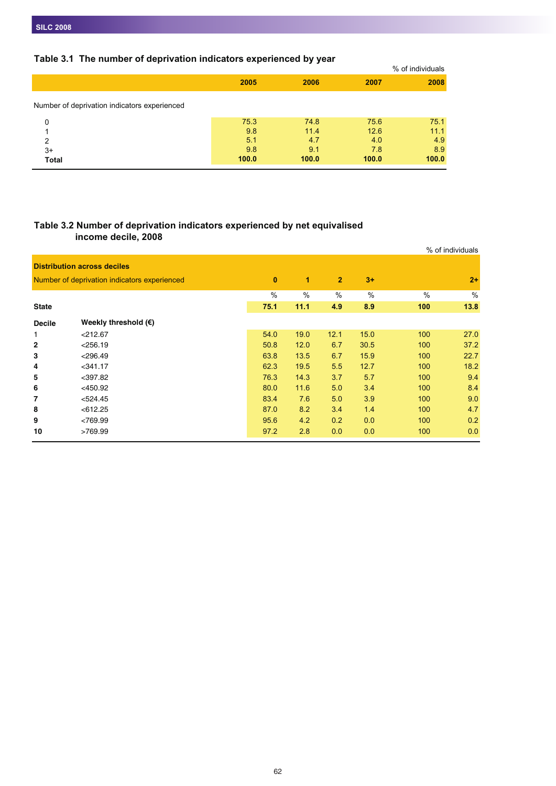## **Table 3.1 The number of deprivation indicators experienced by year**

| <b>TANIO VITE THO HUMINOL OF MONITY AGONITIES ON DUTING ON A SET OF STATE</b> |       |       |       |                  |
|-------------------------------------------------------------------------------|-------|-------|-------|------------------|
|                                                                               |       |       |       | % of individuals |
|                                                                               | 2005  | 2006  | 2007  | 2008             |
| Number of deprivation indicators experienced                                  |       |       |       |                  |
| 0                                                                             | 75.3  | 74.8  | 75.6  | 75.1             |
|                                                                               | 9.8   | 11.4  | 12.6  | 11.1             |
| $\overline{2}$                                                                | 5.1   | 4.7   | 4.0   | 4.9              |
| $3+$                                                                          | 9.8   | 9.1   | 7.8   | 8.9              |
| <b>Total</b>                                                                  | 100.0 | 100.0 | 100.0 | 100.0            |
|                                                                               |       |       |       |                  |

## **Table 3.2 Number of deprivation indicators experienced by net equivalised income decile, 2008**

|               |                                              |          |      |                |      |      | % of individuals |
|---------------|----------------------------------------------|----------|------|----------------|------|------|------------------|
|               | <b>Distribution across deciles</b>           |          |      |                |      |      |                  |
|               | Number of deprivation indicators experienced | $\bf{0}$ | 1    | $\overline{2}$ | $3+$ |      | $2+$             |
|               |                                              | $\%$     | $\%$ | $\frac{0}{0}$  | $\%$ | $\%$ | $\frac{0}{0}$    |
| <b>State</b>  |                                              | 75.1     | 11.1 | 4.9            | 8.9  | 100  | 13.8             |
| <b>Decile</b> | Weekly threshold $(\epsilon)$                |          |      |                |      |      |                  |
| 1             | $<$ 212.67                                   | 54.0     | 19.0 | 12.1           | 15.0 | 100  | 27.0             |
| 2             | < 256.19                                     | 50.8     | 12.0 | 6.7            | 30.5 | 100  | 37.2             |
| 3             | $<$ 296.49                                   | 63.8     | 13.5 | 6.7            | 15.9 | 100  | 22.7             |
| 4             | $<$ 341.17                                   | 62.3     | 19.5 | 5.5            | 12.7 | 100  | 18.2             |
| 5             | $<$ 397.82                                   | 76.3     | 14.3 | 3.7            | 5.7  | 100  | 9.4              |
| 6             | $<$ 450.92                                   | 80.0     | 11.6 | 5.0            | 3.4  | 100  | 8.4              |
| 7             | < 524.45                                     | 83.4     | 7.6  | 5.0            | 3.9  | 100  | 9.0              |
| 8             | < 612.25                                     | 87.0     | 8.2  | 3.4            | 1.4  | 100  | 4.7              |
| 9             | <769.99                                      | 95.6     | 4.2  | 0.2            | 0.0  | 100  | 0.2              |
| 10            | >769.99                                      | 97.2     | 2.8  | 0.0            | 0.0  | 100  | 0.0              |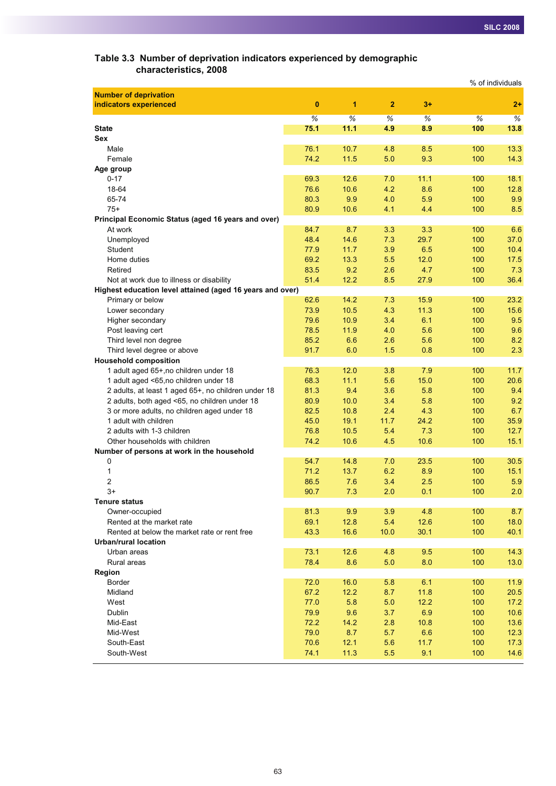| Table 3.3 Number of deprivation indicators experienced by demographic |  |
|-----------------------------------------------------------------------|--|
| characteristics, 2008                                                 |  |

|                                                           |      |      |              |      | % of individuals |      |
|-----------------------------------------------------------|------|------|--------------|------|------------------|------|
| <b>Number of deprivation</b>                              |      |      |              |      |                  |      |
| indicators experienced                                    | 0    | 1    | $\mathbf{2}$ | $3+$ |                  | $2+$ |
|                                                           | $\%$ | $\%$ | %            | %    | $\%$             | %    |
| <b>State</b>                                              | 75.1 | 11.1 | 4.9          | 8.9  | 100              | 13.8 |
| Sex                                                       |      |      |              |      |                  |      |
| Male                                                      | 76.1 | 10.7 | 4.8          | 8.5  | 100              | 13.3 |
| Female                                                    | 74.2 | 11.5 | 5.0          | 9.3  | 100              | 14.3 |
| Age group                                                 |      |      |              |      |                  |      |
| $0 - 17$                                                  | 69.3 | 12.6 | 7.0          | 11.1 | 100              | 18.1 |
| 18-64                                                     | 76.6 | 10.6 | 4.2          | 8.6  | 100              | 12.8 |
| 65-74                                                     | 80.3 | 9.9  | 4.0          | 5.9  | 100              | 9.9  |
| $75+$                                                     | 80.9 | 10.6 | 4.1          | 4.4  | 100              | 8.5  |
| Principal Economic Status (aged 16 years and over)        |      |      |              |      |                  |      |
| At work                                                   | 84.7 | 8.7  | 3.3          | 3.3  | 100              | 6.6  |
| Unemployed                                                | 48.4 | 14.6 | 7.3          | 29.7 | 100              | 37.0 |
| Student                                                   | 77.9 | 11.7 | 3.9          | 6.5  | 100              | 10.4 |
| Home duties                                               | 69.2 | 13.3 | 5.5          | 12.0 | 100              | 17.5 |
| Retired                                                   | 83.5 | 9.2  | 2.6          | 4.7  | 100              | 7.3  |
| Not at work due to illness or disability                  | 51.4 | 12.2 | 8.5          | 27.9 | 100              | 36.4 |
| Highest education level attained (aged 16 years and over) |      |      |              |      |                  |      |
| Primary or below                                          | 62.6 | 14.2 | 7.3          | 15.9 | 100              | 23.2 |
| Lower secondary                                           | 73.9 | 10.5 | 4.3          | 11.3 | 100              | 15.6 |
| Higher secondary                                          | 79.6 | 10.9 | 3.4          | 6.1  | 100              | 9.5  |
| Post leaving cert                                         | 78.5 | 11.9 | 4.0          | 5.6  | 100              | 9.6  |
| Third level non degree                                    | 85.2 | 6.6  | 2.6          | 5.6  | 100              | 8.2  |
| Third level degree or above                               | 91.7 | 6.0  | 1.5          | 0.8  | 100              | 2.3  |
| <b>Household composition</b>                              |      |      |              |      |                  |      |
| 1 adult aged 65+, no children under 18                    | 76.3 | 12.0 | 3.8          | 7.9  | 100              | 11.7 |
| 1 adult aged <65,no children under 18                     | 68.3 | 11.1 | 5.6          | 15.0 | 100              | 20.6 |
| 2 adults, at least 1 aged 65+, no children under 18       | 81.3 | 9.4  | 3.6          | 5.8  | 100              | 9.4  |
| 2 adults, both aged <65, no children under 18             | 80.9 | 10.0 | 3.4          | 5.8  | 100              | 9.2  |
| 3 or more adults, no children aged under 18               | 82.5 | 10.8 | 2.4          | 4.3  | 100              | 6.7  |
| 1 adult with children                                     | 45.0 | 19.1 | 11.7         | 24.2 | 100              | 35.9 |
| 2 adults with 1-3 children                                | 76.8 | 10.5 | 5.4          | 7.3  | 100              | 12.7 |
| Other households with children                            | 74.2 | 10.6 | 4.5          | 10.6 | 100              | 15.1 |
| Number of persons at work in the household                |      |      |              |      |                  |      |
| 0                                                         | 54.7 | 14.8 | 7.0          | 23.5 | 100              | 30.5 |
| 1                                                         | 71.2 | 13.7 | 6.2          | 8.9  | 100              | 15.1 |
| 2                                                         | 86.5 | 7.6  | 3.4          | 2.5  | 100              | 5.9  |
| $3+$                                                      | 90.7 | 7.3  | 2.0          | 0.1  | 100              | 2.0  |
| Tenure status                                             |      |      |              |      |                  |      |
| Owner-occupied                                            | 81.3 | 9.9  | 3.9          | 4.8  | 100              | 8.7  |
| Rented at the market rate                                 | 69.1 | 12.8 | 5.4          | 12.6 | 100              | 18.0 |
| Rented at below the market rate or rent free              | 43.3 | 16.6 | 10.0         | 30.1 | 100              | 40.1 |
| <b>Urban/rural location</b>                               |      |      |              |      |                  |      |
| Urban areas                                               | 73.1 | 12.6 | 4.8          | 9.5  | 100              | 14.3 |
| Rural areas                                               | 78.4 | 8.6  | 5.0          | 8.0  | 100              | 13.0 |
| Region                                                    |      |      |              |      |                  |      |
| <b>Border</b>                                             | 72.0 | 16.0 | 5.8          | 6.1  | 100              | 11.9 |
| Midland                                                   | 67.2 | 12.2 | 8.7          | 11.8 | 100              | 20.5 |
| West                                                      | 77.0 | 5.8  | 5.0          | 12.2 | 100              | 17.2 |
| Dublin                                                    | 79.9 | 9.6  | 3.7          | 6.9  | 100              | 10.6 |
| Mid-East                                                  | 72.2 | 14.2 | 2.8          | 10.8 | 100              | 13.6 |
| Mid-West                                                  | 79.0 | 8.7  | 5.7          | 6.6  | 100              | 12.3 |
| South-East                                                | 70.6 | 12.1 | 5.6          | 11.7 | 100              | 17.3 |
| South-West                                                | 74.1 | 11.3 | 5.5          | 9.1  | 100              | 14.6 |
|                                                           |      |      |              |      |                  |      |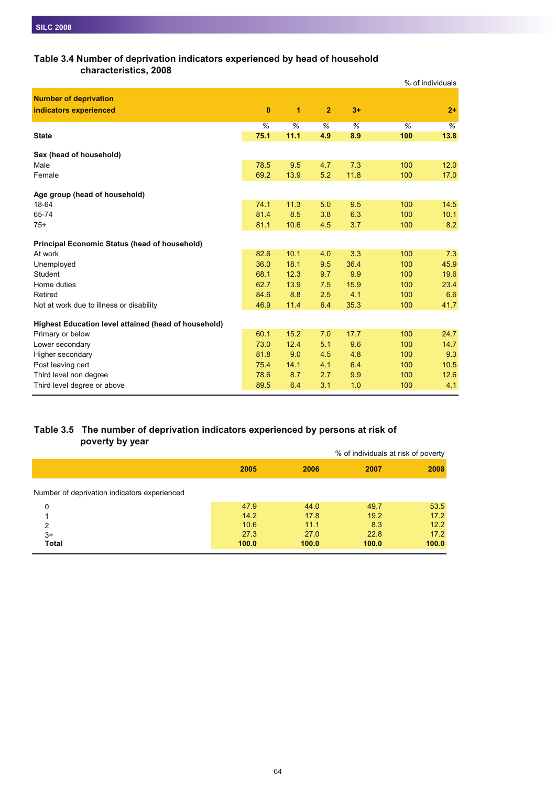## **Table 3.4 Number of deprivation indicators experienced by head of household**

**characteristics, 2008**

|                                                      |          |      |                |      | % of individuals |      |
|------------------------------------------------------|----------|------|----------------|------|------------------|------|
| <b>Number of deprivation</b>                         |          |      |                |      |                  |      |
| indicators experienced                               | $\bf{0}$ | 1    | $\overline{2}$ | $3+$ |                  | $2+$ |
|                                                      | %        | %    | %              | %    | %                | %    |
| <b>State</b>                                         | 75.1     | 11.1 | 4.9            | 8.9  | 100              | 13.8 |
| Sex (head of household)                              |          |      |                |      |                  |      |
| Male                                                 | 78.5     | 9.5  | 4.7            | 7.3  | 100              | 12.0 |
| Female                                               | 69.2     | 13.9 | 5.2            | 11.8 | 100              | 17.0 |
| Age group (head of household)                        |          |      |                |      |                  |      |
| 18-64                                                | 74.1     | 11.3 | 5.0            | 9.5  | 100              | 14.5 |
| 65-74                                                | 81.4     | 8.5  | 3.8            | 6.3  | 100              | 10.1 |
| $75+$                                                | 81.1     | 10.6 | 4.5            | 3.7  | 100              | 8.2  |
| <b>Principal Economic Status (head of household)</b> |          |      |                |      |                  |      |
| At work                                              | 82.6     | 10.1 | 4.0            | 3.3  | 100              | 7.3  |
| Unemployed                                           | 36.0     | 18.1 | 9.5            | 36.4 | 100              | 45.9 |
| Student                                              | 68.1     | 12.3 | 9.7            | 9.9  | 100              | 19.6 |
| Home duties                                          | 62.7     | 13.9 | 7.5            | 15.9 | 100              | 23.4 |
| Retired                                              | 84.6     | 8.8  | 2.5            | 4.1  | 100              | 6.6  |
| Not at work due to illness or disability             | 46.9     | 11.4 | 6.4            | 35.3 | 100              | 41.7 |
| Highest Education level attained (head of household) |          |      |                |      |                  |      |
| Primary or below                                     | 60.1     | 15.2 | 7.0            | 17.7 | 100              | 24.7 |
| Lower secondary                                      | 73.0     | 12.4 | 5.1            | 9.6  | 100              | 14.7 |
| Higher secondary                                     | 81.8     | 9.0  | 4.5            | 4.8  | 100              | 9.3  |
| Post leaving cert                                    | 75.4     | 14.1 | 4.1            | 6.4  | 100              | 10.5 |
| Third level non degree                               | 78.6     | 8.7  | 2.7            | 9.9  | 100              | 12.6 |
| Third level degree or above                          | 89.5     | 6.4  | 3.1            | 1.0  | 100              | 4.1  |

## **Table 3.5 The number of deprivation indicators experienced by persons at risk of poverty by year**

|                                              |       |       | % of individuals at risk of poverty |       |
|----------------------------------------------|-------|-------|-------------------------------------|-------|
|                                              | 2005  | 2006  | 2007                                | 2008  |
| Number of deprivation indicators experienced |       |       |                                     |       |
| 0                                            | 47.9  | 44.0  | 49.7                                | 53.5  |
|                                              | 14.2  | 17.8  | 19.2                                | 17.2  |
| $\mathfrak{p}$                               | 10.6  | 11.1  | 8.3                                 | 12.2  |
| $3+$                                         | 27.3  | 27.0  | 22.8                                | 17.2  |
| <b>Total</b>                                 | 100.0 | 100.0 | 100.0                               | 100.0 |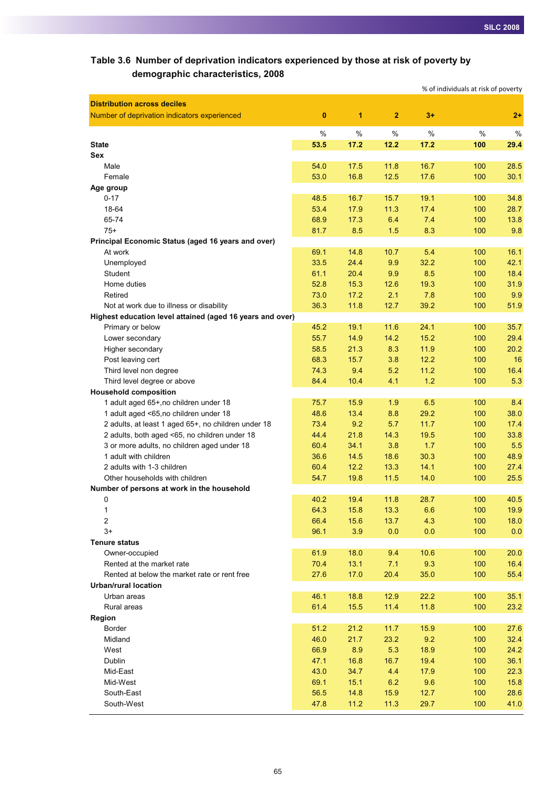## **Table 3.6 Number of deprivation indicators experienced by those at risk of poverty by demographic characteristics, 2008**

|                                                                                    |              |              |                |            | % of individuals at risk of poverty |              |
|------------------------------------------------------------------------------------|--------------|--------------|----------------|------------|-------------------------------------|--------------|
| <b>Distribution across deciles</b><br>Number of deprivation indicators experienced | $\bf{0}$     | 1            | $\overline{2}$ | $3+$       |                                     | $2+$         |
|                                                                                    | %            | $\%$         | %              | %          | $\%$                                | %            |
| <b>State</b>                                                                       | 53.5         | 17.2         | 12.2           | 17.2       | 100                                 | 29.4         |
| Sex                                                                                |              |              |                |            |                                     |              |
| Male                                                                               | 54.0         | 17.5         | 11.8           | 16.7       | 100                                 | 28.5         |
| Female                                                                             | 53.0         | 16.8         | 12.5           | 17.6       | 100                                 | 30.1         |
| Age group                                                                          |              |              |                |            |                                     |              |
| $0 - 17$                                                                           | 48.5         | 16.7         | 15.7           | 19.1       | 100                                 | 34.8         |
| 18-64                                                                              | 53.4         | 17.9         | 11.3           | 17.4       | 100                                 | 28.7         |
| 65-74                                                                              | 68.9         | 17.3         | 6.4            | 7.4        | 100                                 | 13.8         |
| $75+$                                                                              | 81.7         | 8.5          | 1.5            | 8.3        | 100                                 | 9.8          |
| Principal Economic Status (aged 16 years and over)                                 |              |              |                |            |                                     |              |
| At work                                                                            | 69.1         | 14.8         | 10.7           | 5.4        | 100                                 | 16.1         |
| Unemployed                                                                         | 33.5         | 24.4         | 9.9            | 32.2       | 100                                 | 42.1         |
| Student                                                                            | 61.1         | 20.4         | 9.9            | 8.5        | 100                                 | 18.4         |
| Home duties                                                                        | 52.8         | 15.3         | 12.6           | 19.3       | 100                                 | 31.9         |
| Retired                                                                            | 73.0         | 17.2         | 2.1            | 7.8        | 100                                 | 9.9          |
| Not at work due to illness or disability                                           | 36.3         | 11.8         | 12.7           | 39.2       | 100                                 | 51.9         |
| Highest education level attained (aged 16 years and over)                          |              |              |                |            |                                     |              |
| Primary or below                                                                   | 45.2         | 19.1         | 11.6           | 24.1       | 100                                 | 35.7         |
| Lower secondary                                                                    | 55.7         | 14.9         | 14.2           | 15.2       | 100                                 | 29.4         |
| Higher secondary                                                                   | 58.5         | 21.3         | 8.3            | 11.9       | 100                                 | 20.2         |
| Post leaving cert                                                                  | 68.3         | 15.7         | 3.8            | 12.2       | 100                                 | 16           |
| Third level non degree                                                             | 74.3         | 9.4          | 5.2            | 11.2       | 100                                 | 16.4         |
| Third level degree or above                                                        | 84.4         | 10.4         | 4.1            | 1.2        | 100                                 | 5.3          |
| <b>Household composition</b>                                                       |              |              |                |            |                                     |              |
| 1 adult aged 65+, no children under 18                                             | 75.7         | 15.9         | 1.9            | 6.5        | 100                                 | 8.4          |
| 1 adult aged <65,no children under 18                                              | 48.6         | 13.4         | 8.8            | 29.2       | 100                                 | 38.0         |
| 2 adults, at least 1 aged 65+, no children under 18                                | 73.4         | 9.2          | 5.7            | 11.7       | 100                                 | 17.4         |
| 2 adults, both aged <65, no children under 18                                      | 44.4         | 21.8         | 14.3           | 19.5       | 100                                 | 33.8         |
| 3 or more adults, no children aged under 18                                        | 60.4         | 34.1         | 3.8            | 1.7        | 100                                 | 5.5          |
| 1 adult with children                                                              | 36.6         | 14.5         | 18.6           | 30.3       | 100                                 | 48.9         |
| 2 adults with 1-3 children                                                         | 60.4         | 12.2         | 13.3           | 14.1       | 100                                 | 27.4         |
| Other households with children                                                     | 54.7         | 19.8         | 11.5           | 14.0       | 100                                 | 25.5         |
| Number of persons at work in the household                                         |              |              |                |            |                                     |              |
| 0                                                                                  | 40.2         | 19.4         | 11.8           | 28.7       | 100                                 | 40.5         |
| 1<br>2                                                                             | 64.3<br>66.4 | 15.8<br>15.6 | 13.3<br>13.7   | 6.6<br>4.3 | 100<br>100                          | 19.9<br>18.0 |
| $3+$                                                                               | 96.1         | 3.9          | 0.0            | 0.0        | 100                                 |              |
| <b>Tenure status</b>                                                               |              |              |                |            |                                     | 0.0          |
| Owner-occupied                                                                     | 61.9         | 18.0         | 9.4            | 10.6       | 100                                 | 20.0         |
| Rented at the market rate                                                          | 70.4         | 13.1         | 7.1            | 9.3        | 100                                 | 16.4         |
| Rented at below the market rate or rent free                                       | 27.6         | 17.0         | 20.4           | 35.0       | 100                                 | 55.4         |
| <b>Urban/rural location</b>                                                        |              |              |                |            |                                     |              |
| Urban areas                                                                        | 46.1         | 18.8         | 12.9           | 22.2       | 100                                 | 35.1         |
| Rural areas                                                                        | 61.4         | 15.5         | 11.4           | 11.8       | 100                                 | 23.2         |
| Region                                                                             |              |              |                |            |                                     |              |
| Border                                                                             | 51.2         | 21.2         | 11.7           | 15.9       | 100                                 | 27.6         |
| Midland                                                                            | 46.0         | 21.7         | 23.2           | 9.2        | 100                                 | 32.4         |
| West                                                                               | 66.9         | 8.9          | 5.3            | 18.9       | 100                                 | 24.2         |
| Dublin                                                                             | 47.1         | 16.8         | 16.7           | 19.4       | 100                                 | 36.1         |
| Mid-East                                                                           | 43.0         | 34.7         | 4.4            | 17.9       | 100                                 | 22.3         |
| Mid-West                                                                           | 69.1         | 15.1         | 6.2            | 9.6        | 100                                 | 15.8         |
| South-East                                                                         | 56.5         | 14.8         | 15.9           | 12.7       | 100                                 | 28.6         |
| South-West                                                                         | 47.8         | 11.2         | 11.3           | 29.7       | 100                                 | 41.0         |
|                                                                                    |              |              |                |            |                                     |              |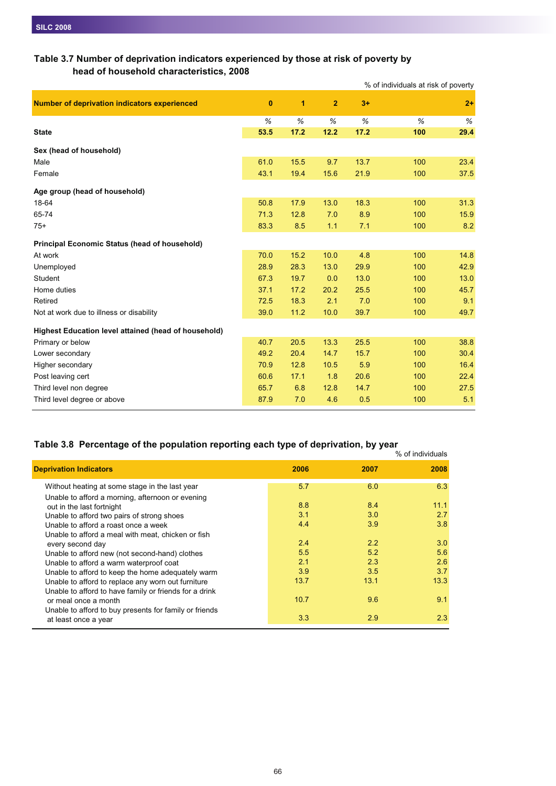## **Table 3.7 Number of deprivation indicators experienced by those at risk of poverty by head of household characteristics, 2008**

| $\bf{0}$ | 1    | $\overline{2}$ | $3+$ |     | $2+$                                |
|----------|------|----------------|------|-----|-------------------------------------|
| %        | %    | %              | %    | %   | $\%$                                |
| 53.5     | 17.2 | 12.2           | 17.2 | 100 | 29.4                                |
|          |      |                |      |     |                                     |
| 61.0     | 15.5 | 9.7            | 13.7 | 100 | 23.4                                |
| 43.1     | 19.4 | 15.6           | 21.9 | 100 | 37.5                                |
|          |      |                |      |     |                                     |
| 50.8     | 17.9 | 13.0           | 18.3 | 100 | 31.3                                |
| 71.3     | 12.8 | 7.0            | 8.9  | 100 | 15.9                                |
| 83.3     | 8.5  | 1.1            | 7.1  | 100 | 8.2                                 |
|          |      |                |      |     |                                     |
| 70.0     | 15.2 | 10.0           | 4.8  | 100 | 14.8                                |
| 28.9     | 28.3 | 13.0           | 29.9 | 100 | 42.9                                |
| 67.3     | 19.7 | 0.0            | 13.0 | 100 | 13.0                                |
| 37.1     | 17.2 | 20.2           | 25.5 | 100 | 45.7                                |
| 72.5     | 18.3 | 2.1            | 7.0  | 100 | 9.1                                 |
| 39.0     | 11.2 | 10.0           | 39.7 | 100 | 49.7                                |
|          |      |                |      |     |                                     |
| 40.7     | 20.5 | 13.3           | 25.5 | 100 | 38.8                                |
| 49.2     | 20.4 | 14.7           | 15.7 | 100 | 30.4                                |
| 70.9     | 12.8 | 10.5           | 5.9  | 100 | 16.4                                |
| 60.6     | 17.1 | 1.8            | 20.6 | 100 | 22.4                                |
| 65.7     | 6.8  | 12.8           | 14.7 | 100 | 27.5                                |
| 87.9     | 7.0  | 4.6            | 0.5  | 100 | 5.1                                 |
|          |      |                |      |     | % of individuals at risk of poverty |

## **Table 3.8 Percentage of the population reporting each type of deprivation, by year**

|                                                        |      |      | % of individuals |
|--------------------------------------------------------|------|------|------------------|
| <b>Deprivation Indicators</b>                          | 2006 | 2007 | 2008             |
| Without heating at some stage in the last year         | 5.7  | 6.0  | 6.3              |
| Unable to afford a morning, afternoon or evening       |      |      |                  |
| out in the last fortnight                              | 8.8  | 8.4  | 11.1             |
| Unable to afford two pairs of strong shoes             | 3.1  | 3.0  | 2.7              |
| Unable to afford a roast once a week                   | 4.4  | 3.9  | 3.8              |
| Unable to afford a meal with meat, chicken or fish     |      |      |                  |
| every second day                                       | 2.4  | 2.2  | 3.0              |
| Unable to afford new (not second-hand) clothes         | 5.5  | 5.2  | 5.6              |
| Unable to afford a warm waterproof coat                | 2.1  | 2.3  | 2.6              |
| Unable to afford to keep the home adequately warm      | 3.9  | 3.5  | 3.7              |
| Unable to afford to replace any worn out furniture     | 13.7 | 13.1 | 13.3             |
| Unable to afford to have family or friends for a drink |      |      |                  |
| or meal once a month                                   | 10.7 | 9.6  | 9.1              |
| Unable to afford to buy presents for family or friends |      |      |                  |
| at least once a year                                   | 3.3  | 2.9  | 2.3              |
|                                                        |      |      |                  |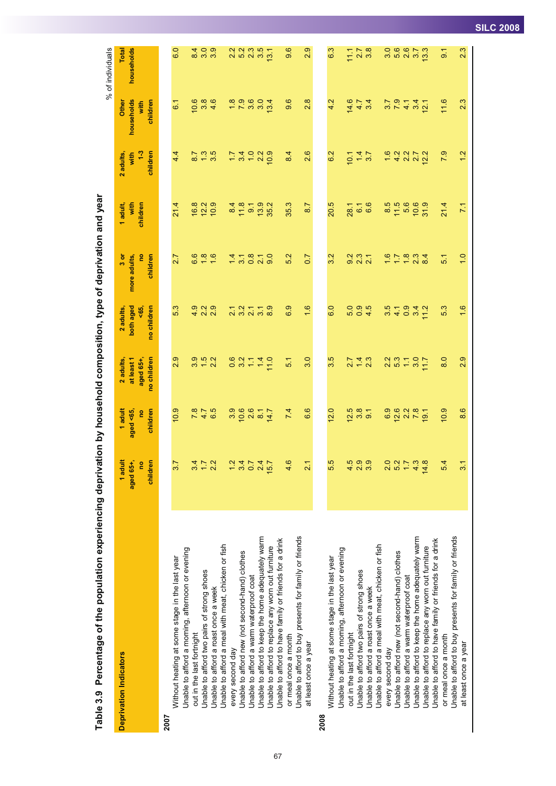|      |                                                        |                                       |                                        |                                                                                   |                                            |                                             |                              |                                                |                                                 | % of individuals                             |
|------|--------------------------------------------------------|---------------------------------------|----------------------------------------|-----------------------------------------------------------------------------------|--------------------------------------------|---------------------------------------------|------------------------------|------------------------------------------------|-------------------------------------------------|----------------------------------------------|
|      | <b>Deprivation Indicators</b>                          | 1 adult<br>aged 65+,<br>children<br>g | 1 adult<br>children<br>aged <65,<br>eq | no children<br>at least 1<br>2 adults,<br>aged 65+                                | both aged<br>no children<br>\$<br>2 adults | $3 \sigma$<br>e<br>more adults,<br>children | with<br>children<br>1 adult, | children<br>$\frac{3}{2}$<br>2 adults,<br>with | households<br>Other<br>children<br>with         | households<br>Total                          |
| 2007 |                                                        |                                       |                                        |                                                                                   |                                            |                                             |                              |                                                |                                                 |                                              |
|      | Without heating at some stage in the last year         | 3.7                                   | 10.9                                   | 2.9                                                                               | 5.3                                        | 2.7                                         | 21.4                         | 4.4                                            | 61                                              | 6.0                                          |
|      | Unable to afford a morning, afternoon or evening       |                                       |                                        |                                                                                   |                                            |                                             |                              |                                                |                                                 |                                              |
|      | out in the last fortnight                              | 3.4                                   | $78$<br>4.7                            |                                                                                   |                                            | 6.6                                         | 16.8                         | $\overline{8.7}$                               | 10.6                                            |                                              |
|      | Jnable to afford two pairs of strong shoes             | $\overline{1}$ :                      |                                        | $\frac{1}{3}$<br>$\frac{1}{3}$<br>$\frac{1}{3}$<br>$\frac{1}{3}$<br>$\frac{1}{3}$ |                                            | $\frac{8}{10}$                              | 12.2                         | $1.3$                                          | $380$<br>4.6                                    | $\begin{array}{c} 2 \ 4 \ 0 \ 0 \end{array}$ |
|      | Unable to afford a roast once a week                   | 2.2                                   | 6.5                                    |                                                                                   |                                            |                                             | 10.9                         | 3.5                                            |                                                 |                                              |
|      | Unable to afford a meal with meat, chicken or fish     |                                       |                                        |                                                                                   |                                            |                                             |                              |                                                |                                                 |                                              |
|      | every second day                                       | $\frac{2}{1}$                         | 3.9                                    | 0.6                                                                               | $\overline{21}$                            | 1.4                                         | 8.4                          | 1.7                                            | $\frac{8}{1}$                                   | 2.2                                          |
|      | Unable to afford new (not second-hand) clothes         | 3.4                                   | 10.6                                   | 3.2                                                                               | 3 <sup>2</sup>                             | 31                                          | 11.8                         | 34                                             | 7.9                                             | 5.2                                          |
|      | Unable to afford a warm waterproof coat                | 0.7                                   | 2.6                                    | $\overline{\mathbb{U}}$                                                           | $\overline{2.1}$                           | $0.\overline{8}$                            | 9.1                          |                                                | 3.0                                             | 2.3                                          |
|      | Unable to afford to keep the home adequately warm      | 2.4                                   | $\overline{8}$                         | 1.4                                                                               | 3.1                                        | 2.1                                         | $13.9$<br>$35.2$             | $\frac{0}{2}$ 2                                |                                                 | 3.5                                          |
|      | Unable to afford to replace any worn out furniture     | 15.7                                  | 14.7                                   | 11.0                                                                              | $\frac{8}{8}$                              | $\overline{9}$ .0                           |                              | 10.9                                           | 13.4                                            | 13.1                                         |
|      | Unable to afford to have family or friends for a drink |                                       |                                        |                                                                                   |                                            |                                             |                              |                                                |                                                 |                                              |
|      | or meal once a month                                   | 4.6                                   | 7.4                                    | $\frac{1}{5}$                                                                     | 6.9                                        | 5.2                                         | 35.3                         | 84                                             | 9.6                                             | 9.6                                          |
|      | Unable to afford to buy presents for family or friends |                                       |                                        |                                                                                   |                                            |                                             |                              |                                                |                                                 |                                              |
|      | at least once a year                                   | $\dot{\mathsf{u}}$                    | 6.6                                    | 3.0                                                                               | 1.6                                        | $\overline{0.7}$                            | 8.7                          | 2.6                                            | 2.8                                             | 2.9                                          |
| 2008 |                                                        |                                       |                                        |                                                                                   |                                            |                                             |                              |                                                |                                                 |                                              |
|      | Without heating at some stage in the last year         | 5.5                                   | 12.0                                   | 3.5                                                                               | 6.0                                        | 3.2                                         | 20.5                         | 6.2                                            | 4.2                                             | 6.3                                          |
|      | Unable to afford a morning, afternoon or evening       |                                       |                                        |                                                                                   |                                            |                                             |                              |                                                |                                                 |                                              |
|      | out in the last fortnight                              | ю<br>4.                               | 12.5                                   | $\frac{7}{24}$<br>21<br>23                                                        | 5.0                                        | 9.2                                         | 28.1                         | 10.1                                           | 14.6                                            | 11.1                                         |
|      | Unable to afford two pairs of strong shoes             | တ္<br>$\dot{\mathsf{u}}$              | 3.56                                   |                                                                                   | 0, 4                                       | $\frac{3}{21}$                              | 6 <sub>1</sub>               | $\frac{1}{4}$ $\frac{3}{7}$                    | 4.7                                             | $2.\overline{7}$<br>$3.\overline{8}$         |
|      | Unable to afford a roast once a week                   | 3.9                                   |                                        |                                                                                   |                                            |                                             | 6.6                          |                                                | 3.4                                             |                                              |
|      | Jnable to afford a meal with meat, chicken or fish     |                                       |                                        |                                                                                   |                                            |                                             |                              |                                                |                                                 |                                              |
|      | every second day                                       | 2.0                                   | 6.9                                    |                                                                                   | 3.5                                        | $\frac{21}{9}$                              | 8.5                          | $\frac{6}{1}$                                  |                                                 |                                              |
|      | Unable to afford new (not second-hand) clothes         | 5.2                                   | $12.6$<br>2.2                          | 2<br>2<br>2<br>2<br>2<br>2<br>2<br>2<br>2<br>2<br>2<br>2<br>2<br>2<br>2<br>2<br>  | 4.1                                        |                                             | 11.5                         | $4.2$<br>2.2                                   | $\frac{7}{3}$<br>$\frac{9}{1}$<br>$\frac{4}{1}$ |                                              |
|      | Unable to afford a warm waterproof coat                |                                       |                                        |                                                                                   | 0.9                                        | $\frac{8}{1.8}$                             | 5.6                          |                                                |                                                 |                                              |
|      | Unable to afford to keep the home adequately warm      | 4.3                                   | 7.8                                    | 3.0                                                                               | 3.4                                        | 2.3                                         | 10.6                         | 27                                             | 3.4                                             | 5.7                                          |
|      | Unable to afford to replace any worn out furniture     | 14.8                                  | 19.1                                   | 7.7                                                                               | 11.2                                       | 8.4                                         | 31.9                         | 12.2                                           | 12.1                                            | 13.3                                         |
|      | Unable to afford to have family or friends for a drink |                                       |                                        |                                                                                   |                                            |                                             |                              |                                                |                                                 |                                              |
|      | or meal once a month                                   | 5.4                                   | 10.9                                   | 8.0                                                                               | 5.3                                        | $\overline{5}$                              | 21.4                         | 7.9                                            | 11.6                                            | $\overline{9}$                               |
|      | Unable to afford to buy presents for family or friends |                                       |                                        |                                                                                   |                                            |                                             |                              |                                                |                                                 |                                              |
|      | at least once a year                                   | $\overline{31}$                       | 8.6                                    | 2.9                                                                               | $\frac{6}{1}$                              | $\frac{0}{1}$                               | 71                           | $\frac{2}{3}$                                  | 2.3                                             | 2.3                                          |
|      |                                                        |                                       |                                        |                                                                                   |                                            |                                             |                              |                                                |                                                 |                                              |

Table 3.9 Percentage of the population experiencing deprivation by household composition, type of deprivation and year Table 3.9 Percentage of the population experiencing deprivation by household composition, type of deprivation and year

67

**SILC 2008**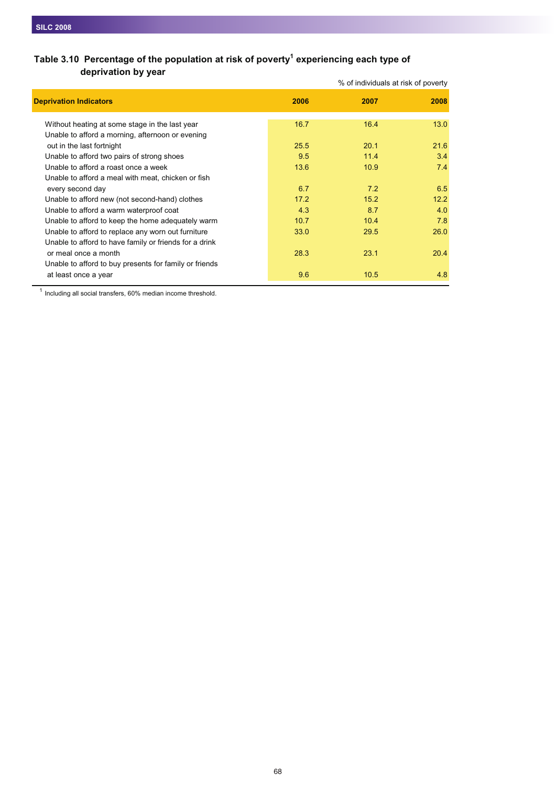## Table 3.10 Percentage of the population at risk of poverty<sup>1</sup> experiencing each type of **deprivation by year**

|                                                                                                    |      | % of individuals at risk of poverty |      |
|----------------------------------------------------------------------------------------------------|------|-------------------------------------|------|
| <b>Deprivation Indicators</b>                                                                      | 2006 | 2007                                | 2008 |
| Without heating at some stage in the last year<br>Unable to afford a morning, afternoon or evening | 16.7 | 16.4                                | 13.0 |
| out in the last fortnight                                                                          | 25.5 | 20.1                                | 21.6 |
| Unable to afford two pairs of strong shoes                                                         | 9.5  | 11.4                                | 3.4  |
| Unable to afford a roast once a week                                                               | 13.6 | 10.9                                | 7.4  |
| Unable to afford a meal with meat, chicken or fish                                                 |      |                                     |      |
| every second day                                                                                   | 6.7  | 7.2                                 | 6.5  |
| Unable to afford new (not second-hand) clothes                                                     | 17.2 | 15.2                                | 12.2 |
| Unable to afford a warm waterproof coat                                                            | 4.3  | 8.7                                 | 4.0  |
| Unable to afford to keep the home adequately warm                                                  | 10.7 | 10.4                                | 7.8  |
| Unable to afford to replace any worn out furniture                                                 | 33.0 | 29.5                                | 26.0 |
| Unable to afford to have family or friends for a drink                                             |      |                                     |      |
| or meal once a month                                                                               | 28.3 | 23.1                                | 20.4 |
| Unable to afford to buy presents for family or friends                                             |      |                                     |      |
| at least once a year                                                                               | 9.6  | 10.5                                | 4.8  |

<sup>1</sup> Including all social transfers, 60% median income threshold.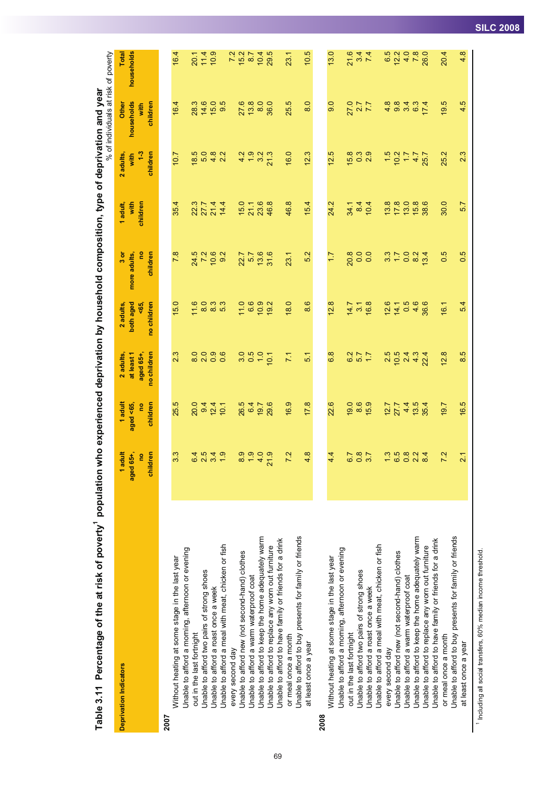|                        |                                                        |                       |                  |                              |                  |               |                |                          | % of individuals at risk of poverty                   |               |
|------------------------|--------------------------------------------------------|-----------------------|------------------|------------------------------|------------------|---------------|----------------|--------------------------|-------------------------------------------------------|---------------|
| Deprivation Indicators |                                                        | 1 adult               | 1 adult          | 2 adults,                    | 2 adults         | $3 \sigma$    | 1 adult,       | 2 adults,                | Other                                                 | Total         |
|                        |                                                        | aged 65+              | aged <65,        | at least 1                   | both aged        | more adults,  | with           | with                     | households                                            | households    |
|                        |                                                        | e                     | e                | aged 65+,                    | <65,             | g             | children       | $\frac{3}{2}$            | with                                                  |               |
|                        |                                                        | children              | children         | no children                  | no children      | children      |                | children                 | children                                              |               |
| 2007                   |                                                        |                       |                  |                              |                  |               |                |                          |                                                       |               |
|                        | Without heating at some stage in the last year         | 3.3                   | 25.5             | 2.3                          | 15.0             | 7.8           | 35.4           | 701                      | 16.4                                                  | 16.4          |
|                        | Unable to afford a morning, afternoon or evening       |                       |                  |                              |                  |               |                |                          |                                                       |               |
|                        | out in the last fortnight                              |                       | 20.0             | $\circ$                      |                  |               |                |                          | 28.3                                                  | 20.1          |
|                        | Unable to afford two pairs of strong shoes             | 6 4<br>2 5            | 9.4              | $\circ$<br>$\infty$ $\infty$ | $\frac{16}{8}$   | 24.5<br>7.2   | 22744<br>22744 | $\frac{18.5}{5.0}$       | 14.6                                                  | 11.4          |
|                        | Unable to afford a roast once a week                   | 34.9                  | $12.4$<br>$10.1$ | ာ ဖ<br>၀ ၀                   |                  | $10.6$<br>9.2 |                | $4.\overline{8}$<br>2.2  | $15.0$<br>9.5                                         | 10.9          |
|                        | Unable to afford a meal with meat, chicken or fish     |                       |                  |                              | 8.3<br>5.3       |               |                |                          |                                                       |               |
|                        | every second day                                       |                       |                  |                              |                  |               |                |                          |                                                       | 7.2<br>15.2   |
|                        | Unable to afford new (not second-hand) clothes         | 8.9                   | 26.5             | $\circ$<br>က                 | 11.0             | 22.7          | 15.0           | $4.\overline{9}$         | 27.6                                                  |               |
|                        | Unable to afford a warm waterproof coat                | $\frac{9}{2}$         | 64               | 0.5                          | 6.6              |               | 21.1           |                          | $13.8$                                                | 8.7           |
|                        | Unable to afford to keep the home adequately warm      | 4.0                   | 19.7             | $\frac{0}{1}$                | $10.9$<br>$19.2$ | 5,769         | 23.6           | $3.\overline{3}$<br>21.3 | 8.0                                                   | 10.4          |
|                        | Unable to afford to replace any worn out furniture     | 21.9                  | 29.6             | 10.1                         |                  |               | 46.8           |                          | 36.0                                                  | 29.5          |
|                        | Unable to afford to have family or friends for a drink |                       |                  |                              |                  |               |                |                          |                                                       |               |
|                        | or meal once a month                                   | 7.2                   | 16.9             | 7.1                          | 18.0             | 23.1          | 46.8           | 16.0                     | 25.5                                                  | 23.1          |
|                        | Unable to afford to buy presents for family or friends |                       |                  |                              |                  |               |                |                          |                                                       |               |
|                        | at least once a year                                   | $\infty$<br>4         | 17.8             | 51                           | 8.6              | 5.2           | 15.4           | 12.3                     | 8.0                                                   | 10.5          |
| 2008                   |                                                        |                       |                  |                              |                  |               |                |                          |                                                       |               |
|                        | Without heating at some stage in the last year         | 4.4                   | 22.6             | 6.8                          | 12.8             | $\ddot{ }$    | 24.2           | 12.5                     | 9.0                                                   | 13.0          |
|                        | Unable to afford a morning, afternoon or evening       |                       |                  |                              |                  |               |                |                          |                                                       |               |
|                        | out in the last fortnight                              | 6.7                   | 19.0             | 6.2                          | 14.7             | 20.8          | 34.1           | 15.8                     | 27.0                                                  | 21.6          |
|                        | Unable to afford two pairs of strong shoes             | 0.8                   | 8.6              | $\frac{2}{1.7}$              | $3, 1$<br>16.8   | 0.0           | 84             | $\frac{3}{2}$            | 7.7                                                   | $\frac{5}{4}$ |
|                        | Unable to afford a roast once a week                   | 3.7                   | 15.9             |                              |                  | 0.0           | 10.4           |                          |                                                       |               |
|                        | Unable to afford a meal with meat, chicken or fish     |                       |                  |                              |                  |               |                |                          |                                                       |               |
|                        | every second day                                       |                       | $12.7$<br>27.7   | 2.5                          | 12.6             | 3.7           | 13.8           |                          |                                                       | 6.5<br>12.2   |
|                        | Unable to afford new (not second-hand) clothes         | $\frac{1}{2}$ is a co |                  | $10.5$<br>2.4                | 14.1             |               |                | $1.5$<br>$9.2$<br>$1.7$  | $\begin{array}{c} 4 & 0 & 0 \\ 0 & 0 & 4 \end{array}$ |               |
|                        | Unable to afford a warm waterproof coat                |                       | 4.4              |                              | 0.5              | 0.0           | 13.0           |                          |                                                       | 4.0           |
|                        | Unable to afford to keep the home adequately warm      | 234                   | $13.5$<br>$35.4$ | $4.\overline{3}$<br>22.4     | 4.6              | 8.2           | 15.8           | 47<br>25.7               | $6.3$<br>$7 - 3$                                      | 7.8           |
|                        | Unable to afford to replace any worn out furniture     |                       |                  |                              | 36.6             | 3.4           | 38.6           |                          |                                                       | 26.0          |
|                        | Unable to afford to have family or friends for a drink |                       |                  |                              |                  |               |                |                          |                                                       |               |
|                        | or meal once a month                                   | 7.2                   | 19.7             | 12.8                         | 16.1             | 0.5           | 30.0           | 25.2                     | 19.5                                                  | 20.4          |
|                        | Unable to afford to buy presents for family or friends |                       |                  |                              |                  |               |                |                          |                                                       |               |
|                        | at least once a year                                   | $\overline{2.1}$      | 16.5             | 8.5                          | 5.4              | 0.5           | 5.7            | 2.3                      | 4.5                                                   | 4.8           |
|                        |                                                        |                       |                  |                              |                  |               |                |                          |                                                       |               |

Table 3.11 Percentage of the at risk of poverty<sup>1</sup> population who experienced deprivation by household composition, type of deprivation and year Table 3.11 Percentage of the at risk of poverty<sup>1</sup> population who experienced deprivation by household composition, type of deprivation and year

<sup>1</sup> Including all social transfers, 60% median income threshold. Including all social transfers, 60% median income threshold.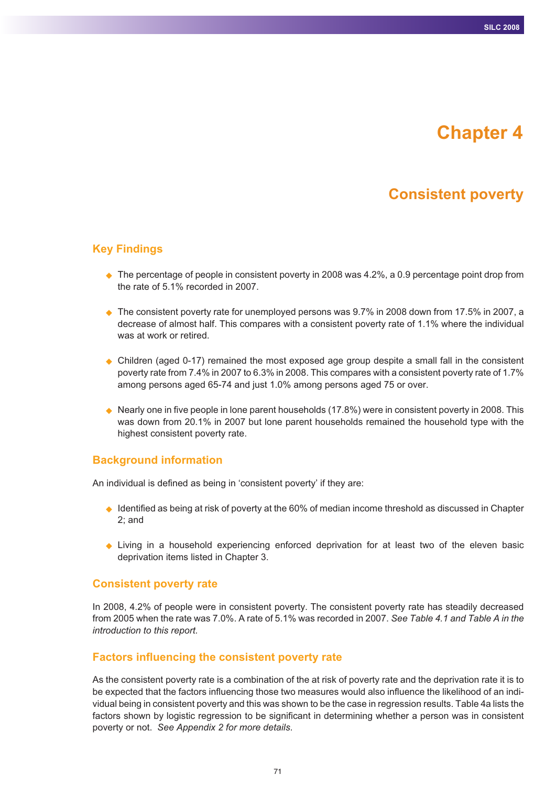# **Chapter 4**

## **Consistent poverty**

## **Key Findings**

- ◆ The percentage of people in consistent poverty in 2008 was 4.2%, a 0.9 percentage point drop from the rate of 5.1% recorded in 2007.
- $\blacklozenge$  The consistent poverty rate for unemployed persons was 9.7% in 2008 down from 17.5% in 2007, a decrease of almost half. This compares with a consistent poverty rate of 1.1% where the individual was at work or retired.
- Children (aged 0-17) remained the most exposed age group despite a small fall in the consistent poverty rate from 7.4% in 2007 to 6.3% in 2008. This compares with a consistent poverty rate of 1.7% among persons aged 65-74 and just 1.0% among persons aged 75 or over.
- $\blacklozenge$  Nearly one in five people in lone parent households (17.8%) were in consistent poverty in 2008. This was down from 20.1% in 2007 but lone parent households remained the household type with the highest consistent poverty rate.

## **Background information**

An individual is defined as being in 'consistent poverty' if they are:

- $\blacklozenge$  Identified as being at risk of poverty at the 60% of median income threshold as discussed in Chapter 2; and
- Living in a household experiencing enforced deprivation for at least two of the eleven basic deprivation items listed in Chapter 3.

## **Consistent poverty rate**

In 2008, 4.2% of people were in consistent poverty. The consistent poverty rate has steadily decreased from 2005 when the rate was 7.0%. A rate of 5.1% was recorded in 2007. *See Table 4.1 and Table A in the introduction to this report.*

## **Factors influencing the consistent poverty rate**

As the consistent poverty rate is a combination of the at risk of poverty rate and the deprivation rate it is to be expected that the factors influencing those two measures would also influence the likelihood of an individual being in consistent poverty and this was shown to be the case in regression results. Table 4a lists the factors shown by logistic regression to be significant in determining whether a person was in consistent poverty or not. *See Appendix 2 for more details*.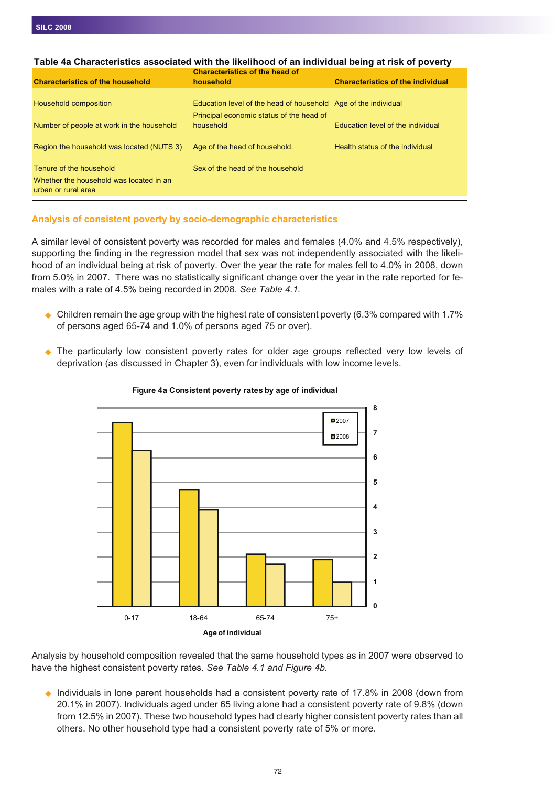| Table 4a Characteristics associated with the likelihood of an individual being at risk of poverty |                                                                |                                          |
|---------------------------------------------------------------------------------------------------|----------------------------------------------------------------|------------------------------------------|
|                                                                                                   | <b>Characteristics of the head of</b>                          |                                          |
| <b>Characteristics of the household</b>                                                           | household                                                      | <b>Characteristics of the individual</b> |
|                                                                                                   |                                                                |                                          |
| Household composition                                                                             | Education level of the head of household Age of the individual |                                          |
|                                                                                                   | Principal economic status of the head of                       |                                          |
| Number of people at work in the household                                                         | household                                                      | Education level of the individual        |
|                                                                                                   |                                                                |                                          |
| Region the household was located (NUTS 3)                                                         | Age of the head of household.                                  | Health status of the individual          |
|                                                                                                   |                                                                |                                          |
| Tenure of the household                                                                           | Sex of the head of the household                               |                                          |
| Whether the household was located in an                                                           |                                                                |                                          |
| urban or rural area                                                                               |                                                                |                                          |
|                                                                                                   |                                                                |                                          |

### **Table 4a Characteristics associated with the likelihood of an individual being at risk of poverty**

### **Analysis of consistent poverty by socio-demographic characteristics**

A similar level of consistent poverty was recorded for males and females (4.0% and 4.5% respectively), supporting the finding in the regression model that sex was not independently associated with the likelihood of an individual being at risk of poverty. Over the year the rate for males fell to 4.0% in 2008, down from 5.0% in 2007. There was no statistically significant change over the year in the rate reported for females with a rate of 4.5% being recorded in 2008. *See Table 4.1.*

- $\triangle$  Children remain the age group with the highest rate of consistent poverty (6.3% compared with 1.7% of persons aged 65-74 and 1.0% of persons aged 75 or over).
- The particularly low consistent poverty rates for older age groups reflected very low levels of deprivation (as discussed in Chapter 3), even for individuals with low income levels.



#### **Figure 4a Consistent poverty rates by age of individual**

Analysis by household composition revealed that the same household types as in 2007 were observed to have the highest consistent poverty rates. *See Table 4.1 and Figure 4b.*

◆ Individuals in lone parent households had a consistent poverty rate of 17.8% in 2008 (down from 20.1% in 2007). Individuals aged under 65 living alone had a consistent poverty rate of 9.8% (down from 12.5% in 2007). These two household types had clearly higher consistent poverty rates than all others. No other household type had a consistent poverty rate of 5% or more.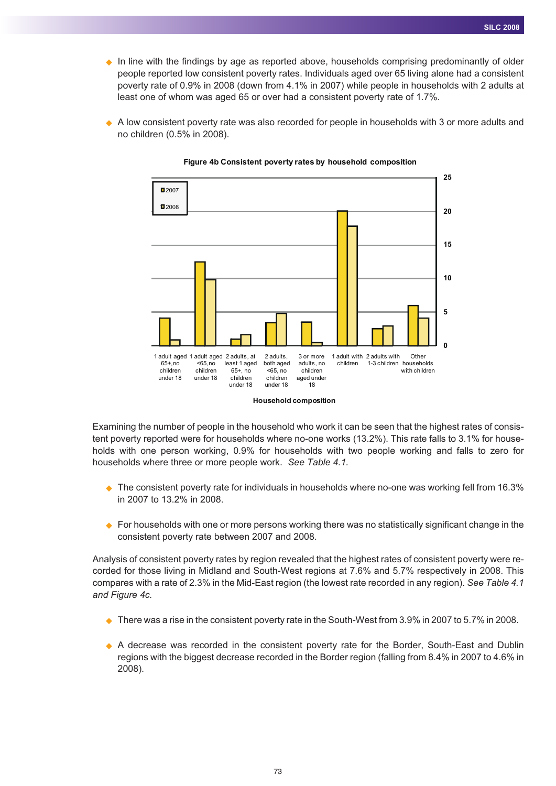- In line with the findings by age as reported above, households comprising predominantly of older people reported low consistent poverty rates. Individuals aged over 65 living alone had a consistent poverty rate of 0.9% in 2008 (down from 4.1% in 2007) while people in households with 2 adults at least one of whom was aged 65 or over had a consistent poverty rate of 1.7%.
- ◆ A low consistent poverty rate was also recorded for people in households with 3 or more adults and no children (0.5% in 2008).



#### **Figure 4b Consistent poverty rates by household composition**

Examining the number of people in the household who work it can be seen that the highest rates of consistent poverty reported were for households where no-one works (13.2%). This rate falls to 3.1% for households with one person working, 0.9% for households with two people working and falls to zero for households where three or more people work. *See Table 4.1.*

- $\bullet$  The consistent poverty rate for individuals in households where no-one was working fell from 16.3% in 2007 to 13.2% in 2008.
- ♦ For households with one or more persons working there was no statistically significant change in the consistent poverty rate between 2007 and 2008.

Analysis of consistent poverty rates by region revealed that the highest rates of consistent poverty were recorded for those living in Midland and South-West regions at 7.6% and 5.7% respectively in 2008. This compares with a rate of 2.3% in the Mid-East region (the lowest rate recorded in any region). *See Table 4.1 and Figure 4c.*

- $\blacklozenge$  There was a rise in the consistent poverty rate in the South-West from 3.9% in 2007 to 5.7% in 2008.
- A decrease was recorded in the consistent poverty rate for the Border, South-East and Dublin regions with the biggest decrease recorded in the Border region (falling from 8.4% in 2007 to 4.6% in 2008).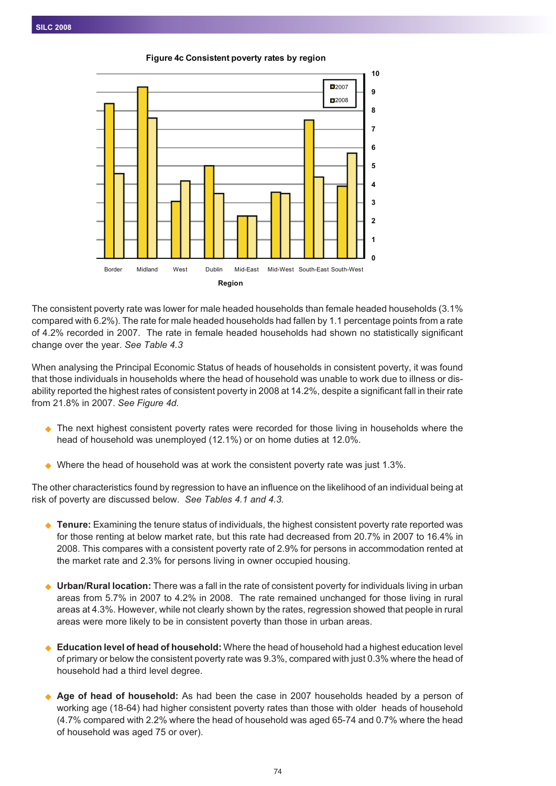**Figure 4c Consistent poverty rates by region**



The consistent poverty rate was lower for male headed households than female headed households (3.1% compared with 6.2%). The rate for male headed households had fallen by 1.1 percentage points from a rate of 4.2% recorded in 2007. The rate in female headed households had shown no statistically significant change over the year. *See Table 4.3*

When analysing the Principal Economic Status of heads of households in consistent poverty, it was found that those individuals in households where the head of household was unable to work due to illness or disability reported the highest rates of consistent poverty in 2008 at 14.2%, despite a significant fall in their rate from 21.8% in 2007. *See Figure 4d.*

- $\bullet$  The next highest consistent poverty rates were recorded for those living in households where the head of household was unemployed (12.1%) or on home duties at 12.0%.
- $\blacklozenge$  Where the head of household was at work the consistent poverty rate was just 1.3%.

The other characteristics found by regression to have an influence on the likelihood of an individual being at risk of poverty are discussed below. *See Tables 4.1 and 4.3.*

- ◆ **Tenure:** Examining the tenure status of individuals, the highest consistent poverty rate reported was for those renting at below market rate, but this rate had decreased from 20.7% in 2007 to 16.4% in 2008. This compares with a consistent poverty rate of 2.9% for persons in accommodation rented at the market rate and 2.3% for persons living in owner occupied housing.
- $\blacklozenge$  **Urban/Rural location:** There was a fall in the rate of consistent poverty for individuals living in urban areas from 5.7% in 2007 to 4.2% in 2008. The rate remained unchanged for those living in rural areas at 4.3%. However, while not clearly shown by the rates, regression showed that people in rural areas were more likely to be in consistent poverty than those in urban areas.
- $\ddot{\bullet}$  **Education level of head of household:** Where the head of household had a highest education level of primary or below the consistent poverty rate was 9.3%, compared with just 0.3% where the head of household had a third level degree.
- $\blacklozenge$  **Age of head of household:** As had been the case in 2007 households headed by a person of working age (18-64) had higher consistent poverty rates than those with older heads of household (4.7% compared with 2.2% where the head of household was aged 65-74 and 0.7% where the head of household was aged 75 or over).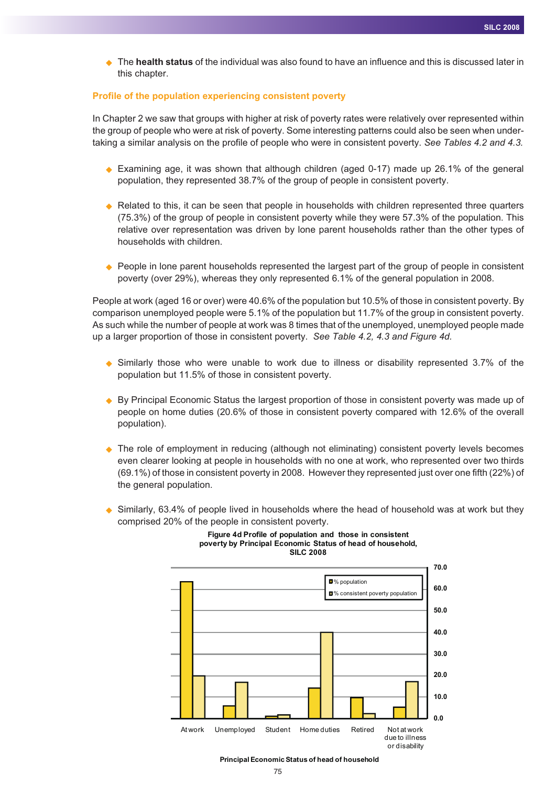◆ The **health status** of the individual was also found to have an influence and this is discussed later in this chapter.

#### **Profile of the population experiencing consistent poverty**

In Chapter 2 we saw that groups with higher at risk of poverty rates were relatively over represented within the group of people who were at risk of poverty. Some interesting patterns could also be seen when undertaking a similar analysis on the profile of people who were in consistent poverty. *See Tables 4.2 and 4.3.*

- ◆ Examining age, it was shown that although children (aged 0-17) made up 26.1% of the general population, they represented 38.7% of the group of people in consistent poverty.
- ◆ Related to this, it can be seen that people in households with children represented three quarters (75.3%) of the group of people in consistent poverty while they were 57.3% of the population. This relative over representation was driven by lone parent households rather than the other types of households with children.
- ◆ People in lone parent households represented the largest part of the group of people in consistent poverty (over 29%), whereas they only represented 6.1% of the general population in 2008.

People at work (aged 16 or over) were 40.6% of the population but 10.5% of those in consistent poverty. By comparison unemployed people were 5.1% of the population but 11.7% of the group in consistent poverty. As such while the number of people at work was 8 times that of the unemployed, unemployed people made up a larger proportion of those in consistent poverty. *See Table 4.2, 4.3 and Figure 4d.*

- ◆ Similarly those who were unable to work due to illness or disability represented 3.7% of the population but 11.5% of those in consistent poverty.
- ◆ By Principal Economic Status the largest proportion of those in consistent poverty was made up of people on home duties (20.6% of those in consistent poverty compared with 12.6% of the overall population).
- ◆ The role of employment in reducing (although not eliminating) consistent poverty levels becomes even clearer looking at people in households with no one at work, who represented over two thirds (69.1%) of those in consistent poverty in 2008. However they represented just over one fifth (22%) of the general population.
- ◆ Similarly, 63.4% of people lived in households where the head of household was at work but they comprised 20% of the people in consistent poverty.



#### **Figure 4d Profile of population and those in consistent poverty by Principal Economic Status of head of household, SILC 2008**

**Principal Economic Status of head of household**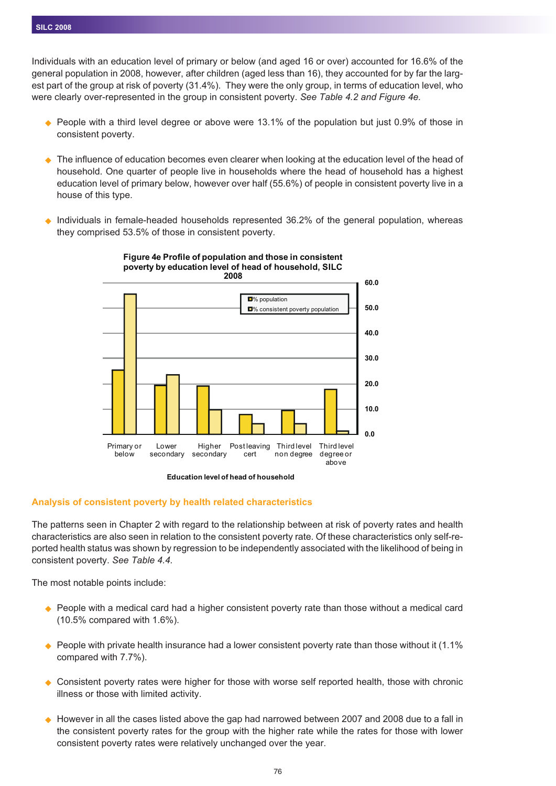Individuals with an education level of primary or below (and aged 16 or over) accounted for 16.6% of the general population in 2008, however, after children (aged less than 16), they accounted for by far the largest part of the group at risk of poverty (31.4%). They were the only group, in terms of education level, who were clearly over-represented in the group in consistent poverty. *See Table 4.2 and Figure 4e.*

- $\blacklozenge$  People with a third level degree or above were 13.1% of the population but just 0.9% of those in consistent poverty.
- ◆ The influence of education becomes even clearer when looking at the education level of the head of household. One quarter of people live in households where the head of household has a highest education level of primary below, however over half (55.6%) of people in consistent poverty live in a house of this type.
- $\blacklozenge$  Individuals in female-headed households represented 36.2% of the general population, whereas they comprised 53.5% of those in consistent poverty.



#### **Figure 4e Profile of population and those in consistent poverty by education level of head of household, SILC**



#### **Analysis of consistent poverty by health related characteristics**

The patterns seen in Chapter 2 with regard to the relationship between at risk of poverty rates and health characteristics are also seen in relation to the consistent poverty rate. Of these characteristics only self-reported health status was shown by regression to be independently associated with the likelihood of being in consistent poverty. *See Table 4.4.*

The most notable points include:

- ◆ People with a medical card had a higher consistent poverty rate than those without a medical card (10.5% compared with 1.6%).
- $\bullet$  People with private health insurance had a lower consistent poverty rate than those without it (1.1%) compared with 7.7%).
- $\bullet$  Consistent poverty rates were higher for those with worse self reported health, those with chronic illness or those with limited activity.
- $\bullet$  However in all the cases listed above the gap had narrowed between 2007 and 2008 due to a fall in the consistent poverty rates for the group with the higher rate while the rates for those with lower consistent poverty rates were relatively unchanged over the year.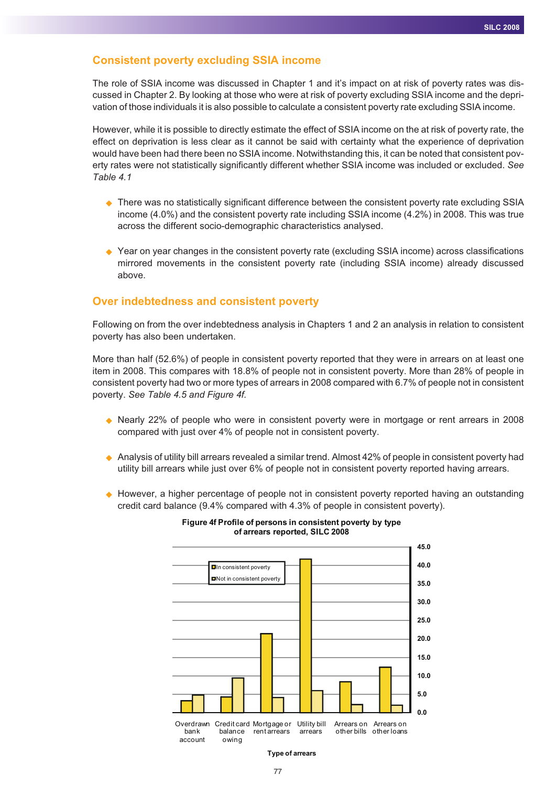## **Consistent poverty excluding SSIA income**

The role of SSIA income was discussed in Chapter 1 and it's impact on at risk of poverty rates was discussed in Chapter 2. By looking at those who were at risk of poverty excluding SSIA income and the deprivation of those individuals it is also possible to calculate a consistent poverty rate excluding SSIA income.

However, while it is possible to directly estimate the effect of SSIA income on the at risk of poverty rate, the effect on deprivation is less clear as it cannot be said with certainty what the experience of deprivation would have been had there been no SSIA income. Notwithstanding this, it can be noted that consistent poverty rates were not statistically significantly different whether SSIA income was included or excluded. *See Table 4.1*

- ♦ There was no statistically significant difference between the consistent poverty rate excluding SSIA income (4.0%) and the consistent poverty rate including SSIA income (4.2%) in 2008. This was true across the different socio-demographic characteristics analysed.
- ◆ Year on year changes in the consistent poverty rate (excluding SSIA income) across classifications mirrored movements in the consistent poverty rate (including SSIA income) already discussed above.

#### **Over indebtedness and consistent poverty**

Following on from the over indebtedness analysis in Chapters 1 and 2 an analysis in relation to consistent poverty has also been undertaken.

More than half (52.6%) of people in consistent poverty reported that they were in arrears on at least one item in 2008. This compares with 18.8% of people not in consistent poverty. More than 28% of people in consistent poverty had two or more types of arrears in 2008 compared with 6.7% of people not in consistent poverty. *See Table 4.5 and Figure 4f.*

- Nearly 22% of people who were in consistent poverty were in mortgage or rent arrears in 2008 compared with just over 4% of people not in consistent poverty.
- ◆ Analysis of utility bill arrears revealed a similar trend. Almost 42% of people in consistent poverty had utility bill arrears while just over 6% of people not in consistent poverty reported having arrears.
- ◆ However, a higher percentage of people not in consistent poverty reported having an outstanding credit card balance (9.4% compared with 4.3% of people in consistent poverty).



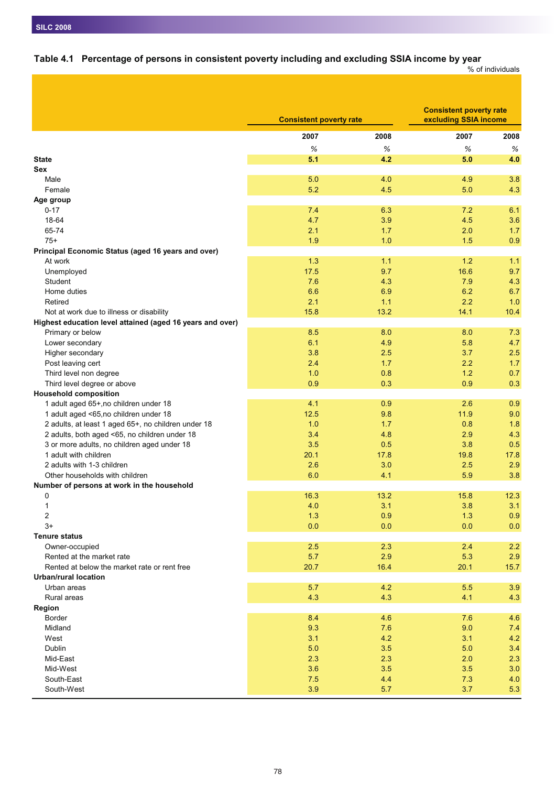# **Table 4.1 Percentage of persons in consistent poverty including and excluding SSIA income by year**

% of individuals

|                                                           | <b>Consistent poverty rate</b> |            | <b>Consistent poverty rate</b><br>excluding SSIA income |            |
|-----------------------------------------------------------|--------------------------------|------------|---------------------------------------------------------|------------|
|                                                           | 2007                           | 2008       | 2007                                                    | 2008       |
|                                                           | %                              | %          | %                                                       | %          |
| <b>State</b>                                              | 5.1                            | 4.2        | 5.0                                                     | 4.0        |
| Sex                                                       |                                |            |                                                         |            |
| Male                                                      | 5.0                            | 4.0        | 4.9                                                     | 3.8        |
| Female                                                    | 5.2                            | 4.5        | 5.0                                                     | 4.3        |
| Age group                                                 |                                |            |                                                         |            |
| $0 - 17$                                                  | 7.4                            | 6.3        | 7.2                                                     | 6.1        |
| 18-64                                                     | 4.7                            | 3.9        | 4.5                                                     | 3.6        |
| 65-74                                                     | 2.1                            | 1.7        | 2.0                                                     | 1.7        |
| $75+$                                                     | 1.9                            | 1.0        | 1.5                                                     | 0.9        |
| Principal Economic Status (aged 16 years and over)        |                                |            |                                                         |            |
| At work                                                   | 1.3                            | 1.1        | 1.2                                                     | 1.1        |
| Unemployed                                                | 17.5                           | 9.7        | 16.6                                                    | 9.7        |
| <b>Student</b>                                            | 7.6                            | 4.3        | 7.9                                                     | 4.3        |
| Home duties                                               | 6.6                            | 6.9        | 6.2                                                     | 6.7        |
| Retired                                                   | 2.1                            | 1.1        | 2.2                                                     | 1.0        |
| Not at work due to illness or disability                  | 15.8                           | 13.2       | 14.1                                                    | 10.4       |
| Highest education level attained (aged 16 years and over) |                                |            |                                                         |            |
| Primary or below                                          | 8.5                            | 8.0        | 8.0                                                     | 7.3        |
| Lower secondary                                           | 6.1                            | 4.9        | 5.8                                                     | 4.7        |
| Higher secondary                                          | 3.8                            | 2.5        | 3.7                                                     | 2.5        |
| Post leaving cert                                         | 2.4                            | 1.7        | 2.2                                                     | 1.7        |
| Third level non degree                                    | 1.0                            | 0.8        | 1.2                                                     | 0.7        |
| Third level degree or above                               | 0.9                            | 0.3        | 0.9                                                     | 0.3        |
| <b>Household composition</b>                              |                                |            |                                                         |            |
| 1 adult aged 65+, no children under 18                    | 4.1                            | 0.9        | 2.6                                                     | 0.9        |
| 1 adult aged <65,no children under 18                     | 12.5                           | 9.8        | 11.9                                                    | 9.0        |
| 2 adults, at least 1 aged 65+, no children under 18       | 1.0                            | 1.7        | 0.8                                                     | 1.8        |
| 2 adults, both aged <65, no children under 18             | 3.4                            | 4.8        | 2.9                                                     | 4.3        |
| 3 or more adults, no children aged under 18               | 3.5                            | 0.5        | 3.8                                                     | 0.5        |
| 1 adult with children                                     | 20.1                           | 17.8       | 19.8                                                    | 17.8       |
| 2 adults with 1-3 children                                | 2.6                            | 3.0        | 2.5                                                     | 2.9        |
| Other households with children                            | 6.0                            | 4.1        | 5.9                                                     | 3.8        |
| Number of persons at work in the household                |                                |            |                                                         |            |
| 0                                                         | 16.3                           | 13.2       | 15.8                                                    | 12.3       |
| $\mathbf{1}$                                              | 4.0                            | 3.1        | 3.8                                                     | 3.1        |
| $\overline{\mathbf{c}}$                                   | 1.3                            | 0.9        | 1.3                                                     | 0.9        |
| $3+$                                                      | 0.0                            | 0.0        | 0.0                                                     | 0.0        |
| <b>Tenure status</b>                                      |                                |            |                                                         |            |
| Owner-occupied                                            | 2.5                            | 2.3        | 2.4                                                     | 2.2        |
| Rented at the market rate                                 | 5.7                            | 2.9        | 5.3                                                     | 2.9        |
| Rented at below the market rate or rent free              | 20.7                           | 16.4       | 20.1                                                    | 15.7       |
| Urban/rural location                                      |                                |            |                                                         |            |
| Urban areas                                               | 5.7                            | 4.2        | 5.5                                                     | 3.9        |
| Rural areas                                               | 4.3                            | 4.3        | 4.1                                                     | 4.3        |
| Region                                                    |                                |            |                                                         |            |
| Border                                                    | 8.4                            | 4.6        | 7.6                                                     | 4.6        |
| Midland                                                   | 9.3                            | 7.6        | 9.0                                                     | 7.4        |
| West                                                      | 3.1                            | 4.2        | 3.1                                                     | 4.2        |
| Dublin                                                    | 5.0                            | 3.5        | 5.0                                                     | 3.4        |
| Mid-East                                                  | 2.3                            | 2.3        | 2.0                                                     | 2.3        |
| Mid-West<br>South-East                                    | 3.6<br>7.5                     | 3.5<br>4.4 | 3.5<br>7.3                                              | 3.0<br>4.0 |
| South-West                                                | 3.9                            | 5.7        | 3.7                                                     | 5.3        |
|                                                           |                                |            |                                                         |            |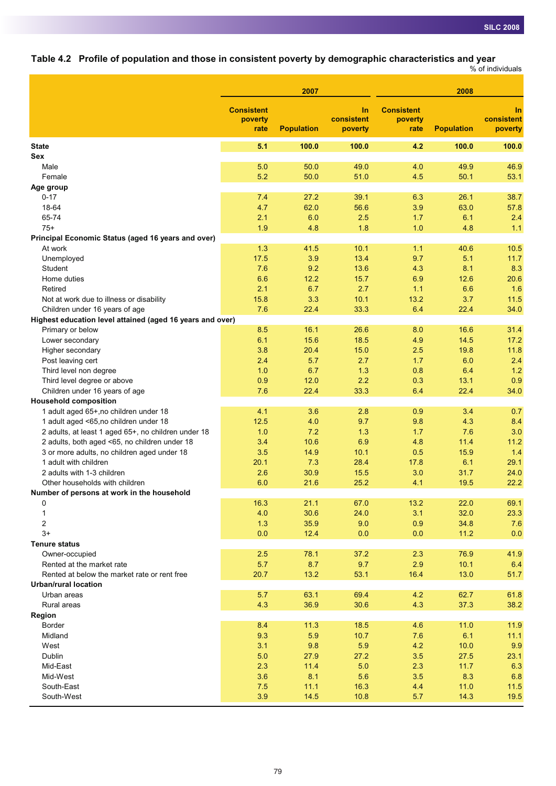**Table 4.2 Profile of population and those in consistent poverty by demographic characteristics and year**

|                                                           |                                      |                   |                             |                                      |                   | % of individuals                   |
|-----------------------------------------------------------|--------------------------------------|-------------------|-----------------------------|--------------------------------------|-------------------|------------------------------------|
|                                                           |                                      | 2007              |                             |                                      | 2008              |                                    |
|                                                           | <b>Consistent</b><br>poverty<br>rate | <b>Population</b> | In<br>consistent<br>poverty | <b>Consistent</b><br>poverty<br>rate | <b>Population</b> | <b>In</b><br>consistent<br>poverty |
| <b>State</b>                                              | 5.1                                  | 100.0             | 100.0                       | 4.2                                  | 100.0             | 100.0                              |
| Sex                                                       |                                      |                   |                             |                                      |                   |                                    |
| Male                                                      | 5.0                                  | 50.0              | 49.0                        | 4.0                                  | 49.9              | 46.9                               |
| Female                                                    | 5.2                                  | 50.0              | 51.0                        | 4.5                                  | 50.1              | 53.1                               |
| Age group                                                 |                                      |                   |                             |                                      |                   |                                    |
| $0 - 17$                                                  | 7.4                                  | 27.2              | 39.1                        | 6.3                                  | 26.1              | 38.7                               |
| 18-64                                                     | 4.7                                  | 62.0              | 56.6                        | 3.9                                  | 63.0              | 57.8                               |
| 65-74                                                     | 2.1                                  | 6.0               | 2.5                         | 1.7                                  | 6.1               | 2.4                                |
| $75+$                                                     | 1.9                                  | 4.8               | 1.8                         | 1.0                                  | 4.8               | 1.1                                |
| Principal Economic Status (aged 16 years and over)        |                                      |                   |                             |                                      |                   |                                    |
| At work                                                   | 1.3                                  | 41.5              | 10.1                        | 1.1                                  | 40.6              | 10.5                               |
| Unemployed                                                | 17.5                                 | 3.9               | 13.4                        | 9.7                                  | 5.1               | 11.7                               |
| Student                                                   | 7.6                                  | 9.2               | 13.6                        | 4.3                                  | 8.1               | 8.3                                |
| Home duties                                               | 6.6                                  | 12.2              | 15.7                        | 6.9                                  | 12.6              | 20.6                               |
| Retired                                                   | 2.1                                  | 6.7               | 2.7                         | 1.1                                  | 6.6               | 1.6                                |
| Not at work due to illness or disability                  | 15.8                                 | 3.3               | 10.1                        | 13.2                                 | 3.7               | 11.5                               |
| Children under 16 years of age                            | 7.6                                  | 22.4              | 33.3                        | 6.4                                  | 22.4              | 34.0                               |
| Highest education level attained (aged 16 years and over) |                                      |                   |                             |                                      |                   |                                    |
| Primary or below                                          | 8.5                                  | 16.1              | 26.6                        | 8.0                                  | 16.6              | 31.4                               |
| Lower secondary                                           | 6.1                                  | 15.6              | 18.5                        | 4.9                                  | 14.5              | 17.2                               |
| Higher secondary                                          | 3.8                                  | 20.4              | 15.0                        | 2.5                                  | 19.8              | 11.8                               |
| Post leaving cert                                         | 2.4                                  | 5.7               | 2.7                         | 1.7                                  | 6.0               | 2.4                                |
| Third level non degree                                    | 1.0                                  | 6.7               | 1.3                         | 0.8                                  | 6.4               | 1.2                                |
| Third level degree or above                               | 0.9                                  | 12.0              | 2.2                         | 0.3                                  | 13.1              | 0.9                                |
| Children under 16 years of age                            | 7.6                                  | 22.4              | 33.3                        | 6.4                                  | 22.4              | 34.0                               |
| <b>Household composition</b>                              |                                      |                   |                             |                                      |                   |                                    |
| 1 adult aged 65+, no children under 18                    | 4.1                                  | 3.6               | 2.8                         | 0.9                                  | 3.4               | 0.7                                |
| 1 adult aged <65,no children under 18                     | 12.5                                 | 4.0               | 9.7                         | 9.8                                  | 4.3               | 8.4                                |
| 2 adults, at least 1 aged 65+, no children under 18       | 1.0                                  | 7.2               | 1.3                         | 1.7                                  | 7.6               | 3.0                                |
| 2 adults, both aged <65, no children under 18             | 3.4                                  | 10.6              | 6.9                         | 4.8                                  | 11.4              | 11.2                               |
| 3 or more adults, no children aged under 18               | 3.5                                  | 14.9              | 10.1                        | 0.5                                  | 15.9              | 1.4                                |
| 1 adult with children                                     | 20.1                                 | 7.3               | 28.4                        | 17.8                                 | 6.1               | 29.1                               |
| 2 adults with 1-3 children                                | 2.6                                  | 30.9              | 15.5                        | 3.0                                  | 31.7              | 24.0                               |
| Other households with children                            | 6.0                                  | 21.6              | 25.2                        | 4.1                                  | 19.5              | 22.2                               |
| Number of persons at work in the household                |                                      |                   |                             |                                      |                   |                                    |
| 0                                                         | 16.3                                 | 21.1              | 67.0                        | 13.2                                 | 22.0              | 69.1                               |
| 1                                                         | 4.0                                  | 30.6              | 24.0                        | 3.1                                  | 32.0              | 23.3                               |
| 2                                                         | 1.3                                  | 35.9              | 9.0                         | 0.9                                  | 34.8              | 7.6                                |
| $3+$                                                      | 0.0                                  | 12.4              | 0.0                         | 0.0                                  | 11.2              | 0.0                                |
| <b>Tenure status</b>                                      |                                      |                   |                             |                                      |                   |                                    |
| Owner-occupied                                            | 2.5                                  | 78.1              | 37.2                        | 2.3                                  | 76.9              | 41.9                               |
| Rented at the market rate                                 | 5.7                                  | 8.7               | 9.7                         | 2.9                                  | 10.1              | 6.4                                |
| Rented at below the market rate or rent free              | 20.7                                 | 13.2              | 53.1                        | 16.4                                 | 13.0              | 51.7                               |
| <b>Urban/rural location</b>                               |                                      |                   |                             |                                      |                   |                                    |
| Urban areas                                               | 5.7                                  | 63.1              | 69.4                        | 4.2                                  | 62.7              | 61.8                               |
| Rural areas                                               | 4.3                                  | 36.9              | 30.6                        | 4.3                                  | 37.3              | 38.2                               |
| Region                                                    |                                      |                   |                             |                                      |                   |                                    |
| Border                                                    | 8.4                                  | 11.3              | 18.5                        | 4.6                                  | 11.0              | 11.9                               |
| Midland                                                   | 9.3                                  | 5.9               | 10.7                        | 7.6                                  | 6.1               | 11.1                               |
| West                                                      | 3.1                                  | 9.8               | 5.9                         | 4.2                                  | 10.0              | 9.9                                |
| Dublin                                                    | 5.0                                  | 27.9              | 27.2                        | 3.5                                  | 27.5              | 23.1                               |
| Mid-East                                                  | 2.3                                  | 11.4              | 5.0                         | 2.3                                  | 11.7              | 6.3                                |
| Mid-West                                                  | 3.6                                  | 8.1               | 5.6                         | 3.5                                  | 8.3               | 6.8                                |
| South-East                                                | 7.5                                  | 11.1              | 16.3                        | 4.4                                  | 11.0              | 11.5                               |
| South-West                                                | 3.9                                  | 14.5              | 10.8                        | 5.7                                  | 14.3              | 19.5                               |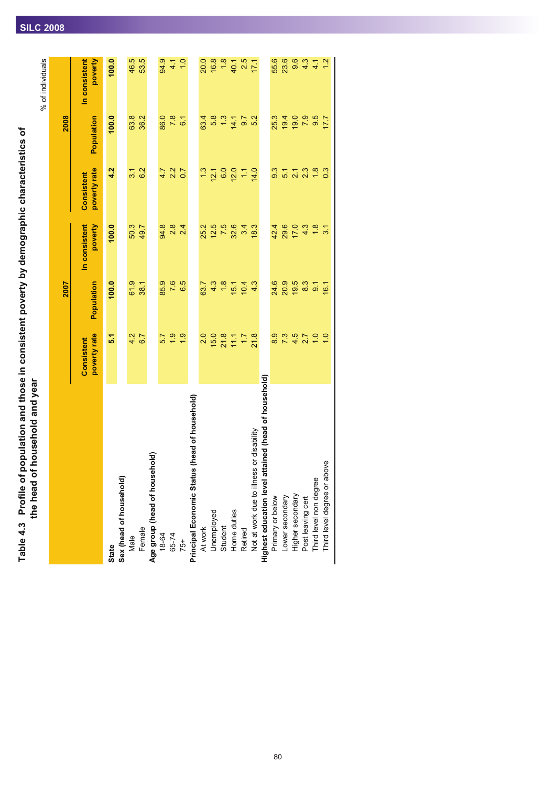Table 4.3 Profile of population and those in consistent poverty by demographic characteristics of<br>the head of household and year Table 4.3  $\,$  Profile of population and those in consistent poverty by demographic characteristics of **the head of household and year**

|                                                            |                            |                                            |                                                                       |                            |                               | % of individuals                   |
|------------------------------------------------------------|----------------------------|--------------------------------------------|-----------------------------------------------------------------------|----------------------------|-------------------------------|------------------------------------|
|                                                            |                            | 2007                                       |                                                                       |                            | 2008                          |                                    |
|                                                            | poverty rate<br>Consistent | Population                                 | In consistent<br>poverty                                              | poverty rate<br>Consistent | Population                    | In consistent<br>poverty           |
| State                                                      | 5.1                        | 100.0                                      | 100.0                                                                 | 4.2                        | 100.0                         | 100.0                              |
| Sex (head of household)                                    |                            |                                            |                                                                       |                            |                               |                                    |
| Male                                                       | 4.2                        | 61.9                                       | 50.3                                                                  | 3.1                        | 63.8                          | 46.5                               |
| Female                                                     | 6.7                        | 38.1                                       | 49.7                                                                  | 6.2                        | 36.2                          | 53.5                               |
|                                                            |                            |                                            |                                                                       |                            |                               |                                    |
|                                                            | 5.7                        |                                            |                                                                       |                            |                               |                                    |
| Age group (head of household)<br>18-64<br>65-74<br>75+     | $\frac{9}{10}$             | 85.9<br>7.6                                | 94.8<br>2.8                                                           | $\frac{7}{2}$ 2            | 86.0<br>7.8                   | 94.1                               |
|                                                            | $\ddot{6}$                 | 6.5                                        | 2.4                                                                   | 0.7                        | 6.1                           | 1.0                                |
| Principal Economic Status (head of household)              |                            |                                            |                                                                       |                            |                               |                                    |
| At work<br>Unemployed<br>Student<br>Home duties<br>Hetired | 2.0                        |                                            |                                                                       | $\frac{3}{2}$              |                               |                                    |
|                                                            |                            |                                            |                                                                       |                            |                               |                                    |
|                                                            | $1527$<br>$527$<br>$152$   | $637$<br>$43$<br>$18$                      | 25<br>25<br>25<br>28<br>25                                            | $\frac{12.1}{6.0}$         | $68.70$<br>$48.70$<br>$48.70$ | 0.8<br>0.8<br>20.5<br>20.5<br>20.5 |
|                                                            |                            |                                            |                                                                       | 12.0                       |                               |                                    |
|                                                            |                            | $\frac{1}{10}$ $\frac{1}{4}$ $\frac{1}{3}$ | 3.4                                                                   | Ξ                          |                               |                                    |
| Not at work due to illness or disability                   | 21.8                       |                                            | 18.3                                                                  | 14.0                       | 5.2                           | 17.1                               |
| Highest education level attained (head of household)       |                            |                                            |                                                                       |                            |                               |                                    |
| Primary or below                                           | 8.9                        |                                            | 42.4                                                                  | 9.3                        | 25.3                          | 55.6                               |
| Lower secondary                                            | 7.3                        | 8<br>8<br>8<br>8<br>8<br>8<br>9<br>8       | 29.6                                                                  | $\frac{1}{5}$              | 19.4                          | 23.6                               |
| Higher secondary                                           | 4.5                        |                                            |                                                                       | 21                         | 19.0                          | 9.6                                |
| Post leaving cert                                          | 2.7                        |                                            |                                                                       | 2.3                        | 7.9                           | 4.3                                |
| Third level non degree                                     | $\frac{0}{1}$ - 0          | $\frac{3}{8}$ $\frac{7}{9}$ $\frac{7}{9}$  | $\frac{1}{4}$ $\frac{1}{4}$ $\frac{1}{4}$ $\frac{1}{4}$ $\frac{1}{4}$ | $\frac{8}{1}$              | 9.5                           | 4.1                                |
| Third level degree or above                                |                            |                                            |                                                                       | $\overline{0}3$            | 7.7                           | $\frac{1}{2}$                      |

Third level non degree<br>Third level degree or above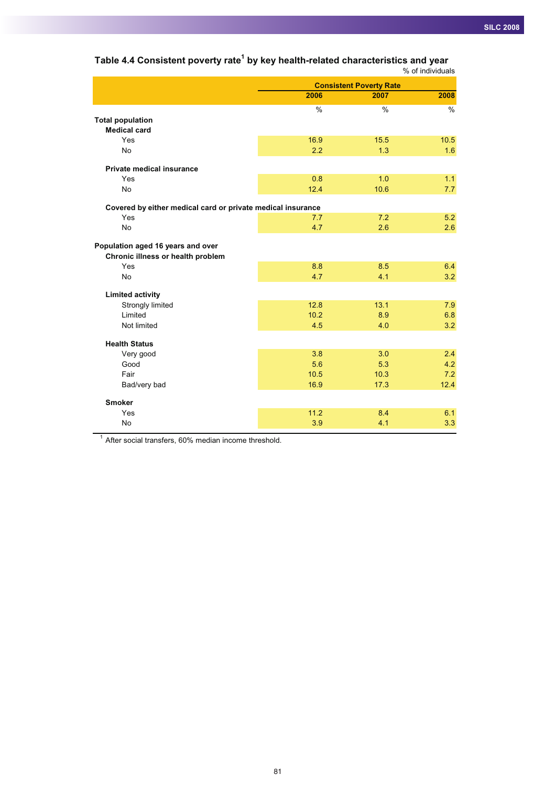|                                                                        |               |                                | % of individuals |
|------------------------------------------------------------------------|---------------|--------------------------------|------------------|
|                                                                        |               | <b>Consistent Poverty Rate</b> |                  |
|                                                                        | 2006          | 2007                           | 2008             |
|                                                                        | $\frac{0}{0}$ | $\frac{0}{0}$                  | $\%$             |
| <b>Total population</b>                                                |               |                                |                  |
| <b>Medical card</b>                                                    |               |                                |                  |
| Yes                                                                    | 16.9          | 15.5                           | 10.5             |
| <b>No</b>                                                              | 2.2           | 1.3                            | 1.6              |
| Private medical insurance                                              |               |                                |                  |
| Yes                                                                    | 0.8           | 1.0                            | 1.1              |
| <b>No</b>                                                              | 12.4          | 10.6                           | 7.7              |
| Covered by either medical card or private medical insurance            |               |                                |                  |
| Yes                                                                    | 7.7           | 7.2                            | 5.2              |
| <b>No</b>                                                              | 4.7           | 2.6                            | 2.6              |
| Population aged 16 years and over<br>Chronic illness or health problem |               |                                |                  |
| Yes                                                                    | 8.8           | 8.5                            | 6.4              |
| <b>No</b>                                                              | 4.7           | 4.1                            | 3.2              |
| <b>Limited activity</b>                                                |               |                                |                  |
| Strongly limited                                                       | 12.8          | 13.1                           | 7.9              |
| Limited                                                                | 10.2          | 8.9                            | 6.8              |
| Not limited                                                            | 4.5           | 4.0                            | 3.2              |
| <b>Health Status</b>                                                   |               |                                |                  |
| Very good                                                              | 3.8           | 3.0                            | 2.4              |
| Good                                                                   | 5.6           | 5.3                            | 4.2              |
| Fair                                                                   | 10.5          | 10.3                           | 7.2              |
| Bad/very bad                                                           | 16.9          | 17.3                           | 12.4             |
| <b>Smoker</b>                                                          |               |                                |                  |
| Yes                                                                    | 11.2          | 8.4                            | 6.1              |
| <b>No</b>                                                              | 3.9           | 4.1                            | 3.3              |

# **Table 4.4 Consistent poverty rate1 by key health-related characteristics and year**

<sup>1</sup> After social transfers, 60% median income threshold.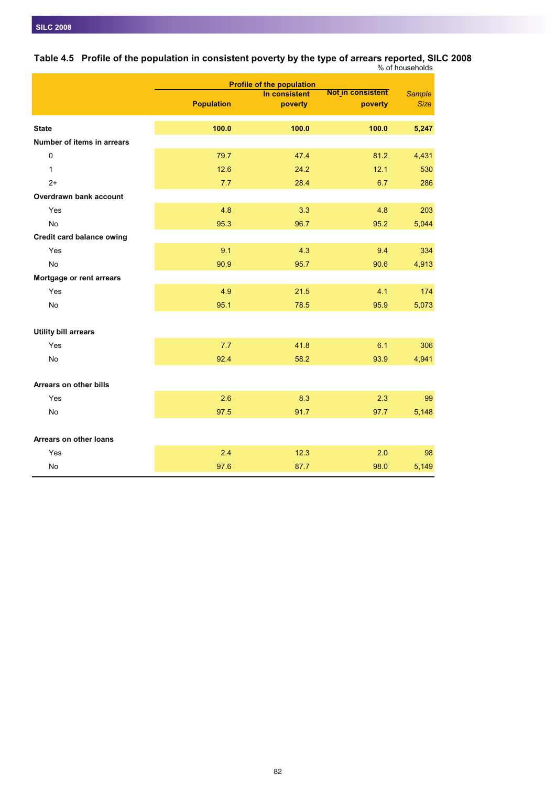|                                  |                   | <b>Profile of the population</b> |                              |                              |
|----------------------------------|-------------------|----------------------------------|------------------------------|------------------------------|
|                                  | <b>Population</b> | In consistent<br>poverty         | Not in consistent<br>poverty | <b>Sample</b><br><b>Size</b> |
|                                  |                   |                                  |                              |                              |
| <b>State</b>                     | 100.0             | 100.0                            | 100.0                        | 5,247                        |
| Number of items in arrears       |                   |                                  |                              |                              |
| $\Omega$                         | 79.7              | 47.4                             | 81.2                         | 4,431                        |
| $\mathbf{1}$                     | 12.6              | 24.2                             | 12.1                         | 530                          |
| $2+$                             | 7.7               | 28.4                             | 6.7                          | 286                          |
| Overdrawn bank account           |                   |                                  |                              |                              |
| Yes                              | 4.8               | 3.3                              | 4.8                          | 203                          |
| <b>No</b>                        | 95.3              | 96.7                             | 95.2                         | 5,044                        |
| <b>Credit card balance owing</b> |                   |                                  |                              |                              |
| Yes                              | 9.1               | 4.3                              | 9.4                          | 334                          |
| <b>No</b>                        | 90.9              | 95.7                             | 90.6                         | 4,913                        |
| Mortgage or rent arrears         |                   |                                  |                              |                              |
| Yes                              | 4.9               | 21.5                             | 4.1                          | 174                          |
| <b>No</b>                        | 95.1              | 78.5                             | 95.9                         | 5,073                        |
|                                  |                   |                                  |                              |                              |
| <b>Utility bill arrears</b>      |                   |                                  |                              |                              |
| Yes                              | 7.7               | 41.8                             | 6.1                          | 306                          |
| <b>No</b>                        | 92.4              | 58.2                             | 93.9                         | 4,941                        |
|                                  |                   |                                  |                              |                              |
| Arrears on other bills           |                   |                                  |                              |                              |
| Yes                              | 2.6               | 8.3                              | 2.3                          | 99                           |
| No                               | 97.5              | 91.7                             | 97.7                         | 5,148                        |
|                                  |                   |                                  |                              |                              |
| Arrears on other loans           |                   |                                  |                              |                              |
| Yes                              | 2.4               | 12.3                             | 2.0                          | 98                           |
| <b>No</b>                        | 97.6              | 87.7                             | 98.0                         | 5,149                        |

**Table 4.5 Profile of the population in consistent poverty by the type of arrears reported, SILC 2008** % of households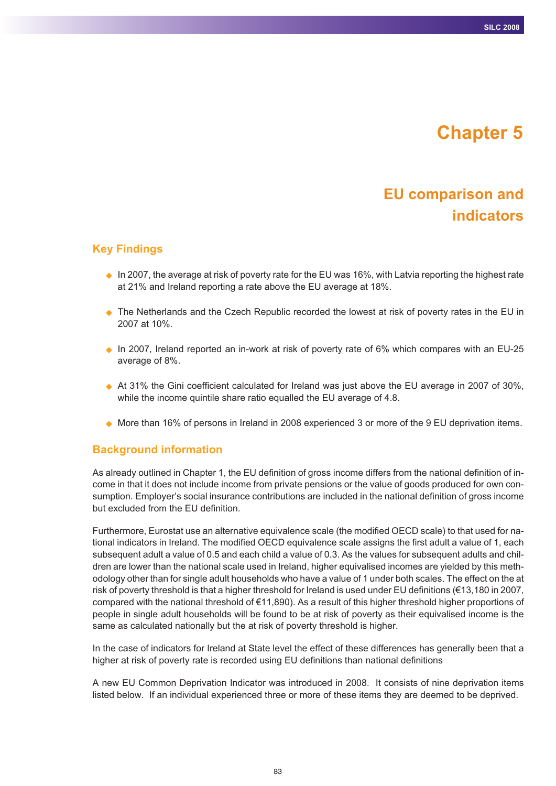# **Chapter 5**

# **EU comparison and indicators**

## **Key Findings**

- $\bullet$  In 2007, the average at risk of poverty rate for the EU was 16%, with Latvia reporting the highest rate at 21% and Ireland reporting a rate above the EU average at 18%.
- ♦ The Netherlands and the Czech Republic recorded the lowest at risk of poverty rates in the EU in 2007 at 10%.
- ◆ In 2007, Ireland reported an in-work at risk of poverty rate of 6% which compares with an EU-25 average of 8%.
- ◆ At 31% the Gini coefficient calculated for Ireland was just above the EU average in 2007 of 30%, while the income quintile share ratio equalled the EU average of 4.8.
- ◆ More than 16% of persons in Ireland in 2008 experienced 3 or more of the 9 EU deprivation items.

#### **Background information**

As already outlined in Chapter 1, the EU definition of gross income differs from the national definition of income in that it does not include income from private pensions or the value of goods produced for own consumption. Employer's social insurance contributions are included in the national definition of gross income but excluded from the EU definition.

Furthermore, Eurostat use an alternative equivalence scale (the modified OECD scale) to that used for national indicators in Ireland. The modified OECD equivalence scale assigns the first adult a value of 1, each subsequent adult a value of 0.5 and each child a value of 0.3. As the values for subsequent adults and children are lower than the national scale used in Ireland, higher equivalised incomes are yielded by this methodology other than for single adult households who have a value of 1 under both scales. The effect on the at risk of poverty threshold is that a higher threshold for Ireland is used under EU definitions (€13,180 in 2007, compared with the national threshold of €11,890). As a result of this higher threshold higher proportions of people in single adult households will be found to be at risk of poverty as their equivalised income is the same as calculated nationally but the at risk of poverty threshold is higher.

In the case of indicators for Ireland at State level the effect of these differences has generally been that a higher at risk of poverty rate is recorded using EU definitions than national definitions

A new EU Common Deprivation Indicator was introduced in 2008. It consists of nine deprivation items listed below. If an individual experienced three or more of these items they are deemed to be deprived.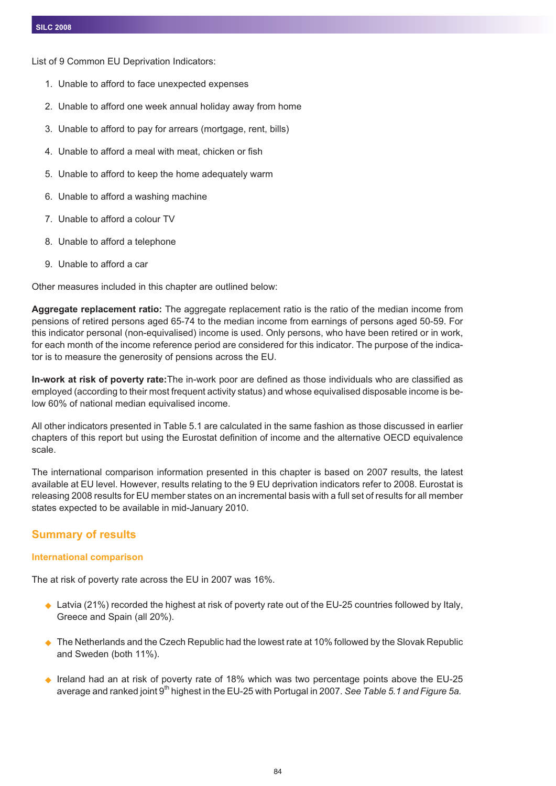List of 9 Common EU Deprivation Indicators:

- 1. Unable to afford to face unexpected expenses
- 2. Unable to afford one week annual holiday away from home
- 3. Unable to afford to pay for arrears (mortgage, rent, bills)
- 4. Unable to afford a meal with meat, chicken or fish
- 5. Unable to afford to keep the home adequately warm
- 6. Unable to afford a washing machine
- 7. Unable to afford a colour TV
- 8. Unable to afford a telephone
- 9. Unable to afford a car

Other measures included in this chapter are outlined below:

**Aggregate replacement ratio:** The aggregate replacement ratio is the ratio of the median income from pensions of retired persons aged 65-74 to the median income from earnings of persons aged 50-59. For this indicator personal (non-equivalised) income is used. Only persons, who have been retired or in work, for each month of the income reference period are considered for this indicator. The purpose of the indicator is to measure the generosity of pensions across the EU.

**In-work at risk of poverty rate:**The in-work poor are defined as those individuals who are classified as employed (according to their most frequent activity status) and whose equivalised disposable income is below 60% of national median equivalised income.

All other indicators presented in Table 5.1 are calculated in the same fashion as those discussed in earlier chapters of this report but using the Eurostat definition of income and the alternative OECD equivalence scale.

The international comparison information presented in this chapter is based on 2007 results, the latest available at EU level. However, results relating to the 9 EU deprivation indicators refer to 2008. Eurostat is releasing 2008 results for EU member states on an incremental basis with a full set of results for all member states expected to be available in mid-January 2010.

## **Summary of results**

#### **International comparison**

The at risk of poverty rate across the EU in 2007 was 16%.

- $\blacklozenge$  Latvia (21%) recorded the highest at risk of poverty rate out of the EU-25 countries followed by Italy, Greece and Spain (all 20%).
- ◆ The Netherlands and the Czech Republic had the lowest rate at 10% followed by the Slovak Republic and Sweden (both 11%).
- ◆ Ireland had an at risk of poverty rate of 18% which was two percentage points above the EU-25 average and ranked joint 9th highest in the EU-25 with Portugal in 2007. *See Table 5.1 and Figure 5a.*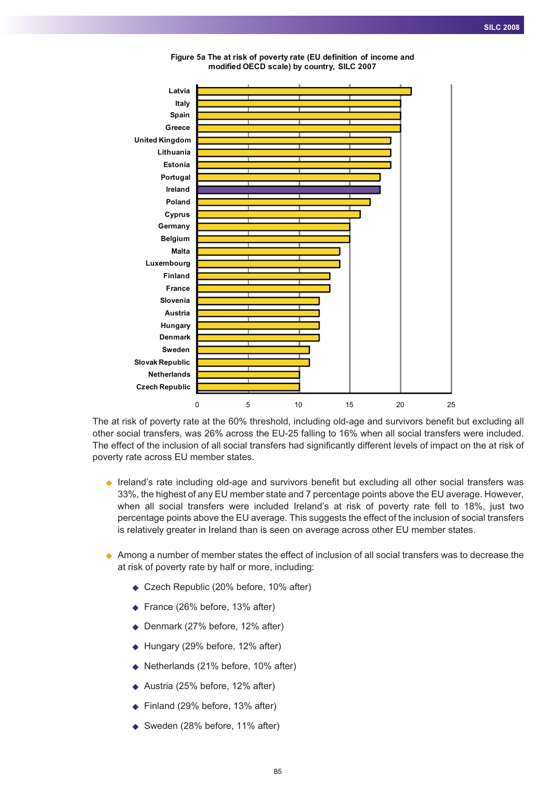

**Figure 5a The at risk of poverty rate (EU definition of income and modified OECD scale) by country, SILC 2007**

The at risk of poverty rate at the 60% threshold, including old-age and survivors benefit but excluding all other social transfers, was 26% across the EU-25 falling to 16% when all social transfers were included. The effect of the inclusion of all social transfers had significantly different levels of impact on the at risk of poverty rate across EU member states.

- Ireland's rate including old-age and survivors benefit but excluding all other social transfers was 33%, the highest of any EU member state and 7 percentage points above the EU average. However, when all social transfers were included Ireland's at risk of poverty rate fell to 18%, just two percentage points above the EU average. This suggests the effect of the inclusion of social transfers is relatively greater in Ireland than is seen on average across other EU member states.
- ◆ Among a number of member states the effect of inclusion of all social transfers was to decrease the at risk of poverty rate by half or more, including:
	- ◆ Czech Republic (20% before, 10% after)
	- ◆ France (26% before, 13% after)
	- ◆ Denmark (27% before, 12% after)
	- ◆ Hungary (29% before, 12% after)
	- ◆ Netherlands (21% before, 10% after)
	- ◆ Austria (25% before, 12% after)
	- ◆ Finland (29% before, 13% after)
	- ◆ Sweden (28% before, 11% after)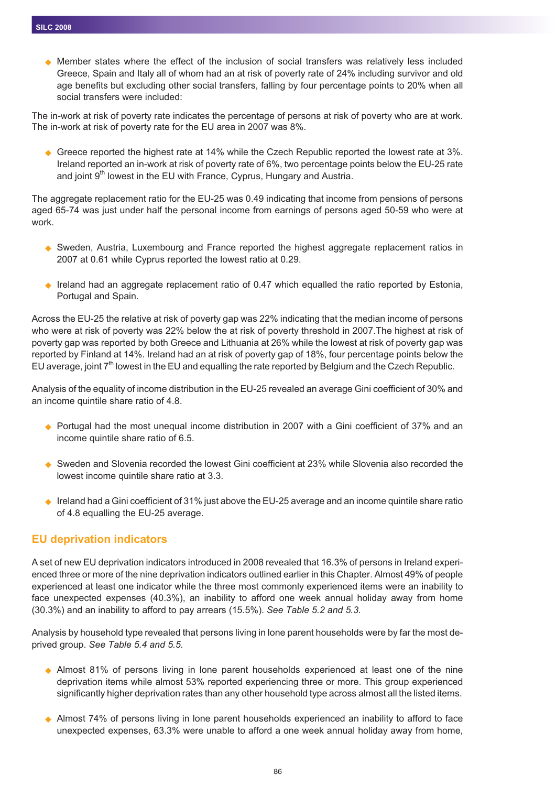$\bullet$  Member states where the effect of the inclusion of social transfers was relatively less included Greece, Spain and Italy all of whom had an at risk of poverty rate of 24% including survivor and old age benefits but excluding other social transfers, falling by four percentage points to 20% when all social transfers were included:

The in-work at risk of poverty rate indicates the percentage of persons at risk of poverty who are at work. The in-work at risk of poverty rate for the EU area in 2007 was 8%.

◆ Greece reported the highest rate at 14% while the Czech Republic reported the lowest rate at 3%. Ireland reported an in-work at risk of poverty rate of 6%, two percentage points below the EU-25 rate and joint  $9<sup>th</sup>$  lowest in the EU with France, Cyprus, Hungary and Austria.

The aggregate replacement ratio for the EU-25 was 0.49 indicating that income from pensions of persons aged 65-74 was just under half the personal income from earnings of persons aged 50-59 who were at work.

- ◆ Sweden, Austria, Luxembourg and France reported the highest aggregate replacement ratios in 2007 at 0.61 while Cyprus reported the lowest ratio at 0.29.
- Ireland had an aggregate replacement ratio of 0.47 which equalled the ratio reported by Estonia, Portugal and Spain.

Across the EU-25 the relative at risk of poverty gap was 22% indicating that the median income of persons who were at risk of poverty was 22% below the at risk of poverty threshold in 2007.The highest at risk of poverty gap was reported by both Greece and Lithuania at 26% while the lowest at risk of poverty gap was reported by Finland at 14%. Ireland had an at risk of poverty gap of 18%, four percentage points below the EU average, joint 7th lowest in the EU and equalling the rate reported by Belgium and the Czech Republic.

Analysis of the equality of income distribution in the EU-25 revealed an average Gini coefficient of 30% and an income quintile share ratio of 4.8.

- ◆ Portugal had the most unequal income distribution in 2007 with a Gini coefficient of 37% and an income quintile share ratio of 6.5.
- ◆ Sweden and Slovenia recorded the lowest Gini coefficient at 23% while Slovenia also recorded the lowest income quintile share ratio at 3.3.
- $\blacklozenge$  Ireland had a Gini coefficient of 31% just above the EU-25 average and an income quintile share ratio of 4.8 equalling the EU-25 average.

## **EU deprivation indicators**

A set of new EU deprivation indicators introduced in 2008 revealed that 16.3% of persons in Ireland experienced three or more of the nine deprivation indicators outlined earlier in this Chapter. Almost 49% of people experienced at least one indicator while the three most commonly experienced items were an inability to face unexpected expenses (40.3%), an inability to afford one week annual holiday away from home (30.3%) and an inability to afford to pay arrears (15.5%). *See Table 5.2 and 5.3.*

Analysis by household type revealed that persons living in lone parent households were by far the most deprived group. *See Table 5.4 and 5.5.*

- Almost 81% of persons living in lone parent households experienced at least one of the nine deprivation items while almost 53% reported experiencing three or more. This group experienced significantly higher deprivation rates than any other household type across almost all the listed items.
- ◆ Almost 74% of persons living in lone parent households experienced an inability to afford to face unexpected expenses, 63.3% were unable to afford a one week annual holiday away from home,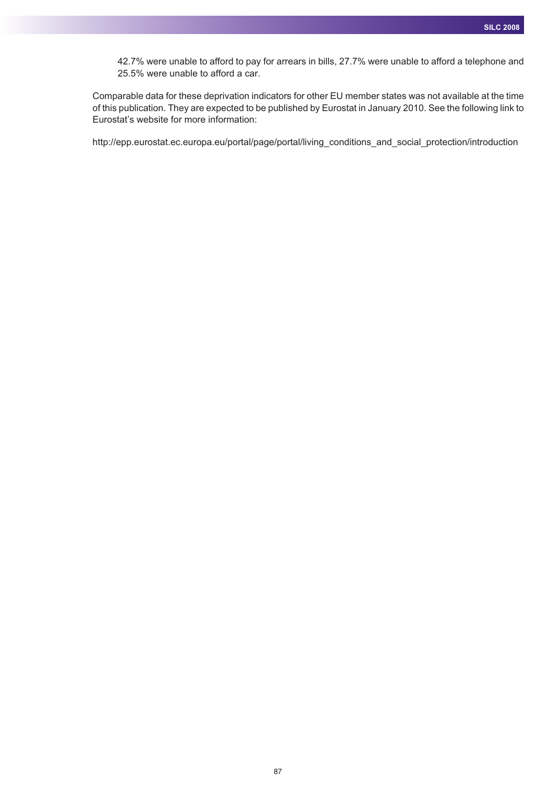42.7% were unable to afford to pay for arrears in bills, 27.7% were unable to afford a telephone and 25.5% were unable to afford a car.

Comparable data for these deprivation indicators for other EU member states was not available at the time of this publication. They are expected to be published by Eurostat in January 2010. See the following link to Eurostat's website for more information:

http://epp.eurostat.ec.europa.eu/portal/page/portal/living\_conditions\_and\_social\_protection/introduction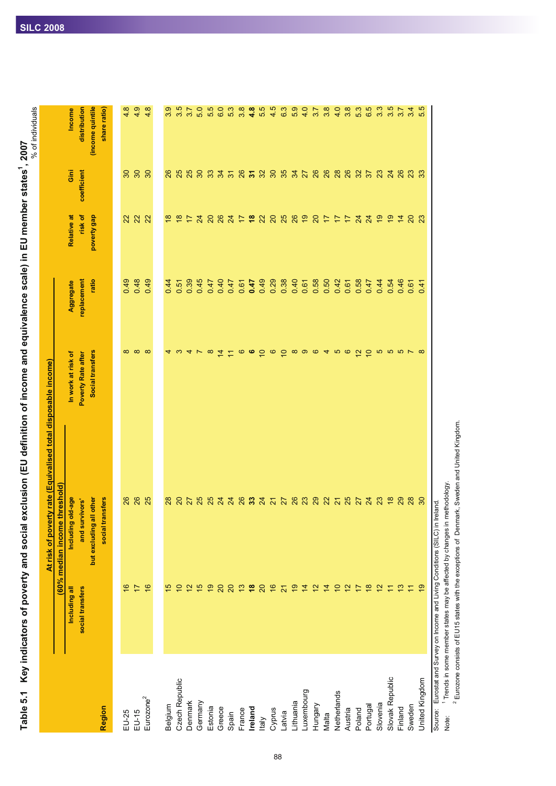Table 5.1 Key indicators of poverty and social exclusion (EU definition of income and equivalence scale) in EU member states<sup>1</sup>, 2007<br>Table 5.1 Key indicators of poverty and social exclusion (EU definition of income a Table 5.1 Key indicators of poverty and social exclusion (EU definition of income and equivalence scale) in EU member states<sup>1</sup>, 2007

| (income quintile<br>4.9<br>4.8<br>3.5<br>5.5<br>6.3<br>6.3<br>3.8<br>4.8<br>5.5<br>4.5<br>6.3<br>5.9<br>4.0<br>53<br>65<br>5.5<br>distribution<br>4.8<br>3.9<br>5.0<br>3.7<br>3.8<br>4.0<br>3.8<br>3.4<br>share ratio)<br>3.7<br><b>Income</b><br>Gini<br>coefficient<br>30<br>25<br>25<br>30<br>35<br>26<br>26<br>28<br>26<br>$\overline{\mathrm{S}}$<br>30<br>26<br>80<br>33<br>$8\overline{3}$<br>32<br>34<br>37<br>23<br>248<br>$\frac{4}{3}$ $\frac{1}{2}$<br>27<br>23<br>33<br>risk of<br>Relative at<br>poverty gap<br><b>2222</b><br>$\overset{\circ}{\bullet}$<br>$\frac{8}{16}$<br>25<br>26<br>$\frac{8}{1}$<br>$\overline{24}$<br>8887<br>$\overline{2}$<br>$\infty$<br>$\infty$<br>$\overline{a}$<br>$\overline{\mathcal{L}}$<br>7220<br>$\frac{1}{2}$<br>$\overline{20}$<br>$\overline{1}$<br>$\frac{1}{4}$<br>23<br>replacement<br>ratio<br>0.48<br>0.49<br>0.49<br>0.39<br>0.49<br>0.29<br>0.38<br>0.40<br>0.58<br>0.45<br>0.40<br>0.47<br>0.50<br>0.42<br>0.58<br>0.44<br>0.44<br>0.47<br>0.61<br>0.47<br>0.54<br>0.46<br>Aggregate<br>0.51<br>0.47<br>0.61<br>0.61<br>0.41<br>0.61<br>$\circ$ $\circ$<br>စ<br>$\infty$ $\infty$<br><b>QOSSSY</b><br>Social transfers<br>$\infty$<br>$\infty$<br>$\infty$<br>$\overline{4}$<br>$\overline{C}$<br>$\overline{a}$<br>$\circ$<br>$\overline{4}$<br>5<br>ဖ<br>S<br>$\infty$<br>$\infty$<br>ෑ<br>4<br>$\mathcal{L}$<br>In work at risk of<br><b>Poverty Rate after</b><br>(60% median income threshold)<br>other<br>26<br>25<br>8 8 3 3 3 8 3 5 5 8 8 9 8 9 8 5 8 5 8 7<br>29<br>Including old-age<br>social transfers<br>26<br>$\frac{20}{27}$<br>$\frac{8}{16}$<br>28<br>30<br>28<br>and survivors'<br>but excluding all<br>$\frac{3}{2}$<br>$\frac{8}{2}$<br>$\frac{6}{5}$<br>$\frac{1}{\sqrt{2}}$<br>$\frac{8}{10}$<br>ő<br>$\frac{8}{5}$<br>$\frac{6}{5}$<br>15<br>ó<br>$\frac{1}{2}$<br>10<br>e,<br>$\overline{20}$<br>$\overline{20}$<br>$\overline{20}$<br>$\frac{1}{2}$<br>$\frac{2}{3}$<br>$\overline{4}$<br>$\tilde{c}$<br>$\tilde{c}$<br>$\frac{3}{2}$<br>17<br>$\overline{4}$<br>$\overline{1}$<br>Including all<br>$\overline{2}$<br>Ξ<br>Ξ<br>social transfers<br>United Kingdom<br>Slovak Republic<br>Czech Republic<br>Luxembourg<br>Netherlands<br>Eurozone <sup>2</sup><br>Lithuania<br>Denmark<br>Germany<br>Slovenia<br>Belgium<br>Hungary<br>Portugal<br>Sweden<br>Region<br>Estonia<br>Finland<br>Greece<br>Ireland<br>Cyprus<br>Austria<br>Poland<br>France<br>EU-25<br>EU-15<br>Latvia<br>Spain<br>Malta<br><b>Italy</b> |  | At risk of poverty rate (Equivalised total disposable income) |  |  | % of individuals |
|--------------------------------------------------------------------------------------------------------------------------------------------------------------------------------------------------------------------------------------------------------------------------------------------------------------------------------------------------------------------------------------------------------------------------------------------------------------------------------------------------------------------------------------------------------------------------------------------------------------------------------------------------------------------------------------------------------------------------------------------------------------------------------------------------------------------------------------------------------------------------------------------------------------------------------------------------------------------------------------------------------------------------------------------------------------------------------------------------------------------------------------------------------------------------------------------------------------------------------------------------------------------------------------------------------------------------------------------------------------------------------------------------------------------------------------------------------------------------------------------------------------------------------------------------------------------------------------------------------------------------------------------------------------------------------------------------------------------------------------------------------------------------------------------------------------------------------------------------------------------------------------------------------------------------------------------------------------------------------------------------------------------------------------------------------------------------------------------------------------------------------------------------------------------------------------------------------------------------------------------------------------------------------------------------------------------------------------------------------------------------------------------------------------------------------------------------------------------------------------------------------------|--|---------------------------------------------------------------|--|--|------------------|
|                                                                                                                                                                                                                                                                                                                                                                                                                                                                                                                                                                                                                                                                                                                                                                                                                                                                                                                                                                                                                                                                                                                                                                                                                                                                                                                                                                                                                                                                                                                                                                                                                                                                                                                                                                                                                                                                                                                                                                                                                                                                                                                                                                                                                                                                                                                                                                                                                                                                                                              |  |                                                               |  |  |                  |
|                                                                                                                                                                                                                                                                                                                                                                                                                                                                                                                                                                                                                                                                                                                                                                                                                                                                                                                                                                                                                                                                                                                                                                                                                                                                                                                                                                                                                                                                                                                                                                                                                                                                                                                                                                                                                                                                                                                                                                                                                                                                                                                                                                                                                                                                                                                                                                                                                                                                                                              |  |                                                               |  |  |                  |
|                                                                                                                                                                                                                                                                                                                                                                                                                                                                                                                                                                                                                                                                                                                                                                                                                                                                                                                                                                                                                                                                                                                                                                                                                                                                                                                                                                                                                                                                                                                                                                                                                                                                                                                                                                                                                                                                                                                                                                                                                                                                                                                                                                                                                                                                                                                                                                                                                                                                                                              |  |                                                               |  |  |                  |
|                                                                                                                                                                                                                                                                                                                                                                                                                                                                                                                                                                                                                                                                                                                                                                                                                                                                                                                                                                                                                                                                                                                                                                                                                                                                                                                                                                                                                                                                                                                                                                                                                                                                                                                                                                                                                                                                                                                                                                                                                                                                                                                                                                                                                                                                                                                                                                                                                                                                                                              |  |                                                               |  |  |                  |
|                                                                                                                                                                                                                                                                                                                                                                                                                                                                                                                                                                                                                                                                                                                                                                                                                                                                                                                                                                                                                                                                                                                                                                                                                                                                                                                                                                                                                                                                                                                                                                                                                                                                                                                                                                                                                                                                                                                                                                                                                                                                                                                                                                                                                                                                                                                                                                                                                                                                                                              |  |                                                               |  |  |                  |
|                                                                                                                                                                                                                                                                                                                                                                                                                                                                                                                                                                                                                                                                                                                                                                                                                                                                                                                                                                                                                                                                                                                                                                                                                                                                                                                                                                                                                                                                                                                                                                                                                                                                                                                                                                                                                                                                                                                                                                                                                                                                                                                                                                                                                                                                                                                                                                                                                                                                                                              |  |                                                               |  |  |                  |
|                                                                                                                                                                                                                                                                                                                                                                                                                                                                                                                                                                                                                                                                                                                                                                                                                                                                                                                                                                                                                                                                                                                                                                                                                                                                                                                                                                                                                                                                                                                                                                                                                                                                                                                                                                                                                                                                                                                                                                                                                                                                                                                                                                                                                                                                                                                                                                                                                                                                                                              |  |                                                               |  |  |                  |
|                                                                                                                                                                                                                                                                                                                                                                                                                                                                                                                                                                                                                                                                                                                                                                                                                                                                                                                                                                                                                                                                                                                                                                                                                                                                                                                                                                                                                                                                                                                                                                                                                                                                                                                                                                                                                                                                                                                                                                                                                                                                                                                                                                                                                                                                                                                                                                                                                                                                                                              |  |                                                               |  |  |                  |
|                                                                                                                                                                                                                                                                                                                                                                                                                                                                                                                                                                                                                                                                                                                                                                                                                                                                                                                                                                                                                                                                                                                                                                                                                                                                                                                                                                                                                                                                                                                                                                                                                                                                                                                                                                                                                                                                                                                                                                                                                                                                                                                                                                                                                                                                                                                                                                                                                                                                                                              |  |                                                               |  |  |                  |
|                                                                                                                                                                                                                                                                                                                                                                                                                                                                                                                                                                                                                                                                                                                                                                                                                                                                                                                                                                                                                                                                                                                                                                                                                                                                                                                                                                                                                                                                                                                                                                                                                                                                                                                                                                                                                                                                                                                                                                                                                                                                                                                                                                                                                                                                                                                                                                                                                                                                                                              |  |                                                               |  |  |                  |
|                                                                                                                                                                                                                                                                                                                                                                                                                                                                                                                                                                                                                                                                                                                                                                                                                                                                                                                                                                                                                                                                                                                                                                                                                                                                                                                                                                                                                                                                                                                                                                                                                                                                                                                                                                                                                                                                                                                                                                                                                                                                                                                                                                                                                                                                                                                                                                                                                                                                                                              |  |                                                               |  |  |                  |
|                                                                                                                                                                                                                                                                                                                                                                                                                                                                                                                                                                                                                                                                                                                                                                                                                                                                                                                                                                                                                                                                                                                                                                                                                                                                                                                                                                                                                                                                                                                                                                                                                                                                                                                                                                                                                                                                                                                                                                                                                                                                                                                                                                                                                                                                                                                                                                                                                                                                                                              |  |                                                               |  |  |                  |
|                                                                                                                                                                                                                                                                                                                                                                                                                                                                                                                                                                                                                                                                                                                                                                                                                                                                                                                                                                                                                                                                                                                                                                                                                                                                                                                                                                                                                                                                                                                                                                                                                                                                                                                                                                                                                                                                                                                                                                                                                                                                                                                                                                                                                                                                                                                                                                                                                                                                                                              |  |                                                               |  |  |                  |
|                                                                                                                                                                                                                                                                                                                                                                                                                                                                                                                                                                                                                                                                                                                                                                                                                                                                                                                                                                                                                                                                                                                                                                                                                                                                                                                                                                                                                                                                                                                                                                                                                                                                                                                                                                                                                                                                                                                                                                                                                                                                                                                                                                                                                                                                                                                                                                                                                                                                                                              |  |                                                               |  |  |                  |
|                                                                                                                                                                                                                                                                                                                                                                                                                                                                                                                                                                                                                                                                                                                                                                                                                                                                                                                                                                                                                                                                                                                                                                                                                                                                                                                                                                                                                                                                                                                                                                                                                                                                                                                                                                                                                                                                                                                                                                                                                                                                                                                                                                                                                                                                                                                                                                                                                                                                                                              |  |                                                               |  |  |                  |
|                                                                                                                                                                                                                                                                                                                                                                                                                                                                                                                                                                                                                                                                                                                                                                                                                                                                                                                                                                                                                                                                                                                                                                                                                                                                                                                                                                                                                                                                                                                                                                                                                                                                                                                                                                                                                                                                                                                                                                                                                                                                                                                                                                                                                                                                                                                                                                                                                                                                                                              |  |                                                               |  |  |                  |
|                                                                                                                                                                                                                                                                                                                                                                                                                                                                                                                                                                                                                                                                                                                                                                                                                                                                                                                                                                                                                                                                                                                                                                                                                                                                                                                                                                                                                                                                                                                                                                                                                                                                                                                                                                                                                                                                                                                                                                                                                                                                                                                                                                                                                                                                                                                                                                                                                                                                                                              |  |                                                               |  |  |                  |
|                                                                                                                                                                                                                                                                                                                                                                                                                                                                                                                                                                                                                                                                                                                                                                                                                                                                                                                                                                                                                                                                                                                                                                                                                                                                                                                                                                                                                                                                                                                                                                                                                                                                                                                                                                                                                                                                                                                                                                                                                                                                                                                                                                                                                                                                                                                                                                                                                                                                                                              |  |                                                               |  |  |                  |
|                                                                                                                                                                                                                                                                                                                                                                                                                                                                                                                                                                                                                                                                                                                                                                                                                                                                                                                                                                                                                                                                                                                                                                                                                                                                                                                                                                                                                                                                                                                                                                                                                                                                                                                                                                                                                                                                                                                                                                                                                                                                                                                                                                                                                                                                                                                                                                                                                                                                                                              |  |                                                               |  |  |                  |
|                                                                                                                                                                                                                                                                                                                                                                                                                                                                                                                                                                                                                                                                                                                                                                                                                                                                                                                                                                                                                                                                                                                                                                                                                                                                                                                                                                                                                                                                                                                                                                                                                                                                                                                                                                                                                                                                                                                                                                                                                                                                                                                                                                                                                                                                                                                                                                                                                                                                                                              |  |                                                               |  |  |                  |
|                                                                                                                                                                                                                                                                                                                                                                                                                                                                                                                                                                                                                                                                                                                                                                                                                                                                                                                                                                                                                                                                                                                                                                                                                                                                                                                                                                                                                                                                                                                                                                                                                                                                                                                                                                                                                                                                                                                                                                                                                                                                                                                                                                                                                                                                                                                                                                                                                                                                                                              |  |                                                               |  |  |                  |
|                                                                                                                                                                                                                                                                                                                                                                                                                                                                                                                                                                                                                                                                                                                                                                                                                                                                                                                                                                                                                                                                                                                                                                                                                                                                                                                                                                                                                                                                                                                                                                                                                                                                                                                                                                                                                                                                                                                                                                                                                                                                                                                                                                                                                                                                                                                                                                                                                                                                                                              |  |                                                               |  |  |                  |
|                                                                                                                                                                                                                                                                                                                                                                                                                                                                                                                                                                                                                                                                                                                                                                                                                                                                                                                                                                                                                                                                                                                                                                                                                                                                                                                                                                                                                                                                                                                                                                                                                                                                                                                                                                                                                                                                                                                                                                                                                                                                                                                                                                                                                                                                                                                                                                                                                                                                                                              |  |                                                               |  |  |                  |
|                                                                                                                                                                                                                                                                                                                                                                                                                                                                                                                                                                                                                                                                                                                                                                                                                                                                                                                                                                                                                                                                                                                                                                                                                                                                                                                                                                                                                                                                                                                                                                                                                                                                                                                                                                                                                                                                                                                                                                                                                                                                                                                                                                                                                                                                                                                                                                                                                                                                                                              |  |                                                               |  |  |                  |
|                                                                                                                                                                                                                                                                                                                                                                                                                                                                                                                                                                                                                                                                                                                                                                                                                                                                                                                                                                                                                                                                                                                                                                                                                                                                                                                                                                                                                                                                                                                                                                                                                                                                                                                                                                                                                                                                                                                                                                                                                                                                                                                                                                                                                                                                                                                                                                                                                                                                                                              |  |                                                               |  |  |                  |
|                                                                                                                                                                                                                                                                                                                                                                                                                                                                                                                                                                                                                                                                                                                                                                                                                                                                                                                                                                                                                                                                                                                                                                                                                                                                                                                                                                                                                                                                                                                                                                                                                                                                                                                                                                                                                                                                                                                                                                                                                                                                                                                                                                                                                                                                                                                                                                                                                                                                                                              |  |                                                               |  |  |                  |
|                                                                                                                                                                                                                                                                                                                                                                                                                                                                                                                                                                                                                                                                                                                                                                                                                                                                                                                                                                                                                                                                                                                                                                                                                                                                                                                                                                                                                                                                                                                                                                                                                                                                                                                                                                                                                                                                                                                                                                                                                                                                                                                                                                                                                                                                                                                                                                                                                                                                                                              |  |                                                               |  |  |                  |
|                                                                                                                                                                                                                                                                                                                                                                                                                                                                                                                                                                                                                                                                                                                                                                                                                                                                                                                                                                                                                                                                                                                                                                                                                                                                                                                                                                                                                                                                                                                                                                                                                                                                                                                                                                                                                                                                                                                                                                                                                                                                                                                                                                                                                                                                                                                                                                                                                                                                                                              |  |                                                               |  |  |                  |
|                                                                                                                                                                                                                                                                                                                                                                                                                                                                                                                                                                                                                                                                                                                                                                                                                                                                                                                                                                                                                                                                                                                                                                                                                                                                                                                                                                                                                                                                                                                                                                                                                                                                                                                                                                                                                                                                                                                                                                                                                                                                                                                                                                                                                                                                                                                                                                                                                                                                                                              |  |                                                               |  |  |                  |
|                                                                                                                                                                                                                                                                                                                                                                                                                                                                                                                                                                                                                                                                                                                                                                                                                                                                                                                                                                                                                                                                                                                                                                                                                                                                                                                                                                                                                                                                                                                                                                                                                                                                                                                                                                                                                                                                                                                                                                                                                                                                                                                                                                                                                                                                                                                                                                                                                                                                                                              |  |                                                               |  |  |                  |
|                                                                                                                                                                                                                                                                                                                                                                                                                                                                                                                                                                                                                                                                                                                                                                                                                                                                                                                                                                                                                                                                                                                                                                                                                                                                                                                                                                                                                                                                                                                                                                                                                                                                                                                                                                                                                                                                                                                                                                                                                                                                                                                                                                                                                                                                                                                                                                                                                                                                                                              |  |                                                               |  |  |                  |
|                                                                                                                                                                                                                                                                                                                                                                                                                                                                                                                                                                                                                                                                                                                                                                                                                                                                                                                                                                                                                                                                                                                                                                                                                                                                                                                                                                                                                                                                                                                                                                                                                                                                                                                                                                                                                                                                                                                                                                                                                                                                                                                                                                                                                                                                                                                                                                                                                                                                                                              |  |                                                               |  |  |                  |
|                                                                                                                                                                                                                                                                                                                                                                                                                                                                                                                                                                                                                                                                                                                                                                                                                                                                                                                                                                                                                                                                                                                                                                                                                                                                                                                                                                                                                                                                                                                                                                                                                                                                                                                                                                                                                                                                                                                                                                                                                                                                                                                                                                                                                                                                                                                                                                                                                                                                                                              |  |                                                               |  |  |                  |
|                                                                                                                                                                                                                                                                                                                                                                                                                                                                                                                                                                                                                                                                                                                                                                                                                                                                                                                                                                                                                                                                                                                                                                                                                                                                                                                                                                                                                                                                                                                                                                                                                                                                                                                                                                                                                                                                                                                                                                                                                                                                                                                                                                                                                                                                                                                                                                                                                                                                                                              |  |                                                               |  |  |                  |

Note:

1 Trends in some member states may be affected by changes in methodology. Note: 1 Trends in some member states may be affected by changes in methodology.

<sup>2</sup> Eurozone consists of EU15 states with the exceptions of Denmark, Sweden and United Kingdom. Eurozone consists of EU15 states with the exceptions of Denmark, Sweden and United Kingdom.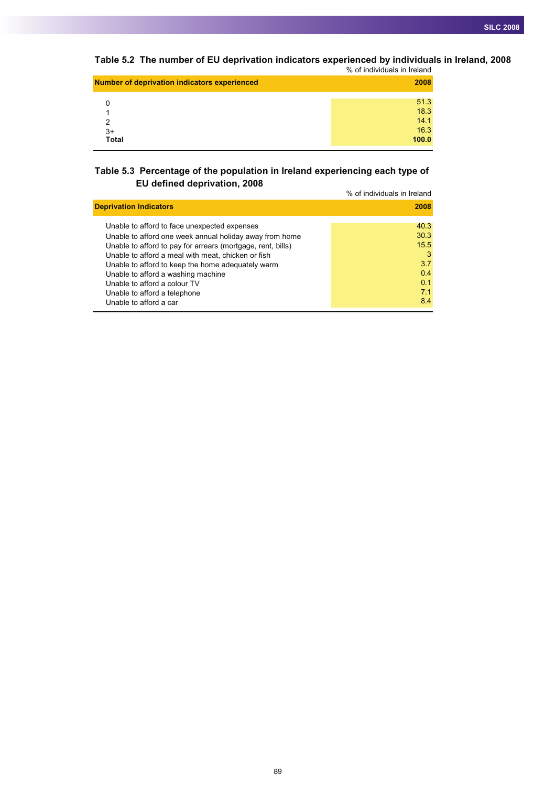**Table 5.2 The number of EU deprivation indicators experienced by individuals in Ireland, 2008**

|                                                     | % of individuals in Ireland |
|-----------------------------------------------------|-----------------------------|
| <b>Number of deprivation indicators experienced</b> | 2008                        |
|                                                     | 51.3                        |
|                                                     | 18.3                        |
| っ                                                   | 14.1                        |
| $3+$                                                | 16.3                        |
| <b>Total</b>                                        | 100.0                       |
|                                                     |                             |

## **Table 5.3 Percentage of the population in Ireland experiencing each type of EU defined deprivation, 2008**

|                                                                                                                                                                                                                                                                                                                                                                                                                   | % of individuals in Ireland                                  |
|-------------------------------------------------------------------------------------------------------------------------------------------------------------------------------------------------------------------------------------------------------------------------------------------------------------------------------------------------------------------------------------------------------------------|--------------------------------------------------------------|
| <b>Deprivation Indicators</b>                                                                                                                                                                                                                                                                                                                                                                                     | 2008                                                         |
| Unable to afford to face unexpected expenses<br>Unable to afford one week annual holiday away from home<br>Unable to afford to pay for arrears (mortgage, rent, bills)<br>Unable to afford a meal with meat, chicken or fish<br>Unable to afford to keep the home adequately warm<br>Unable to afford a washing machine<br>Unable to afford a colour TV<br>Unable to afford a telephone<br>Unable to afford a car | 40.3<br>30.3<br>15.5<br>3<br>3.7<br>0.4<br>0.1<br>7.1<br>8.4 |
|                                                                                                                                                                                                                                                                                                                                                                                                                   |                                                              |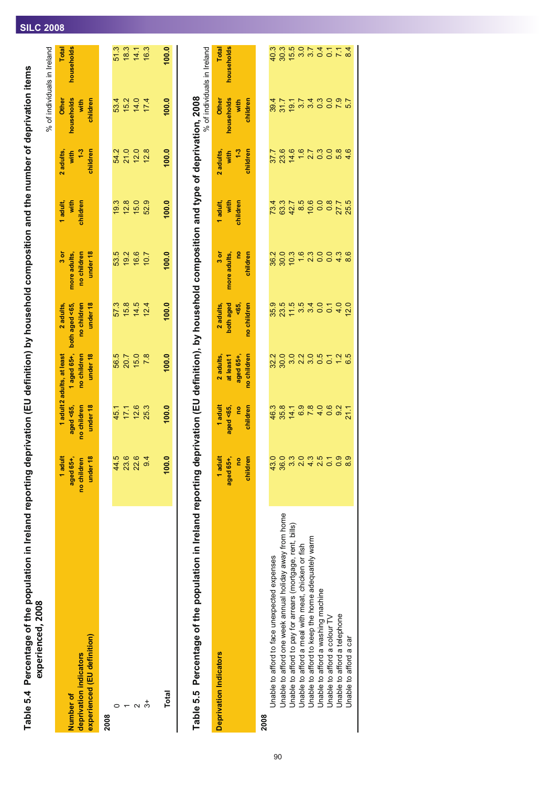# Table 5.4 Percentage of the population in Ireland reporting deprivation (EU definition) by household composition and the number of deprivation items<br>experienced, 2008 Table 5.4 Percentage of the population in Ireland reporting deprivation (EU definition) by household composition and the number of deprivation items **experienced, 2008**

|                                                                    |                                                 |                                      |                                                                      |                                                        |                                                 |                              |                                     |                                         | % of individuals in Ireland            |
|--------------------------------------------------------------------|-------------------------------------------------|--------------------------------------|----------------------------------------------------------------------|--------------------------------------------------------|-------------------------------------------------|------------------------------|-------------------------------------|-----------------------------------------|----------------------------------------|
| experienced (EU definition)<br>deprivation indicators<br>Number of | 1 adult<br>under 18<br>aged 65+,<br>no children | aged <65,<br>no children<br>under 18 | 1 aged 65+,<br>no children<br>under 18<br>1 adult 2 adults, at least | no children<br>under 18<br>2 adults,<br>both aged <65, | under 18<br>no children<br>3 or<br>more adults, | 1 adult,<br>with<br>children | 2 adults,<br>with $1-3$<br>children | households<br>Other<br>children<br>with | <b>Total</b><br>households             |
| 2008                                                               |                                                 |                                      |                                                                      |                                                        |                                                 |                              |                                     |                                         |                                        |
|                                                                    | 44.5                                            |                                      |                                                                      |                                                        |                                                 | 19.3                         |                                     |                                         |                                        |
|                                                                    | <u>ဖ</u><br>23                                  | $45.1$<br>17.1                       | 5 0 1 5 0<br>5 0 1 5 0<br>5 0 1 5                                    | 57.3<br>15.8                                           | 53.5<br>19.2                                    | $12.8$<br>$15.0$             |                                     |                                         | 5 10 11 10<br>5 10 11 10<br>5 10 11 10 |
| $\mathbf{\sim}$                                                    | 22.6                                            | 12.6                                 |                                                                      | 14.5                                                   | 16.6                                            |                              |                                     |                                         |                                        |
| ౘ                                                                  | 9.4                                             | 25.3                                 | 7.8                                                                  | 12.4                                                   | 10.7                                            | 52.9                         | 12.8                                |                                         |                                        |
| Total                                                              | 100.0                                           | 100.0                                | 100.0                                                                | 100.0                                                  | 100.0                                           | 100.0                        | 100.0                               | 100.0                                   | 100.0                                  |

Table 5.5 Percentage of the population in Ireland reporting deprivation (EU definition), by household composition and type of deprivation, 2008<br>Table 5.5 Percentage of the population in Ireland reporting deprivation (EU de Table 5.5 Percentage of the population in Ireland reporting deprivation (EU definition), by household composition and type of deprivation, 2008

% of individuals in Ireland

| <b>Deprivation Indicators</b>                               | 1 adult<br>aged 65+,<br>no<br>children                        | 1 adult<br>aged <65,<br>no<br>children                                                                                                                                                                                               | 2 adults,<br>at least 1<br>aged 65+,<br>no children | 2 adults,<br>both aged<br><65,<br>cochildren | 3 or<br>more adults,<br>no<br>children | 1 adult,<br>with<br>children                                                                                                                                                                                                                                                                                                                                                                                                                                                                                                                        | 2 adults,<br>with<br>1-3<br>children | Other<br>households<br>with<br>children                         | Total<br>households                     |
|-------------------------------------------------------------|---------------------------------------------------------------|--------------------------------------------------------------------------------------------------------------------------------------------------------------------------------------------------------------------------------------|-----------------------------------------------------|----------------------------------------------|----------------------------------------|-----------------------------------------------------------------------------------------------------------------------------------------------------------------------------------------------------------------------------------------------------------------------------------------------------------------------------------------------------------------------------------------------------------------------------------------------------------------------------------------------------------------------------------------------------|--------------------------------------|-----------------------------------------------------------------|-----------------------------------------|
| 2008                                                        |                                                               |                                                                                                                                                                                                                                      |                                                     |                                              |                                        |                                                                                                                                                                                                                                                                                                                                                                                                                                                                                                                                                     |                                      |                                                                 |                                         |
| Unable to afford to face unexpected expenses                |                                                               |                                                                                                                                                                                                                                      |                                                     |                                              |                                        |                                                                                                                                                                                                                                                                                                                                                                                                                                                                                                                                                     |                                      |                                                                 |                                         |
| Unable to afford one week annual holiday away from home     |                                                               |                                                                                                                                                                                                                                      |                                                     |                                              |                                        |                                                                                                                                                                                                                                                                                                                                                                                                                                                                                                                                                     |                                      |                                                                 |                                         |
| Unable to afford to pay for arrears (mortgage, rent, bills) |                                                               |                                                                                                                                                                                                                                      |                                                     |                                              |                                        |                                                                                                                                                                                                                                                                                                                                                                                                                                                                                                                                                     |                                      |                                                                 |                                         |
| Unable to afford a meal with meat, chicken or fish          | q g m q q 4 y 0 0 m<br>a g w q 4 y 0 0 m<br>0 0 w d 4 y 0 0 m | coding coding<br>coding coding coding coding coding coding coding coding coding coding coding coding coding coding coding codin<br>coding coding coding coding coding coding coding coding coding coding coding coding coding coding | s<br>Socient in Society<br>Society                  |                                              |                                        | $\begin{array}{l} 7.67 \rightarrow 0.67 \rightarrow 0.67 \rightarrow 0.67 \rightarrow 0.67 \rightarrow 0.67 \rightarrow 0.67 \rightarrow 0.67 \rightarrow 0.67 \rightarrow 0.67 \rightarrow 0.67 \rightarrow 0.67 \rightarrow 0.67 \rightarrow 0.67 \rightarrow 0.67 \rightarrow 0.67 \rightarrow 0.67 \rightarrow 0.67 \rightarrow 0.67 \rightarrow 0.67 \rightarrow 0.67 \rightarrow 0.67 \rightarrow 0.67 \rightarrow 0.67 \rightarrow 0.67 \rightarrow 0.67 \rightarrow 0.67 \rightarrow 0.67 \rightarrow 0.67 \rightarrow 0.67 \rightarrow 0.$ | アののあてとりる<br>アルトラフトにはある               | 8 8 5 9 9 9 9 0 9 7<br>9 7 9 9 9 9 9 0 9 7<br>9 7 7 7 9 9 0 9 7 | d 8 to w w o o r w<br>a w w o r 4 r r 4 |
| Unable to afford to keep the home adequately warm           |                                                               |                                                                                                                                                                                                                                      |                                                     |                                              |                                        |                                                                                                                                                                                                                                                                                                                                                                                                                                                                                                                                                     |                                      |                                                                 |                                         |
| Unable to afford a washing machine                          |                                                               |                                                                                                                                                                                                                                      |                                                     |                                              |                                        |                                                                                                                                                                                                                                                                                                                                                                                                                                                                                                                                                     |                                      |                                                                 |                                         |
| Unable to afford a colour TV                                |                                                               |                                                                                                                                                                                                                                      |                                                     |                                              |                                        |                                                                                                                                                                                                                                                                                                                                                                                                                                                                                                                                                     |                                      |                                                                 |                                         |
| Unable to afford a telephone                                |                                                               |                                                                                                                                                                                                                                      |                                                     |                                              |                                        |                                                                                                                                                                                                                                                                                                                                                                                                                                                                                                                                                     |                                      |                                                                 |                                         |
| Unable to afford a car                                      |                                                               |                                                                                                                                                                                                                                      |                                                     |                                              |                                        |                                                                                                                                                                                                                                                                                                                                                                                                                                                                                                                                                     |                                      |                                                                 |                                         |

# **SILC 2008**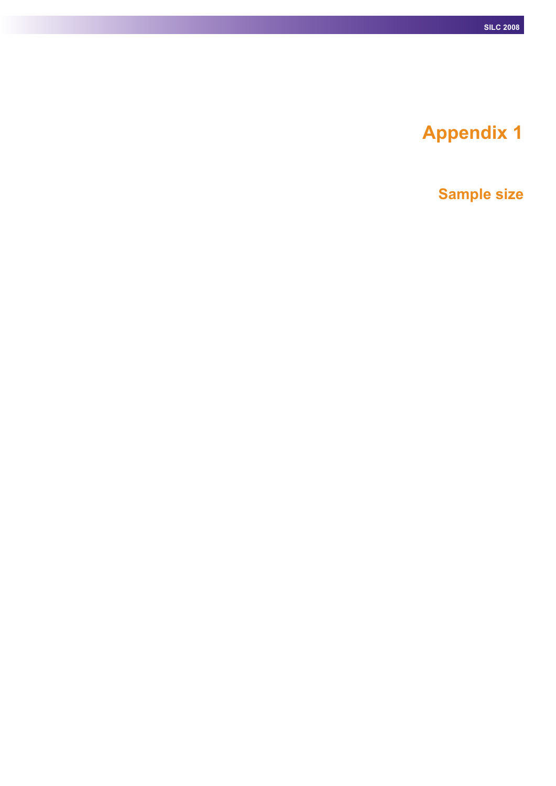# **Appendix 1**

**Sample size**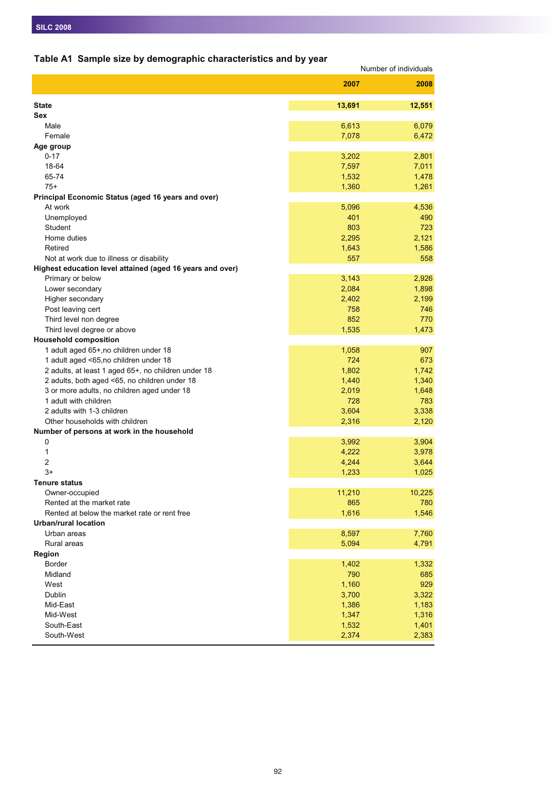# **Table A1 Sample size by demographic characteristics and by year**

| 2007<br>2008<br>13,691<br>12,551<br><b>State</b><br>Sex<br>Male<br>6,613<br>6,079<br>Female<br>7,078<br>6,472<br>Age group<br>$0 - 17$<br>3,202<br>2,801<br>7,011<br>18-64<br>7,597<br>65-74<br>1,532<br>1,478<br>1,261<br>$75+$<br>1,360<br>Principal Economic Status (aged 16 years and over)<br>4,536<br>At work<br>5,096<br>Unemployed<br>401<br>490<br>803<br>Student<br>723<br>Home duties<br>2,295<br>2,121<br>Retired<br>1,643<br>1,586<br>557<br>558<br>Not at work due to illness or disability<br>Highest education level attained (aged 16 years and over)<br>Primary or below<br>3,143<br>2,926<br>Lower secondary<br>2,084<br>1,898<br>Higher secondary<br>2,402<br>2,199<br>758<br>Post leaving cert<br>746<br>852<br>Third level non degree<br>770<br>Third level degree or above<br>1,535<br>1,473<br><b>Household composition</b><br>1 adult aged 65+, no children under 18<br>1,058<br>907<br>724<br>1 adult aged <65,no children under 18<br>673<br>1,802<br>2 adults, at least 1 aged 65+, no children under 18<br>1,742<br>2 adults, both aged <65, no children under 18<br>1,340<br>1,440<br>3 or more adults, no children aged under 18<br>2,019<br>1,648<br>1 adult with children<br>728<br>783<br>2 adults with 1-3 children<br>3,604<br>3,338<br>Other households with children<br>2,316<br>2,120<br>Number of persons at work in the household<br>$\pmb{0}$<br>3,992<br>3,904<br>1<br>4,222<br>3,978<br>$\overline{2}$<br>4,244<br>3,644<br>$3+$<br>1,233<br>1,025<br><b>Tenure status</b><br>Owner-occupied<br>11,210<br>10,225<br>Rented at the market rate<br>865<br>780<br>1,616<br>Rented at below the market rate or rent free<br>1,546<br><b>Urban/rural location</b><br>Urban areas<br>8,597<br>7,760<br>Rural areas<br>5,094<br>4,791<br>Region<br><b>Border</b><br>1,402<br>1,332<br>Midland<br>790<br>685<br>1,160<br>929<br>West<br>3,700<br>Dublin<br>3,322<br>Mid-East<br>1,386<br>1,183<br>Mid-West<br>1,347<br>1,316<br>South-East<br>1,532<br>1,401<br>South-West<br>2,374<br>2,383 | rable AT Sample size by demographic characteristics and by year | Number of individuals |
|----------------------------------------------------------------------------------------------------------------------------------------------------------------------------------------------------------------------------------------------------------------------------------------------------------------------------------------------------------------------------------------------------------------------------------------------------------------------------------------------------------------------------------------------------------------------------------------------------------------------------------------------------------------------------------------------------------------------------------------------------------------------------------------------------------------------------------------------------------------------------------------------------------------------------------------------------------------------------------------------------------------------------------------------------------------------------------------------------------------------------------------------------------------------------------------------------------------------------------------------------------------------------------------------------------------------------------------------------------------------------------------------------------------------------------------------------------------------------------------------------------------------------------------------------------------------------------------------------------------------------------------------------------------------------------------------------------------------------------------------------------------------------------------------------------------------------------------------------------------------------------------------------------------------------------------------------------------------------------------------------------------------------------|-----------------------------------------------------------------|-----------------------|
|                                                                                                                                                                                                                                                                                                                                                                                                                                                                                                                                                                                                                                                                                                                                                                                                                                                                                                                                                                                                                                                                                                                                                                                                                                                                                                                                                                                                                                                                                                                                                                                                                                                                                                                                                                                                                                                                                                                                                                                                                                  |                                                                 |                       |
|                                                                                                                                                                                                                                                                                                                                                                                                                                                                                                                                                                                                                                                                                                                                                                                                                                                                                                                                                                                                                                                                                                                                                                                                                                                                                                                                                                                                                                                                                                                                                                                                                                                                                                                                                                                                                                                                                                                                                                                                                                  |                                                                 |                       |
|                                                                                                                                                                                                                                                                                                                                                                                                                                                                                                                                                                                                                                                                                                                                                                                                                                                                                                                                                                                                                                                                                                                                                                                                                                                                                                                                                                                                                                                                                                                                                                                                                                                                                                                                                                                                                                                                                                                                                                                                                                  |                                                                 |                       |
|                                                                                                                                                                                                                                                                                                                                                                                                                                                                                                                                                                                                                                                                                                                                                                                                                                                                                                                                                                                                                                                                                                                                                                                                                                                                                                                                                                                                                                                                                                                                                                                                                                                                                                                                                                                                                                                                                                                                                                                                                                  |                                                                 |                       |
|                                                                                                                                                                                                                                                                                                                                                                                                                                                                                                                                                                                                                                                                                                                                                                                                                                                                                                                                                                                                                                                                                                                                                                                                                                                                                                                                                                                                                                                                                                                                                                                                                                                                                                                                                                                                                                                                                                                                                                                                                                  |                                                                 |                       |
|                                                                                                                                                                                                                                                                                                                                                                                                                                                                                                                                                                                                                                                                                                                                                                                                                                                                                                                                                                                                                                                                                                                                                                                                                                                                                                                                                                                                                                                                                                                                                                                                                                                                                                                                                                                                                                                                                                                                                                                                                                  |                                                                 |                       |
|                                                                                                                                                                                                                                                                                                                                                                                                                                                                                                                                                                                                                                                                                                                                                                                                                                                                                                                                                                                                                                                                                                                                                                                                                                                                                                                                                                                                                                                                                                                                                                                                                                                                                                                                                                                                                                                                                                                                                                                                                                  |                                                                 |                       |
|                                                                                                                                                                                                                                                                                                                                                                                                                                                                                                                                                                                                                                                                                                                                                                                                                                                                                                                                                                                                                                                                                                                                                                                                                                                                                                                                                                                                                                                                                                                                                                                                                                                                                                                                                                                                                                                                                                                                                                                                                                  |                                                                 |                       |
|                                                                                                                                                                                                                                                                                                                                                                                                                                                                                                                                                                                                                                                                                                                                                                                                                                                                                                                                                                                                                                                                                                                                                                                                                                                                                                                                                                                                                                                                                                                                                                                                                                                                                                                                                                                                                                                                                                                                                                                                                                  |                                                                 |                       |
|                                                                                                                                                                                                                                                                                                                                                                                                                                                                                                                                                                                                                                                                                                                                                                                                                                                                                                                                                                                                                                                                                                                                                                                                                                                                                                                                                                                                                                                                                                                                                                                                                                                                                                                                                                                                                                                                                                                                                                                                                                  |                                                                 |                       |
|                                                                                                                                                                                                                                                                                                                                                                                                                                                                                                                                                                                                                                                                                                                                                                                                                                                                                                                                                                                                                                                                                                                                                                                                                                                                                                                                                                                                                                                                                                                                                                                                                                                                                                                                                                                                                                                                                                                                                                                                                                  |                                                                 |                       |
|                                                                                                                                                                                                                                                                                                                                                                                                                                                                                                                                                                                                                                                                                                                                                                                                                                                                                                                                                                                                                                                                                                                                                                                                                                                                                                                                                                                                                                                                                                                                                                                                                                                                                                                                                                                                                                                                                                                                                                                                                                  |                                                                 |                       |
|                                                                                                                                                                                                                                                                                                                                                                                                                                                                                                                                                                                                                                                                                                                                                                                                                                                                                                                                                                                                                                                                                                                                                                                                                                                                                                                                                                                                                                                                                                                                                                                                                                                                                                                                                                                                                                                                                                                                                                                                                                  |                                                                 |                       |
|                                                                                                                                                                                                                                                                                                                                                                                                                                                                                                                                                                                                                                                                                                                                                                                                                                                                                                                                                                                                                                                                                                                                                                                                                                                                                                                                                                                                                                                                                                                                                                                                                                                                                                                                                                                                                                                                                                                                                                                                                                  |                                                                 |                       |
|                                                                                                                                                                                                                                                                                                                                                                                                                                                                                                                                                                                                                                                                                                                                                                                                                                                                                                                                                                                                                                                                                                                                                                                                                                                                                                                                                                                                                                                                                                                                                                                                                                                                                                                                                                                                                                                                                                                                                                                                                                  |                                                                 |                       |
|                                                                                                                                                                                                                                                                                                                                                                                                                                                                                                                                                                                                                                                                                                                                                                                                                                                                                                                                                                                                                                                                                                                                                                                                                                                                                                                                                                                                                                                                                                                                                                                                                                                                                                                                                                                                                                                                                                                                                                                                                                  |                                                                 |                       |
|                                                                                                                                                                                                                                                                                                                                                                                                                                                                                                                                                                                                                                                                                                                                                                                                                                                                                                                                                                                                                                                                                                                                                                                                                                                                                                                                                                                                                                                                                                                                                                                                                                                                                                                                                                                                                                                                                                                                                                                                                                  |                                                                 |                       |
|                                                                                                                                                                                                                                                                                                                                                                                                                                                                                                                                                                                                                                                                                                                                                                                                                                                                                                                                                                                                                                                                                                                                                                                                                                                                                                                                                                                                                                                                                                                                                                                                                                                                                                                                                                                                                                                                                                                                                                                                                                  |                                                                 |                       |
|                                                                                                                                                                                                                                                                                                                                                                                                                                                                                                                                                                                                                                                                                                                                                                                                                                                                                                                                                                                                                                                                                                                                                                                                                                                                                                                                                                                                                                                                                                                                                                                                                                                                                                                                                                                                                                                                                                                                                                                                                                  |                                                                 |                       |
|                                                                                                                                                                                                                                                                                                                                                                                                                                                                                                                                                                                                                                                                                                                                                                                                                                                                                                                                                                                                                                                                                                                                                                                                                                                                                                                                                                                                                                                                                                                                                                                                                                                                                                                                                                                                                                                                                                                                                                                                                                  |                                                                 |                       |
|                                                                                                                                                                                                                                                                                                                                                                                                                                                                                                                                                                                                                                                                                                                                                                                                                                                                                                                                                                                                                                                                                                                                                                                                                                                                                                                                                                                                                                                                                                                                                                                                                                                                                                                                                                                                                                                                                                                                                                                                                                  |                                                                 |                       |
|                                                                                                                                                                                                                                                                                                                                                                                                                                                                                                                                                                                                                                                                                                                                                                                                                                                                                                                                                                                                                                                                                                                                                                                                                                                                                                                                                                                                                                                                                                                                                                                                                                                                                                                                                                                                                                                                                                                                                                                                                                  |                                                                 |                       |
|                                                                                                                                                                                                                                                                                                                                                                                                                                                                                                                                                                                                                                                                                                                                                                                                                                                                                                                                                                                                                                                                                                                                                                                                                                                                                                                                                                                                                                                                                                                                                                                                                                                                                                                                                                                                                                                                                                                                                                                                                                  |                                                                 |                       |
|                                                                                                                                                                                                                                                                                                                                                                                                                                                                                                                                                                                                                                                                                                                                                                                                                                                                                                                                                                                                                                                                                                                                                                                                                                                                                                                                                                                                                                                                                                                                                                                                                                                                                                                                                                                                                                                                                                                                                                                                                                  |                                                                 |                       |
|                                                                                                                                                                                                                                                                                                                                                                                                                                                                                                                                                                                                                                                                                                                                                                                                                                                                                                                                                                                                                                                                                                                                                                                                                                                                                                                                                                                                                                                                                                                                                                                                                                                                                                                                                                                                                                                                                                                                                                                                                                  |                                                                 |                       |
|                                                                                                                                                                                                                                                                                                                                                                                                                                                                                                                                                                                                                                                                                                                                                                                                                                                                                                                                                                                                                                                                                                                                                                                                                                                                                                                                                                                                                                                                                                                                                                                                                                                                                                                                                                                                                                                                                                                                                                                                                                  |                                                                 |                       |
|                                                                                                                                                                                                                                                                                                                                                                                                                                                                                                                                                                                                                                                                                                                                                                                                                                                                                                                                                                                                                                                                                                                                                                                                                                                                                                                                                                                                                                                                                                                                                                                                                                                                                                                                                                                                                                                                                                                                                                                                                                  |                                                                 |                       |
|                                                                                                                                                                                                                                                                                                                                                                                                                                                                                                                                                                                                                                                                                                                                                                                                                                                                                                                                                                                                                                                                                                                                                                                                                                                                                                                                                                                                                                                                                                                                                                                                                                                                                                                                                                                                                                                                                                                                                                                                                                  |                                                                 |                       |
|                                                                                                                                                                                                                                                                                                                                                                                                                                                                                                                                                                                                                                                                                                                                                                                                                                                                                                                                                                                                                                                                                                                                                                                                                                                                                                                                                                                                                                                                                                                                                                                                                                                                                                                                                                                                                                                                                                                                                                                                                                  |                                                                 |                       |
|                                                                                                                                                                                                                                                                                                                                                                                                                                                                                                                                                                                                                                                                                                                                                                                                                                                                                                                                                                                                                                                                                                                                                                                                                                                                                                                                                                                                                                                                                                                                                                                                                                                                                                                                                                                                                                                                                                                                                                                                                                  |                                                                 |                       |
|                                                                                                                                                                                                                                                                                                                                                                                                                                                                                                                                                                                                                                                                                                                                                                                                                                                                                                                                                                                                                                                                                                                                                                                                                                                                                                                                                                                                                                                                                                                                                                                                                                                                                                                                                                                                                                                                                                                                                                                                                                  |                                                                 |                       |
|                                                                                                                                                                                                                                                                                                                                                                                                                                                                                                                                                                                                                                                                                                                                                                                                                                                                                                                                                                                                                                                                                                                                                                                                                                                                                                                                                                                                                                                                                                                                                                                                                                                                                                                                                                                                                                                                                                                                                                                                                                  |                                                                 |                       |
|                                                                                                                                                                                                                                                                                                                                                                                                                                                                                                                                                                                                                                                                                                                                                                                                                                                                                                                                                                                                                                                                                                                                                                                                                                                                                                                                                                                                                                                                                                                                                                                                                                                                                                                                                                                                                                                                                                                                                                                                                                  |                                                                 |                       |
|                                                                                                                                                                                                                                                                                                                                                                                                                                                                                                                                                                                                                                                                                                                                                                                                                                                                                                                                                                                                                                                                                                                                                                                                                                                                                                                                                                                                                                                                                                                                                                                                                                                                                                                                                                                                                                                                                                                                                                                                                                  |                                                                 |                       |
|                                                                                                                                                                                                                                                                                                                                                                                                                                                                                                                                                                                                                                                                                                                                                                                                                                                                                                                                                                                                                                                                                                                                                                                                                                                                                                                                                                                                                                                                                                                                                                                                                                                                                                                                                                                                                                                                                                                                                                                                                                  |                                                                 |                       |
|                                                                                                                                                                                                                                                                                                                                                                                                                                                                                                                                                                                                                                                                                                                                                                                                                                                                                                                                                                                                                                                                                                                                                                                                                                                                                                                                                                                                                                                                                                                                                                                                                                                                                                                                                                                                                                                                                                                                                                                                                                  |                                                                 |                       |
|                                                                                                                                                                                                                                                                                                                                                                                                                                                                                                                                                                                                                                                                                                                                                                                                                                                                                                                                                                                                                                                                                                                                                                                                                                                                                                                                                                                                                                                                                                                                                                                                                                                                                                                                                                                                                                                                                                                                                                                                                                  |                                                                 |                       |
|                                                                                                                                                                                                                                                                                                                                                                                                                                                                                                                                                                                                                                                                                                                                                                                                                                                                                                                                                                                                                                                                                                                                                                                                                                                                                                                                                                                                                                                                                                                                                                                                                                                                                                                                                                                                                                                                                                                                                                                                                                  |                                                                 |                       |
|                                                                                                                                                                                                                                                                                                                                                                                                                                                                                                                                                                                                                                                                                                                                                                                                                                                                                                                                                                                                                                                                                                                                                                                                                                                                                                                                                                                                                                                                                                                                                                                                                                                                                                                                                                                                                                                                                                                                                                                                                                  |                                                                 |                       |
|                                                                                                                                                                                                                                                                                                                                                                                                                                                                                                                                                                                                                                                                                                                                                                                                                                                                                                                                                                                                                                                                                                                                                                                                                                                                                                                                                                                                                                                                                                                                                                                                                                                                                                                                                                                                                                                                                                                                                                                                                                  |                                                                 |                       |
|                                                                                                                                                                                                                                                                                                                                                                                                                                                                                                                                                                                                                                                                                                                                                                                                                                                                                                                                                                                                                                                                                                                                                                                                                                                                                                                                                                                                                                                                                                                                                                                                                                                                                                                                                                                                                                                                                                                                                                                                                                  |                                                                 |                       |
|                                                                                                                                                                                                                                                                                                                                                                                                                                                                                                                                                                                                                                                                                                                                                                                                                                                                                                                                                                                                                                                                                                                                                                                                                                                                                                                                                                                                                                                                                                                                                                                                                                                                                                                                                                                                                                                                                                                                                                                                                                  |                                                                 |                       |
|                                                                                                                                                                                                                                                                                                                                                                                                                                                                                                                                                                                                                                                                                                                                                                                                                                                                                                                                                                                                                                                                                                                                                                                                                                                                                                                                                                                                                                                                                                                                                                                                                                                                                                                                                                                                                                                                                                                                                                                                                                  |                                                                 |                       |
|                                                                                                                                                                                                                                                                                                                                                                                                                                                                                                                                                                                                                                                                                                                                                                                                                                                                                                                                                                                                                                                                                                                                                                                                                                                                                                                                                                                                                                                                                                                                                                                                                                                                                                                                                                                                                                                                                                                                                                                                                                  |                                                                 |                       |
|                                                                                                                                                                                                                                                                                                                                                                                                                                                                                                                                                                                                                                                                                                                                                                                                                                                                                                                                                                                                                                                                                                                                                                                                                                                                                                                                                                                                                                                                                                                                                                                                                                                                                                                                                                                                                                                                                                                                                                                                                                  |                                                                 |                       |
|                                                                                                                                                                                                                                                                                                                                                                                                                                                                                                                                                                                                                                                                                                                                                                                                                                                                                                                                                                                                                                                                                                                                                                                                                                                                                                                                                                                                                                                                                                                                                                                                                                                                                                                                                                                                                                                                                                                                                                                                                                  |                                                                 |                       |
|                                                                                                                                                                                                                                                                                                                                                                                                                                                                                                                                                                                                                                                                                                                                                                                                                                                                                                                                                                                                                                                                                                                                                                                                                                                                                                                                                                                                                                                                                                                                                                                                                                                                                                                                                                                                                                                                                                                                                                                                                                  |                                                                 |                       |
|                                                                                                                                                                                                                                                                                                                                                                                                                                                                                                                                                                                                                                                                                                                                                                                                                                                                                                                                                                                                                                                                                                                                                                                                                                                                                                                                                                                                                                                                                                                                                                                                                                                                                                                                                                                                                                                                                                                                                                                                                                  |                                                                 |                       |
|                                                                                                                                                                                                                                                                                                                                                                                                                                                                                                                                                                                                                                                                                                                                                                                                                                                                                                                                                                                                                                                                                                                                                                                                                                                                                                                                                                                                                                                                                                                                                                                                                                                                                                                                                                                                                                                                                                                                                                                                                                  |                                                                 |                       |
|                                                                                                                                                                                                                                                                                                                                                                                                                                                                                                                                                                                                                                                                                                                                                                                                                                                                                                                                                                                                                                                                                                                                                                                                                                                                                                                                                                                                                                                                                                                                                                                                                                                                                                                                                                                                                                                                                                                                                                                                                                  |                                                                 |                       |
|                                                                                                                                                                                                                                                                                                                                                                                                                                                                                                                                                                                                                                                                                                                                                                                                                                                                                                                                                                                                                                                                                                                                                                                                                                                                                                                                                                                                                                                                                                                                                                                                                                                                                                                                                                                                                                                                                                                                                                                                                                  |                                                                 |                       |
|                                                                                                                                                                                                                                                                                                                                                                                                                                                                                                                                                                                                                                                                                                                                                                                                                                                                                                                                                                                                                                                                                                                                                                                                                                                                                                                                                                                                                                                                                                                                                                                                                                                                                                                                                                                                                                                                                                                                                                                                                                  |                                                                 |                       |
|                                                                                                                                                                                                                                                                                                                                                                                                                                                                                                                                                                                                                                                                                                                                                                                                                                                                                                                                                                                                                                                                                                                                                                                                                                                                                                                                                                                                                                                                                                                                                                                                                                                                                                                                                                                                                                                                                                                                                                                                                                  |                                                                 |                       |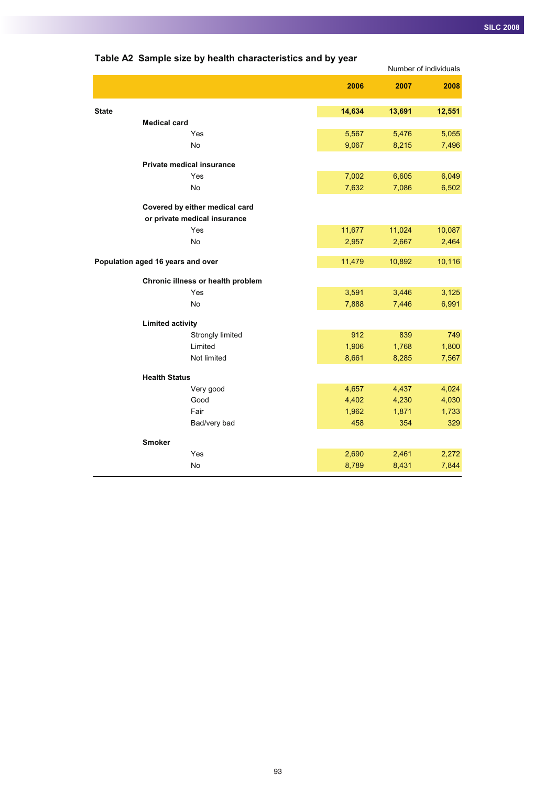|                                   |        |        | Number of individuals |
|-----------------------------------|--------|--------|-----------------------|
|                                   | 2006   | 2007   | 2008                  |
| <b>State</b>                      | 14,634 | 13,691 | 12,551                |
| <b>Medical card</b>               |        |        |                       |
| Yes                               | 5,567  | 5,476  | 5,055                 |
| <b>No</b>                         | 9,067  | 8,215  | 7,496                 |
| <b>Private medical insurance</b>  |        |        |                       |
| Yes                               | 7,002  | 6,605  | 6,049                 |
| <b>No</b>                         | 7,632  | 7,086  | 6,502                 |
| Covered by either medical card    |        |        |                       |
| or private medical insurance      |        |        |                       |
| Yes                               | 11,677 | 11,024 | 10,087                |
| No                                | 2,957  | 2,667  | 2,464                 |
| Population aged 16 years and over | 11,479 | 10,892 | 10,116                |
| Chronic illness or health problem |        |        |                       |
| Yes                               | 3,591  | 3,446  | 3,125                 |
| No                                | 7,888  | 7,446  | 6,991                 |
| <b>Limited activity</b>           |        |        |                       |
| Strongly limited                  | 912    | 839    | 749                   |
| Limited                           | 1,906  | 1,768  | 1,800                 |
| Not limited                       | 8,661  | 8,285  | 7,567                 |
| <b>Health Status</b>              |        |        |                       |
| Very good                         | 4,657  | 4,437  | 4,024                 |
| Good                              | 4,402  | 4,230  | 4,030                 |
| Fair                              | 1,962  | 1,871  | 1,733                 |
| Bad/very bad                      | 458    | 354    | 329                   |
| <b>Smoker</b>                     |        |        |                       |
| Yes                               | 2,690  | 2,461  | 2,272                 |
| No                                | 8,789  | 8,431  | 7,844                 |

# **Table A2 Sample size by health characteristics and by year**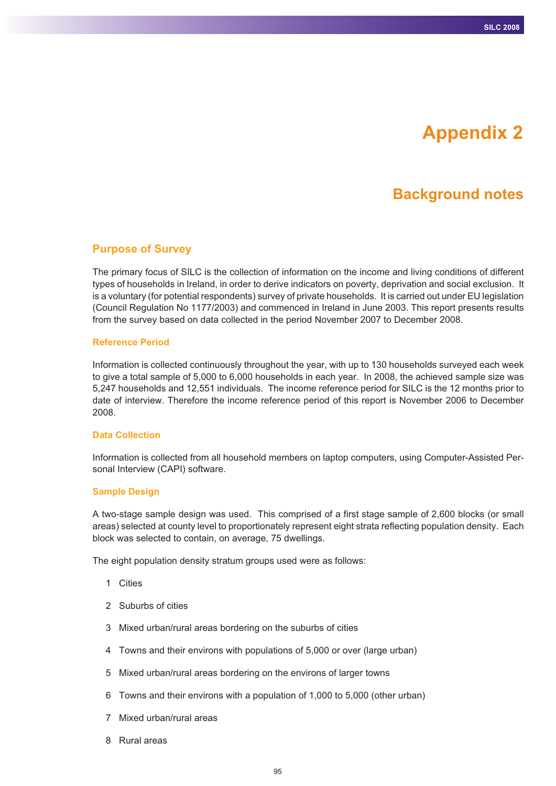# **Appendix 2**

# **Background notes**

#### **Purpose of Survey**

The primary focus of SILC is the collection of information on the income and living conditions of different types of households in Ireland, in order to derive indicators on poverty, deprivation and social exclusion. It is a voluntary (for potential respondents) survey of private households. It is carried out under EU legislation (Council Regulation No 1177/2003) and commenced in Ireland in June 2003. This report presents results from the survey based on data collected in the period November 2007 to December 2008.

#### **Reference Period**

Information is collected continuously throughout the year, with up to 130 households surveyed each week to give a total sample of 5,000 to 6,000 households in each year. In 2008, the achieved sample size was 5,247 households and 12,551 individuals. The income reference period for SILC is the 12 months prior to date of interview. Therefore the income reference period of this report is November 2006 to December 2008.

#### **Data Collection**

Information is collected from all household members on laptop computers, using Computer-Assisted Personal Interview (CAPI) software.

#### **Sample Design**

A two-stage sample design was used. This comprised of a first stage sample of 2,600 blocks (or small areas) selected at county level to proportionately represent eight strata reflecting population density. Each block was selected to contain, on average, 75 dwellings.

The eight population density stratum groups used were as follows:

- 1 Cities
- 2 Suburbs of cities
- 3 Mixed urban/rural areas bordering on the suburbs of cities
- 4 Towns and their environs with populations of 5,000 or over (large urban)
- 5 Mixed urban/rural areas bordering on the environs of larger towns
- 6 Towns and their environs with a population of 1,000 to 5,000 (other urban)
- 7 Mixed urban/rural areas
- 8 Rural areas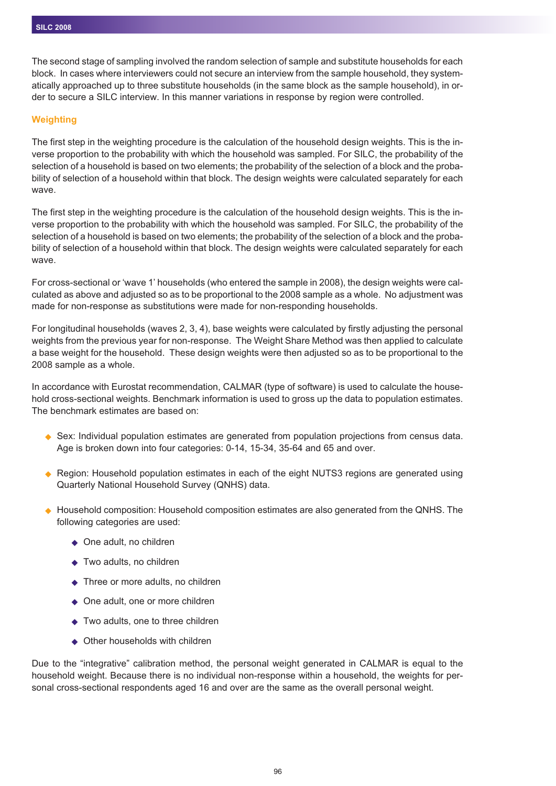The second stage of sampling involved the random selection of sample and substitute households for each block. In cases where interviewers could not secure an interview from the sample household, they systematically approached up to three substitute households (in the same block as the sample household), in order to secure a SILC interview. In this manner variations in response by region were controlled.

#### **Weighting**

The first step in the weighting procedure is the calculation of the household design weights. This is the inverse proportion to the probability with which the household was sampled. For SILC, the probability of the selection of a household is based on two elements; the probability of the selection of a block and the probability of selection of a household within that block. The design weights were calculated separately for each wave.

The first step in the weighting procedure is the calculation of the household design weights. This is the inverse proportion to the probability with which the household was sampled. For SILC, the probability of the selection of a household is based on two elements; the probability of the selection of a block and the probability of selection of a household within that block. The design weights were calculated separately for each wave.

For cross-sectional or 'wave 1' households (who entered the sample in 2008), the design weights were calculated as above and adjusted so as to be proportional to the 2008 sample as a whole. No adjustment was made for non-response as substitutions were made for non-responding households.

For longitudinal households (waves 2, 3, 4), base weights were calculated by firstly adjusting the personal weights from the previous year for non-response. The Weight Share Method was then applied to calculate a base weight for the household. These design weights were then adjusted so as to be proportional to the 2008 sample as a whole.

In accordance with Eurostat recommendation, CALMAR (type of software) is used to calculate the household cross-sectional weights. Benchmark information is used to gross up the data to population estimates. The benchmark estimates are based on:

- ◆ Sex: Individual population estimates are generated from population projections from census data. Age is broken down into four categories: 0-14, 15-34, 35-64 and 65 and over.
- ◆ Region: Household population estimates in each of the eight NUTS3 regions are generated using Quarterly National Household Survey (QNHS) data.
- $\blacklozenge$  Household composition: Household composition estimates are also generated from the QNHS. The following categories are used:
	- ◆ One adult, no children
	- ◆ Two adults, no children
	- ◆ Three or more adults, no children
	- ◆ One adult, one or more children
	- ◆ Two adults, one to three children
	- $\blacklozenge$ Other households with children

Due to the "integrative" calibration method, the personal weight generated in CALMAR is equal to the household weight. Because there is no individual non-response within a household, the weights for personal cross-sectional respondents aged 16 and over are the same as the overall personal weight.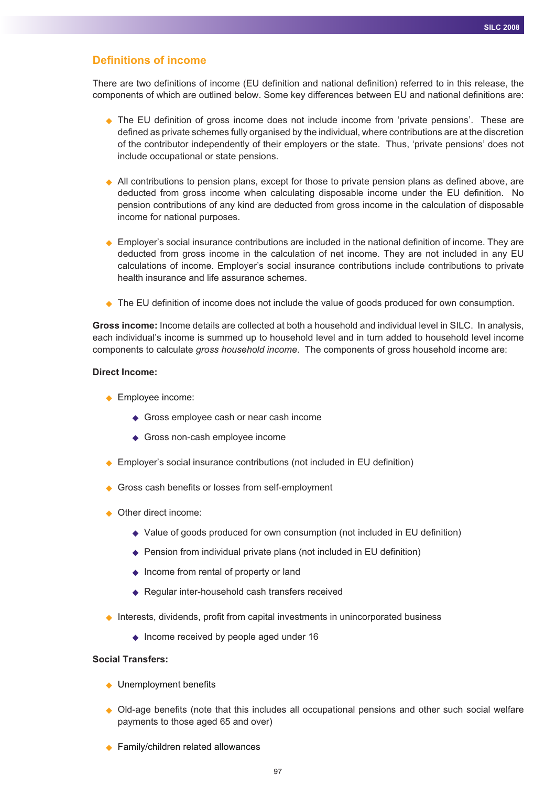#### **Definitions of income**

There are two definitions of income (EU definition and national definition) referred to in this release, the components of which are outlined below. Some key differences between EU and national definitions are:

- ◆ The EU definition of gross income does not include income from 'private pensions'. These are defined as private schemes fully organised by the individual, where contributions are at the discretion of the contributor independently of their employers or the state. Thus, 'private pensions' does not include occupational or state pensions.
- All contributions to pension plans, except for those to private pension plans as defined above, are deducted from gross income when calculating disposable income under the EU definition. No pension contributions of any kind are deducted from gross income in the calculation of disposable income for national purposes.
- ◆ Employer's social insurance contributions are included in the national definition of income. They are deducted from gross income in the calculation of net income. They are not included in any EU calculations of income. Employer's social insurance contributions include contributions to private health insurance and life assurance schemes.
- ◆ The EU definition of income does not include the value of goods produced for own consumption.

**Gross income:** Income details are collected at both a household and individual level in SILC. In analysis, each individual's income is summed up to household level and in turn added to household level income components to calculate *gross household income*. The components of gross household income are:

#### **Direct Income:**

- ◆ Employee income:
	- ◆ Gross employee cash or near cash income
	- ◆ Gross non-cash employee income
- ◆ Employer's social insurance contributions (not included in EU definition)
- ◆ Gross cash benefits or losses from self-employment
- ◆ Other direct income:
	- ◆ Value of goods produced for own consumption (not included in EU definition)
	- ◆ Pension from individual private plans (not included in EU definition)
	- ◆ Income from rental of property or land
	- ◆ Regular inter-household cash transfers received
- ◆ Interests, dividends, profit from capital investments in unincorporated business
	- ◆ Income received by people aged under 16

#### **Social Transfers:**

- ◆ Unemployment benefits
- Old-age benefits (note that this includes all occupational pensions and other such social welfare payments to those aged 65 and over)
- ◆ Family/children related allowances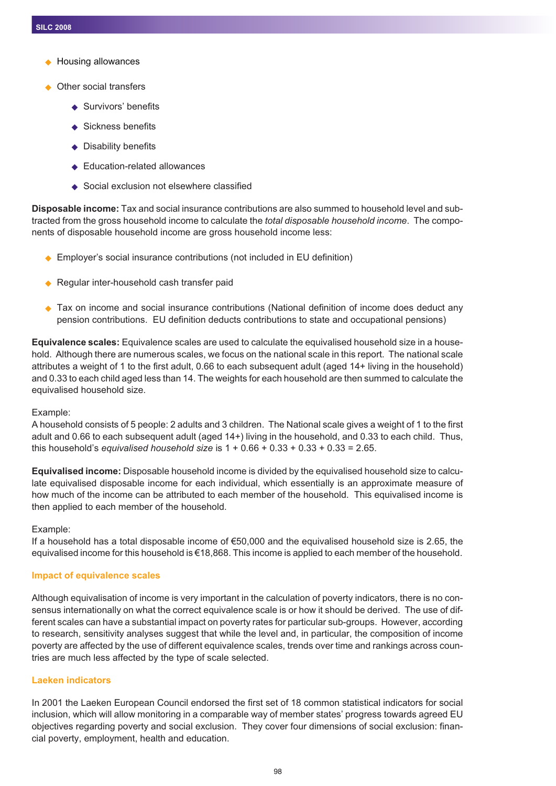- $\bullet$ Housing allowances
- ◆ Other social transfers
	- ◆ Survivors' benefits
	- ◆ Sickness benefits
	- ◆ Disability benefits
	- ◆ Education-related allowances
	- ◆ Social exclusion not elsewhere classified

**Disposable income:** Tax and social insurance contributions are also summed to household level and subtracted from the gross household income to calculate the *total disposable household income*. The components of disposable household income are gross household income less:

- ◆ Employer's social insurance contributions (not included in EU definition)
- ◆ Regular inter-household cash transfer paid
- ◆ Tax on income and social insurance contributions (National definition of income does deduct any pension contributions. EU definition deducts contributions to state and occupational pensions)

**Equivalence scales:** Equivalence scales are used to calculate the equivalised household size in a household. Although there are numerous scales, we focus on the national scale in this report. The national scale attributes a weight of 1 to the first adult, 0.66 to each subsequent adult (aged 14+ living in the household) and 0.33 to each child aged less than 14. The weights for each household are then summed to calculate the equivalised household size.

#### Example:

A household consists of 5 people: 2 adults and 3 children. The National scale gives a weight of 1 to the first adult and 0.66 to each subsequent adult (aged 14+) living in the household, and 0.33 to each child. Thus, this household's *equivalised household size* is 1 + 0.66 + 0.33 + 0.33 + 0.33 = 2.65.

**Equivalised income:** Disposable household income is divided by the equivalised household size to calculate equivalised disposable income for each individual, which essentially is an approximate measure of how much of the income can be attributed to each member of the household. This equivalised income is then applied to each member of the household.

#### Example:

If a household has a total disposable income of €50,000 and the equivalised household size is 2.65, the equivalised income for this household is €18,868. This income is applied to each member of the household.

#### **Impact of equivalence scales**

Although equivalisation of income is very important in the calculation of poverty indicators, there is no consensus internationally on what the correct equivalence scale is or how it should be derived. The use of different scales can have a substantial impact on poverty rates for particular sub-groups. However, according to research, sensitivity analyses suggest that while the level and, in particular, the composition of income poverty are affected by the use of different equivalence scales, trends over time and rankings across countries are much less affected by the type of scale selected.

#### **Laeken indicators**

In 2001 the Laeken European Council endorsed the first set of 18 common statistical indicators for social inclusion, which will allow monitoring in a comparable way of member states' progress towards agreed EU objectives regarding poverty and social exclusion. They cover four dimensions of social exclusion: financial poverty, employment, health and education.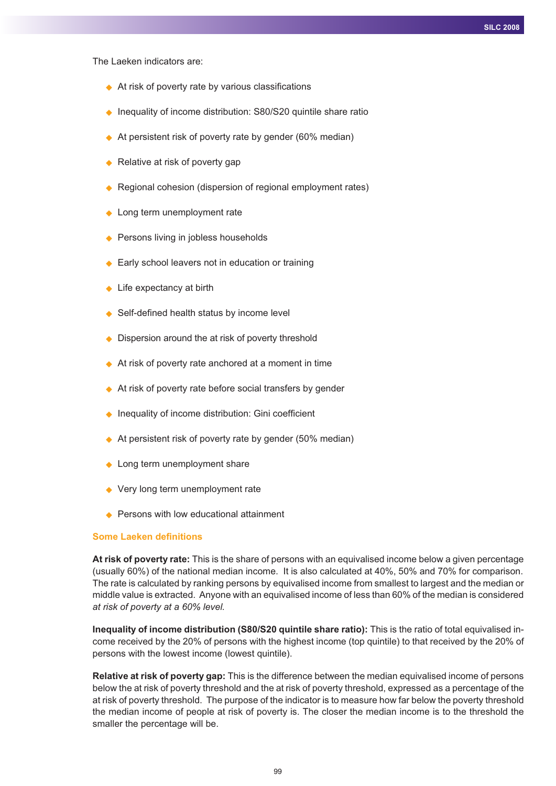The Laeken indicators are:

- ◆ At risk of poverty rate by various classifications
- ◆ Inequality of income distribution: S80/S20 quintile share ratio
- ◆ At persistent risk of poverty rate by gender (60% median)
- ◆ Relative at risk of poverty gap
- ◆ Regional cohesion (dispersion of regional employment rates)
- Long term unemployment rate
- ◆ Persons living in jobless households
- ◆ Early school leavers not in education or training
- ◆ Life expectancy at birth
- ◆ Self-defined health status by income level
- ◆ Dispersion around the at risk of poverty threshold
- ◆ At risk of poverty rate anchored at a moment in time
- ◆ At risk of poverty rate before social transfers by gender
- ◆ Inequality of income distribution: Gini coefficient
- ◆ At persistent risk of poverty rate by gender (50% median)
- Long term unemployment share
- ◆ Very long term unemployment rate
- ◆ Persons with low educational attainment

#### **Some Laeken definitions**

**At risk of poverty rate:** This is the share of persons with an equivalised income below a given percentage (usually 60%) of the national median income. It is also calculated at 40%, 50% and 70% for comparison. The rate is calculated by ranking persons by equivalised income from smallest to largest and the median or middle value is extracted. Anyone with an equivalised income of less than 60% of the median is considered *at risk of poverty at a 60% level.*

**Inequality of income distribution (S80/S20 quintile share ratio):** This is the ratio of total equivalised income received by the 20% of persons with the highest income (top quintile) to that received by the 20% of persons with the lowest income (lowest quintile).

**Relative at risk of poverty gap:** This is the difference between the median equivalised income of persons below the at risk of poverty threshold and the at risk of poverty threshold, expressed as a percentage of the at risk of poverty threshold. The purpose of the indicator is to measure how far below the poverty threshold the median income of people at risk of poverty is. The closer the median income is to the threshold the smaller the percentage will be.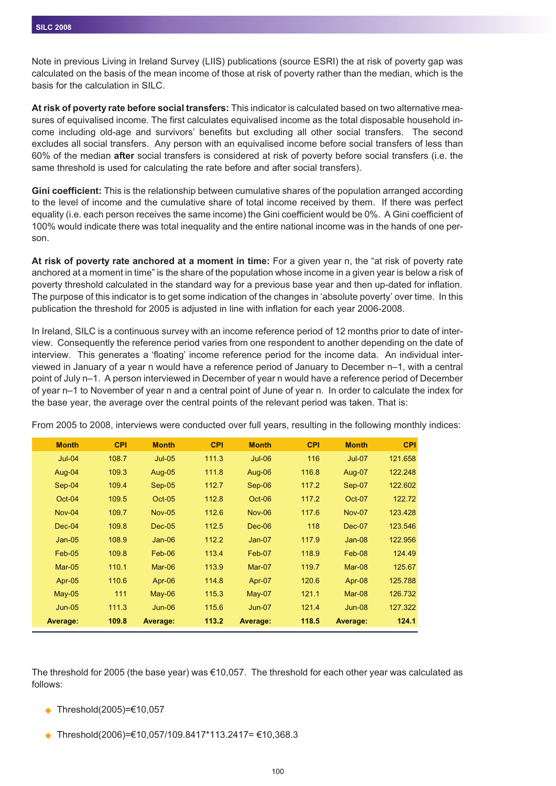Note in previous Living in Ireland Survey (LIIS) publications (source ESRI) the at risk of poverty gap was calculated on the basis of the mean income of those at risk of poverty rather than the median, which is the basis for the calculation in SILC.

**At risk of poverty rate before social transfers:** This indicator is calculated based on two alternative measures of equivalised income. The first calculates equivalised income as the total disposable household income including old-age and survivors' benefits but excluding all other social transfers. The second excludes all social transfers. Any person with an equivalised income before social transfers of less than 60% of the median **after** social transfers is considered at risk of poverty before social transfers (i.e. the same threshold is used for calculating the rate before and after social transfers).

**Gini coefficient:** This is the relationship between cumulative shares of the population arranged according to the level of income and the cumulative share of total income received by them. If there was perfect equality (i.e. each person receives the same income) the Gini coefficient would be 0%. A Gini coefficient of 100% would indicate there was total inequality and the entire national income was in the hands of one person.

**At risk of poverty rate anchored at a moment in time:** For a given year n, the "at risk of poverty rate anchored at a moment in time" is the share of the population whose income in a given year is below a risk of poverty threshold calculated in the standard way for a previous base year and then up-dated for inflation. The purpose of this indicator is to get some indication of the changes in 'absolute poverty' over time. In this publication the threshold for 2005 is adjusted in line with inflation for each year 2006-2008.

In Ireland, SILC is a continuous survey with an income reference period of 12 months prior to date of interview. Consequently the reference period varies from one respondent to another depending on the date of interview. This generates a 'floating' income reference period for the income data. An individual interviewed in January of a year n would have a reference period of January to December n–1, with a central point of July n–1. A person interviewed in December of year n would have a reference period of December of year n–1 to November of year n and a central point of June of year n. In order to calculate the index for the base year, the average over the central points of the relevant period was taken. That is:

| <b>Month</b>  | <b>CPI</b> | <b>Month</b>  | <b>CPI</b> | <b>Month</b>  | <b>CPI</b> | <b>Month</b>  | <b>CPI</b> |
|---------------|------------|---------------|------------|---------------|------------|---------------|------------|
| $Jul-04$      | 108.7      | $Jul-05$      | 111.3      | $Jul-06$      | 116        | $Jul-07$      | 121.658    |
| Aug-04        | 109.3      | Aug-05        | 111.8      | Aug-06        | 116.8      | Aug-07        | 122.248    |
| $Sep-04$      | 109.4      | $Sep-05$      | 112.7      | Sep-06        | 117.2      | Sep-07        | 122.602    |
| $Oct-04$      | 109.5      | $Oct-05$      | 112.8      | $Oct-06$      | 117.2      | $Oct-07$      | 122.72     |
| <b>Nov-04</b> | 109.7      | <b>Nov-05</b> | 112.6      | <b>Nov-06</b> | 117.6      | <b>Nov-07</b> | 123.428    |
| $Dec-04$      | 109.8      | $Dec-05$      | 112.5      | $Dec-06$      | 118        | Dec-07        | 123.546    |
| $Jan-05$      | 108.9      | $Jan-06$      | 112.2      | $Jan-07$      | 117.9      | $Jan-08$      | 122.956    |
| $Feb-05$      | 109.8      | $Feb-06$      | 113.4      | Feb-07        | 118.9      | Feb-08        | 124.49     |
| $Mar-05$      | 110.1      | $Mar-06$      | 113.9      | Mar-07        | 119.7      | Mar-08        | 125.67     |
| Apr-05        | 110.6      | Apr-06        | 114.8      | Apr-07        | 120.6      | Apr-08        | 125.788    |
| $May-05$      | 111        | $May-06$      | 115.3      | $May-07$      | 121.1      | Mar-08        | 126.732    |
| $Jun-05$      | 111.3      | $Jun-06$      | 115.6      | $Jun-07$      | 121.4      | $Jun-08$      | 127.322    |
| Average:      | 109.8      | Average:      | 113.2      | Average:      | 118.5      | Average:      | 124.1      |

From 2005 to 2008, interviews were conducted over full years, resulting in the following monthly indices:

The threshold for 2005 (the base year) was  $\epsilon$ 10,057. The threshold for each other year was calculated as follows:

- Threshold(2005)=€10,057
- $\bullet$ Threshold(2006)=€10,057/109.8417\*113.2417= €10,368.3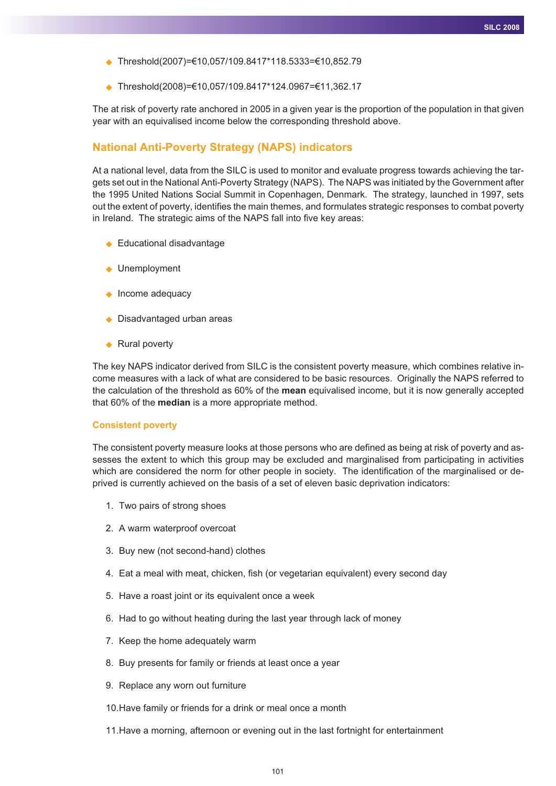- Threshold(2007)=€10,057/109.8417\*118.5333=€10,852.79
- Threshold(2008)=€10,057/109.8417\*124.0967=€11,362.17

The at risk of poverty rate anchored in 2005 in a given year is the proportion of the population in that given year with an equivalised income below the corresponding threshold above.

## **National Anti-Poverty Strategy (NAPS) indicators**

At a national level, data from the SILC is used to monitor and evaluate progress towards achieving the targets set out in the National Anti-Poverty Strategy (NAPS). The NAPS was initiated by the Government after the 1995 United Nations Social Summit in Copenhagen, Denmark. The strategy, launched in 1997, sets out the extent of poverty, identifies the main themes, and formulates strategic responses to combat poverty in Ireland. The strategic aims of the NAPS fall into five key areas:

- ◆ Educational disadvantage
- ◆ Unemployment
- Income adequacy
- ◆ Disadvantaged urban areas
- ◆ Rural poverty

The key NAPS indicator derived from SILC is the consistent poverty measure, which combines relative income measures with a lack of what are considered to be basic resources. Originally the NAPS referred to the calculation of the threshold as 60% of the **mean** equivalised income, but it is now generally accepted that 60% of the **median** is a more appropriate method.

#### **Consistent poverty**

The consistent poverty measure looks at those persons who are defined as being at risk of poverty and assesses the extent to which this group may be excluded and marginalised from participating in activities which are considered the norm for other people in society. The identification of the marginalised or deprived is currently achieved on the basis of a set of eleven basic deprivation indicators:

- 1. Two pairs of strong shoes
- 2. A warm waterproof overcoat
- 3. Buy new (not second-hand) clothes
- 4. Eat a meal with meat, chicken, fish (or vegetarian equivalent) every second day
- 5. Have a roast joint or its equivalent once a week
- 6. Had to go without heating during the last year through lack of money
- 7. Keep the home adequately warm
- 8. Buy presents for family or friends at least once a year
- 9. Replace any worn out furniture
- 10.Have family or friends for a drink or meal once a month
- 11.Have a morning, afternoon or evening out in the last fortnight for entertainment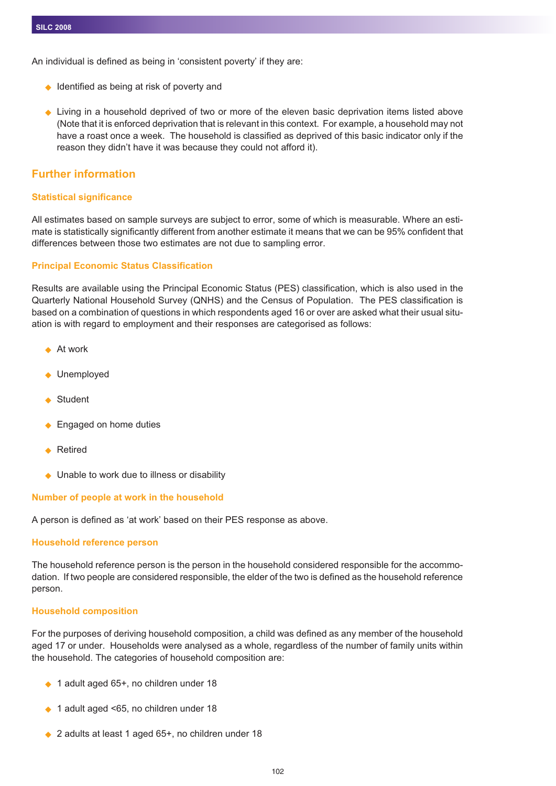An individual is defined as being in 'consistent poverty' if they are:

- ◆ Identified as being at risk of poverty and
- Living in a household deprived of two or more of the eleven basic deprivation items listed above (Note that it is enforced deprivation that is relevant in this context. For example, a household may not have a roast once a week. The household is classified as deprived of this basic indicator only if the reason they didn't have it was because they could not afford it).

## **Further information**

#### **Statistical significance**

All estimates based on sample surveys are subject to error, some of which is measurable. Where an estimate is statistically significantly different from another estimate it means that we can be 95% confident that differences between those two estimates are not due to sampling error.

#### **Principal Economic Status Classification**

Results are available using the Principal Economic Status (PES) classification, which is also used in the Quarterly National Household Survey (QNHS) and the Census of Population. The PES classification is based on a combination of questions in which respondents aged 16 or over are asked what their usual situation is with regard to employment and their responses are categorised as follows:

- $\blacklozenge$  At work
- ◆ Unemployed
- ◆ Student
- ◆ Engaged on home duties
- ◆ Retired
- ◆ Unable to work due to illness or disability

#### **Number of people at work in the household**

A person is defined as 'at work' based on their PES response as above.

#### **Household reference person**

The household reference person is the person in the household considered responsible for the accommodation. If two people are considered responsible, the elder of the two is defined as the household reference person.

#### **Household composition**

For the purposes of deriving household composition, a child was defined as any member of the household aged 17 or under. Households were analysed as a whole, regardless of the number of family units within the household. The categories of household composition are:

- ◆ 1 adult aged 65+, no children under 18
- ◆ 1 adult aged <65, no children under 18
- ◆ 2 adults at least 1 aged 65+, no children under 18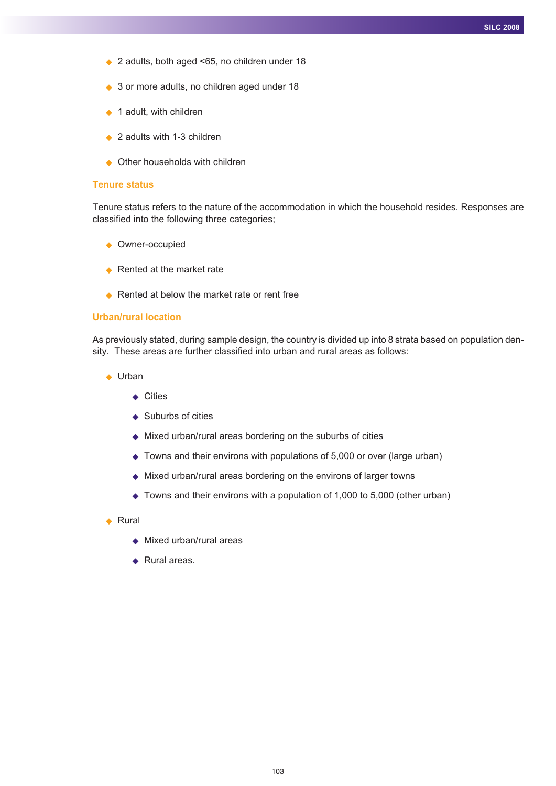- ◆ 2 adults, both aged <65, no children under 18
- ◆ 3 or more adults, no children aged under 18
- $\rightarrow$  1 adult, with children
- ◆ 2 adults with 1-3 children
- ◆ Other households with children

#### **Tenure status**

Tenure status refers to the nature of the accommodation in which the household resides. Responses are classified into the following three categories;

- Owner-occupied
- ◆ Rented at the market rate
- ◆ Rented at below the market rate or rent free

#### **Urban/rural location**

As previously stated, during sample design, the country is divided up into 8 strata based on population density. These areas are further classified into urban and rural areas as follows:

- ◆ Urban
	- ◆ Cities
	- ◆ Suburbs of cities
	- ◆ Mixed urban/rural areas bordering on the suburbs of cities
	- ◆ Towns and their environs with populations of 5,000 or over (large urban)
	- ◆ Mixed urban/rural areas bordering on the environs of larger towns
	- ◆ Towns and their environs with a population of 1,000 to 5,000 (other urban)
- ◆ Rural
	- ◆ Mixed urban/rural areas
	- ◆ Rural areas.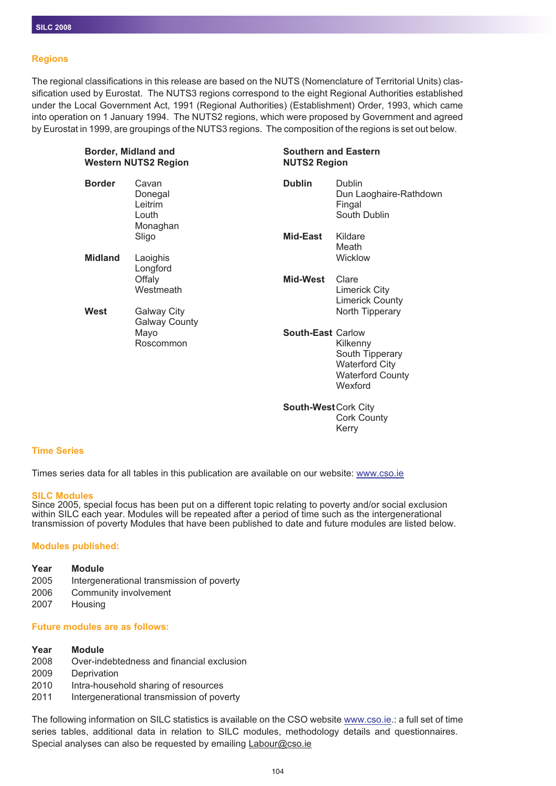#### **Regions**

The regional classifications in this release are based on the NUTS (Nomenclature of Territorial Units) classification used by Eurostat. The NUTS3 regions correspond to the eight Regional Authorities established under the Local Government Act, 1991 (Regional Authorities) (Establishment) Order, 1993, which came into operation on 1 January 1994. The NUTS2 regions, which were proposed by Government and agreed by Eurostat in 1999, are groupings of the NUTS3 regions. The composition of the regions is set out below.

| <b>Border, Midland and</b><br><b>Western NUTS2 Region</b> |                                                  |                          | <b>Southern and Eastern</b><br><b>NUTS2 Region</b>                                         |  |  |  |
|-----------------------------------------------------------|--------------------------------------------------|--------------------------|--------------------------------------------------------------------------------------------|--|--|--|
| <b>Border</b>                                             | Cavan<br>Donegal<br>Leitrim<br>Louth<br>Monaghan | <b>Dublin</b>            | Dublin<br>Dun Laoghaire-Rathdown<br>Fingal<br>South Dublin                                 |  |  |  |
|                                                           | Sligo                                            | Mid-East                 | Kildare<br>Meath                                                                           |  |  |  |
| <b>Midland</b>                                            | Laoighis<br>Longford                             |                          | Wicklow                                                                                    |  |  |  |
|                                                           | Offaly<br>Westmeath                              | Mid-West                 | Clare<br>Limerick City<br><b>Limerick County</b>                                           |  |  |  |
| West                                                      | Galway City<br><b>Galway County</b>              |                          | North Tipperary                                                                            |  |  |  |
|                                                           | Mayo<br>Roscommon                                | <b>South-East Carlow</b> | Kilkenny<br>South Tipperary<br><b>Waterford City</b><br><b>Waterford County</b><br>Wexford |  |  |  |
|                                                           |                                                  |                          |                                                                                            |  |  |  |

**South-West**Cork City Cork County Kerry

#### **Time Series**

Times series data for all tables in this publication are available on our website: www.cso.ie

#### **SILC Modules**

Since 2005, special focus has been put on a different topic relating to poverty and/or social exclusion within SILC each year. Modules will be repeated after a period of time such as the intergenerational transmission of poverty Modules that have been published to date and future modules are listed below.

#### **Modules published:**

#### **Year Module**

- 2005 Intergenerational transmission of poverty
- 2006 Community involvement
- 2007 Housing

#### **Future modules are as follows:**

#### **Year Module**

- 2008 Over-indebtedness and financial exclusion
- 2009 Deprivation
- 2010 Intra-household sharing of resources
- 2011 Intergenerational transmission of poverty

The following information on SILC statistics is available on the CSO website www.cso.ie.: a full set of time series tables, additional data in relation to SILC modules, methodology details and questionnaires. Special analyses can also be requested by emailing Labour@cso.ie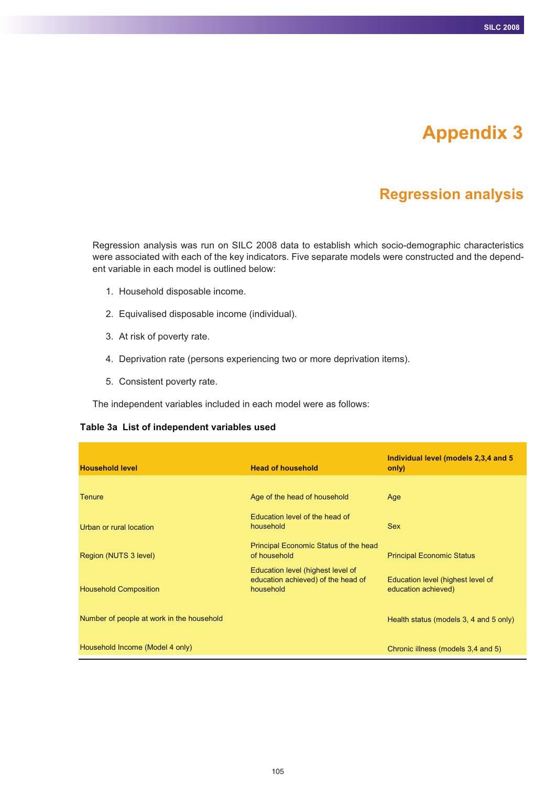# **Appendix 3**

# **Regression analysis**

Regression analysis was run on SILC 2008 data to establish which socio-demographic characteristics were associated with each of the key indicators. Five separate models were constructed and the dependent variable in each model is outlined below:

- 1. Household disposable income.
- 2. Equivalised disposable income (individual).
- 3. At risk of poverty rate.
- 4. Deprivation rate (persons experiencing two or more deprivation items).
- 5. Consistent poverty rate.

The independent variables included in each model were as follows:

#### **Table 3a List of independent variables used**

| <b>Household level</b>                    | <b>Head of household</b>                                                             | Individual level (models 2,3,4 and 5<br>only)            |
|-------------------------------------------|--------------------------------------------------------------------------------------|----------------------------------------------------------|
|                                           |                                                                                      |                                                          |
| Tenure                                    | Age of the head of household                                                         | Age                                                      |
| Urban or rural location                   | Education level of the head of<br>household                                          | <b>Sex</b>                                               |
| Region (NUTS 3 level)                     | Principal Economic Status of the head<br>of household                                | <b>Principal Economic Status</b>                         |
| <b>Household Composition</b>              | Education level (highest level of<br>education achieved) of the head of<br>household | Education level (highest level of<br>education achieved) |
| Number of people at work in the household |                                                                                      | Health status (models 3, 4 and 5 only)                   |
| Household Income (Model 4 only)           |                                                                                      | Chronic illness (models 3,4 and 5)                       |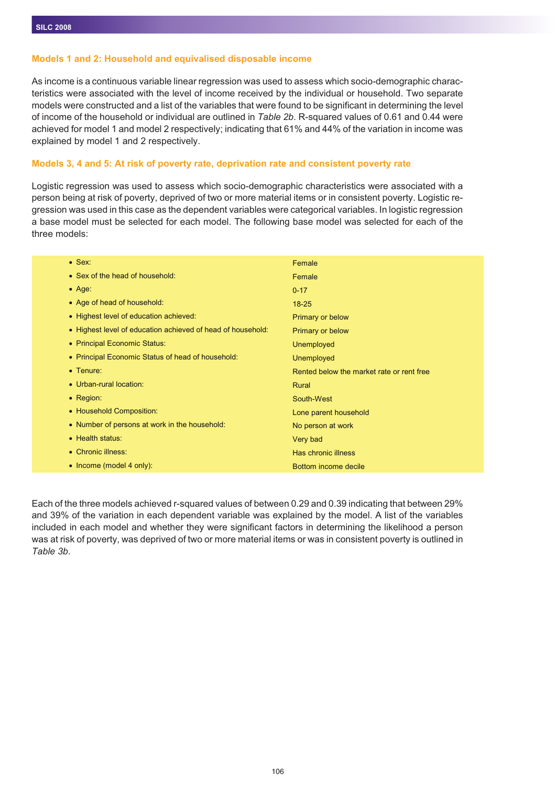#### **Models 1 and 2: Household and equivalised disposable income**

As income is a continuous variable linear regression was used to assess which socio-demographic characteristics were associated with the level of income received by the individual or household. Two separate models were constructed and a list of the variables that were found to be significant in determining the level of income of the household or individual are outlined in *Table 2b*. R-squared values of 0.61 and 0.44 were achieved for model 1 and model 2 respectively; indicating that 61% and 44% of the variation in income was explained by model 1 and 2 respectively.

#### **Models 3, 4 and 5: At risk of poverty rate, deprivation rate and consistent poverty rate**

Logistic regression was used to assess which socio-demographic characteristics were associated with a person being at risk of poverty, deprived of two or more material items or in consistent poverty. Logistic regression was used in this case as the dependent variables were categorical variables. In logistic regression a base model must be selected for each model. The following base model was selected for each of the three models:

| $\bullet$ Sex:                                              | Female                                    |
|-------------------------------------------------------------|-------------------------------------------|
| • Sex of the head of household:                             | Female                                    |
| $\bullet$ Age:                                              | $0 - 17$                                  |
| • Age of head of household:                                 | $18 - 25$                                 |
| • Highest level of education achieved:                      | Primary or below                          |
| • Highest level of education achieved of head of household: | Primary or below                          |
| • Principal Economic Status:                                | Unemployed                                |
| • Principal Economic Status of head of household:           | Unemployed                                |
| $\bullet$ Tenure:                                           | Rented below the market rate or rent free |
| • Urban-rural location:                                     | Rural                                     |
| • Region:                                                   | South-West                                |
| • Household Composition:                                    | Lone parent household                     |
| • Number of persons at work in the household:               | No person at work                         |
| • Health status:                                            | Very bad                                  |
| • Chronic illness:                                          | Has chronic illness                       |
| $\bullet$ Income (model 4 only):                            | Bottom income decile                      |

Each of the three models achieved r-squared values of between 0.29 and 0.39 indicating that between 29% and 39% of the variation in each dependent variable was explained by the model. A list of the variables included in each model and whether they were significant factors in determining the likelihood a person was at risk of poverty, was deprived of two or more material items or was in consistent poverty is outlined in *Table 3b*.